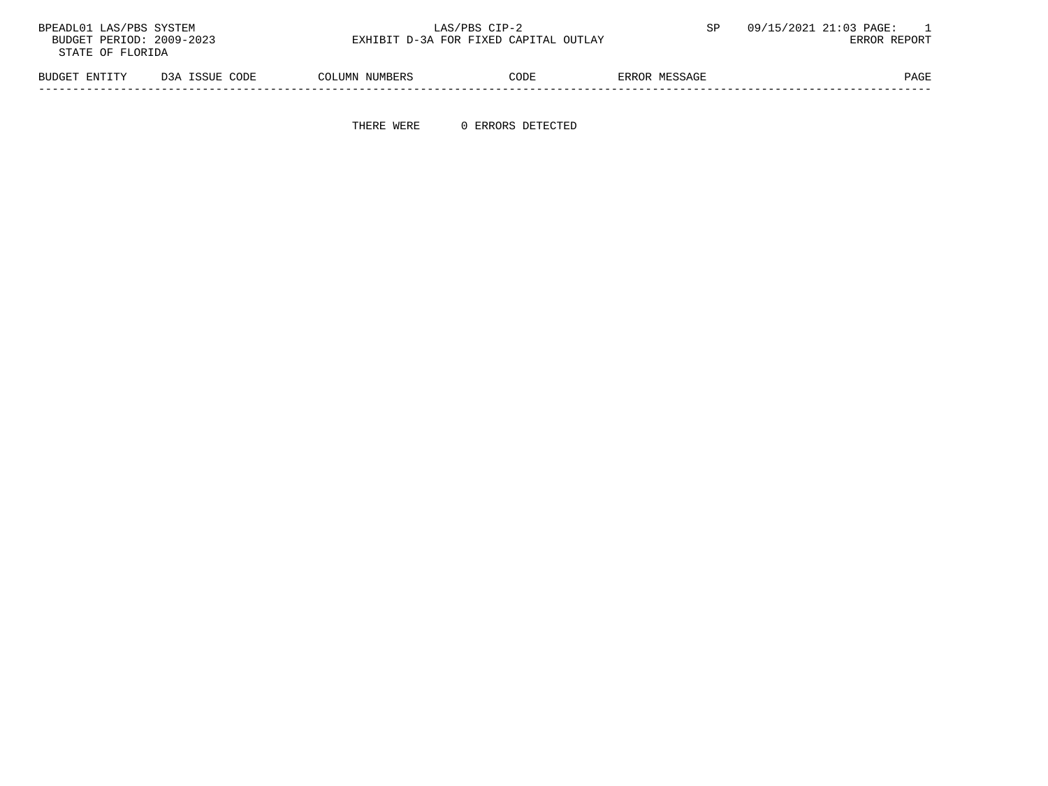| BPEADL01 LAS/PBS SYSTEM  |                | LAS/PBS CIP-2                         |      |               | 09/15/2021 21:03 PAGE: |
|--------------------------|----------------|---------------------------------------|------|---------------|------------------------|
| BUDGET PERIOD: 2009-2023 |                | EXHIBIT D-3A FOR FIXED CAPITAL OUTLAY |      |               | ERROR REPORT           |
| STATE OF FLORIDA         |                |                                       |      |               |                        |
|                          |                |                                       |      |               |                        |
| BUDGET ENTITY            | D3A ISSUE CODE | COLUMN NUMBERS                        | CODE | ERROR MESSAGE | PAGE                   |

-----------------------------------------------------------------------------------------------------------------------------------

THERE WERE 0 ERRORS DETECTED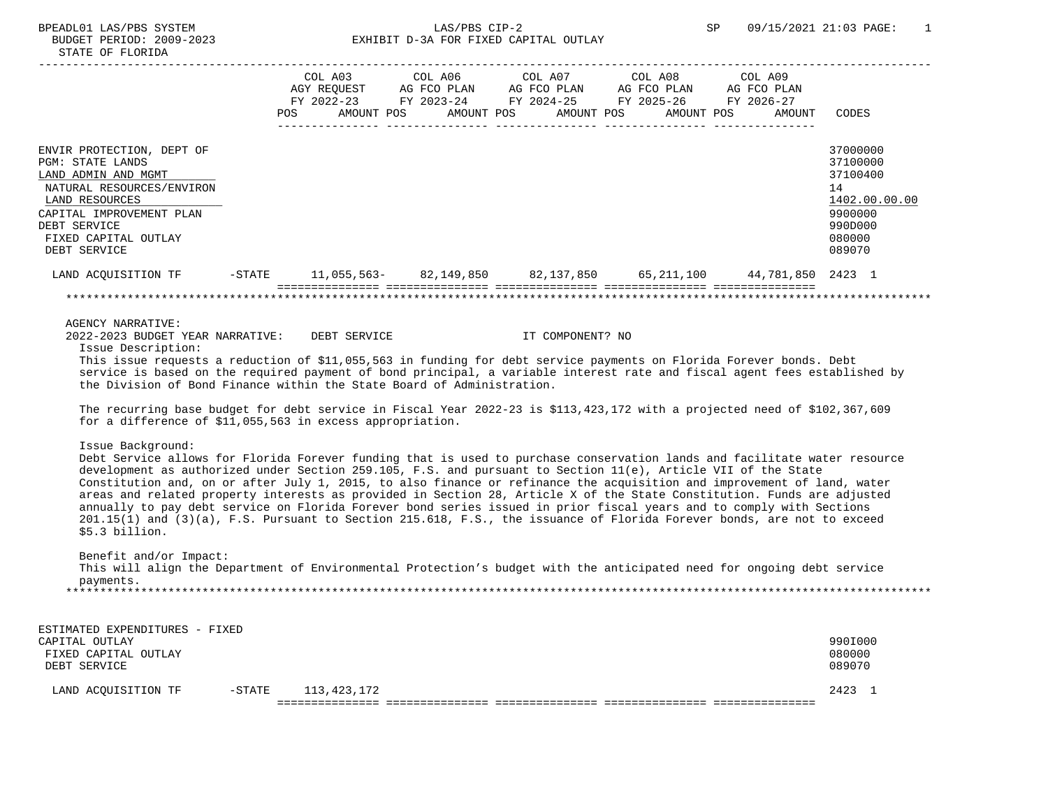| STATE OF FLORIDA                                                                                                                                                                                                                                                                                                                                                                                                                                                                                                                                                                                                                                                                                                                                                                                                                                       |           |     |                       |                                                                                                                                                |  |                       |                       |         |        |                                                                                                   |
|--------------------------------------------------------------------------------------------------------------------------------------------------------------------------------------------------------------------------------------------------------------------------------------------------------------------------------------------------------------------------------------------------------------------------------------------------------------------------------------------------------------------------------------------------------------------------------------------------------------------------------------------------------------------------------------------------------------------------------------------------------------------------------------------------------------------------------------------------------|-----------|-----|-----------------------|------------------------------------------------------------------------------------------------------------------------------------------------|--|-----------------------|-----------------------|---------|--------|---------------------------------------------------------------------------------------------------|
|                                                                                                                                                                                                                                                                                                                                                                                                                                                                                                                                                                                                                                                                                                                                                                                                                                                        |           | POS | COL A03<br>AMOUNT POS | COL A06<br>AGY REQUEST AG FCO PLAN AG FCO PLAN AG FCO PLAN AG FCO PLAN<br>FY 2022-23 FY 2023-24 FY 2024-25 FY 2025-26 FY 2026-27<br>AMOUNT POS |  | COL A07<br>AMOUNT POS | COL A08<br>AMOUNT POS | COL A09 | AMOUNT | CODES                                                                                             |
| ENVIR PROTECTION, DEPT OF<br>PGM: STATE LANDS<br>LAND ADMIN AND MGMT<br>NATURAL RESOURCES/ENVIRON<br>LAND RESOURCES<br>CAPITAL IMPROVEMENT PLAN<br>DEBT SERVICE<br>FIXED CAPITAL OUTLAY<br>DEBT SERVICE                                                                                                                                                                                                                                                                                                                                                                                                                                                                                                                                                                                                                                                |           |     |                       |                                                                                                                                                |  |                       |                       |         |        | 37000000<br>37100000<br>37100400<br>14<br>1402.00.00.00<br>9900000<br>990D000<br>080000<br>089070 |
| LAND ACQUISITION TF                                                                                                                                                                                                                                                                                                                                                                                                                                                                                                                                                                                                                                                                                                                                                                                                                                    | $-$ STATE |     |                       | $11,055,563-82,149,850$ 82,137,850                                                                                                             |  |                       | 65,211,100            |         |        | 44,781,850 2423 1                                                                                 |
|                                                                                                                                                                                                                                                                                                                                                                                                                                                                                                                                                                                                                                                                                                                                                                                                                                                        |           |     |                       |                                                                                                                                                |  |                       |                       |         |        |                                                                                                   |
| Issue Description:<br>This issue requests a reduction of \$11,055,563 in funding for debt service payments on Florida Forever bonds. Debt<br>service is based on the required payment of bond principal, a variable interest rate and fiscal agent fees established by<br>the Division of Bond Finance within the State Board of Administration.<br>The recurring base budget for debt service in Fiscal Year 2022-23 is \$113,423,172 with a projected need of \$102,367,609                                                                                                                                                                                                                                                                                                                                                                          |           |     |                       |                                                                                                                                                |  |                       |                       |         |        |                                                                                                   |
| for a difference of \$11,055,563 in excess appropriation.<br>Issue Background:<br>Debt Service allows for Florida Forever funding that is used to purchase conservation lands and facilitate water resource<br>development as authorized under Section 259.105, F.S. and pursuant to Section 11(e), Article VII of the State<br>Constitution and, on or after July 1, 2015, to also finance or refinance the acquisition and improvement of land, water<br>areas and related property interests as provided in Section 28, Article X of the State Constitution. Funds are adjusted<br>annually to pay debt service on Florida Forever bond series issued in prior fiscal years and to comply with Sections<br>201.15(1) and (3)(a), F.S. Pursuant to Section 215.618, F.S., the issuance of Florida Forever bonds, are not to exceed<br>\$5.3 billion. |           |     |                       |                                                                                                                                                |  |                       |                       |         |        |                                                                                                   |
| Benefit and/or Impact:<br>This will align the Department of Environmental Protection's budget with the anticipated need for ongoing debt service<br>payments.                                                                                                                                                                                                                                                                                                                                                                                                                                                                                                                                                                                                                                                                                          |           |     |                       |                                                                                                                                                |  |                       |                       |         |        |                                                                                                   |
| ESTIMATED EXPENDITURES - FIXED<br>CAPITAL OUTLAY<br>FIXED CAPITAL OUTLAY                                                                                                                                                                                                                                                                                                                                                                                                                                                                                                                                                                                                                                                                                                                                                                               |           |     |                       |                                                                                                                                                |  |                       |                       |         |        | 990I000<br>080000                                                                                 |

| SERVICE<br>DEBT        |           |             | 089070 |  |
|------------------------|-----------|-------------|--------|--|
| ACQUISITION TF<br>LAND | $-$ STATE | 113,423,172 | 2421   |  |
|                        |           | ___         |        |  |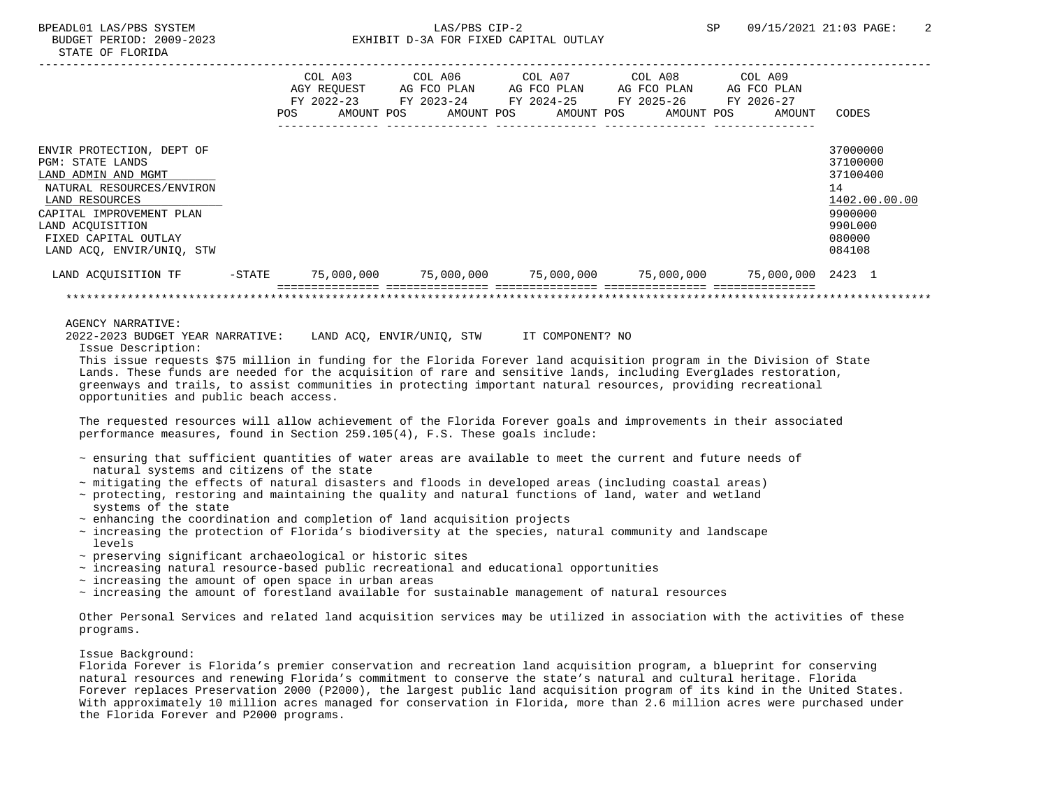|                           |           |     | COL A03                   | COL A06                   |  | COL A07                                                            |  | COL A08                   |  | COL A09                   |               |
|---------------------------|-----------|-----|---------------------------|---------------------------|--|--------------------------------------------------------------------|--|---------------------------|--|---------------------------|---------------|
|                           |           |     | AGY REOUEST<br>FY 2022-23 | AG FCO PLAN<br>FY 2023-24 |  | AG FCO PLAN<br>FY 2024-25                                          |  | AG FCO PLAN<br>FY 2025-26 |  | AG FCO PLAN<br>FY 2026-27 |               |
|                           |           | POS | AMOUNT POS                | AMOUNT POS                |  | AMOUNT POS                                                         |  | AMOUNT POS                |  | AMOUNT                    | CODES         |
| ENVIR PROTECTION, DEPT OF |           |     |                           |                           |  |                                                                    |  |                           |  |                           | 37000000      |
| <b>PGM: STATE LANDS</b>   |           |     |                           |                           |  |                                                                    |  |                           |  |                           | 37100000      |
| LAND ADMIN AND MGMT       |           |     |                           |                           |  |                                                                    |  |                           |  |                           | 37100400      |
| NATURAL RESOURCES/ENVIRON |           |     |                           |                           |  |                                                                    |  |                           |  |                           | 14            |
| LAND RESOURCES            |           |     |                           |                           |  |                                                                    |  |                           |  |                           | 1402.00.00.00 |
| CAPITAL IMPROVEMENT PLAN  |           |     |                           |                           |  |                                                                    |  |                           |  |                           | 9900000       |
| LAND ACQUISITION          |           |     |                           |                           |  |                                                                    |  |                           |  |                           | 990L000       |
| FIXED CAPITAL OUTLAY      |           |     |                           |                           |  |                                                                    |  |                           |  |                           | 080000        |
| LAND ACO, ENVIR/UNIO, STW |           |     |                           |                           |  |                                                                    |  |                           |  |                           | 084108        |
| LAND ACOUISITION TF       | $-$ STATE |     |                           |                           |  | 75,000,000    75,000,000    75,000,000    75,000,000    75,000,000 |  |                           |  |                           | 2423 1        |
|                           |           |     |                           |                           |  |                                                                    |  |                           |  |                           |               |
| AGENCY NARRATIVE:         |           |     |                           |                           |  |                                                                    |  |                           |  |                           |               |

 2022-2023 BUDGET YEAR NARRATIVE: LAND ACQ, ENVIR/UNIQ, STW IT COMPONENT? NO Issue Description:

 This issue requests \$75 million in funding for the Florida Forever land acquisition program in the Division of State Lands. These funds are needed for the acquisition of rare and sensitive lands, including Everglades restoration, greenways and trails, to assist communities in protecting important natural resources, providing recreational opportunities and public beach access.

 The requested resources will allow achievement of the Florida Forever goals and improvements in their associated performance measures, found in Section 259.105(4), F.S. These goals include:

- ~ ensuring that sufficient quantities of water areas are available to meet the current and future needs of natural systems and citizens of the state
- ~ mitigating the effects of natural disasters and floods in developed areas (including coastal areas)
- ~ protecting, restoring and maintaining the quality and natural functions of land, water and wetland systems of the state
- $\sim$  enhancing the coordination and completion of land acquisition projects
- ~ increasing the protection of Florida's biodiversity at the species, natural community and landscape levels
- ~ preserving significant archaeological or historic sites
- $\sim$  increasing natural resource-based public recreational and educational opportunities
- ~ increasing the amount of open space in urban areas
- $\sim$  increasing the amount of forestland available for sustainable management of natural resources

 Other Personal Services and related land acquisition services may be utilized in association with the activities of these programs.

## Issue Background:

 Florida Forever is Florida's premier conservation and recreation land acquisition program, a blueprint for conserving natural resources and renewing Florida's commitment to conserve the state's natural and cultural heritage. Florida Forever replaces Preservation 2000 (P2000), the largest public land acquisition program of its kind in the United States. With approximately 10 million acres managed for conservation in Florida, more than 2.6 million acres were purchased under the Florida Forever and P2000 programs.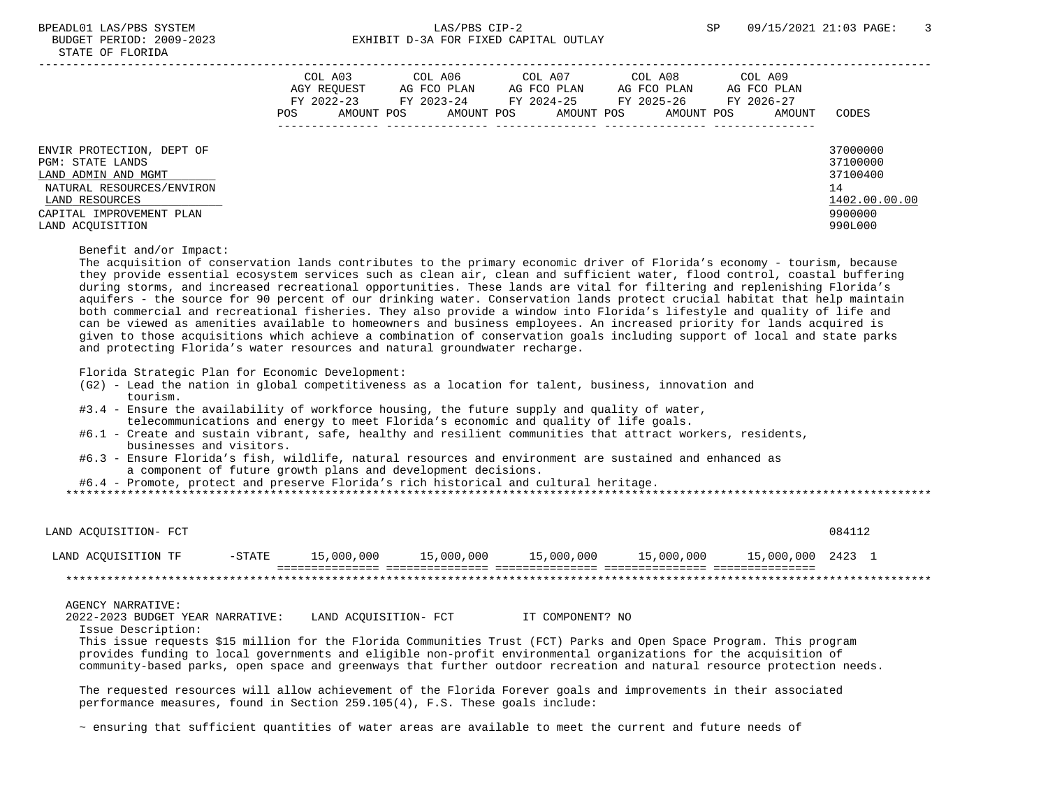# BPEADL01 LAS/PBS SYSTEM SALLAS/PBS CIP-2 SP 09/15/2021 21:03 PAGE: 3 BUDGET PERIOD: 2009-2023 EXHIBIT D-3A FOR FIXED CAPITAL OUTLAY

|                                                                                                                                                                     | COL A03<br>AGY REOUEST<br>FY 2022-23<br>AMOUNT POS<br>POS | COL A06<br>AG FCO PLAN<br>FY 2023-24<br>AMOUNT POS | COL A07<br>AG FCO PLAN<br>FY 2024-25<br>AMOUNT POS | COL A08<br>AG FCO PLAN<br>FY 2025-26<br>AMOUNT POS | COL A09<br>AG FCO PLAN<br>FY 2026-27<br>AMOUNT | CODES                                                                         |
|---------------------------------------------------------------------------------------------------------------------------------------------------------------------|-----------------------------------------------------------|----------------------------------------------------|----------------------------------------------------|----------------------------------------------------|------------------------------------------------|-------------------------------------------------------------------------------|
| ENVIR PROTECTION, DEPT OF<br>PGM: STATE LANDS<br>LAND ADMIN AND MGMT<br>NATURAL RESOURCES/ENVIRON<br>LAND RESOURCES<br>CAPITAL IMPROVEMENT PLAN<br>LAND ACOUISITION |                                                           |                                                    |                                                    |                                                    |                                                | 37000000<br>37100000<br>37100400<br>14<br>1402.00.00.00<br>9900000<br>990L000 |

Benefit and/or Impact:

 The acquisition of conservation lands contributes to the primary economic driver of Florida's economy - tourism, because they provide essential ecosystem services such as clean air, clean and sufficient water, flood control, coastal buffering during storms, and increased recreational opportunities. These lands are vital for filtering and replenishing Florida's aquifers - the source for 90 percent of our drinking water. Conservation lands protect crucial habitat that help maintain both commercial and recreational fisheries. They also provide a window into Florida's lifestyle and quality of life and can be viewed as amenities available to homeowners and business employees. An increased priority for lands acquired is given to those acquisitions which achieve a combination of conservation goals including support of local and state parks and protecting Florida's water resources and natural groundwater recharge.

Florida Strategic Plan for Economic Development:

- (G2) Lead the nation in global competitiveness as a location for talent, business, innovation and tourism.
- #3.4 Ensure the availability of workforce housing, the future supply and quality of water, telecommunications and energy to meet Florida's economic and quality of life goals.
- #6.1 Create and sustain vibrant, safe, healthy and resilient communities that attract workers, residents, businesses and visitors.
- #6.3 Ensure Florida's fish, wildlife, natural resources and environment are sustained and enhanced as a component of future growth plans and development decisions.
- #6.4 Promote, protect and preserve Florida's rich historical and cultural heritage.

\*\*\*\*\*\*\*\*\*\*\*\*\*\*\*\*\*\*\*\*\*\*\*\*\*\*\*\*\*\*\*\*\*\*\*\*\*\*\*\*\*\*\*\*\*\*\*\*\*\*\*\*\*\*\*\*\*\*\*\*\*\*\*\*\*\*\*\*\*\*\*\*\*\*\*\*\*\*\*\*\*\*\*\*\*\*\*\*\*\*\*\*\*\*\*\*\*\*\*\*\*\*\*\*\*\*\*\*\*\*\*\*\*\*\*\*\*\*\*\*\*\*\*\*\*\*\*

| LAND ACOUISITION- FCT |        |            |            |            |            |                   | 084112 |  |
|-----------------------|--------|------------|------------|------------|------------|-------------------|--------|--|
| LAND ACOUISITION TF   | -STATE | 15,000,000 | 15,000,000 | 15,000,000 | 15,000,000 | 15,000,000 2423 1 |        |  |
|                       |        |            |            |            |            |                   |        |  |

### AGENCY NARRATIVE:

2022-2023 BUDGET YEAR NARRATIVE: LAND ACQUISITION- FCT IT COMPONENT? NO

Issue Description:

 This issue requests \$15 million for the Florida Communities Trust (FCT) Parks and Open Space Program. This program provides funding to local governments and eligible non-profit environmental organizations for the acquisition of community-based parks, open space and greenways that further outdoor recreation and natural resource protection needs.

 The requested resources will allow achievement of the Florida Forever goals and improvements in their associated performance measures, found in Section 259.105(4), F.S. These goals include:

~ ensuring that sufficient quantities of water areas are available to meet the current and future needs of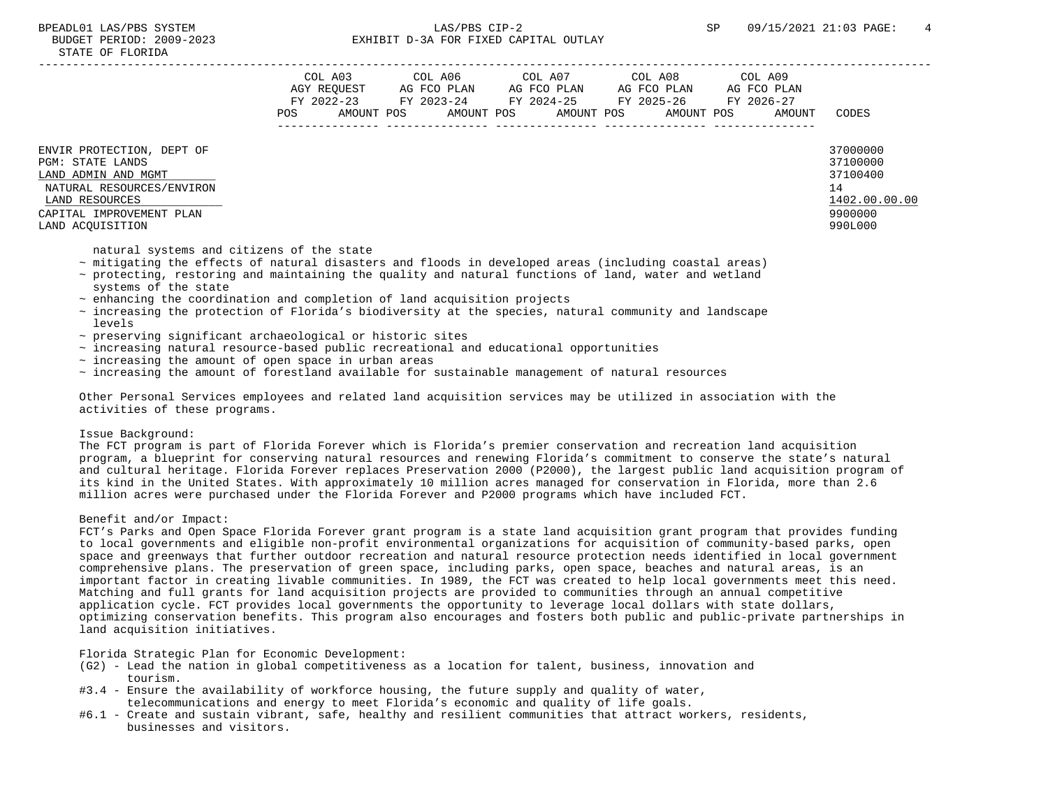|                                                                                                                                                                     | COL A03<br>AGY REOUEST<br>FY 2022-23<br>POS | COL A06<br>AG FCO PLAN<br>FY 2023-24<br>AMOUNT POS<br>AMOUNT POS | COL A07<br>AG FCO PLAN<br>FY 2024-25<br>AMOUNT POS | COL A08<br>AG FCO PLAN<br>FY 2025-26<br>AMOUNT POS | COL A09<br>AG FCO PLAN<br>FY 2026-27<br>AMOUNT | CODES                                                                         |
|---------------------------------------------------------------------------------------------------------------------------------------------------------------------|---------------------------------------------|------------------------------------------------------------------|----------------------------------------------------|----------------------------------------------------|------------------------------------------------|-------------------------------------------------------------------------------|
| ENVIR PROTECTION, DEPT OF<br>PGM: STATE LANDS<br>LAND ADMIN AND MGMT<br>NATURAL RESOURCES/ENVIRON<br>LAND RESOURCES<br>CAPITAL IMPROVEMENT PLAN<br>LAND ACOUISITION |                                             |                                                                  |                                                    |                                                    |                                                | 37000000<br>37100000<br>37100400<br>14<br>1402.00.00.00<br>9900000<br>990L000 |

natural systems and citizens of the state

- ~ mitigating the effects of natural disasters and floods in developed areas (including coastal areas)
- ~ protecting, restoring and maintaining the quality and natural functions of land, water and wetland systems of the state
- $\sim$  enhancing the coordination and completion of land acquisition projects
- ~ increasing the protection of Florida's biodiversity at the species, natural community and landscape levels
- ~ preserving significant archaeological or historic sites
- $\sim$  increasing natural resource-based public recreational and educational opportunities
- $\sim$  increasing the amount of open space in urban areas
- ~ increasing the amount of forestland available for sustainable management of natural resources

 Other Personal Services employees and related land acquisition services may be utilized in association with the activities of these programs.

## Issue Background:

 The FCT program is part of Florida Forever which is Florida's premier conservation and recreation land acquisition program, a blueprint for conserving natural resources and renewing Florida's commitment to conserve the state's natural and cultural heritage. Florida Forever replaces Preservation 2000 (P2000), the largest public land acquisition program of its kind in the United States. With approximately 10 million acres managed for conservation in Florida, more than 2.6 million acres were purchased under the Florida Forever and P2000 programs which have included FCT.

# Benefit and/or Impact:

 FCT's Parks and Open Space Florida Forever grant program is a state land acquisition grant program that provides funding to local governments and eligible non-profit environmental organizations for acquisition of community-based parks, open space and greenways that further outdoor recreation and natural resource protection needs identified in local government comprehensive plans. The preservation of green space, including parks, open space, beaches and natural areas, is an important factor in creating livable communities. In 1989, the FCT was created to help local governments meet this need. Matching and full grants for land acquisition projects are provided to communities through an annual competitive application cycle. FCT provides local governments the opportunity to leverage local dollars with state dollars, optimizing conservation benefits. This program also encourages and fosters both public and public-private partnerships in land acquisition initiatives.

Florida Strategic Plan for Economic Development:

- (G2) Lead the nation in global competitiveness as a location for talent, business, innovation and tourism.
- #3.4 Ensure the availability of workforce housing, the future supply and quality of water, telecommunications and energy to meet Florida's economic and quality of life goals.
- #6.1 Create and sustain vibrant, safe, healthy and resilient communities that attract workers, residents, businesses and visitors.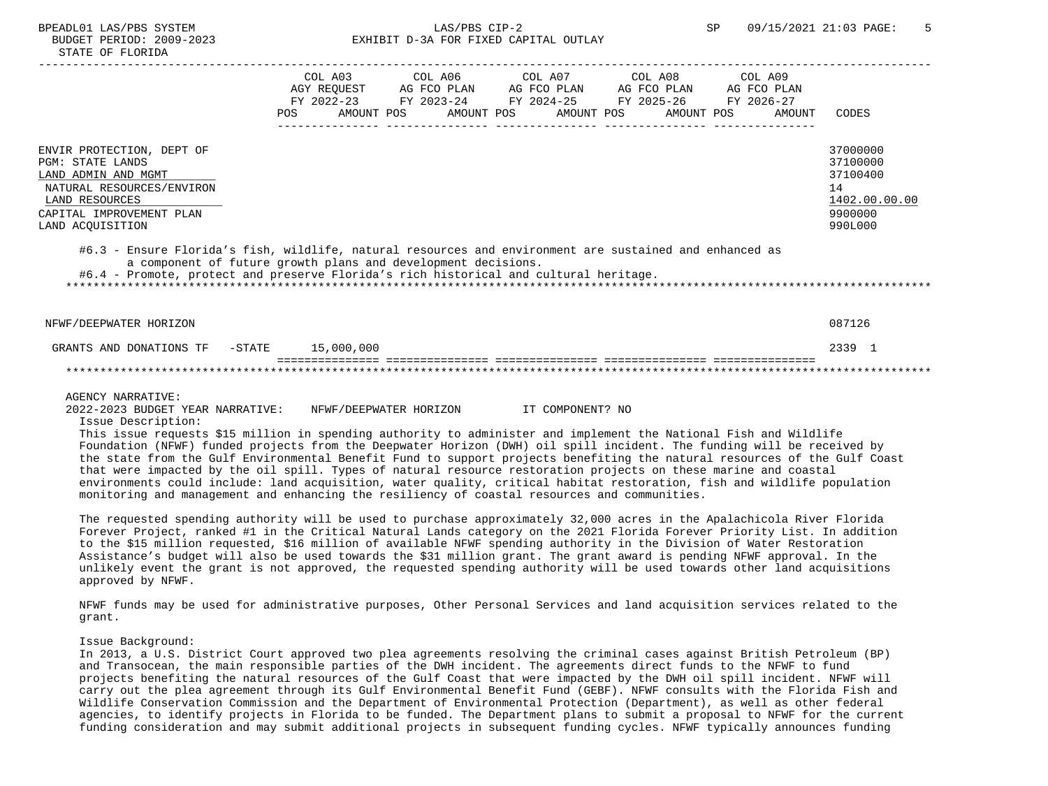|                                                                                                                                                                                                                                                                   |            | COL A03     | COL A06     | COL A07               | COL A08     | COL A09     |               |
|-------------------------------------------------------------------------------------------------------------------------------------------------------------------------------------------------------------------------------------------------------------------|------------|-------------|-------------|-----------------------|-------------|-------------|---------------|
|                                                                                                                                                                                                                                                                   |            | AGY REOUEST | AG FCO PLAN | AG FCO PLAN           | AG FCO PLAN | AG FCO PLAN |               |
|                                                                                                                                                                                                                                                                   |            | FY 2022-23  | FY 2023-24  | FY 2024-25 FY 2025-26 |             | FY 2026-27  |               |
|                                                                                                                                                                                                                                                                   | <b>POS</b> | AMOUNT POS  | AMOUNT POS  | AMOUNT POS            | AMOUNT POS  | AMOUNT      | CODES         |
|                                                                                                                                                                                                                                                                   |            |             |             |                       |             |             |               |
| ENVIR PROTECTION, DEPT OF                                                                                                                                                                                                                                         |            |             |             |                       |             |             | 37000000      |
| <b>PGM: STATE LANDS</b>                                                                                                                                                                                                                                           |            |             |             |                       |             |             | 37100000      |
| LAND ADMIN AND MGMT                                                                                                                                                                                                                                               |            |             |             |                       |             |             | 37100400      |
| NATURAL RESOURCES/ENVIRON                                                                                                                                                                                                                                         |            |             |             |                       |             |             | 14            |
| LAND RESOURCES                                                                                                                                                                                                                                                    |            |             |             |                       |             |             | 1402.00.00.00 |
| CAPITAL IMPROVEMENT PLAN                                                                                                                                                                                                                                          |            |             |             |                       |             |             | 9900000       |
|                                                                                                                                                                                                                                                                   |            |             |             |                       |             |             |               |
| LAND ACQUISITION                                                                                                                                                                                                                                                  |            |             |             |                       |             |             | 990L000       |
| #6.3 - Ensure Florida's fish, wildlife, natural resources and environment are sustained and enhanced as<br>a component of future growth plans and development decisions.<br>#6.4 - Promote, protect and preserve Florida's rich historical and cultural heritage. |            |             |             |                       |             |             |               |
| NFWF/DEEPWATER HORIZON                                                                                                                                                                                                                                            |            |             |             |                       |             |             | 087126        |

## GRANTS AND DONATIONS TF  $-$  STATE  $15,000,000$  =============== =============== =============== =============== =============== \*\*\*\*\*\*\*\*\*\*\*\*\*\*\*\*\*\*\*\*\*\*\*\*\*\*\*\*\*\*\*\*\*\*\*\*\*\*\*\*\*\*\*\*\*\*\*\*\*\*\*\*\*\*\*\*\*\*\*\*\*\*\*\*\*\*\*\*\*\*\*\*\*\*\*\*\*\*\*\*\*\*\*\*\*\*\*\*\*\*\*\*\*\*\*\*\*\*\*\*\*\*\*\*\*\*\*\*\*\*\*\*\*\*\*\*\*\*\*\*\*\*\*\*\*\*\*

#### AGENCY NARRATIVE:

 2022-2023 BUDGET YEAR NARRATIVE: NFWF/DEEPWATER HORIZON IT COMPONENT? NO Issue Description:

 This issue requests \$15 million in spending authority to administer and implement the National Fish and Wildlife Foundation (NFWF) funded projects from the Deepwater Horizon (DWH) oil spill incident. The funding will be received by the state from the Gulf Environmental Benefit Fund to support projects benefiting the natural resources of the Gulf Coast that were impacted by the oil spill. Types of natural resource restoration projects on these marine and coastal environments could include: land acquisition, water quality, critical habitat restoration, fish and wildlife population monitoring and management and enhancing the resiliency of coastal resources and communities.

 The requested spending authority will be used to purchase approximately 32,000 acres in the Apalachicola River Florida Forever Project, ranked #1 in the Critical Natural Lands category on the 2021 Florida Forever Priority List. In addition to the \$15 million requested, \$16 million of available NFWF spending authority in the Division of Water Restoration Assistance's budget will also be used towards the \$31 million grant. The grant award is pending NFWF approval. In the unlikely event the grant is not approved, the requested spending authority will be used towards other land acquisitions approved by NFWF.

 NFWF funds may be used for administrative purposes, Other Personal Services and land acquisition services related to the grant.

#### Issue Background:

 In 2013, a U.S. District Court approved two plea agreements resolving the criminal cases against British Petroleum (BP) and Transocean, the main responsible parties of the DWH incident. The agreements direct funds to the NFWF to fund projects benefiting the natural resources of the Gulf Coast that were impacted by the DWH oil spill incident. NFWF will carry out the plea agreement through its Gulf Environmental Benefit Fund (GEBF). NFWF consults with the Florida Fish and Wildlife Conservation Commission and the Department of Environmental Protection (Department), as well as other federal agencies, to identify projects in Florida to be funded. The Department plans to submit a proposal to NFWF for the current funding consideration and may submit additional projects in subsequent funding cycles. NFWF typically announces funding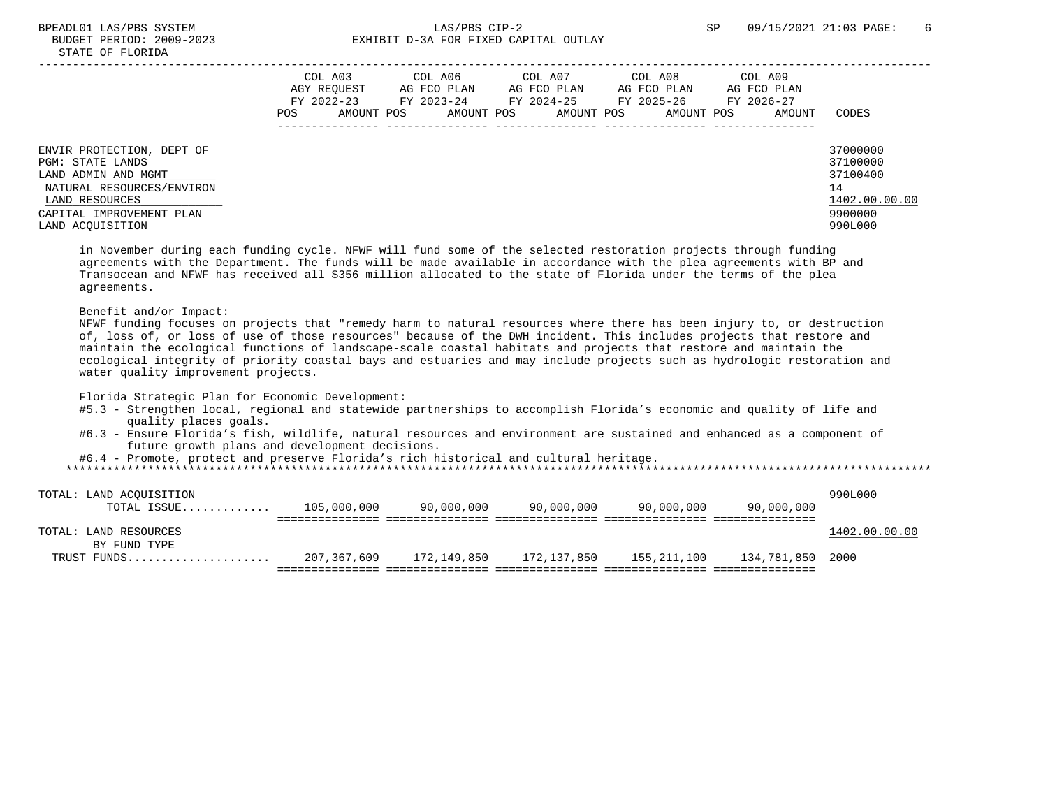# BPEADL01 LAS/PBS SYSTEM CIP-2 5 SP 09/15/2021 21:03 PAGE: 6 BUDGET PERIOD: 2009-2023 EXHIBIT D-3A FOR FIXED CAPITAL OUTLAY

|                                                                                                                                                                     | COL A03<br>AGY REOUEST<br>FY 2022-23<br>AMOUNT POS<br>POS | COL A06<br>AG FCO PLAN<br>FY 2023-24<br>AMOUNT POS | COL A07<br>AG FCO PLAN<br>FY 2024-25<br>AMOUNT POS | COL A08<br>AG FCO PLAN<br>FY 2025-26<br>AMOUNT POS | COL A09<br>AG FCO PLAN<br>FY 2026-27<br>AMOUNT | CODES                                                                         |
|---------------------------------------------------------------------------------------------------------------------------------------------------------------------|-----------------------------------------------------------|----------------------------------------------------|----------------------------------------------------|----------------------------------------------------|------------------------------------------------|-------------------------------------------------------------------------------|
| ENVIR PROTECTION, DEPT OF<br>PGM: STATE LANDS<br>LAND ADMIN AND MGMT<br>NATURAL RESOURCES/ENVIRON<br>LAND RESOURCES<br>CAPITAL IMPROVEMENT PLAN<br>LAND ACOUISITION |                                                           |                                                    |                                                    |                                                    |                                                | 37000000<br>37100000<br>37100400<br>14<br>1402.00.00.00<br>9900000<br>990L000 |

 in November during each funding cycle. NFWF will fund some of the selected restoration projects through funding agreements with the Department. The funds will be made available in accordance with the plea agreements with BP and Transocean and NFWF has received all \$356 million allocated to the state of Florida under the terms of the plea agreements.

#### Benefit and/or Impact:

 NFWF funding focuses on projects that "remedy harm to natural resources where there has been injury to, or destruction of, loss of, or loss of use of those resources" because of the DWH incident. This includes projects that restore and maintain the ecological functions of landscape-scale coastal habitats and projects that restore and maintain the ecological integrity of priority coastal bays and estuaries and may include projects such as hydrologic restoration and water quality improvement projects.

Florida Strategic Plan for Economic Development:

- #5.3 Strengthen local, regional and statewide partnerships to accomplish Florida's economic and quality of life and quality places goals.
- #6.3 Ensure Florida's fish, wildlife, natural resources and environment are sustained and enhanced as a component of future growth plans and development decisions.

#6.4 - Promote, protect and preserve Florida's rich historical and cultural heritage.

| TOTAL: LAND ACOUISITION |             |             |             |             |                  | 990L000       |
|-------------------------|-------------|-------------|-------------|-------------|------------------|---------------|
| TOTAL ISSUE             | 105,000,000 | 90,000,000  | 90,000,000  | 90,000,000  | 90,000,000       |               |
|                         |             |             |             |             |                  |               |
| TOTAL: LAND RESOURCES   |             |             |             |             |                  | 1402.00.00.00 |
| BY FUND TYPE            |             |             |             |             |                  |               |
| TRUST FUNDS             | 207,367,609 | 172,149,850 | 172,137,850 | 155,211,100 | 134,781,850 2000 |               |
|                         |             |             |             |             |                  |               |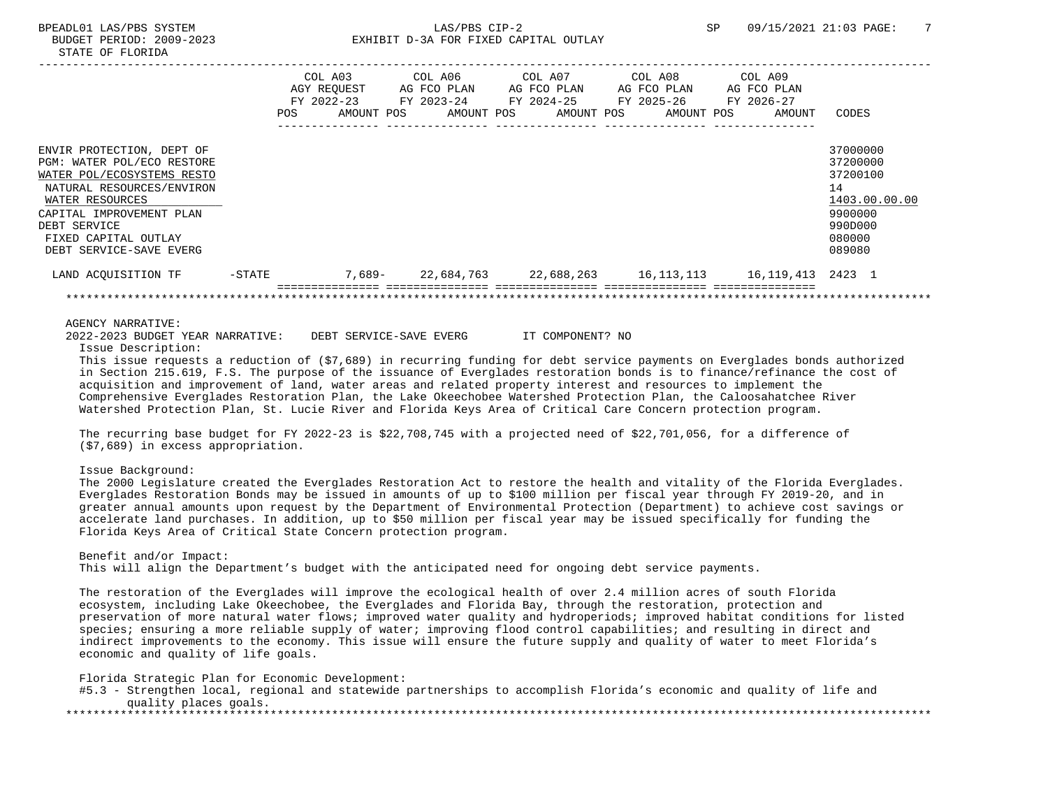|                                                                                                                                                                                                                                      |                   | POS | COL A03<br>AGY REOUEST<br>FY 2022-23<br>AMOUNT POS | COL A06 COL A07 COL A08<br>AG FCO PLAN<br>FY 2023-24 | AG FCO PLAN | AG FCO PLAN<br>FY 2024-25 FY 2025-26<br>AMOUNT POS AMOUNT POS AMOUNT POS | COL A09<br>AG FCO PLAN<br>FY 2026-27                     | AMOUNT | CODES                                                                                             |
|--------------------------------------------------------------------------------------------------------------------------------------------------------------------------------------------------------------------------------------|-------------------|-----|----------------------------------------------------|------------------------------------------------------|-------------|--------------------------------------------------------------------------|----------------------------------------------------------|--------|---------------------------------------------------------------------------------------------------|
| ENVIR PROTECTION, DEPT OF<br>PGM: WATER POL/ECO RESTORE<br>WATER POL/ECOSYSTEMS RESTO<br>NATURAL RESOURCES/ENVIRON<br>WATER RESOURCES<br>CAPITAL IMPROVEMENT PLAN<br>DEBT SERVICE<br>FIXED CAPITAL OUTLAY<br>DEBT SERVICE-SAVE EVERG |                   |     |                                                    |                                                      |             |                                                                          |                                                          |        | 37000000<br>37200000<br>37200100<br>14<br>1403.00.00.00<br>9900000<br>990D000<br>080000<br>089080 |
| LAND ACQUISITION TF                                                                                                                                                                                                                  | $-\mathtt{STATE}$ |     |                                                    |                                                      |             |                                                                          | 7,689-22,684,763 22,688,263 16,113,113 16,119,413 2423 1 |        |                                                                                                   |

 2022-2023 BUDGET YEAR NARRATIVE: DEBT SERVICE-SAVE EVERG IT COMPONENT? NO Issue Description:

 This issue requests a reduction of (\$7,689) in recurring funding for debt service payments on Everglades bonds authorized in Section 215.619, F.S. The purpose of the issuance of Everglades restoration bonds is to finance/refinance the cost of acquisition and improvement of land, water areas and related property interest and resources to implement the Comprehensive Everglades Restoration Plan, the Lake Okeechobee Watershed Protection Plan, the Caloosahatchee River Watershed Protection Plan, St. Lucie River and Florida Keys Area of Critical Care Concern protection program.

 The recurring base budget for FY 2022-23 is \$22,708,745 with a projected need of \$22,701,056, for a difference of (\$7,689) in excess appropriation.

Issue Background:

 The 2000 Legislature created the Everglades Restoration Act to restore the health and vitality of the Florida Everglades. Everglades Restoration Bonds may be issued in amounts of up to \$100 million per fiscal year through FY 2019-20, and in greater annual amounts upon request by the Department of Environmental Protection (Department) to achieve cost savings or accelerate land purchases. In addition, up to \$50 million per fiscal year may be issued specifically for funding the Florida Keys Area of Critical State Concern protection program.

 Benefit and/or Impact: This will align the Department's budget with the anticipated need for ongoing debt service payments.

 The restoration of the Everglades will improve the ecological health of over 2.4 million acres of south Florida ecosystem, including Lake Okeechobee, the Everglades and Florida Bay, through the restoration, protection and preservation of more natural water flows; improved water quality and hydroperiods; improved habitat conditions for listed species; ensuring a more reliable supply of water; improving flood control capabilities; and resulting in direct and indirect improvements to the economy. This issue will ensure the future supply and quality of water to meet Florida's economic and quality of life goals.

Florida Strategic Plan for Economic Development:

 #5.3 - Strengthen local, regional and statewide partnerships to accomplish Florida's economic and quality of life and quality places goals. \*\*\*\*\*\*\*\*\*\*\*\*\*\*\*\*\*\*\*\*\*\*\*\*\*\*\*\*\*\*\*\*\*\*\*\*\*\*\*\*\*\*\*\*\*\*\*\*\*\*\*\*\*\*\*\*\*\*\*\*\*\*\*\*\*\*\*\*\*\*\*\*\*\*\*\*\*\*\*\*\*\*\*\*\*\*\*\*\*\*\*\*\*\*\*\*\*\*\*\*\*\*\*\*\*\*\*\*\*\*\*\*\*\*\*\*\*\*\*\*\*\*\*\*\*\*\*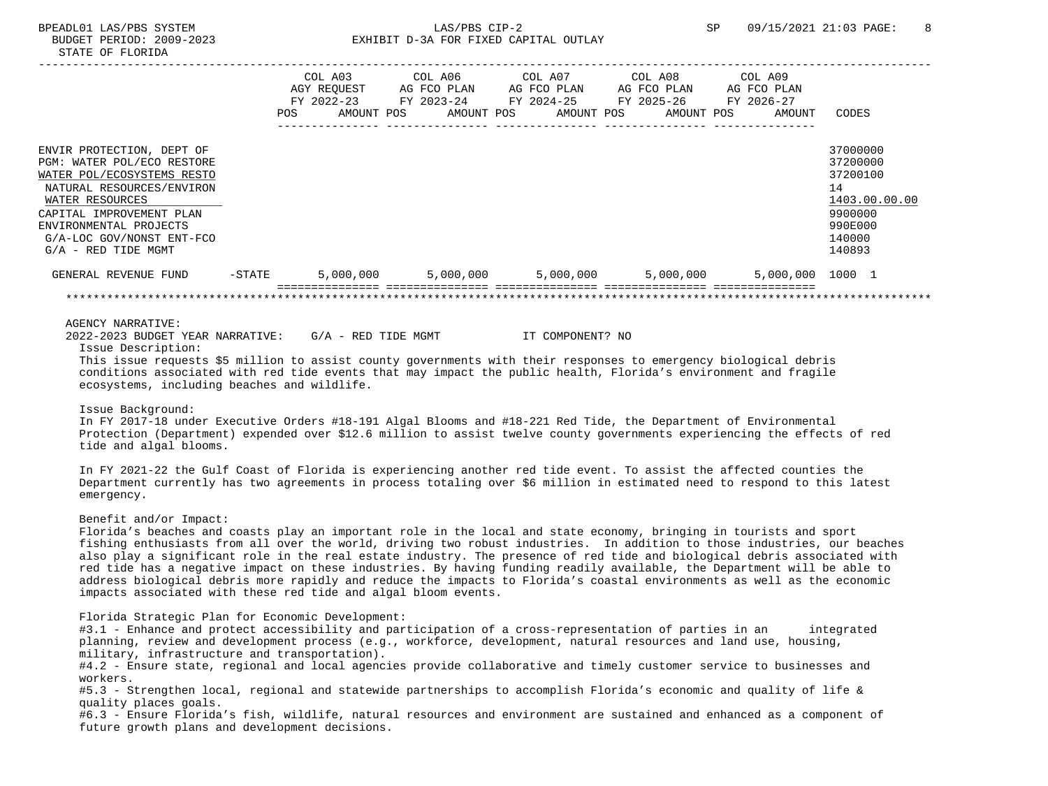# BPEADL01 LAS/PBS SYSTEM SALLAS/PBS CIP-2 SP 09/15/2021 21:03 PAGE: 8 BUDGET PERIOD: 2009-2023 EXHIBIT D-3A FOR FIXED CAPITAL OUTLAY

|                                                                                                                                                                                                                                                   |           | COL A03 COL A06 COL A07 COL A08 COL A09<br>AGY REQUEST AG FCO PLAN AG FCO PLAN AG FCO PLAN<br>FY 2022-23 FY 2023-24 FY 2024-25 FY 2025-26 FY 2026-27<br>POS | AMOUNT POS AMOUNT POS AMOUNT POS AMOUNT POS     |  |  | AG FCO PLAN<br>AMOUNT | CODES                                                                                             |
|---------------------------------------------------------------------------------------------------------------------------------------------------------------------------------------------------------------------------------------------------|-----------|-------------------------------------------------------------------------------------------------------------------------------------------------------------|-------------------------------------------------|--|--|-----------------------|---------------------------------------------------------------------------------------------------|
| ENVIR PROTECTION, DEPT OF<br>PGM: WATER POL/ECO RESTORE<br>WATER POL/ECOSYSTEMS RESTO<br>NATURAL RESOURCES/ENVIRON<br>WATER RESOURCES<br>CAPITAL IMPROVEMENT PLAN<br>ENVIRONMENTAL PROJECTS<br>G/A-LOC GOV/NONST ENT-FCO<br>$G/A$ - RED TIDE MGMT |           |                                                                                                                                                             |                                                 |  |  |                       | 37000000<br>37200000<br>37200100<br>14<br>1403.00.00.00<br>9900000<br>990E000<br>140000<br>140893 |
| GENERAL REVENUE FUND                                                                                                                                                                                                                              | $-$ STATE |                                                                                                                                                             | $5,000,000$ $5,000,000$ $5,000,000$ $5,000,000$ |  |  | 5,000,000 1000 1      |                                                                                                   |
|                                                                                                                                                                                                                                                   |           |                                                                                                                                                             |                                                 |  |  |                       |                                                                                                   |
| AGENCY NARRATIVE:<br>2022-2023 BUDGET YEAR NARRATIVE: G/A - RED TIDE MGMT TT COMPONENT? NO<br>Issue Description:<br>This issue requests \$5 million to assist county governments with their responses to emergency biological debris              |           |                                                                                                                                                             |                                                 |  |  |                       |                                                                                                   |

 conditions associated with red tide events that may impact the public health, Florida's environment and fragile ecosystems, including beaches and wildlife.

## Issue Background:

 In FY 2017-18 under Executive Orders #18-191 Algal Blooms and #18-221 Red Tide, the Department of Environmental Protection (Department) expended over \$12.6 million to assist twelve county governments experiencing the effects of red tide and algal blooms.

 In FY 2021-22 the Gulf Coast of Florida is experiencing another red tide event. To assist the affected counties the Department currently has two agreements in process totaling over \$6 million in estimated need to respond to this latest emergency.

## Benefit and/or Impact:

 Florida's beaches and coasts play an important role in the local and state economy, bringing in tourists and sport fishing enthusiasts from all over the world, driving two robust industries. In addition to those industries, our beaches also play a significant role in the real estate industry. The presence of red tide and biological debris associated with red tide has a negative impact on these industries. By having funding readily available, the Department will be able to address biological debris more rapidly and reduce the impacts to Florida's coastal environments as well as the economic impacts associated with these red tide and algal bloom events.

Florida Strategic Plan for Economic Development:

#3.1 - Enhance and protect accessibility and participation of a cross-representation of parties in an integrated planning, review and development process (e.g., workforce, development, natural resources and land use, housing, military, infrastructure and transportation).

 #4.2 - Ensure state, regional and local agencies provide collaborative and timely customer service to businesses and workers.

 #5.3 - Strengthen local, regional and statewide partnerships to accomplish Florida's economic and quality of life & quality places goals.

 #6.3 - Ensure Florida's fish, wildlife, natural resources and environment are sustained and enhanced as a component of future growth plans and development decisions.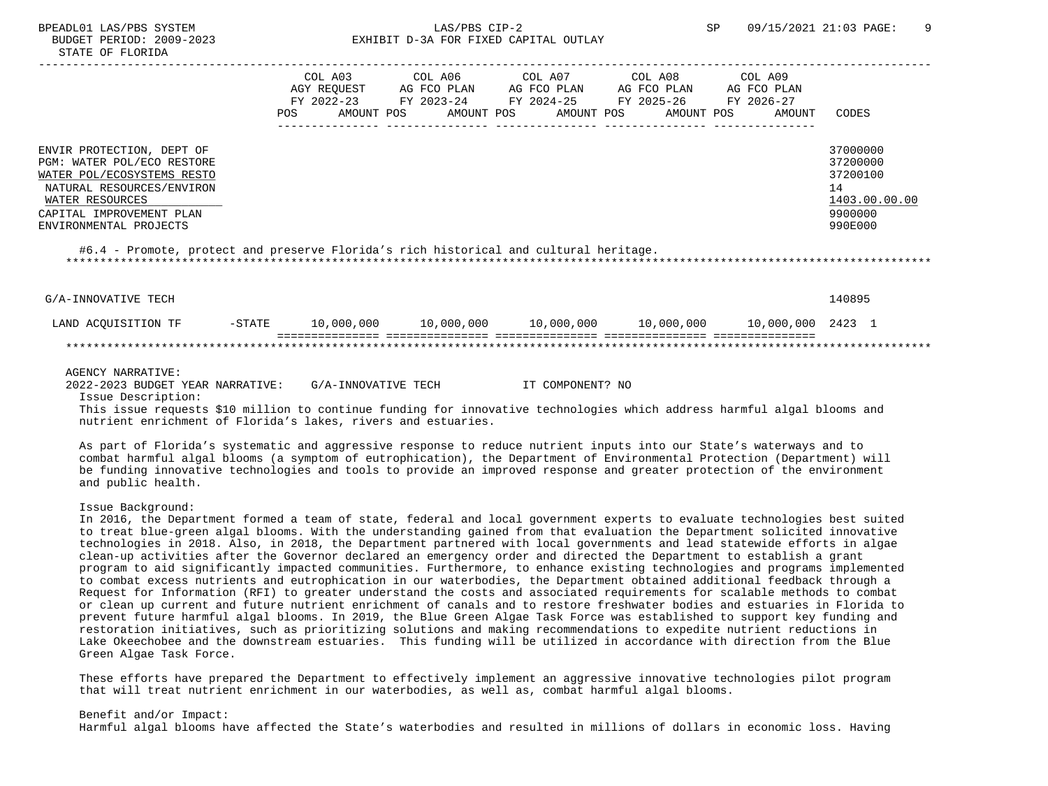# BPEADL01 LAS/PBS SYSTEM SALLAS/PBS CIP-2 SP 09/15/2021 21:03 PAGE: 9 BUDGET PERIOD: 2009-2023 EXHIBIT D-3A FOR FIXED CAPITAL OUTLAY

|                                              | COL A03<br>AGY REOUEST<br>FY 2022-23 |            | COL A06<br>AG FCO PLAN<br>FY 2023-24 |            | COL A07<br>AG FCO PLAN<br>FY 2024-25 FY 2025-26 |            | COL A08<br>AG FCO PLAN |  | COL A09<br>AG FCO PLAN<br>FY 2026-27 |                     |  |
|----------------------------------------------|--------------------------------------|------------|--------------------------------------|------------|-------------------------------------------------|------------|------------------------|--|--------------------------------------|---------------------|--|
|                                              | POS.                                 | AMOUNT POS |                                      | AMOUNT POS |                                                 | AMOUNT POS | AMOUNT POS             |  | AMOUNT                               | CODES               |  |
| ENVIR PROTECTION, DEPT OF                    |                                      |            |                                      |            |                                                 |            |                        |  |                                      | 37000000            |  |
| PGM: WATER POL/ECO RESTORE                   |                                      |            |                                      |            |                                                 |            |                        |  |                                      | 37200000            |  |
| WATER POL/ECOSYSTEMS RESTO                   |                                      |            |                                      |            |                                                 |            |                        |  |                                      | 37200100            |  |
| NATURAL RESOURCES/ENVIRON<br>WATER RESOURCES |                                      |            |                                      |            |                                                 |            |                        |  |                                      | 14<br>1403.00.00.00 |  |
| CAPITAL IMPROVEMENT PLAN                     |                                      |            |                                      |            |                                                 |            |                        |  |                                      | 9900000             |  |
| ENVIRONMENTAL PROJECTS                       |                                      |            |                                      |            |                                                 |            |                        |  |                                      | 990E000             |  |

G/A-INNOVATIVE TECH 140895 LAND ACQUISITION TF -STATE 10,000,000 10,000,000 10,000,000 10,000,000 10,000,000 2423 1 =============== =============== =============== =============== =============== \*\*\*\*\*\*\*\*\*\*\*\*\*\*\*\*\*\*\*\*\*\*\*\*\*\*\*\*\*\*\*\*\*\*\*\*\*\*\*\*\*\*\*\*\*\*\*\*\*\*\*\*\*\*\*\*\*\*\*\*\*\*\*\*\*\*\*\*\*\*\*\*\*\*\*\*\*\*\*\*\*\*\*\*\*\*\*\*\*\*\*\*\*\*\*\*\*\*\*\*\*\*\*\*\*\*\*\*\*\*\*\*\*\*\*\*\*\*\*\*\*\*\*\*\*\*\*

#### AGENCY NARRATIVE:

 2022-2023 BUDGET YEAR NARRATIVE: G/A-INNOVATIVE TECH IT COMPONENT? NO Issue Description:

 This issue requests \$10 million to continue funding for innovative technologies which address harmful algal blooms and nutrient enrichment of Florida's lakes, rivers and estuaries.

 As part of Florida's systematic and aggressive response to reduce nutrient inputs into our State's waterways and to combat harmful algal blooms (a symptom of eutrophication), the Department of Environmental Protection (Department) will be funding innovative technologies and tools to provide an improved response and greater protection of the environment and public health.

Issue Background:

 In 2016, the Department formed a team of state, federal and local government experts to evaluate technologies best suited to treat blue-green algal blooms. With the understanding gained from that evaluation the Department solicited innovative technologies in 2018. Also, in 2018, the Department partnered with local governments and lead statewide efforts in algae clean-up activities after the Governor declared an emergency order and directed the Department to establish a grant program to aid significantly impacted communities. Furthermore, to enhance existing technologies and programs implemented to combat excess nutrients and eutrophication in our waterbodies, the Department obtained additional feedback through a Request for Information (RFI) to greater understand the costs and associated requirements for scalable methods to combat or clean up current and future nutrient enrichment of canals and to restore freshwater bodies and estuaries in Florida to prevent future harmful algal blooms. In 2019, the Blue Green Algae Task Force was established to support key funding and restoration initiatives, such as prioritizing solutions and making recommendations to expedite nutrient reductions in Lake Okeechobee and the downstream estuaries. This funding will be utilized in accordance with direction from the Blue Green Algae Task Force.

 These efforts have prepared the Department to effectively implement an aggressive innovative technologies pilot program that will treat nutrient enrichment in our waterbodies, as well as, combat harmful algal blooms.

 Benefit and/or Impact: Harmful algal blooms have affected the State's waterbodies and resulted in millions of dollars in economic loss. Having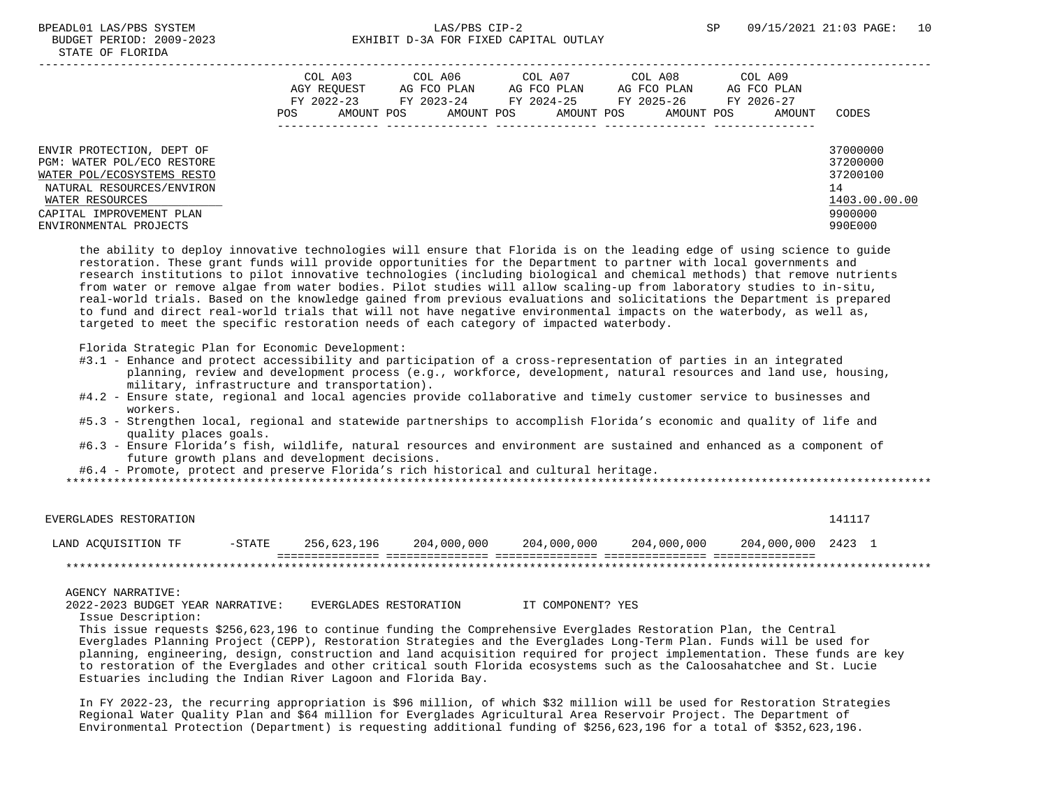|                                                                                                                                                                                             |             | COL A03    |             | COL A06    | COL A07     | COL A08     |  | COL A09     |                                                                               |
|---------------------------------------------------------------------------------------------------------------------------------------------------------------------------------------------|-------------|------------|-------------|------------|-------------|-------------|--|-------------|-------------------------------------------------------------------------------|
|                                                                                                                                                                                             | AGY REOUEST |            | AG FCO PLAN |            | AG FCO PLAN | AG FCO PLAN |  | AG FCO PLAN |                                                                               |
|                                                                                                                                                                                             |             | FY 2022-23 |             | FY 2023-24 | FY 2024-25  | FY 2025-26  |  | FY 2026-27  |                                                                               |
|                                                                                                                                                                                             | POS         | AMOUNT POS |             | AMOUNT POS | AMOUNT POS  | AMOUNT POS  |  | AMOUNT      | CODES                                                                         |
| ENVIR PROTECTION, DEPT OF<br>PGM: WATER POL/ECO RESTORE<br>WATER POL/ECOSYSTEMS RESTO<br>NATURAL RESOURCES/ENVIRON<br>WATER RESOURCES<br>CAPITAL IMPROVEMENT PLAN<br>ENVIRONMENTAL PROJECTS |             |            |             |            |             |             |  |             | 37000000<br>37200000<br>37200100<br>14<br>1403.00.00.00<br>9900000<br>990E000 |

 the ability to deploy innovative technologies will ensure that Florida is on the leading edge of using science to guide restoration. These grant funds will provide opportunities for the Department to partner with local governments and research institutions to pilot innovative technologies (including biological and chemical methods) that remove nutrients from water or remove algae from water bodies. Pilot studies will allow scaling-up from laboratory studies to in-situ, real-world trials. Based on the knowledge gained from previous evaluations and solicitations the Department is prepared to fund and direct real-world trials that will not have negative environmental impacts on the waterbody, as well as, targeted to meet the specific restoration needs of each category of impacted waterbody.

Florida Strategic Plan for Economic Development:

- #3.1 Enhance and protect accessibility and participation of a cross-representation of parties in an integrated planning, review and development process (e.g., workforce, development, natural resources and land use, housing, military, infrastructure and transportation).
- #4.2 Ensure state, regional and local agencies provide collaborative and timely customer service to businesses and workers.
- #5.3 Strengthen local, regional and statewide partnerships to accomplish Florida's economic and quality of life and quality places goals.
- #6.3 Ensure Florida's fish, wildlife, natural resources and environment are sustained and enhanced as a component of future growth plans and development decisions.

#6.4 - Promote, protect and preserve Florida's rich historical and cultural heritage.

\*\*\*\*\*\*\*\*\*\*\*\*\*\*\*\*\*\*\*\*\*\*\*\*\*\*\*\*\*\*\*\*\*\*\*\*\*\*\*\*\*\*\*\*\*\*\*\*\*\*\*\*\*\*\*\*\*\*\*\*\*\*\*\*\*\*\*\*\*\*\*\*\*\*\*\*\*\*\*\*\*\*\*\*\*\*\*\*\*\*\*\*\*\*\*\*\*\*\*\*\*\*\*\*\*\*\*\*\*\*\*\*\*\*\*\*\*\*\*\*\*\*\*\*\*\*\*

| EVERGLADES RESTORATION |           |             |             |             |             |                    | 141117 |  |
|------------------------|-----------|-------------|-------------|-------------|-------------|--------------------|--------|--|
| LAND ACOUISITION TF    | $-$ STATE | 256.623.196 | 204,000,000 | 204,000,000 | 204,000,000 | 204,000,000 2423 1 |        |  |
|                        |           |             |             |             |             |                    |        |  |

AGENCY NARRATIVE:

 2022-2023 BUDGET YEAR NARRATIVE: EVERGLADES RESTORATION IT COMPONENT? YES Issue Description:

 This issue requests \$256,623,196 to continue funding the Comprehensive Everglades Restoration Plan, the Central Everglades Planning Project (CEPP), Restoration Strategies and the Everglades Long-Term Plan. Funds will be used for planning, engineering, design, construction and land acquisition required for project implementation. These funds are key to restoration of the Everglades and other critical south Florida ecosystems such as the Caloosahatchee and St. Lucie Estuaries including the Indian River Lagoon and Florida Bay.

 In FY 2022-23, the recurring appropriation is \$96 million, of which \$32 million will be used for Restoration Strategies Regional Water Quality Plan and \$64 million for Everglades Agricultural Area Reservoir Project. The Department of Environmental Protection (Department) is requesting additional funding of \$256,623,196 for a total of \$352,623,196.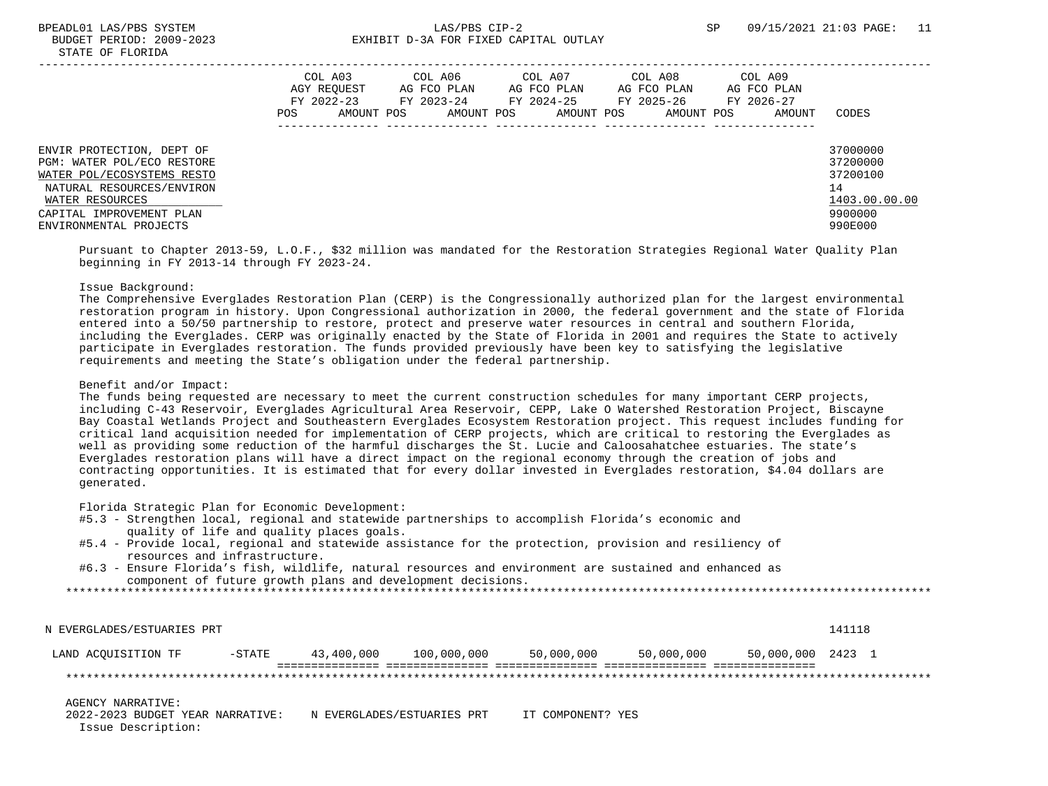|                                                                                                                                                                                             | POS | COL A03<br>AGY REOUEST<br>FY 2022-23<br>AMOUNT POS | COL A06<br>AG FCO PLAN<br>FY 2023-24<br>AMOUNT POS | COL A07<br>AG FCO PLAN<br>FY 2024-25<br>AMOUNT POS | COL A08<br>AG FCO PLAN<br>FY 2025-26<br>AMOUNT POS | COL A09<br>AG FCO PLAN<br>FY 2026-27<br>AMOUNT | CODES                                                                         |
|---------------------------------------------------------------------------------------------------------------------------------------------------------------------------------------------|-----|----------------------------------------------------|----------------------------------------------------|----------------------------------------------------|----------------------------------------------------|------------------------------------------------|-------------------------------------------------------------------------------|
| ENVIR PROTECTION, DEPT OF<br>PGM: WATER POL/ECO RESTORE<br>WATER POL/ECOSYSTEMS RESTO<br>NATURAL RESOURCES/ENVIRON<br>WATER RESOURCES<br>CAPITAL IMPROVEMENT PLAN<br>ENVIRONMENTAL PROJECTS |     |                                                    |                                                    |                                                    |                                                    |                                                | 37000000<br>37200000<br>37200100<br>14<br>1403.00.00.00<br>9900000<br>990E000 |

 Pursuant to Chapter 2013-59, L.O.F., \$32 million was mandated for the Restoration Strategies Regional Water Quality Plan beginning in FY 2013-14 through FY 2023-24.

## Issue Background:

 The Comprehensive Everglades Restoration Plan (CERP) is the Congressionally authorized plan for the largest environmental restoration program in history. Upon Congressional authorization in 2000, the federal government and the state of Florida entered into a 50/50 partnership to restore, protect and preserve water resources in central and southern Florida, including the Everglades. CERP was originally enacted by the State of Florida in 2001 and requires the State to actively participate in Everglades restoration. The funds provided previously have been key to satisfying the legislative requirements and meeting the State's obligation under the federal partnership.

#### Benefit and/or Impact:

 The funds being requested are necessary to meet the current construction schedules for many important CERP projects, including C-43 Reservoir, Everglades Agricultural Area Reservoir, CEPP, Lake O Watershed Restoration Project, Biscayne Bay Coastal Wetlands Project and Southeastern Everglades Ecosystem Restoration project. This request includes funding for critical land acquisition needed for implementation of CERP projects, which are critical to restoring the Everglades as well as providing some reduction of the harmful discharges the St. Lucie and Caloosahatchee estuaries. The state's Everglades restoration plans will have a direct impact on the regional economy through the creation of jobs and contracting opportunities. It is estimated that for every dollar invested in Everglades restoration, \$4.04 dollars are generated.

Florida Strategic Plan for Economic Development:

- #5.3 Strengthen local, regional and statewide partnerships to accomplish Florida's economic and quality of life and quality places goals.
- #5.4 Provide local, regional and statewide assistance for the protection, provision and resiliency of resources and infrastructure.
- #6.3 Ensure Florida's fish, wildlife, natural resources and environment are sustained and enhanced as component of future growth plans and development decisions.

\*\*\*\*\*\*\*\*\*\*\*\*\*\*\*\*\*\*\*\*\*\*\*\*\*\*\*\*\*\*\*\*\*\*\*\*\*\*\*\*\*\*\*\*\*\*\*\*\*\*\*\*\*\*\*\*\*\*\*\*\*\*\*\*\*\*\*\*\*\*\*\*\*\*\*\*\*\*\*\*\*\*\*\*\*\*\*\*\*\*\*\*\*\*\*\*\*\*\*\*\*\*\*\*\*\*\*\*\*\*\*\*\*\*\*\*\*\*\*\*\*\*\*\*\*\*\*

 N EVERGLADES/ESTUARIES PRT 141118 LAND ACQUISITION TF -STATE 43,400,000 100,000,000 50,000,000 50,000,000 50,000,000 2423 1 =============== =============== =============== =============== =============== \*\*\*\*\*\*\*\*\*\*\*\*\*\*\*\*\*\*\*\*\*\*\*\*\*\*\*\*\*\*\*\*\*\*\*\*\*\*\*\*\*\*\*\*\*\*\*\*\*\*\*\*\*\*\*\*\*\*\*\*\*\*\*\*\*\*\*\*\*\*\*\*\*\*\*\*\*\*\*\*\*\*\*\*\*\*\*\*\*\*\*\*\*\*\*\*\*\*\*\*\*\*\*\*\*\*\*\*\*\*\*\*\*\*\*\*\*\*\*\*\*\*\*\*\*\*\* AGENCY NARRATIVE:

 2022-2023 BUDGET YEAR NARRATIVE: N EVERGLADES/ESTUARIES PRT IT COMPONENT? YES Issue Description: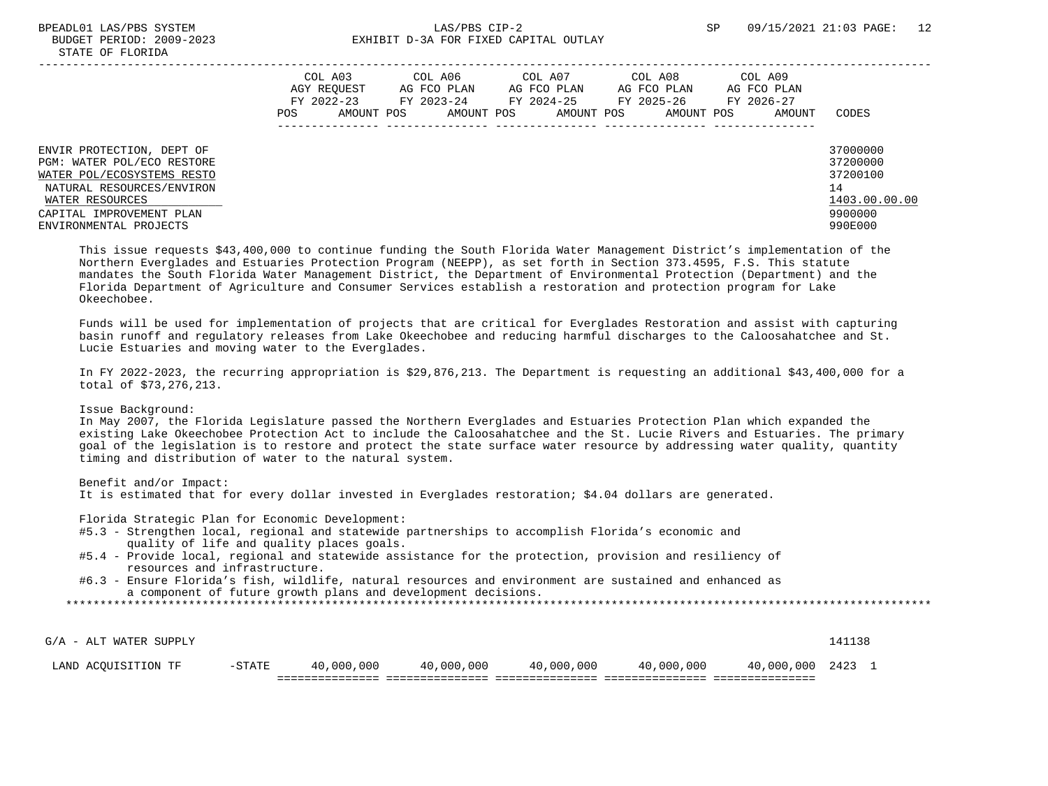|                                                                                                                                                                                             | POS. | COL A03<br>AGY REOUEST<br>FY 2022-23<br>AMOUNT POS | COL A06<br>AG FCO PLAN<br>FY 2023-24<br>AMOUNT POS | COL A07<br>AG FCO PLAN<br>FY 2024-25<br>AMOUNT POS | COL A08<br>AG FCO PLAN<br>FY 2025-26<br>AMOUNT POS | COL A09<br>AG FCO PLAN<br>FY 2026-27<br>AMOUNT | CODES                                                                         |
|---------------------------------------------------------------------------------------------------------------------------------------------------------------------------------------------|------|----------------------------------------------------|----------------------------------------------------|----------------------------------------------------|----------------------------------------------------|------------------------------------------------|-------------------------------------------------------------------------------|
| ENVIR PROTECTION, DEPT OF<br>PGM: WATER POL/ECO RESTORE<br>WATER POL/ECOSYSTEMS RESTO<br>NATURAL RESOURCES/ENVIRON<br>WATER RESOURCES<br>CAPITAL IMPROVEMENT PLAN<br>ENVIRONMENTAL PROJECTS |      |                                                    |                                                    |                                                    |                                                    |                                                | 37000000<br>37200000<br>37200100<br>14<br>1403.00.00.00<br>9900000<br>990E000 |

 This issue requests \$43,400,000 to continue funding the South Florida Water Management District's implementation of the Northern Everglades and Estuaries Protection Program (NEEPP), as set forth in Section 373.4595, F.S. This statute mandates the South Florida Water Management District, the Department of Environmental Protection (Department) and the Florida Department of Agriculture and Consumer Services establish a restoration and protection program for Lake Okeechobee.

 Funds will be used for implementation of projects that are critical for Everglades Restoration and assist with capturing basin runoff and regulatory releases from Lake Okeechobee and reducing harmful discharges to the Caloosahatchee and St. Lucie Estuaries and moving water to the Everglades.

 In FY 2022-2023, the recurring appropriation is \$29,876,213. The Department is requesting an additional \$43,400,000 for a total of \$73,276,213.

Issue Background:

 In May 2007, the Florida Legislature passed the Northern Everglades and Estuaries Protection Plan which expanded the existing Lake Okeechobee Protection Act to include the Caloosahatchee and the St. Lucie Rivers and Estuaries. The primary goal of the legislation is to restore and protect the state surface water resource by addressing water quality, quantity timing and distribution of water to the natural system.

Benefit and/or Impact:

It is estimated that for every dollar invested in Everglades restoration; \$4.04 dollars are generated.

Florida Strategic Plan for Economic Development:

- #5.3 Strengthen local, regional and statewide partnerships to accomplish Florida's economic and quality of life and quality places goals.
- #5.4 Provide local, regional and statewide assistance for the protection, provision and resiliency of resources and infrastructure.
- #6.3 Ensure Florida's fish, wildlife, natural resources and environment are sustained and enhanced as a component of future growth plans and development decisions.

| G/A - ALT WATER SUPPLY |          |            |            |            |            |                 | 141138 |  |
|------------------------|----------|------------|------------|------------|------------|-----------------|--------|--|
| LAND ACOUISITION TF    | $-STATE$ | 40,000,000 | 40,000,000 | 40,000,000 | 40,000,000 | 40,000,000 2423 |        |  |
|                        |          |            |            |            |            |                 |        |  |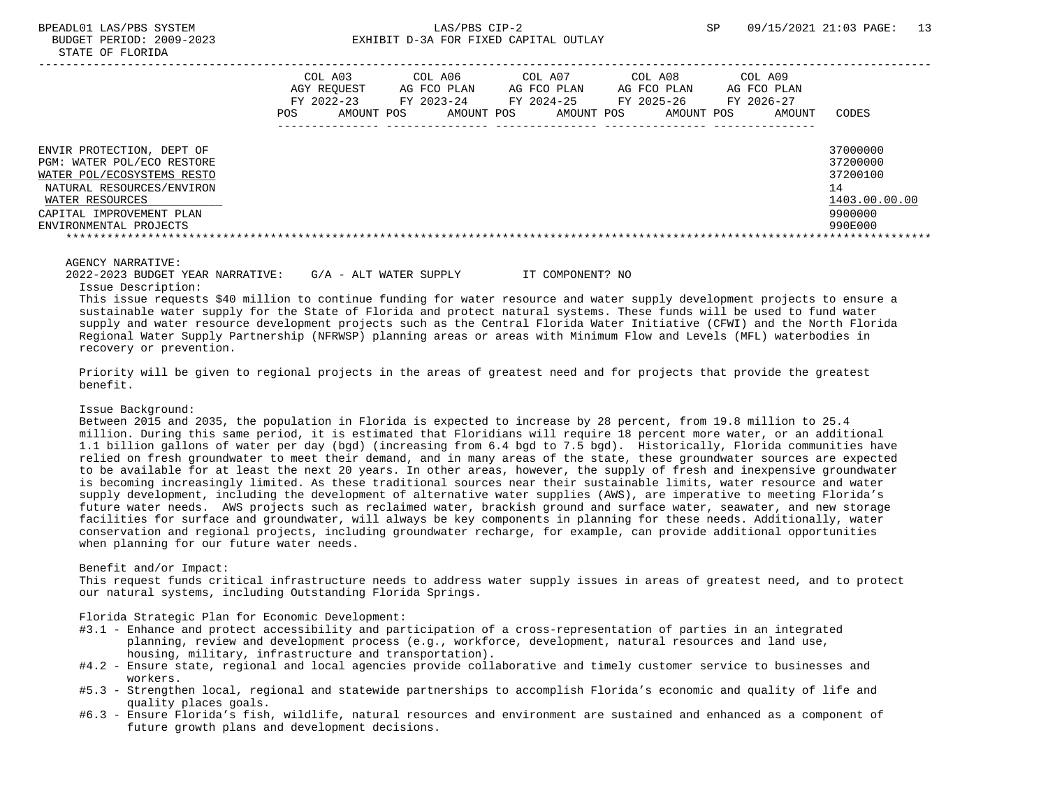|                                                                                                                                                                                             | COL A03<br>AGY REOUEST<br>FY 2022-23<br>POS.<br>AMOUNT POS | COL A06<br>AG FCO PLAN<br>FY 2023-24<br>AMOUNT POS | COL A07<br>AG FCO PLAN<br>FY 2024-25<br>AMOUNT POS | COL A08<br>AG FCO PLAN<br>FY 2025-26<br>AMOUNT POS | COL A09<br>AG FCO PLAN<br>FY 2026-27<br>AMOUNT | CODES                                                                         |
|---------------------------------------------------------------------------------------------------------------------------------------------------------------------------------------------|------------------------------------------------------------|----------------------------------------------------|----------------------------------------------------|----------------------------------------------------|------------------------------------------------|-------------------------------------------------------------------------------|
| ENVIR PROTECTION, DEPT OF<br>PGM: WATER POL/ECO RESTORE<br>WATER POL/ECOSYSTEMS RESTO<br>NATURAL RESOURCES/ENVIRON<br>WATER RESOURCES<br>CAPITAL IMPROVEMENT PLAN<br>ENVIRONMENTAL PROJECTS |                                                            |                                                    |                                                    |                                                    |                                                | 37000000<br>37200000<br>37200100<br>14<br>1403.00.00.00<br>9900000<br>990E000 |

 2022-2023 BUDGET YEAR NARRATIVE: G/A - ALT WATER SUPPLY IT COMPONENT? NO Issue Description:

 This issue requests \$40 million to continue funding for water resource and water supply development projects to ensure a sustainable water supply for the State of Florida and protect natural systems. These funds will be used to fund water supply and water resource development projects such as the Central Florida Water Initiative (CFWI) and the North Florida Regional Water Supply Partnership (NFRWSP) planning areas or areas with Minimum Flow and Levels (MFL) waterbodies in recovery or prevention.

 Priority will be given to regional projects in the areas of greatest need and for projects that provide the greatest benefit.

#### Issue Background:

 Between 2015 and 2035, the population in Florida is expected to increase by 28 percent, from 19.8 million to 25.4 million. During this same period, it is estimated that Floridians will require 18 percent more water, or an additional 1.1 billion gallons of water per day (bgd) (increasing from 6.4 bgd to 7.5 bgd). Historically, Florida communities have relied on fresh groundwater to meet their demand, and in many areas of the state, these groundwater sources are expected to be available for at least the next 20 years. In other areas, however, the supply of fresh and inexpensive groundwater is becoming increasingly limited. As these traditional sources near their sustainable limits, water resource and water supply development, including the development of alternative water supplies (AWS), are imperative to meeting Florida's future water needs. AWS projects such as reclaimed water, brackish ground and surface water, seawater, and new storage facilities for surface and groundwater, will always be key components in planning for these needs. Additionally, water conservation and regional projects, including groundwater recharge, for example, can provide additional opportunities when planning for our future water needs.

#### Benefit and/or Impact:

 This request funds critical infrastructure needs to address water supply issues in areas of greatest need, and to protect our natural systems, including Outstanding Florida Springs.

Florida Strategic Plan for Economic Development:

- #3.1 Enhance and protect accessibility and participation of a cross-representation of parties in an integrated planning, review and development process (e.g., workforce, development, natural resources and land use, housing, military, infrastructure and transportation).
- #4.2 Ensure state, regional and local agencies provide collaborative and timely customer service to businesses and workers.
- #5.3 Strengthen local, regional and statewide partnerships to accomplish Florida's economic and quality of life and quality places goals.
- #6.3 Ensure Florida's fish, wildlife, natural resources and environment are sustained and enhanced as a component of future growth plans and development decisions.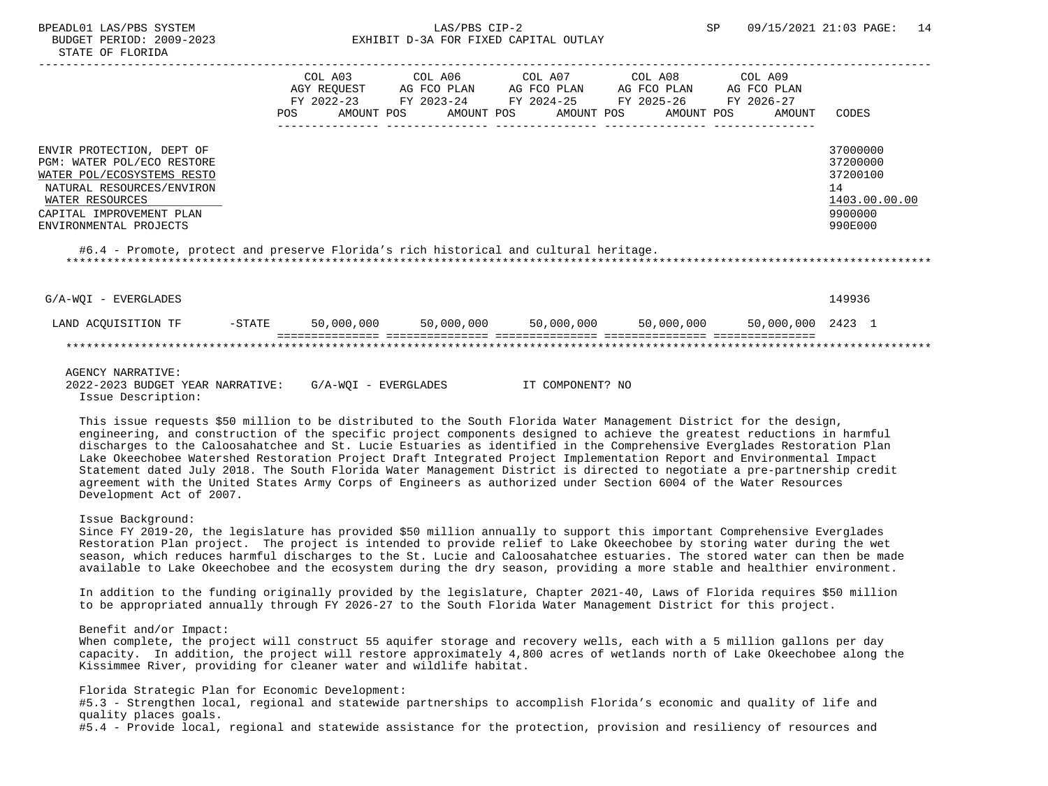# BUDGET PERIOD: 2009-2023 EXHIBIT D-3A FOR FIXED CAPITAL OUTLAY

| COL A03                           | COL A06                   | COL A07                   | COL A08     | COL A09                                                                                                           |                                                                               |
|-----------------------------------|---------------------------|---------------------------|-------------|-------------------------------------------------------------------------------------------------------------------|-------------------------------------------------------------------------------|
| AGY REOUEST<br>FY 2022-23<br>POS. | AG FCO PLAN<br>FY 2023-24 | AG FCO PLAN<br>FY 2024-25 | AG FCO PLAN | AG FCO PLAN<br>FY 2026-27<br>AMOUNT                                                                               | CODES                                                                         |
|                                   |                           |                           |             |                                                                                                                   | 37000000<br>37200000<br>37200100<br>14<br>1403.00.00.00<br>9900000<br>990E000 |
|                                   |                           | AMOUNT POS                | AMOUNT POS  | FY 2025-26<br>AMOUNT POS<br>#6.4 - Promote, protect and preserve Florida's rich historical and cultural heritage. | AMOUNT POS                                                                    |

| ACOUISITION<br>$\triangle AND$ | $-$ STATE | ,000,000<br>50 | 50,000,000 | 50,000,000 | 50,000,000 | 50,000,000 | 2423 |
|--------------------------------|-----------|----------------|------------|------------|------------|------------|------|
|                                |           |                |            |            |            |            |      |

G/A-WQI - EVERGLADES 149936

#### AGENCY NARRATIVE:

 2022-2023 BUDGET YEAR NARRATIVE: G/A-WQI - EVERGLADES IT COMPONENT? NO Issue Description:

 This issue requests \$50 million to be distributed to the South Florida Water Management District for the design, engineering, and construction of the specific project components designed to achieve the greatest reductions in harmful discharges to the Caloosahatchee and St. Lucie Estuaries as identified in the Comprehensive Everglades Restoration Plan Lake Okeechobee Watershed Restoration Project Draft Integrated Project Implementation Report and Environmental Impact Statement dated July 2018. The South Florida Water Management District is directed to negotiate a pre-partnership credit agreement with the United States Army Corps of Engineers as authorized under Section 6004 of the Water Resources Development Act of 2007.

## Issue Background:

 Since FY 2019-20, the legislature has provided \$50 million annually to support this important Comprehensive Everglades Restoration Plan project. The project is intended to provide relief to Lake Okeechobee by storing water during the wet season, which reduces harmful discharges to the St. Lucie and Caloosahatchee estuaries. The stored water can then be made available to Lake Okeechobee and the ecosystem during the dry season, providing a more stable and healthier environment.

 In addition to the funding originally provided by the legislature, Chapter 2021-40, Laws of Florida requires \$50 million to be appropriated annually through FY 2026-27 to the South Florida Water Management District for this project.

## Benefit and/or Impact:

 When complete, the project will construct 55 aquifer storage and recovery wells, each with a 5 million gallons per day capacity. In addition, the project will restore approximately 4,800 acres of wetlands north of Lake Okeechobee along the Kissimmee River, providing for cleaner water and wildlife habitat.

Florida Strategic Plan for Economic Development:

 #5.3 - Strengthen local, regional and statewide partnerships to accomplish Florida's economic and quality of life and quality places goals.

#5.4 - Provide local, regional and statewide assistance for the protection, provision and resiliency of resources and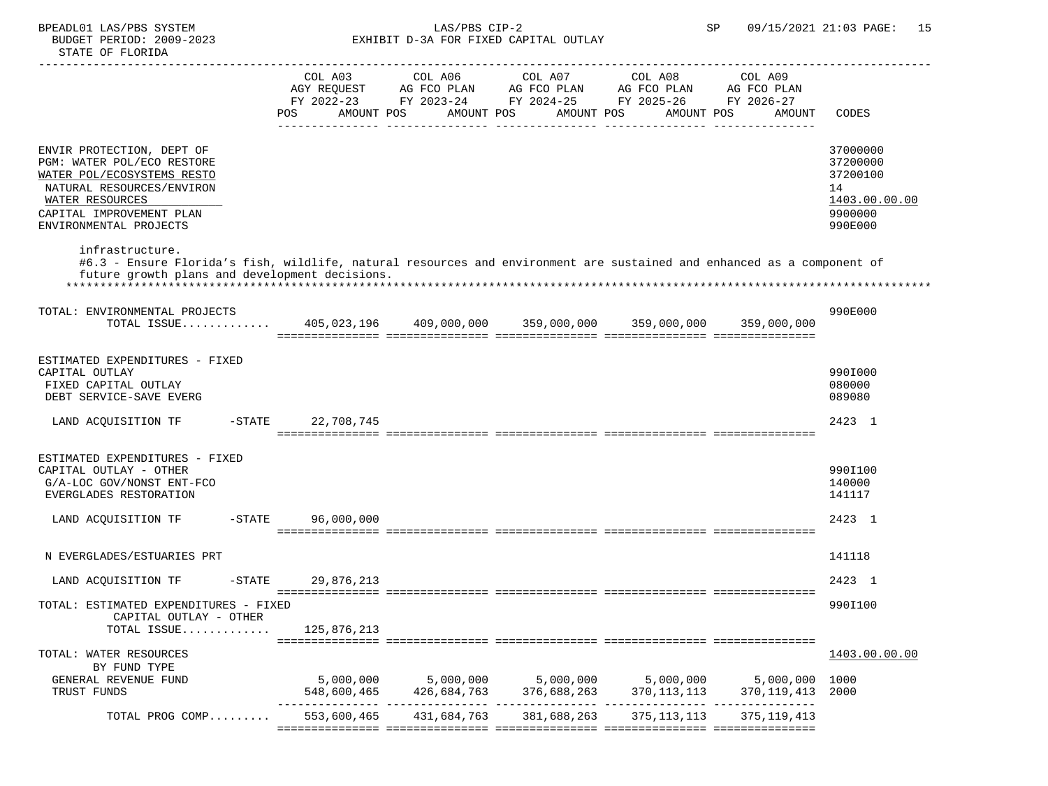|                                                                                                                                                                                             | POS                 | AMOUNT POS  | AMOUNT POS  | COL A03 COL A06 COL A07 COL A08<br>AGY REQUEST AG FCO PLAN AG FCO PLAN AG FCO PLAN<br>FY 2022-23 FY 2023-24 FY 2024-25 FY 2025-26 FY 2026-27<br>AMOUNT POS<br>AMOUNT POS | COL A09<br>AG FCO PLAN<br>AMOUNT | CODES                                                                         |
|---------------------------------------------------------------------------------------------------------------------------------------------------------------------------------------------|---------------------|-------------|-------------|--------------------------------------------------------------------------------------------------------------------------------------------------------------------------|----------------------------------|-------------------------------------------------------------------------------|
| ENVIR PROTECTION, DEPT OF<br>PGM: WATER POL/ECO RESTORE<br>WATER POL/ECOSYSTEMS RESTO<br>NATURAL RESOURCES/ENVIRON<br>WATER RESOURCES<br>CAPITAL IMPROVEMENT PLAN<br>ENVIRONMENTAL PROJECTS |                     |             |             |                                                                                                                                                                          |                                  | 37000000<br>37200000<br>37200100<br>14<br>1403.00.00.00<br>9900000<br>990E000 |
| infrastructure.<br>#6.3 - Ensure Florida's fish, wildlife, natural resources and environment are sustained and enhanced as a component of<br>future growth plans and development decisions. |                     |             |             |                                                                                                                                                                          |                                  |                                                                               |
| TOTAL: ENVIRONMENTAL PROJECTS<br>TOTAL ISSUE 405,023,196  409,000,000  359,000,000  359,000,000                                                                                             |                     |             |             |                                                                                                                                                                          | 359,000,000                      | 990E000                                                                       |
| ESTIMATED EXPENDITURES - FIXED<br>CAPITAL OUTLAY<br>FIXED CAPITAL OUTLAY<br>DEBT SERVICE-SAVE EVERG                                                                                         |                     |             |             |                                                                                                                                                                          |                                  | 990I000<br>080000<br>089080                                                   |
| LAND ACQUISITION TF                                                                                                                                                                         | -STATE 22,708,745   |             |             |                                                                                                                                                                          |                                  | 2423 1                                                                        |
| ESTIMATED EXPENDITURES - FIXED<br>CAPITAL OUTLAY - OTHER<br>G/A-LOC GOV/NONST ENT-FCO<br>EVERGLADES RESTORATION<br>LAND ACQUISITION TF -STATE 96,000,000                                    |                     |             |             |                                                                                                                                                                          |                                  | 990I100<br>140000<br>141117<br>2423 1                                         |
|                                                                                                                                                                                             |                     |             |             |                                                                                                                                                                          |                                  |                                                                               |
| N EVERGLADES/ESTUARIES PRT                                                                                                                                                                  |                     |             |             |                                                                                                                                                                          |                                  | 141118                                                                        |
| LAND ACQUISITION TF                                                                                                                                                                         | $-STATE$ 29,876,213 |             |             |                                                                                                                                                                          |                                  | 2423 1                                                                        |
| TOTAL: ESTIMATED EXPENDITURES - FIXED<br>CAPITAL OUTLAY - OTHER<br>TOTAL ISSUE                                                                                                              | 125,876,213         |             |             |                                                                                                                                                                          |                                  | 990I100                                                                       |
| TOTAL: WATER RESOURCES<br>BY FUND TYPE<br>GENERAL REVENUE FUND                                                                                                                              | 5,000,000           | 5,000,000   | 5,000,000   |                                                                                                                                                                          | 5,000,000 5,000,000 1000         | 1403.00.00.00                                                                 |
| TRUST FUNDS                                                                                                                                                                                 | 548,600,465         | 426,684,763 | 376,688,263 | 370, 113, 113                                                                                                                                                            | 370,119,413<br>---------------   | 2000                                                                          |
| TOTAL PROG COMP                                                                                                                                                                             | 553,600,465         | 431,684,763 | 381,688,263 | 375, 113, 113                                                                                                                                                            | 375, 119, 413                    |                                                                               |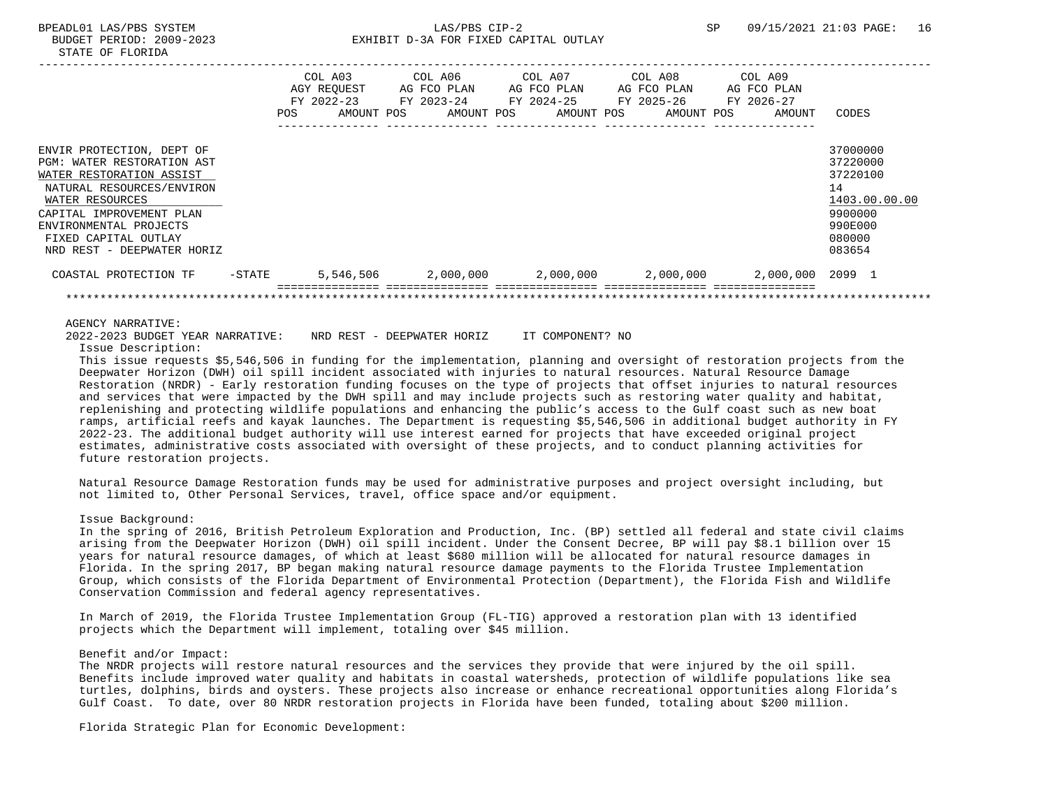| STATE<br>OF | <b>TLORIDA</b> |  |  |  |
|-------------|----------------|--|--|--|
|             |                |  |  |  |

|                                                                                                                                                                                                                                                        | POS       | COL A03<br>AGY REOUEST<br>$FY$ 2022-23<br>AMOUNT POS | COL A06<br>AG FCO PLAN<br>FY 2023-24<br>AMOUNT POS | COL A07 | AG FCO PLAN<br>FY 2024-25<br>AMOUNT POS | COL A08<br>AG FCO PLAN<br>FY 2025-26<br>AMOUNT POS | FY 2026-27 | COL A09<br>AG FCO PLAN<br>AMOUNT | CODES                                                                                             |
|--------------------------------------------------------------------------------------------------------------------------------------------------------------------------------------------------------------------------------------------------------|-----------|------------------------------------------------------|----------------------------------------------------|---------|-----------------------------------------|----------------------------------------------------|------------|----------------------------------|---------------------------------------------------------------------------------------------------|
| ENVIR PROTECTION, DEPT OF<br><b>PGM: WATER RESTORATION AST</b><br>WATER RESTORATION ASSIST<br>NATURAL RESOURCES/ENVIRON<br>WATER RESOURCES<br>CAPITAL IMPROVEMENT PLAN<br>ENVIRONMENTAL PROJECTS<br>FIXED CAPITAL OUTLAY<br>NRD REST - DEEPWATER HORIZ |           |                                                      |                                                    |         |                                         |                                                    |            |                                  | 37000000<br>37220000<br>37220100<br>14<br>1403.00.00.00<br>9900000<br>990E000<br>080000<br>083654 |
| COASTAL PROTECTION TF                                                                                                                                                                                                                                  | $-$ STATE | 5,546,506                                            | 2,000,000                                          |         |                                         | $2,000,000$ $2,000,000$                            |            | 2,000,000 2099 1                 |                                                                                                   |

2022-2023 BUDGET YEAR NARRATIVE: NRD REST - DEEPWATER HORIZ IT COMPONENT? NO

Issue Description:

 This issue requests \$5,546,506 in funding for the implementation, planning and oversight of restoration projects from the Deepwater Horizon (DWH) oil spill incident associated with injuries to natural resources. Natural Resource Damage Restoration (NRDR) - Early restoration funding focuses on the type of projects that offset injuries to natural resources and services that were impacted by the DWH spill and may include projects such as restoring water quality and habitat, replenishing and protecting wildlife populations and enhancing the public's access to the Gulf coast such as new boat ramps, artificial reefs and kayak launches. The Department is requesting \$5,546,506 in additional budget authority in FY 2022-23. The additional budget authority will use interest earned for projects that have exceeded original project estimates, administrative costs associated with oversight of these projects, and to conduct planning activities for future restoration projects.

 Natural Resource Damage Restoration funds may be used for administrative purposes and project oversight including, but not limited to, Other Personal Services, travel, office space and/or equipment.

#### Issue Background:

 In the spring of 2016, British Petroleum Exploration and Production, Inc. (BP) settled all federal and state civil claims arising from the Deepwater Horizon (DWH) oil spill incident. Under the Consent Decree, BP will pay \$8.1 billion over 15 years for natural resource damages, of which at least \$680 million will be allocated for natural resource damages in Florida. In the spring 2017, BP began making natural resource damage payments to the Florida Trustee Implementation Group, which consists of the Florida Department of Environmental Protection (Department), the Florida Fish and Wildlife Conservation Commission and federal agency representatives.

 In March of 2019, the Florida Trustee Implementation Group (FL-TIG) approved a restoration plan with 13 identified projects which the Department will implement, totaling over \$45 million.

## Benefit and/or Impact:

 The NRDR projects will restore natural resources and the services they provide that were injured by the oil spill. Benefits include improved water quality and habitats in coastal watersheds, protection of wildlife populations like sea turtles, dolphins, birds and oysters. These projects also increase or enhance recreational opportunities along Florida's Gulf Coast. To date, over 80 NRDR restoration projects in Florida have been funded, totaling about \$200 million.

Florida Strategic Plan for Economic Development: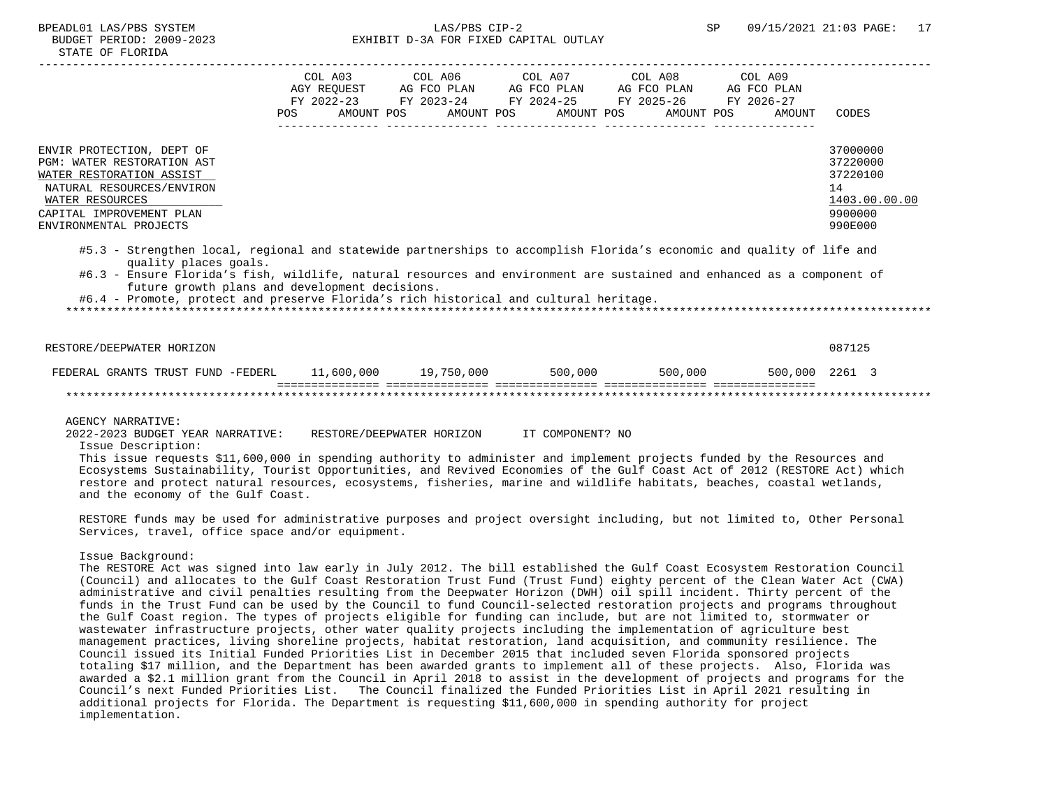# BPEADL01 LAS/PBS SYSTEM SALLAS/PBS CIP-2 SP 09/15/2021 21:03 PAGE: 17 BUDGET PERIOD: 2009-2023 EXHIBIT D-3A FOR FIXED CAPITAL OUTLAY

|                                                                                                                                                                                                                                                                                                                                                                                                                     | POS | AMOUNT POS | AMOUNT POS AMOUNT POS | COL A03 COL A06 COL A07 COL A08 COL A09<br>AGY REOUEST AG FCO PLAN AG FCO PLAN AG FCO PLAN AG FCO PLAN<br>FY 2022-23 FY 2023-24 FY 2024-25 FY 2025-26 FY 2026-27<br>AMOUNT POS | AMOUNT | CODES                                                                         |
|---------------------------------------------------------------------------------------------------------------------------------------------------------------------------------------------------------------------------------------------------------------------------------------------------------------------------------------------------------------------------------------------------------------------|-----|------------|-----------------------|--------------------------------------------------------------------------------------------------------------------------------------------------------------------------------|--------|-------------------------------------------------------------------------------|
| ENVIR PROTECTION, DEPT OF<br><b>PGM: WATER RESTORATION AST</b><br>WATER RESTORATION ASSIST<br>NATURAL RESOURCES/ENVIRON<br>WATER RESOURCES<br>CAPITAL IMPROVEMENT PLAN<br>ENVIRONMENTAL PROJECTS                                                                                                                                                                                                                    |     |            |                       |                                                                                                                                                                                |        | 37000000<br>37220000<br>37220100<br>14<br>1403.00.00.00<br>9900000<br>990E000 |
| #5.3 - Strengthen local, regional and statewide partnerships to accomplish Florida's economic and quality of life and<br>quality places goals.<br>#6.3 - Ensure Florida's fish, wildlife, natural resources and environment are sustained and enhanced as a component of<br>future growth plans and development decisions.<br>#6.4 - Promote, protect and preserve Florida's rich historical and cultural heritage. |     |            |                       |                                                                                                                                                                                |        |                                                                               |
| RESTORE/DEEPWATER HORIZON                                                                                                                                                                                                                                                                                                                                                                                           |     |            |                       |                                                                                                                                                                                |        | 087125                                                                        |
| FEDERAL GRANTS TRUST FUND -FEDERL 11,600,000 19,750,000 500,000 500,000 500,000 500,000 2261 3                                                                                                                                                                                                                                                                                                                      |     |            |                       |                                                                                                                                                                                |        |                                                                               |
|                                                                                                                                                                                                                                                                                                                                                                                                                     |     |            |                       |                                                                                                                                                                                |        |                                                                               |

AGENCY NARRATIVE:

2022-2023 BUDGET YEAR NARRATIVE: RESTORE/DEEPWATER HORIZON IT COMPONENT? NO

Issue Description:

 This issue requests \$11,600,000 in spending authority to administer and implement projects funded by the Resources and Ecosystems Sustainability, Tourist Opportunities, and Revived Economies of the Gulf Coast Act of 2012 (RESTORE Act) which restore and protect natural resources, ecosystems, fisheries, marine and wildlife habitats, beaches, coastal wetlands, and the economy of the Gulf Coast.

 RESTORE funds may be used for administrative purposes and project oversight including, but not limited to, Other Personal Services, travel, office space and/or equipment.

Issue Background:

 The RESTORE Act was signed into law early in July 2012. The bill established the Gulf Coast Ecosystem Restoration Council (Council) and allocates to the Gulf Coast Restoration Trust Fund (Trust Fund) eighty percent of the Clean Water Act (CWA) administrative and civil penalties resulting from the Deepwater Horizon (DWH) oil spill incident. Thirty percent of the funds in the Trust Fund can be used by the Council to fund Council-selected restoration projects and programs throughout the Gulf Coast region. The types of projects eligible for funding can include, but are not limited to, stormwater or wastewater infrastructure projects, other water quality projects including the implementation of agriculture best management practices, living shoreline projects, habitat restoration, land acquisition, and community resilience. The Council issued its Initial Funded Priorities List in December 2015 that included seven Florida sponsored projects totaling \$17 million, and the Department has been awarded grants to implement all of these projects. Also, Florida was awarded a \$2.1 million grant from the Council in April 2018 to assist in the development of projects and programs for the Council's next Funded Priorities List. The Council finalized the Funded Priorities List in April 2021 resulting in additional projects for Florida. The Department is requesting \$11,600,000 in spending authority for project implementation.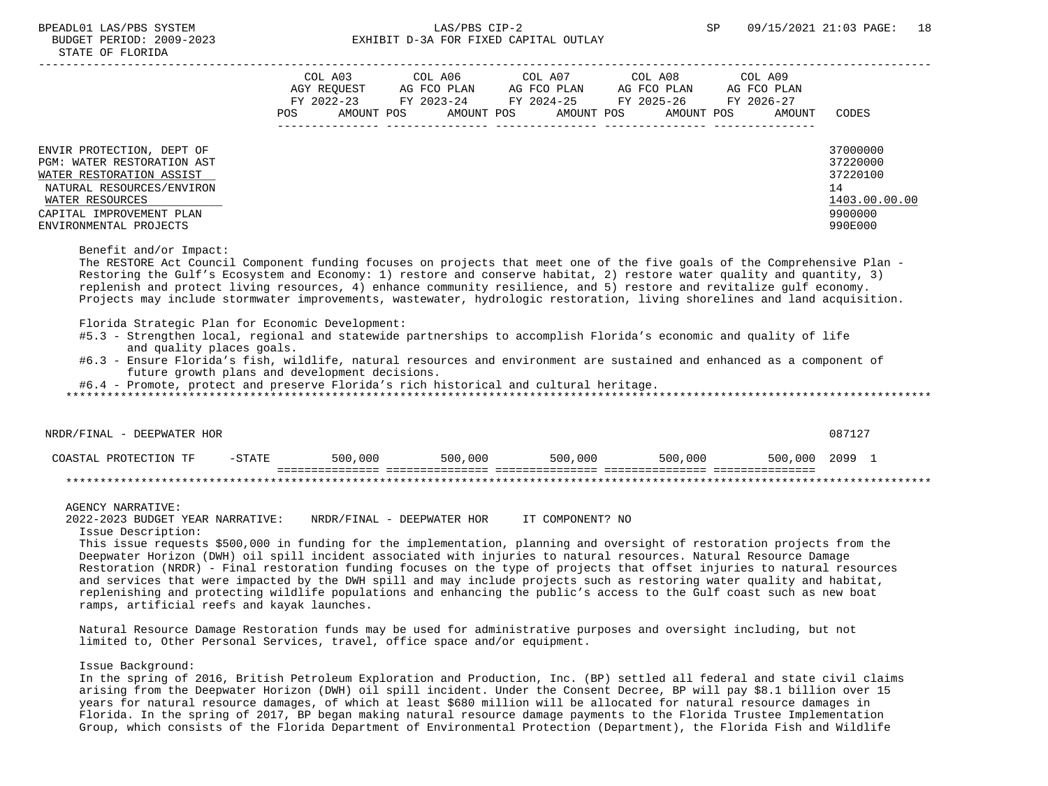# BPEADL01 LAS/PBS SYSTEM SALLAS/PBS CIP-2 SP 09/15/2021 21:03 PAGE: 18 BUDGET PERIOD: 2009-2023 EXHIBIT D-3A FOR FIXED CAPITAL OUTLAY

|                                                                                                                                                                                                                                                                                                                                                                                                                                                                                                                                    |     | COL A03<br>AGY REOUEST | COL A06 COL A07<br>AG FCO PLAN | AG FCO PLAN | COL A08<br>AG FCO PLAN                                    | COL A09<br>AG FCO PLAN |                      |
|------------------------------------------------------------------------------------------------------------------------------------------------------------------------------------------------------------------------------------------------------------------------------------------------------------------------------------------------------------------------------------------------------------------------------------------------------------------------------------------------------------------------------------|-----|------------------------|--------------------------------|-------------|-----------------------------------------------------------|------------------------|----------------------|
|                                                                                                                                                                                                                                                                                                                                                                                                                                                                                                                                    | POS | AMOUNT POS             | AMOUNT POS                     | AMOUNT POS  | FY 2022-23 FY 2023-24 FY 2024-25 FY 2025-26<br>AMOUNT POS | FY 2026-27<br>AMOUNT   | CODES                |
| ENVIR PROTECTION, DEPT OF                                                                                                                                                                                                                                                                                                                                                                                                                                                                                                          |     |                        |                                |             |                                                           |                        | 37000000             |
| <b>PGM: WATER RESTORATION AST</b><br>WATER RESTORATION ASSIST                                                                                                                                                                                                                                                                                                                                                                                                                                                                      |     |                        |                                |             |                                                           |                        | 37220000<br>37220100 |
| NATURAL RESOURCES/ENVIRON                                                                                                                                                                                                                                                                                                                                                                                                                                                                                                          |     |                        |                                |             |                                                           |                        | 14                   |
| WATER RESOURCES                                                                                                                                                                                                                                                                                                                                                                                                                                                                                                                    |     |                        |                                |             |                                                           |                        | 1403.00.00.00        |
| CAPITAL IMPROVEMENT PLAN                                                                                                                                                                                                                                                                                                                                                                                                                                                                                                           |     |                        |                                |             |                                                           |                        | 9900000              |
| ENVIRONMENTAL PROJECTS                                                                                                                                                                                                                                                                                                                                                                                                                                                                                                             |     |                        |                                |             |                                                           |                        | 990E000              |
| Benefit and/or Impact:<br>The RESTORE Act Council Component funding focuses on projects that meet one of the five goals of the Comprehensive Plan -<br>Restoring the Gulf's Ecosystem and Economy: 1) restore and conserve habitat, 2) restore water quality and quantity, 3)<br>replenish and protect living resources, 4) enhance community resilience, and 5) restore and revitalize gulf economy.<br>Projects may include stormwater improvements, wastewater, hydrologic restoration, living shorelines and land acquisition. |     |                        |                                |             |                                                           |                        |                      |

Florida Strategic Plan for Economic Development:

 #5.3 - Strengthen local, regional and statewide partnerships to accomplish Florida's economic and quality of life and quality places goals.

COASTAL PROTECTION TF -STATE 500,000 500,000 500,000 500,000 500,000 2099 1

 #6.3 - Ensure Florida's fish, wildlife, natural resources and environment are sustained and enhanced as a component of future growth plans and development decisions.

#6.4 - Promote, protect and preserve Florida's rich historical and cultural heritage.

\*\*\*\*\*\*\*\*\*\*\*\*\*\*\*\*\*\*\*\*\*\*\*\*\*\*\*\*\*\*\*\*\*\*\*\*\*\*\*\*\*\*\*\*\*\*\*\*\*\*\*\*\*\*\*\*\*\*\*\*\*\*\*\*\*\*\*\*\*\*\*\*\*\*\*\*\*\*\*\*\*\*\*\*\*\*\*\*\*\*\*\*\*\*\*\*\*\*\*\*\*\*\*\*\*\*\*\*\*\*\*\*\*\*\*\*\*\*\*\*\*\*\*\*\*\*\*

NRDR/FINAL - DEEPWATER HOR 087127

#### =============== =============== =============== =============== =============== \*\*\*\*\*\*\*\*\*\*\*\*\*\*\*\*\*\*\*\*\*\*\*\*\*\*\*\*\*\*\*\*\*\*\*\*\*\*\*\*\*\*\*\*\*\*\*\*\*\*\*\*\*\*\*\*\*\*\*\*\*\*\*\*\*\*\*\*\*\*\*\*\*\*\*\*\*\*\*\*\*\*\*\*\*\*\*\*\*\*\*\*\*\*\*\*\*\*\*\*\*\*\*\*\*\*\*\*\*\*\*\*\*\*\*\*\*\*\*\*\*\*\*\*\*\*\*

AGENCY NARRATIVE:

2022-2023 BUDGET YEAR NARRATIVE: NRDR/FINAL - DEEPWATER HOR IT COMPONENT? NO

Issue Description:

 This issue requests \$500,000 in funding for the implementation, planning and oversight of restoration projects from the Deepwater Horizon (DWH) oil spill incident associated with injuries to natural resources. Natural Resource Damage Restoration (NRDR) - Final restoration funding focuses on the type of projects that offset injuries to natural resources and services that were impacted by the DWH spill and may include projects such as restoring water quality and habitat, replenishing and protecting wildlife populations and enhancing the public's access to the Gulf coast such as new boat ramps, artificial reefs and kayak launches.

 Natural Resource Damage Restoration funds may be used for administrative purposes and oversight including, but not limited to, Other Personal Services, travel, office space and/or equipment.

Issue Background:

 In the spring of 2016, British Petroleum Exploration and Production, Inc. (BP) settled all federal and state civil claims arising from the Deepwater Horizon (DWH) oil spill incident. Under the Consent Decree, BP will pay \$8.1 billion over 15 years for natural resource damages, of which at least \$680 million will be allocated for natural resource damages in Florida. In the spring of 2017, BP began making natural resource damage payments to the Florida Trustee Implementation Group, which consists of the Florida Department of Environmental Protection (Department), the Florida Fish and Wildlife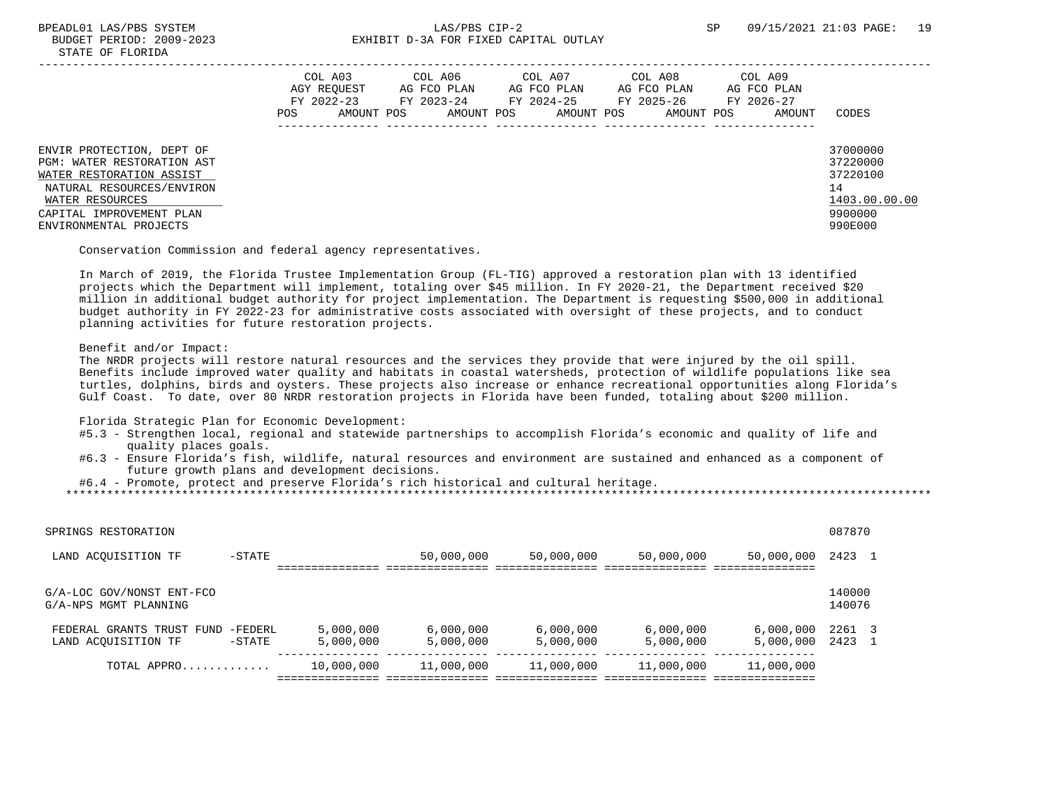|                                                                                                                                                                                           | COL A03<br>AGY REOUEST<br>FY 2022-23<br>AMOUNT POS<br>POS | COL A06<br>AG FCO PLAN<br>FY 2023-24<br>AMOUNT POS | COL A07<br>AG FCO PLAN<br>FY 2024-25<br>AMOUNT POS | COL A08<br>AG FCO PLAN<br>FY 2025-26<br>AMOUNT POS | COL A09<br>AG FCO PLAN<br>FY 2026-27<br>AMOUNT | CODES                                                                         |
|-------------------------------------------------------------------------------------------------------------------------------------------------------------------------------------------|-----------------------------------------------------------|----------------------------------------------------|----------------------------------------------------|----------------------------------------------------|------------------------------------------------|-------------------------------------------------------------------------------|
| ENVIR PROTECTION, DEPT OF<br>PGM: WATER RESTORATION AST<br>WATER RESTORATION ASSIST<br>NATURAL RESOURCES/ENVIRON<br>WATER RESOURCES<br>CAPITAL IMPROVEMENT PLAN<br>ENVIRONMENTAL PROJECTS |                                                           |                                                    |                                                    |                                                    |                                                | 37000000<br>37220000<br>37220100<br>14<br>1403.00.00.00<br>9900000<br>990E000 |

Conservation Commission and federal agency representatives.

 In March of 2019, the Florida Trustee Implementation Group (FL-TIG) approved a restoration plan with 13 identified projects which the Department will implement, totaling over \$45 million. In FY 2020-21, the Department received \$20 million in additional budget authority for project implementation. The Department is requesting \$500,000 in additional budget authority in FY 2022-23 for administrative costs associated with oversight of these projects, and to conduct planning activities for future restoration projects.

## Benefit and/or Impact:

 The NRDR projects will restore natural resources and the services they provide that were injured by the oil spill. Benefits include improved water quality and habitats in coastal watersheds, protection of wildlife populations like sea turtles, dolphins, birds and oysters. These projects also increase or enhance recreational opportunities along Florida's Gulf Coast. To date, over 80 NRDR restoration projects in Florida have been funded, totaling about \$200 million.

Florida Strategic Plan for Economic Development:

- #5.3 Strengthen local, regional and statewide partnerships to accomplish Florida's economic and quality of life and quality places goals.
- #6.3 Ensure Florida's fish, wildlife, natural resources and environment are sustained and enhanced as a component of future growth plans and development decisions.

 #6.4 - Promote, protect and preserve Florida's rich historical and cultural heritage. \*\*\*\*\*\*\*\*\*\*\*\*\*\*\*\*\*\*\*\*\*\*\*\*\*\*\*\*\*\*\*\*\*\*\*\*\*\*\*\*\*\*\*\*\*\*\*\*\*\*\*\*\*\*\*\*\*\*\*\*\*\*\*\*\*\*\*\*\*\*\*\*\*\*\*\*\*\*\*\*\*\*\*\*\*\*\*\*\*\*\*\*\*\*\*\*\*\*\*\*\*\*\*\*\*\*\*\*\*\*\*\*\*\*\*\*\*\*\*\*\*\*\*\*\*\*\*

| SPRINGS RESTORATION                                |                      |                        |                        |                        |                        |                        | 087870           |  |
|----------------------------------------------------|----------------------|------------------------|------------------------|------------------------|------------------------|------------------------|------------------|--|
| LAND ACOUISITION TF                                | $-$ STATE            |                        | 50,000,000             | 50,000,000             | 50,000,000             | 50,000,000             | 2423             |  |
| G/A-LOC GOV/NONST ENT-FCO<br>G/A-NPS MGMT PLANNING |                      |                        |                        |                        |                        |                        | 140000<br>140076 |  |
| FEDERAL GRANTS TRUST FUND<br>LAND ACOUISITION TF   | -FEDERL<br>$-$ STATE | 5,000,000<br>5,000,000 | 6,000,000<br>5,000,000 | 6,000,000<br>5,000,000 | 6,000,000<br>5,000,000 | 6,000,000<br>5,000,000 | 2261<br>2423     |  |
| TOTAL APPRO                                        |                      | 10,000,000             | 11,000,000             | 11,000,000             | 11,000,000             | 11,000,000             |                  |  |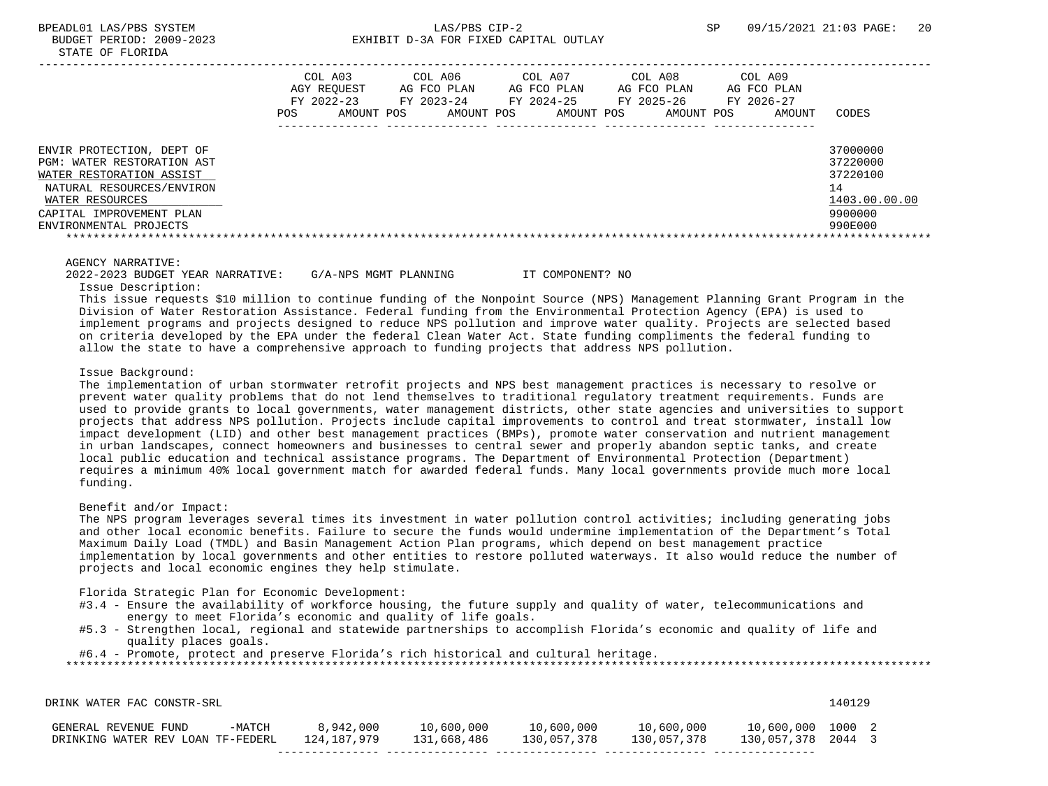|                                                                                                                                                                                           | COL A03<br>AGY REOUEST<br>FY 2022-23<br>POS.<br>AMOUNT POS | COL A06<br>AG FCO PLAN<br>FY 2023-24<br>AMOUNT POS | COL A07<br>AG FCO PLAN<br>FY 2024-25<br>AMOUNT POS | COL A08<br>AG FCO PLAN<br>FY 2025-26<br>AMOUNT POS | COL A09<br>AG FCO PLAN<br>FY 2026-27<br>AMOUNT | CODES                                                                         |
|-------------------------------------------------------------------------------------------------------------------------------------------------------------------------------------------|------------------------------------------------------------|----------------------------------------------------|----------------------------------------------------|----------------------------------------------------|------------------------------------------------|-------------------------------------------------------------------------------|
| ENVIR PROTECTION, DEPT OF<br>PGM: WATER RESTORATION AST<br>WATER RESTORATION ASSIST<br>NATURAL RESOURCES/ENVIRON<br>WATER RESOURCES<br>CAPITAL IMPROVEMENT PLAN<br>ENVIRONMENTAL PROJECTS |                                                            |                                                    |                                                    |                                                    |                                                | 37000000<br>37220000<br>37220100<br>14<br>1403.00.00.00<br>9900000<br>990E000 |

 2022-2023 BUDGET YEAR NARRATIVE: G/A-NPS MGMT PLANNING IT COMPONENT? NO Issue Description:

 This issue requests \$10 million to continue funding of the Nonpoint Source (NPS) Management Planning Grant Program in the Division of Water Restoration Assistance. Federal funding from the Environmental Protection Agency (EPA) is used to implement programs and projects designed to reduce NPS pollution and improve water quality. Projects are selected based on criteria developed by the EPA under the federal Clean Water Act. State funding compliments the federal funding to allow the state to have a comprehensive approach to funding projects that address NPS pollution.

#### Issue Background:

 The implementation of urban stormwater retrofit projects and NPS best management practices is necessary to resolve or prevent water quality problems that do not lend themselves to traditional regulatory treatment requirements. Funds are used to provide grants to local governments, water management districts, other state agencies and universities to support projects that address NPS pollution. Projects include capital improvements to control and treat stormwater, install low impact development (LID) and other best management practices (BMPs), promote water conservation and nutrient management in urban landscapes, connect homeowners and businesses to central sewer and properly abandon septic tanks, and create local public education and technical assistance programs. The Department of Environmental Protection (Department) requires a minimum 40% local government match for awarded federal funds. Many local governments provide much more local funding.

## Benefit and/or Impact:

 The NPS program leverages several times its investment in water pollution control activities; including generating jobs and other local economic benefits. Failure to secure the funds would undermine implementation of the Department's Total Maximum Daily Load (TMDL) and Basin Management Action Plan programs, which depend on best management practice implementation by local governments and other entities to restore polluted waterways. It also would reduce the number of projects and local economic engines they help stimulate.

Florida Strategic Plan for Economic Development:

- #3.4 Ensure the availability of workforce housing, the future supply and quality of water, telecommunications and energy to meet Florida's economic and quality of life goals.
- #5.3 Strengthen local, regional and statewide partnerships to accomplish Florida's economic and quality of life and quality places goals.

#6.4 - Promote, protect and preserve Florida's rich historical and cultural heritage.

| DRINK WATER FAC CONSTR-SRL                                |        |                          |                           |                           |                           |                                         | 140129 |  |
|-----------------------------------------------------------|--------|--------------------------|---------------------------|---------------------------|---------------------------|-----------------------------------------|--------|--|
| GENERAL REVENUE FUND<br>DRINKING WATER REV LOAN TF-FEDERL | -MATCH | 8,942,000<br>124,187,979 | 10,600,000<br>131,668,486 | 10,600,000<br>130,057,378 | 10,600,000<br>130,057,378 | 10,600,000 1000 2<br>130,057,378 2044 3 |        |  |
|                                                           |        |                          |                           |                           |                           |                                         |        |  |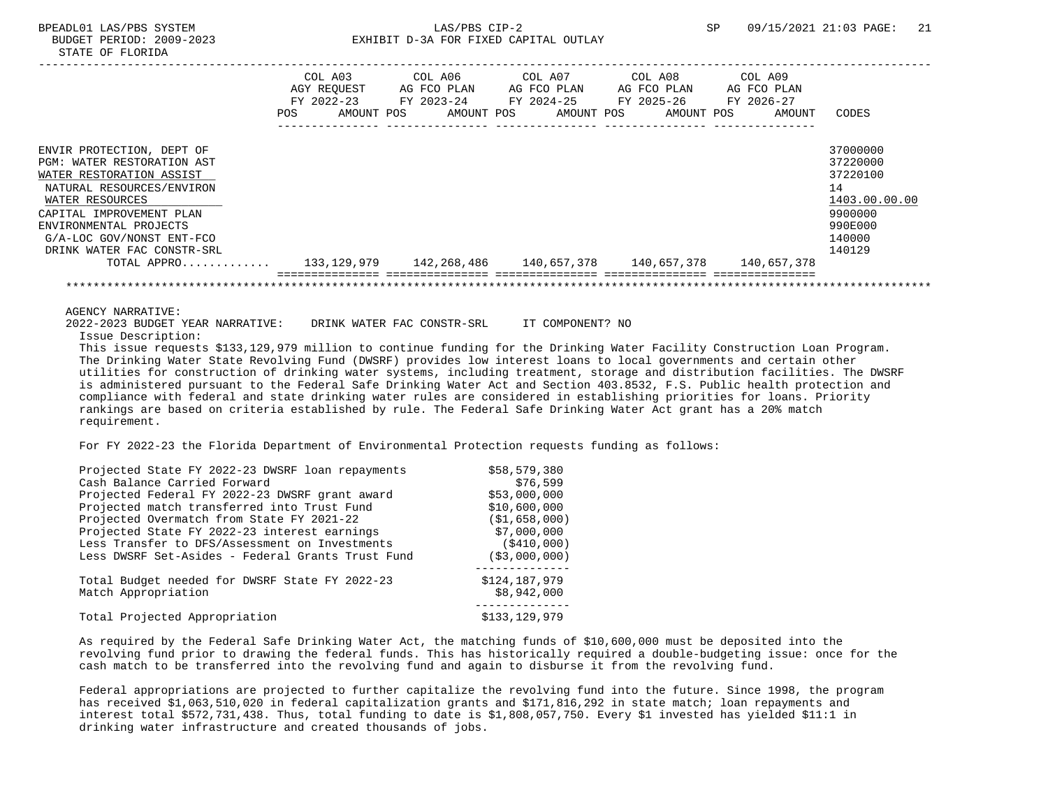|                                                             |            | COL A03                   | COL A06                   | COL A07    |             | COL A08                   | COL A09                   |               |
|-------------------------------------------------------------|------------|---------------------------|---------------------------|------------|-------------|---------------------------|---------------------------|---------------|
|                                                             |            | AGY REOUEST<br>FY 2022-23 | AG FCO PLAN<br>FY 2023-24 | FY 2024-25 | AG FCO PLAN | AG FCO PLAN<br>FY 2025-26 | AG FCO PLAN<br>FY 2026-27 |               |
|                                                             | <b>POS</b> | AMOUNT POS                | AMOUNT POS                |            | AMOUNT POS  | AMOUNT POS                | AMOUNT                    | CODES         |
|                                                             |            |                           |                           |            |             |                           |                           |               |
| ENVIR PROTECTION, DEPT OF                                   |            |                           |                           |            |             |                           |                           | 37000000      |
| WATER RESTORATION AST<br>PGM:                               |            |                           |                           |            |             |                           |                           | 37220000      |
| WATER RESTORATION ASSIST                                    |            |                           |                           |            |             |                           |                           | 37220100      |
| NATURAL RESOURCES/ENVIRON                                   |            |                           |                           |            |             |                           |                           | 14            |
| WATER RESOURCES                                             |            |                           |                           |            |             |                           |                           | 1403.00.00.00 |
| CAPITAL IMPROVEMENT PLAN                                    |            |                           |                           |            |             |                           |                           | 9900000       |
| ENVIRONMENTAL PROJECTS                                      |            |                           |                           |            |             |                           |                           | 990E000       |
| G/A-LOC GOV/NONST ENT-FCO                                   |            |                           |                           |            |             |                           |                           | 140000        |
| DRINK WATER FAC CONSTR-SRL                                  |            |                           |                           |            |             |                           |                           | 140129        |
| TOTAL APPRO 133,129,979 142,268,486 140,657,378 140,657,378 |            |                           |                           |            |             |                           | 140,657,378               |               |
|                                                             |            |                           |                           |            |             |                           |                           |               |

 2022-2023 BUDGET YEAR NARRATIVE: DRINK WATER FAC CONSTR-SRL IT COMPONENT? NO Issue Description:

 This issue requests \$133,129,979 million to continue funding for the Drinking Water Facility Construction Loan Program. The Drinking Water State Revolving Fund (DWSRF) provides low interest loans to local governments and certain other utilities for construction of drinking water systems, including treatment, storage and distribution facilities. The DWSRF is administered pursuant to the Federal Safe Drinking Water Act and Section 403.8532, F.S. Public health protection and compliance with federal and state drinking water rules are considered in establishing priorities for loans. Priority rankings are based on criteria established by rule. The Federal Safe Drinking Water Act grant has a 20% match requirement.

For FY 2022-23 the Florida Department of Environmental Protection requests funding as follows:

| Projected State FY 2022-23 DWSRF loan repayments  | \$58,579,380   |
|---------------------------------------------------|----------------|
| Cash Balance Carried Forward                      | \$76,599       |
| Projected Federal FY 2022-23 DWSRF grant award    | \$53,000,000   |
| Projected match transferred into Trust Fund       | \$10,600,000   |
| Projected Overmatch from State FY 2021-22         | (S1, 658, 000) |
| Projected State FY 2022-23 interest earnings      | \$7,000,000    |
| Less Transfer to DFS/Assessment on Investments    | (S410, 000)    |
| Less DWSRF Set-Asides - Federal Grants Trust Fund | ( \$3,000,000) |
| Total Budget needed for DWSRF State FY 2022-23    | \$124,187,979  |
| Match Appropriation                               | \$8,942,000    |
| Total Projected Appropriation                     | \$133,129,979  |
|                                                   |                |

 As required by the Federal Safe Drinking Water Act, the matching funds of \$10,600,000 must be deposited into the revolving fund prior to drawing the federal funds. This has historically required a double-budgeting issue: once for the cash match to be transferred into the revolving fund and again to disburse it from the revolving fund.

 Federal appropriations are projected to further capitalize the revolving fund into the future. Since 1998, the program has received \$1,063,510,020 in federal capitalization grants and \$171,816,292 in state match; loan repayments and interest total \$572,731,438. Thus, total funding to date is \$1,808,057,750. Every \$1 invested has yielded \$11:1 in drinking water infrastructure and created thousands of jobs.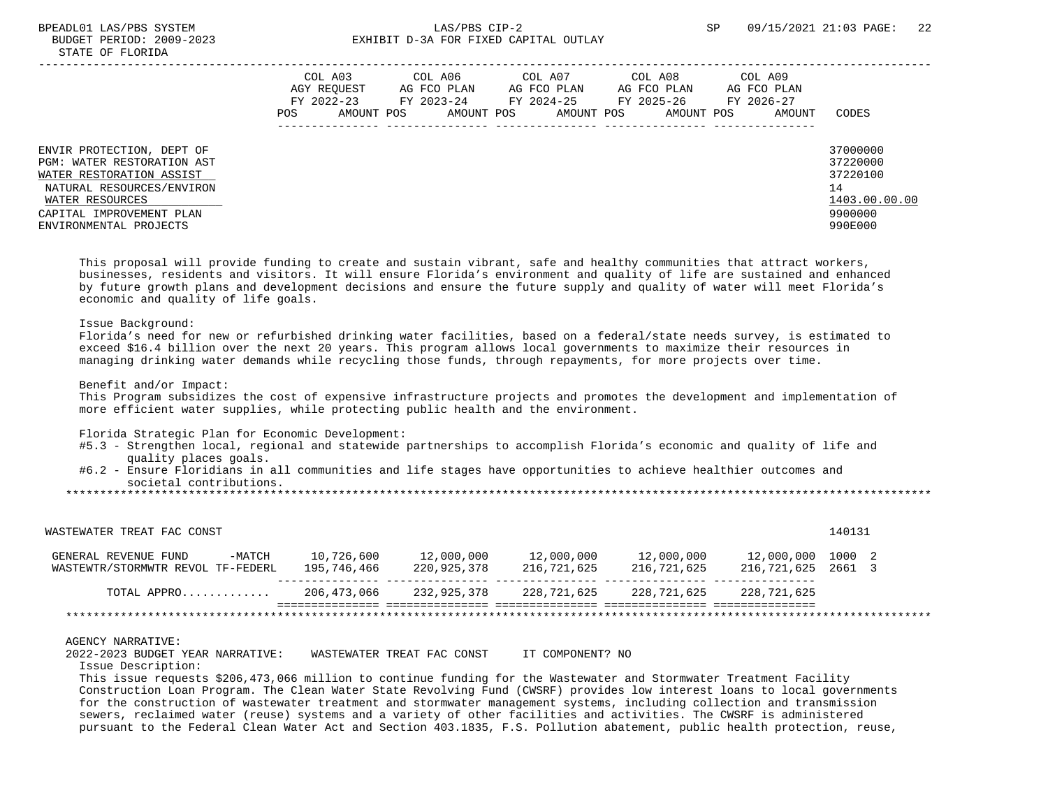# BPEADL01 LAS/PBS SYSTEM SALLAS/PBS CIP-2 SP 09/15/2021 21:03 PAGE: 22 BUDGET PERIOD: 2009-2023 EXHIBIT D-3A FOR FIXED CAPITAL OUTLAY

|                                                                                                                                                                                           | POS | COL A03<br>AGY REOUEST<br>FY 2022-23<br>AMOUNT POS | COL A06<br>AG FCO PLAN<br>FY 2023-24<br>AMOUNT POS | COL A07<br>AG FCO PLAN<br>FY 2024-25<br>AMOUNT POS | COL A08<br>AG FCO PLAN<br>FY 2025-26<br>AMOUNT POS | COL A09<br>AG FCO PLAN<br>FY 2026-27<br>AMOUNT | CODES                                                                         |
|-------------------------------------------------------------------------------------------------------------------------------------------------------------------------------------------|-----|----------------------------------------------------|----------------------------------------------------|----------------------------------------------------|----------------------------------------------------|------------------------------------------------|-------------------------------------------------------------------------------|
| ENVIR PROTECTION, DEPT OF<br>PGM: WATER RESTORATION AST<br>WATER RESTORATION ASSIST<br>NATURAL RESOURCES/ENVIRON<br>WATER RESOURCES<br>CAPITAL IMPROVEMENT PLAN<br>ENVIRONMENTAL PROJECTS |     |                                                    |                                                    |                                                    |                                                    |                                                | 37000000<br>37220000<br>37220100<br>14<br>1403.00.00.00<br>9900000<br>990E000 |

 This proposal will provide funding to create and sustain vibrant, safe and healthy communities that attract workers, businesses, residents and visitors. It will ensure Florida's environment and quality of life are sustained and enhanced by future growth plans and development decisions and ensure the future supply and quality of water will meet Florida's economic and quality of life goals.

## Issue Background:

 Florida's need for new or refurbished drinking water facilities, based on a federal/state needs survey, is estimated to exceed \$16.4 billion over the next 20 years. This program allows local governments to maximize their resources in managing drinking water demands while recycling those funds, through repayments, for more projects over time.

Benefit and/or Impact:

 This Program subsidizes the cost of expensive infrastructure projects and promotes the development and implementation of more efficient water supplies, while protecting public health and the environment.

Florida Strategic Plan for Economic Development:

- #5.3 Strengthen local, regional and statewide partnerships to accomplish Florida's economic and quality of life and quality places goals.
- #6.2 Ensure Floridians in all communities and life stages have opportunities to achieve healthier outcomes and societal contributions.

\*\*\*\*\*\*\*\*\*\*\*\*\*\*\*\*\*\*\*\*\*\*\*\*\*\*\*\*\*\*\*\*\*\*\*\*\*\*\*\*\*\*\*\*\*\*\*\*\*\*\*\*\*\*\*\*\*\*\*\*\*\*\*\*\*\*\*\*\*\*\*\*\*\*\*\*\*\*\*\*\*\*\*\*\*\*\*\*\*\*\*\*\*\*\*\*\*\*\*\*\*\*\*\*\*\*\*\*\*\*\*\*\*\*\*\*\*\*\*\*\*\*\*\*\*\*\*

| $-MATCH$<br>GENERAL REVENUE FUND<br>WASTEWTR/STORMWTR REVOL TF-FEDERL | 10,726,600<br>195,746,466 | 12,000,000<br>220,925,378 | 12,000,000<br>216,721,625 | 12,000,000<br>216,721,625 | 12,000,000 1000 2<br>216,721,625 | 2661 3 |  |
|-----------------------------------------------------------------------|---------------------------|---------------------------|---------------------------|---------------------------|----------------------------------|--------|--|
| TOTAL APPRO                                                           | 206,473,066               | 232,925,378               | 228,721,625               | 228,721,625               | 228,721,625                      |        |  |

## AGENCY NARRATIVE:

2022-2023 BUDGET YEAR NARRATIVE: WASTEWATER TREAT FAC CONST IT COMPONENT? NO

Issue Description:

 This issue requests \$206,473,066 million to continue funding for the Wastewater and Stormwater Treatment Facility Construction Loan Program. The Clean Water State Revolving Fund (CWSRF) provides low interest loans to local governments for the construction of wastewater treatment and stormwater management systems, including collection and transmission sewers, reclaimed water (reuse) systems and a variety of other facilities and activities. The CWSRF is administered pursuant to the Federal Clean Water Act and Section 403.1835, F.S. Pollution abatement, public health protection, reuse,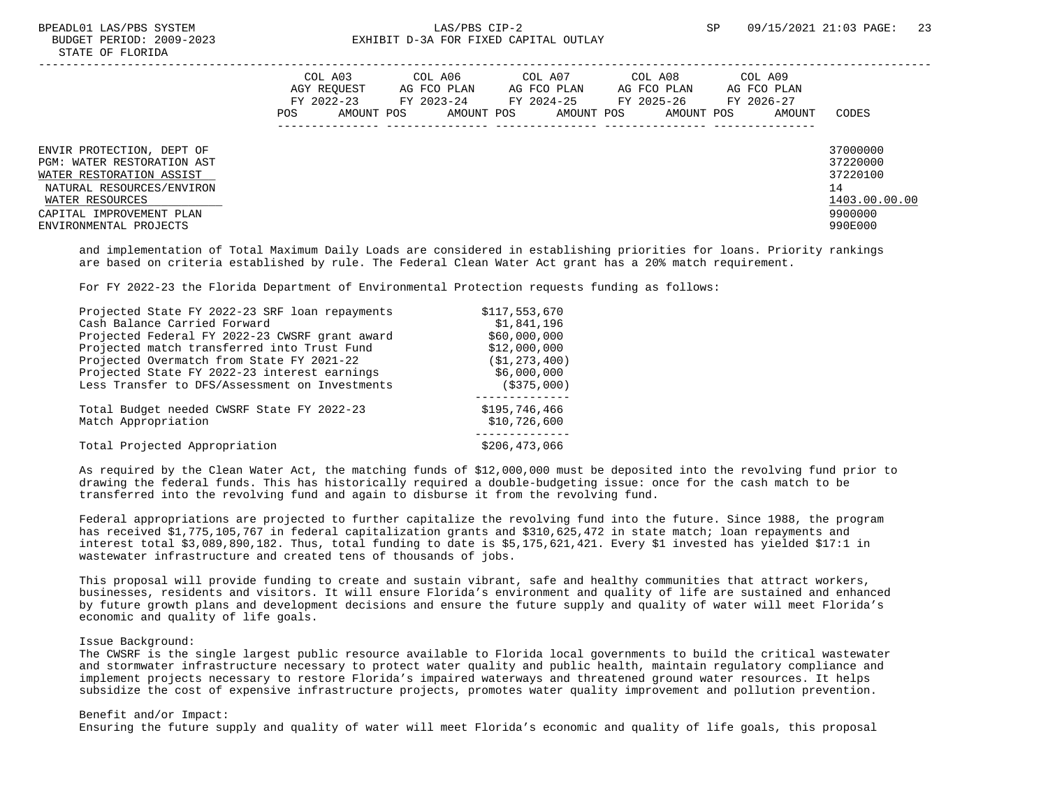|                                                                                                                                                                                           | POS. | COL A03<br>AGY REOUEST<br>FY 2022-23<br>AMOUNT POS | COL A06<br>AG FCO PLAN<br>FY 2023-24<br>AMOUNT POS | COL A07<br>AG FCO PLAN<br>FY 2024-25<br>AMOUNT POS | COL A08<br>AG FCO PLAN<br>FY 2025-26<br>AMOUNT POS | COL A09<br>AG FCO PLAN<br>FY 2026-27<br>AMOUNT | CODES                                                                         |
|-------------------------------------------------------------------------------------------------------------------------------------------------------------------------------------------|------|----------------------------------------------------|----------------------------------------------------|----------------------------------------------------|----------------------------------------------------|------------------------------------------------|-------------------------------------------------------------------------------|
| ENVIR PROTECTION, DEPT OF<br>PGM: WATER RESTORATION AST<br>WATER RESTORATION ASSIST<br>NATURAL RESOURCES/ENVIRON<br>WATER RESOURCES<br>CAPITAL IMPROVEMENT PLAN<br>ENVIRONMENTAL PROJECTS |      |                                                    |                                                    |                                                    |                                                    |                                                | 37000000<br>37220000<br>37220100<br>14<br>1403.00.00.00<br>9900000<br>990E000 |

 and implementation of Total Maximum Daily Loads are considered in establishing priorities for loans. Priority rankings are based on criteria established by rule. The Federal Clean Water Act grant has a 20% match requirement.

For FY 2022-23 the Florida Department of Environmental Protection requests funding as follows:

| Projected State FY 2022-23 SRF loan repayments                    | \$117,553,670                 |
|-------------------------------------------------------------------|-------------------------------|
| Cash Balance Carried Forward                                      | \$1,841,196                   |
| Projected Federal FY 2022-23 CWSRF grant award                    | \$60,000,000                  |
| Projected match transferred into Trust Fund                       | \$12,000,000                  |
| Projected Overmatch from State FY 2021-22                         | (\$1,273,400)                 |
| Projected State FY 2022-23 interest earnings                      | \$6,000,000                   |
| Less Transfer to DFS/Assessment on Investments                    | (S375,000)                    |
| Total Budget needed CWSRF State FY 2022-23<br>Match Appropriation | \$195,746,466<br>\$10,726,600 |
| Total Projected Appropriation                                     | \$206, 473, 066               |

 As required by the Clean Water Act, the matching funds of \$12,000,000 must be deposited into the revolving fund prior to drawing the federal funds. This has historically required a double-budgeting issue: once for the cash match to be transferred into the revolving fund and again to disburse it from the revolving fund.

 Federal appropriations are projected to further capitalize the revolving fund into the future. Since 1988, the program has received \$1,775,105,767 in federal capitalization grants and \$310,625,472 in state match; loan repayments and interest total \$3,089,890,182. Thus, total funding to date is \$5,175,621,421. Every \$1 invested has yielded \$17:1 in wastewater infrastructure and created tens of thousands of jobs.

 This proposal will provide funding to create and sustain vibrant, safe and healthy communities that attract workers, businesses, residents and visitors. It will ensure Florida's environment and quality of life are sustained and enhanced by future growth plans and development decisions and ensure the future supply and quality of water will meet Florida's economic and quality of life goals.

#### Issue Background:

 The CWSRF is the single largest public resource available to Florida local governments to build the critical wastewater and stormwater infrastructure necessary to protect water quality and public health, maintain regulatory compliance and implement projects necessary to restore Florida's impaired waterways and threatened ground water resources. It helps subsidize the cost of expensive infrastructure projects, promotes water quality improvement and pollution prevention.

## Benefit and/or Impact:

Ensuring the future supply and quality of water will meet Florida's economic and quality of life goals, this proposal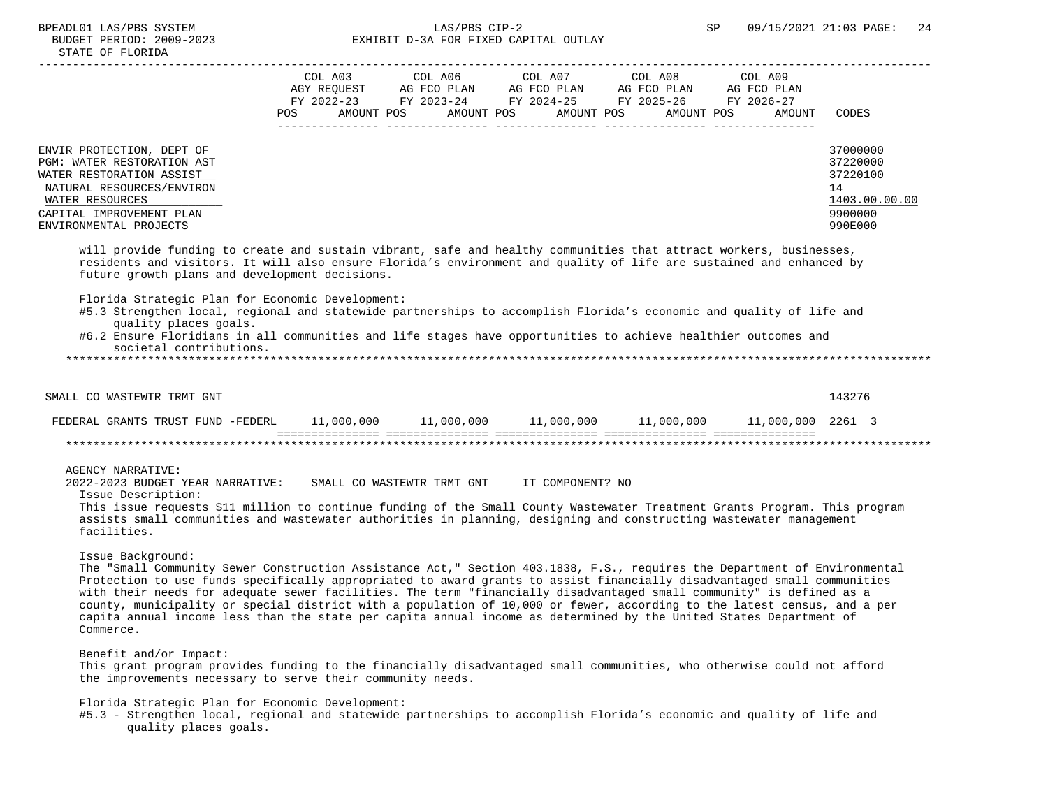# BPEADL01 LAS/PBS SYSTEM  $LAS/PBS$  CIP-2 SP 09/15/2021 21:03 PAGE: 24<br>BUDGET PERIOD: 2009-2023 SP EXHIBIT D-3A FOR FIXED CAPITAL OUTLAY EXHIBIT D-3A FOR FIXED CAPITAL OUTLAY

|                                                                                                                                                                                                                                                                                                                                                                                                                                                                                                                                                                                                                                                     | <b>POS</b> | COL A03<br>AGY REQUEST AG FCO PLAN AG FCO PLAN AG FCO PLAN AG FCO PLAN<br>FY 2022-23 FY 2023-24 FY 2024-25 FY 2025-26 FY 2026-27 | COL A06<br>AMOUNT POS AMOUNT POS AMOUNT POS AMOUNT POS | COL A07          | COL A08 | COL A09<br>AMOUNT | CODES                                                                         |
|-----------------------------------------------------------------------------------------------------------------------------------------------------------------------------------------------------------------------------------------------------------------------------------------------------------------------------------------------------------------------------------------------------------------------------------------------------------------------------------------------------------------------------------------------------------------------------------------------------------------------------------------------------|------------|----------------------------------------------------------------------------------------------------------------------------------|--------------------------------------------------------|------------------|---------|-------------------|-------------------------------------------------------------------------------|
| ENVIR PROTECTION, DEPT OF<br>PGM: WATER RESTORATION AST<br>WATER RESTORATION ASSIST<br>NATURAL RESOURCES/ENVIRON<br>WATER RESOURCES<br>CAPITAL IMPROVEMENT PLAN<br>ENVIRONMENTAL PROJECTS                                                                                                                                                                                                                                                                                                                                                                                                                                                           |            |                                                                                                                                  |                                                        |                  |         |                   | 37000000<br>37220000<br>37220100<br>14<br>1403.00.00.00<br>9900000<br>990E000 |
| will provide funding to create and sustain vibrant, safe and healthy communities that attract workers, businesses,<br>residents and visitors. It will also ensure Florida's environment and quality of life are sustained and enhanced by<br>future growth plans and development decisions.                                                                                                                                                                                                                                                                                                                                                         |            |                                                                                                                                  |                                                        |                  |         |                   |                                                                               |
| Florida Strategic Plan for Economic Development:<br>#5.3 Strengthen local, regional and statewide partnerships to accomplish Florida's economic and quality of life and<br>quality places goals.<br>#6.2 Ensure Floridians in all communities and life stages have opportunities to achieve healthier outcomes and<br>societal contributions.                                                                                                                                                                                                                                                                                                       |            |                                                                                                                                  |                                                        |                  |         |                   |                                                                               |
| SMALL CO WASTEWTR TRMT GNT                                                                                                                                                                                                                                                                                                                                                                                                                                                                                                                                                                                                                          |            |                                                                                                                                  |                                                        |                  |         |                   | 143276                                                                        |
|                                                                                                                                                                                                                                                                                                                                                                                                                                                                                                                                                                                                                                                     |            |                                                                                                                                  |                                                        |                  |         |                   |                                                                               |
|                                                                                                                                                                                                                                                                                                                                                                                                                                                                                                                                                                                                                                                     |            |                                                                                                                                  |                                                        |                  |         |                   |                                                                               |
| <b>AGENCY NARRATIVE:</b><br>2022-2023 BUDGET YEAR NARRATIVE:<br>Issue Description:<br>This issue requests \$11 million to continue funding of the Small County Wastewater Treatment Grants Program. This program<br>assists small communities and wastewater authorities in planning, designing and constructing wastewater management<br>facilities.                                                                                                                                                                                                                                                                                               |            | SMALL CO WASTEWTR TRMT GNT                                                                                                       |                                                        | IT COMPONENT? NO |         |                   |                                                                               |
| Issue Background:<br>The "Small Community Sewer Construction Assistance Act," Section 403.1838, F.S., requires the Department of Environmental<br>Protection to use funds specifically appropriated to award grants to assist financially disadvantaged small communities<br>with their needs for adequate sewer facilities. The term "financially disadvantaged small community" is defined as a<br>county, municipality or special district with a population of 10,000 or fewer, according to the latest census, and a per<br>capita annual income less than the state per capita annual income as determined by the United States Department of |            |                                                                                                                                  |                                                        |                  |         |                   |                                                                               |

Benefit and/or Impact:

Commerce.

 This grant program provides funding to the financially disadvantaged small communities, who otherwise could not afford the improvements necessary to serve their community needs.

Florida Strategic Plan for Economic Development:

 #5.3 - Strengthen local, regional and statewide partnerships to accomplish Florida's economic and quality of life and quality places goals.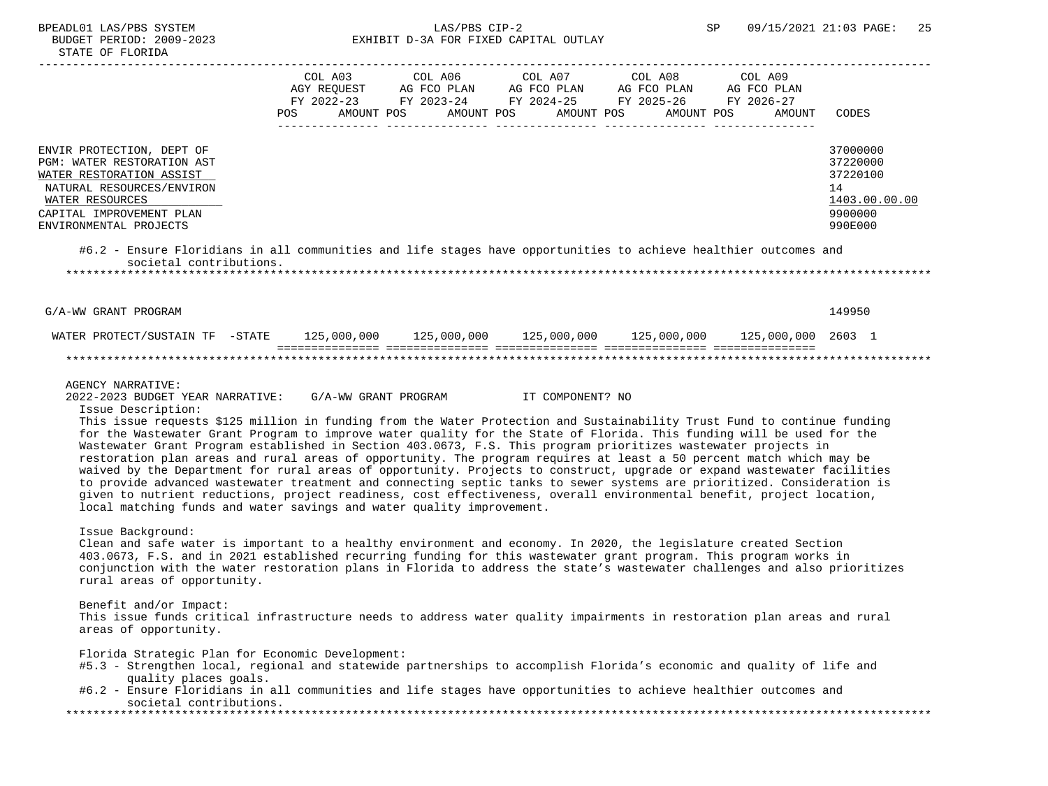# BPEADL01 LAS/PBS SYSTEM SALLAS/PBS CIP-2 SP 09/15/2021 21:03 PAGE: 25 BUDGET PERIOD: 2009-2023 EXHIBIT D-3A FOR FIXED CAPITAL OUTLAY

|                                                                                                                                                                                           | POS. | COL A03<br>AGY REOUEST<br>FY 2022-23<br>AMOUNT POS | COL A06<br>AG FCO PLAN<br>FY 2023-24<br>AMOUNT POS |  | COL A07<br>AG FCO PLAN<br>AMOUNT POS | COL A08<br>AG FCO PLAN<br>FY 2024-25 FY 2025-26<br>AMOUNT POS | COL A09<br>AG FCO PLAN<br>FY 2026-27<br>AMOUNT | CODES                                                                         |
|-------------------------------------------------------------------------------------------------------------------------------------------------------------------------------------------|------|----------------------------------------------------|----------------------------------------------------|--|--------------------------------------|---------------------------------------------------------------|------------------------------------------------|-------------------------------------------------------------------------------|
| ENVIR PROTECTION, DEPT OF<br>PGM: WATER RESTORATION AST<br>WATER RESTORATION ASSIST<br>NATURAL RESOURCES/ENVIRON<br>WATER RESOURCES<br>CAPITAL IMPROVEMENT PLAN<br>ENVIRONMENTAL PROJECTS |      |                                                    |                                                    |  |                                      |                                                               |                                                | 37000000<br>37220000<br>37220100<br>14<br>1403.00.00.00<br>9900000<br>990E000 |
| #6.2 - Ensure Floridians in all communities and life stages have opportunities to achieve healthier outcomes and<br>societal contributions                                                |      |                                                    |                                                    |  |                                      |                                                               |                                                |                                                                               |

\*\*\*\*\*\*\*\*\*\*\*\*\*\*\*\*\*\*\*\*\*\*\*\*\*\*\*\*\*\*\*\*\*\*\*\*\*\*\*\*\*\*\*\*\*\*\*\*\*\*\*\*\*\*\*\*\*\*\*\*\*\*\*\*\*\*\*\*\*\*\*\*\*\*\*\*\*\*\*\*\*\*\*\*\*\*\*\*\*\*\*\*\*\*\*\*\*\*\*\*\*\*\*\*\*\*\*\*\*\*\*\*\*\*\*\*\*\*\*\*\*\*\*\*\*\*\*

G/A-WW GRANT PROGRAM 149950

#### WATER PROTECT/SUSTAIN TF -STATE 125,000,000 125,000,000 125,000,000 125,000,000 125,000,000 2603 1 =============== =============== =============== =============== =============== \*\*\*\*\*\*\*\*\*\*\*\*\*\*\*\*\*\*\*\*\*\*\*\*\*\*\*\*\*\*\*\*\*\*\*\*\*\*\*\*\*\*\*\*\*\*\*\*\*\*\*\*\*\*\*\*\*\*\*\*\*\*\*\*\*\*\*\*\*\*\*\*\*\*\*\*\*\*\*\*\*\*\*\*\*\*\*\*\*\*\*\*\*\*\*\*\*\*\*\*\*\*\*\*\*\*\*\*\*\*\*\*\*\*\*\*\*\*\*\*\*\*\*\*\*\*\*

#### AGENCY NARRATIVE:

2022-2023 BUDGET YEAR NARRATIVE: G/A-WW GRANT PROGRAM IT COMPONENT? NO

Issue Description:

 This issue requests \$125 million in funding from the Water Protection and Sustainability Trust Fund to continue funding for the Wastewater Grant Program to improve water quality for the State of Florida. This funding will be used for the Wastewater Grant Program established in Section 403.0673, F.S. This program prioritizes wastewater projects in restoration plan areas and rural areas of opportunity. The program requires at least a 50 percent match which may be waived by the Department for rural areas of opportunity. Projects to construct, upgrade or expand wastewater facilities to provide advanced wastewater treatment and connecting septic tanks to sewer systems are prioritized. Consideration is given to nutrient reductions, project readiness, cost effectiveness, overall environmental benefit, project location, local matching funds and water savings and water quality improvement.

#### Issue Background:

 Clean and safe water is important to a healthy environment and economy. In 2020, the legislature created Section 403.0673, F.S. and in 2021 established recurring funding for this wastewater grant program. This program works in conjunction with the water restoration plans in Florida to address the state's wastewater challenges and also prioritizes rural areas of opportunity.

## Benefit and/or Impact:

 This issue funds critical infrastructure needs to address water quality impairments in restoration plan areas and rural areas of opportunity.

Florida Strategic Plan for Economic Development:

- #5.3 Strengthen local, regional and statewide partnerships to accomplish Florida's economic and quality of life and quality places goals.
- #6.2 Ensure Floridians in all communities and life stages have opportunities to achieve healthier outcomes and societal contributions.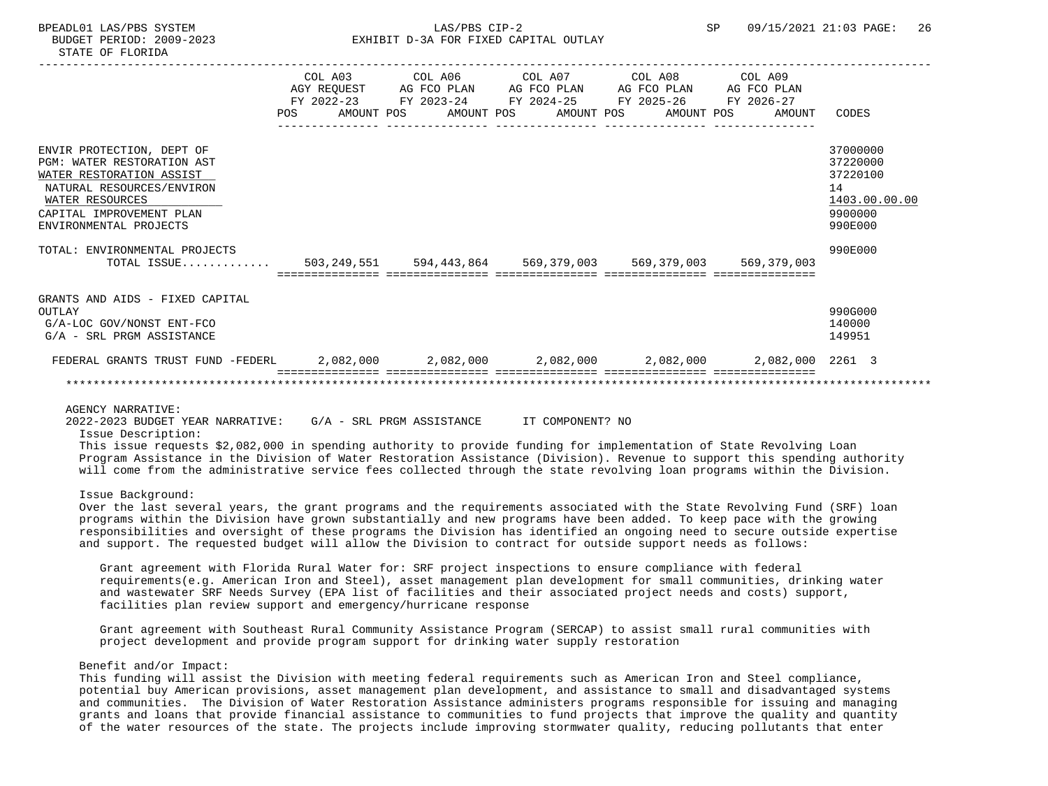|                                                                                                                                                                                                  |  |  |  | COL A03 COL A06 COL A07 COL A08 COL A09<br>AGY REQUEST AG FCO PLAN AG FCO PLAN AG FCO PLAN AG FCO PLAN<br>FY 2022-23 FY 2023-24 FY 2024-25 FY 2025-26 FY 2026-27<br>POS AMOUNT POS AMOUNT POS AMOUNT POS AMOUNT POS | AMOUNT | CODES                                                                         |
|--------------------------------------------------------------------------------------------------------------------------------------------------------------------------------------------------|--|--|--|---------------------------------------------------------------------------------------------------------------------------------------------------------------------------------------------------------------------|--------|-------------------------------------------------------------------------------|
|                                                                                                                                                                                                  |  |  |  |                                                                                                                                                                                                                     |        |                                                                               |
| ENVIR PROTECTION, DEPT OF<br><b>PGM: WATER RESTORATION AST</b><br>WATER RESTORATION ASSIST<br>NATURAL RESOURCES/ENVIRON<br>WATER RESOURCES<br>CAPITAL IMPROVEMENT PLAN<br>ENVIRONMENTAL PROJECTS |  |  |  |                                                                                                                                                                                                                     |        | 37000000<br>37220000<br>37220100<br>14<br>1403.00.00.00<br>9900000<br>990E000 |
| TOTAL: ENVIRONMENTAL PROJECTS                                                                                                                                                                    |  |  |  |                                                                                                                                                                                                                     |        | 990E000                                                                       |
| TOTAL ISSUE 503,249,551 594,443,864 569,379,003 569,379,003 569,379,003                                                                                                                          |  |  |  |                                                                                                                                                                                                                     |        |                                                                               |
|                                                                                                                                                                                                  |  |  |  |                                                                                                                                                                                                                     |        |                                                                               |
| GRANTS AND AIDS - FIXED CAPITAL<br>OUTLAY<br>G/A-LOC GOV/NONST ENT-FCO<br>G/A - SRL PRGM ASSISTANCE                                                                                              |  |  |  |                                                                                                                                                                                                                     |        | 990G000<br>140000<br>149951                                                   |
| FEDERAL GRANTS TRUST FUND -FEDERL 2,082,000 2,082,000 2,082,000 2,082,000 2,082,000 2,082,000 2261 3                                                                                             |  |  |  |                                                                                                                                                                                                                     |        |                                                                               |
|                                                                                                                                                                                                  |  |  |  |                                                                                                                                                                                                                     |        |                                                                               |

2022-2023 BUDGET YEAR NARRATIVE: G/A - SRL PRGM ASSISTANCE IT COMPONENT? NO

Issue Description:

 This issue requests \$2,082,000 in spending authority to provide funding for implementation of State Revolving Loan Program Assistance in the Division of Water Restoration Assistance (Division). Revenue to support this spending authority will come from the administrative service fees collected through the state revolving loan programs within the Division.

## Issue Background:

 Over the last several years, the grant programs and the requirements associated with the State Revolving Fund (SRF) loan programs within the Division have grown substantially and new programs have been added. To keep pace with the growing responsibilities and oversight of these programs the Division has identified an ongoing need to secure outside expertise and support. The requested budget will allow the Division to contract for outside support needs as follows:

 Grant agreement with Florida Rural Water for: SRF project inspections to ensure compliance with federal requirements(e.g. American Iron and Steel), asset management plan development for small communities, drinking water and wastewater SRF Needs Survey (EPA list of facilities and their associated project needs and costs) support, facilities plan review support and emergency/hurricane response

 Grant agreement with Southeast Rural Community Assistance Program (SERCAP) to assist small rural communities with project development and provide program support for drinking water supply restoration

## Benefit and/or Impact:

 This funding will assist the Division with meeting federal requirements such as American Iron and Steel compliance, potential buy American provisions, asset management plan development, and assistance to small and disadvantaged systems and communities. The Division of Water Restoration Assistance administers programs responsible for issuing and managing grants and loans that provide financial assistance to communities to fund projects that improve the quality and quantity of the water resources of the state. The projects include improving stormwater quality, reducing pollutants that enter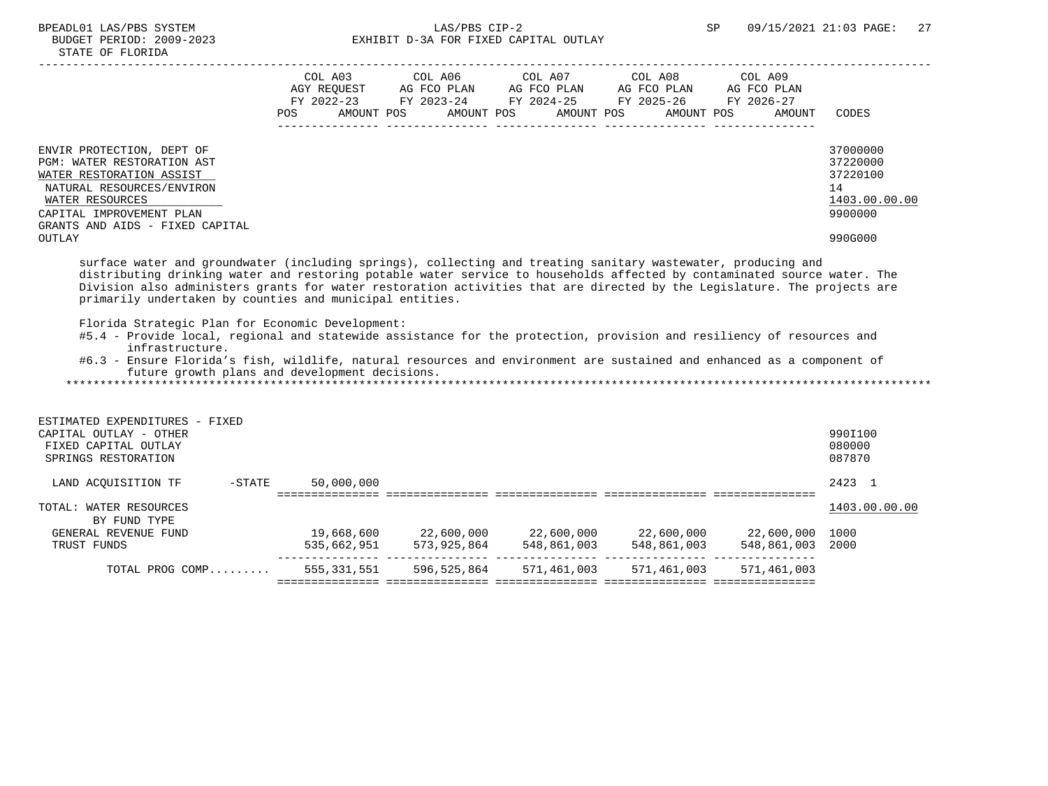# BPEADL01 LAS/PBS SYSTEM  $\verb|LAS/PBS CIP-2|$  SP 09/15/2021 21:03 PAGE: 27 BUDGET PERIOD: 2009-2023 EXHIBIT D-3A FOR FIXED CAPITAL OUTLAY

|                                                                                                                                                                                                                                                                                                                                                                                                                                                                                                                | POS                                            | COL A03 COL A06 COL A07 COL A08 COL A09<br>AMOUNT POS AMOUNT POS AMOUNT POS AMOUNT POS                                                              | AMOUNT      | CODES                                                              |
|----------------------------------------------------------------------------------------------------------------------------------------------------------------------------------------------------------------------------------------------------------------------------------------------------------------------------------------------------------------------------------------------------------------------------------------------------------------------------------------------------------------|------------------------------------------------|-----------------------------------------------------------------------------------------------------------------------------------------------------|-------------|--------------------------------------------------------------------|
| ENVIR PROTECTION, DEPT OF<br>PGM: WATER RESTORATION AST<br>WATER RESTORATION ASSIST<br>NATURAL RESOURCES/ENVIRON<br>WATER RESOURCES<br>CAPITAL IMPROVEMENT PLAN<br>GRANTS AND AIDS - FIXED CAPITAL                                                                                                                                                                                                                                                                                                             |                                                |                                                                                                                                                     |             | 37000000<br>37220000<br>37220100<br>14<br>1403.00.00.00<br>9900000 |
| OUTLAY                                                                                                                                                                                                                                                                                                                                                                                                                                                                                                         |                                                |                                                                                                                                                     |             | 990G000                                                            |
| Division also administers grants for water restoration activities that are directed by the Legislature. The projects are<br>primarily undertaken by counties and municipal entities.<br>Florida Strategic Plan for Economic Development:<br>#5.4 - Provide local, regional and statewide assistance for the protection, provision and resiliency of resources and<br>infrastructure.<br>#6.3 - Ensure Florida's fish, wildlife, natural resources and environment are sustained and enhanced as a component of | future growth plans and development decisions. |                                                                                                                                                     |             |                                                                    |
| ESTIMATED EXPENDITURES - FIXED<br>CAPITAL OUTLAY - OTHER<br>FIXED CAPITAL OUTLAY<br>SPRINGS RESTORATION                                                                                                                                                                                                                                                                                                                                                                                                        |                                                |                                                                                                                                                     |             | 990I100<br>080000<br>087870                                        |
| LAND ACQUISITION TF -STATE                                                                                                                                                                                                                                                                                                                                                                                                                                                                                     | 50,000,000                                     |                                                                                                                                                     |             | 2423 1                                                             |
| TOTAL: WATER RESOURCES<br>BY FUND TYPE<br>GENERAL REVENUE FUND                                                                                                                                                                                                                                                                                                                                                                                                                                                 |                                                |                                                                                                                                                     |             | 1403.00.00.00                                                      |
| TRUST FUNDS                                                                                                                                                                                                                                                                                                                                                                                                                                                                                                    |                                                | $19,668,600$<br>573,925,864<br>573,925,864<br>548,861,003<br>548,861,003<br>548,861,003<br>548,861,003<br>548,861,003<br>548,861,003<br>548,861,003 |             |                                                                    |
| TOTAL PROG COMP                                                                                                                                                                                                                                                                                                                                                                                                                                                                                                |                                                | 555,331,551 596,525,864 571,461,003 571,461,003                                                                                                     | 571,461,003 |                                                                    |
|                                                                                                                                                                                                                                                                                                                                                                                                                                                                                                                |                                                |                                                                                                                                                     |             |                                                                    |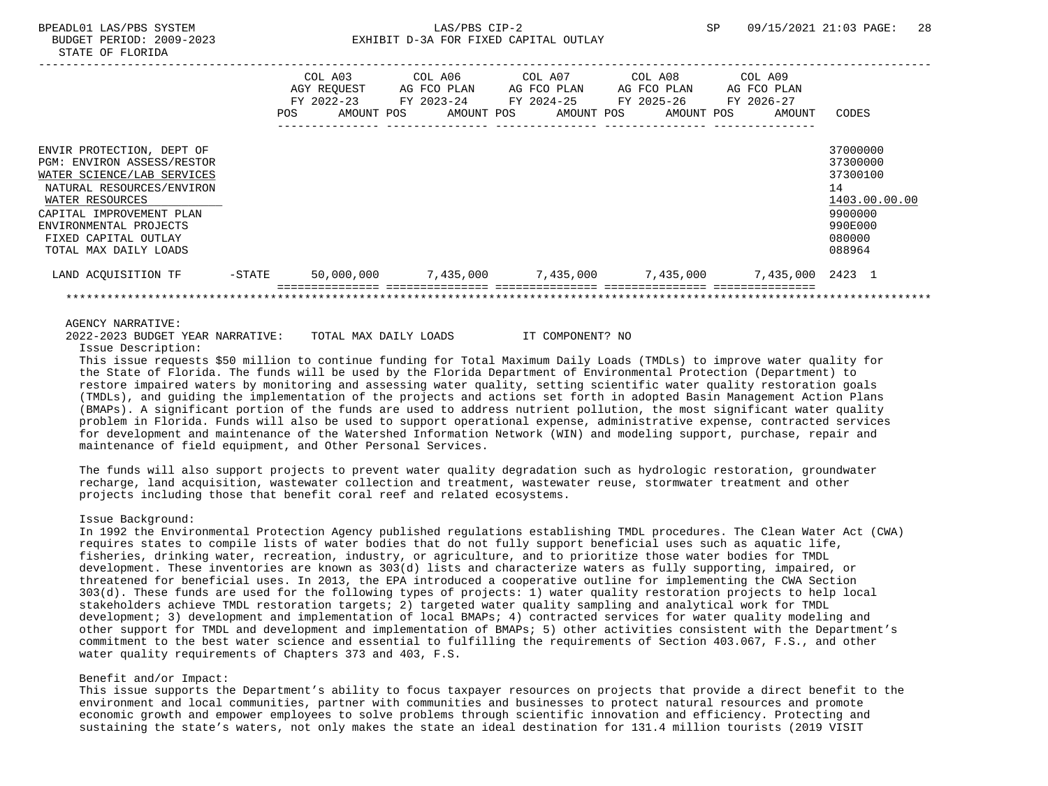|                                                                                                                                                                                                                                              |        | <b>POS</b> | COL A03<br>AGY REOUEST AG FCO PLAN<br>FY 2022-23<br>AMOUNT POS | COL A06 COL A07<br>FY 2023-24<br>AMOUNT POS |  | AMOUNT POS | COL A08<br>AG FCO PLAN AG FCO PLAN<br>FY 2024-25 FY 2025-26<br>AMOUNT POS | COL A09<br>AG FCO PLAN<br>FY 2026-27<br>AMOUNT | CODES                                                                                             |
|----------------------------------------------------------------------------------------------------------------------------------------------------------------------------------------------------------------------------------------------|--------|------------|----------------------------------------------------------------|---------------------------------------------|--|------------|---------------------------------------------------------------------------|------------------------------------------------|---------------------------------------------------------------------------------------------------|
| ENVIR PROTECTION, DEPT OF<br>PGM: ENVIRON ASSESS/RESTOR<br>WATER SCIENCE/LAB SERVICES<br>NATURAL RESOURCES/ENVIRON<br>WATER RESOURCES<br>CAPITAL IMPROVEMENT PLAN<br>ENVIRONMENTAL PROJECTS<br>FIXED CAPITAL OUTLAY<br>TOTAL MAX DAILY LOADS |        |            |                                                                |                                             |  |            |                                                                           |                                                | 37000000<br>37300000<br>37300100<br>14<br>1403.00.00.00<br>9900000<br>990E000<br>080000<br>088964 |
| LAND ACQUISITION TF                                                                                                                                                                                                                          | -STATE |            | 50,000,000                                                     |                                             |  |            | 7,435,000     7,435,000     7,435,000                                     | 7,435,000 2423 1                               |                                                                                                   |
|                                                                                                                                                                                                                                              |        |            |                                                                |                                             |  |            |                                                                           |                                                |                                                                                                   |

2022-2023 BUDGET YEAR NARRATIVE: TOTAL MAX DAILY LOADS IT COMPONENT? NO

Issue Description:

 This issue requests \$50 million to continue funding for Total Maximum Daily Loads (TMDLs) to improve water quality for the State of Florida. The funds will be used by the Florida Department of Environmental Protection (Department) to restore impaired waters by monitoring and assessing water quality, setting scientific water quality restoration goals (TMDLs), and guiding the implementation of the projects and actions set forth in adopted Basin Management Action Plans (BMAPs). A significant portion of the funds are used to address nutrient pollution, the most significant water quality problem in Florida. Funds will also be used to support operational expense, administrative expense, contracted services for development and maintenance of the Watershed Information Network (WIN) and modeling support, purchase, repair and maintenance of field equipment, and Other Personal Services.

 The funds will also support projects to prevent water quality degradation such as hydrologic restoration, groundwater recharge, land acquisition, wastewater collection and treatment, wastewater reuse, stormwater treatment and other projects including those that benefit coral reef and related ecosystems.

## Issue Background:

 In 1992 the Environmental Protection Agency published regulations establishing TMDL procedures. The Clean Water Act (CWA) requires states to compile lists of water bodies that do not fully support beneficial uses such as aquatic life, fisheries, drinking water, recreation, industry, or agriculture, and to prioritize those water bodies for TMDL development. These inventories are known as 303(d) lists and characterize waters as fully supporting, impaired, or threatened for beneficial uses. In 2013, the EPA introduced a cooperative outline for implementing the CWA Section 303(d). These funds are used for the following types of projects: 1) water quality restoration projects to help local stakeholders achieve TMDL restoration targets; 2) targeted water quality sampling and analytical work for TMDL development; 3) development and implementation of local BMAPs; 4) contracted services for water quality modeling and other support for TMDL and development and implementation of BMAPs; 5) other activities consistent with the Department's commitment to the best water science and essential to fulfilling the requirements of Section 403.067, F.S., and other water quality requirements of Chapters 373 and 403, F.S.

#### Benefit and/or Impact:

 This issue supports the Department's ability to focus taxpayer resources on projects that provide a direct benefit to the environment and local communities, partner with communities and businesses to protect natural resources and promote economic growth and empower employees to solve problems through scientific innovation and efficiency. Protecting and sustaining the state's waters, not only makes the state an ideal destination for 131.4 million tourists (2019 VISIT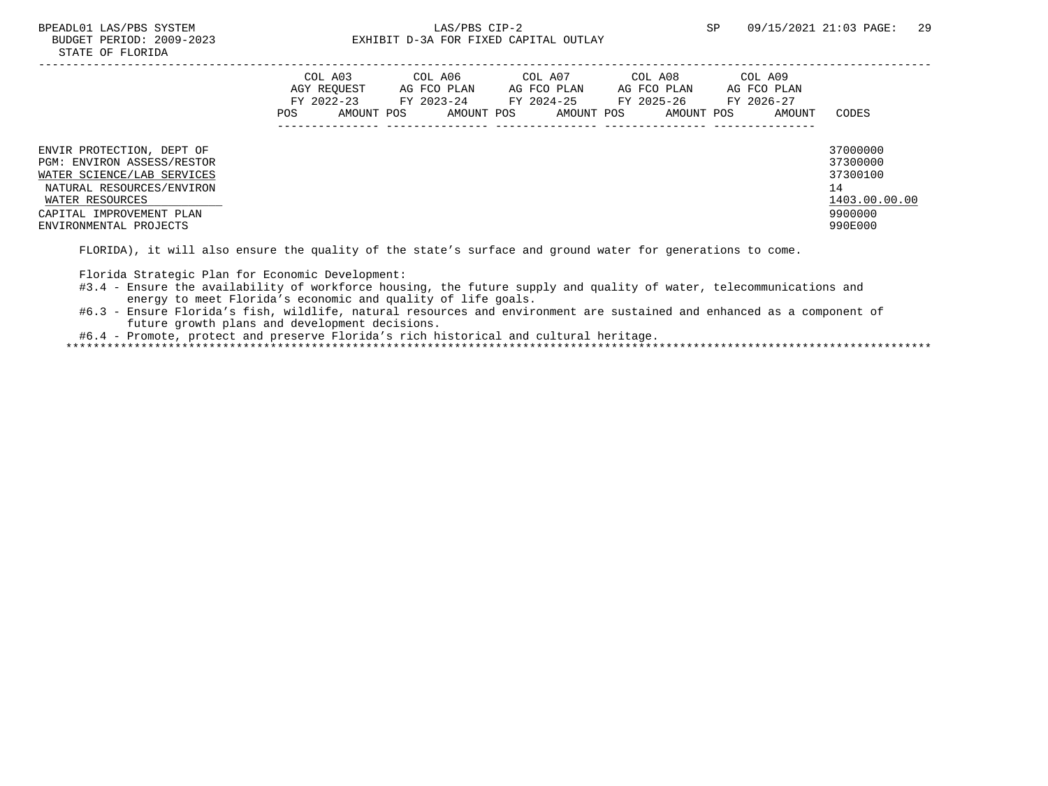|                                                                                                                                                                                                    | COL A03<br>AGY REOUEST<br>FY 2022-23<br>POS | AMOUNT POS | COL A06<br>AG FCO PLAN<br>FY 2023-24 | AMOUNT POS | COL A07<br>AG FCO PLAN<br>FY 2024-25 | AMOUNT POS | COL A08<br>AG FCO PLAN<br>FY 2025-26<br>AMOUNT POS | COL A09<br>AG FCO PLAN<br>FY 2026-27<br>AMOUNT | CODES                                                                         |
|----------------------------------------------------------------------------------------------------------------------------------------------------------------------------------------------------|---------------------------------------------|------------|--------------------------------------|------------|--------------------------------------|------------|----------------------------------------------------|------------------------------------------------|-------------------------------------------------------------------------------|
| ENVIR PROTECTION, DEPT OF<br><b>PGM: ENVIRON ASSESS/RESTOR</b><br>WATER SCIENCE/LAB SERVICES<br>NATURAL RESOURCES/ENVIRON<br>WATER RESOURCES<br>CAPITAL IMPROVEMENT PLAN<br>ENVIRONMENTAL PROJECTS |                                             |            |                                      |            |                                      |            |                                                    |                                                | 37000000<br>37300000<br>37300100<br>14<br>1403.00.00.00<br>9900000<br>990E000 |

FLORIDA), it will also ensure the quality of the state's surface and ground water for generations to come.

Florida Strategic Plan for Economic Development:

#3.4 - Ensure the availability of workforce housing, the future supply and quality of water, telecommunications and energy to meet Florida's economic and quality of life goals.

 #6.3 - Ensure Florida's fish, wildlife, natural resources and environment are sustained and enhanced as a component of future growth plans and development decisions.

#6.4 - Promote, protect and preserve Florida's rich historical and cultural heritage.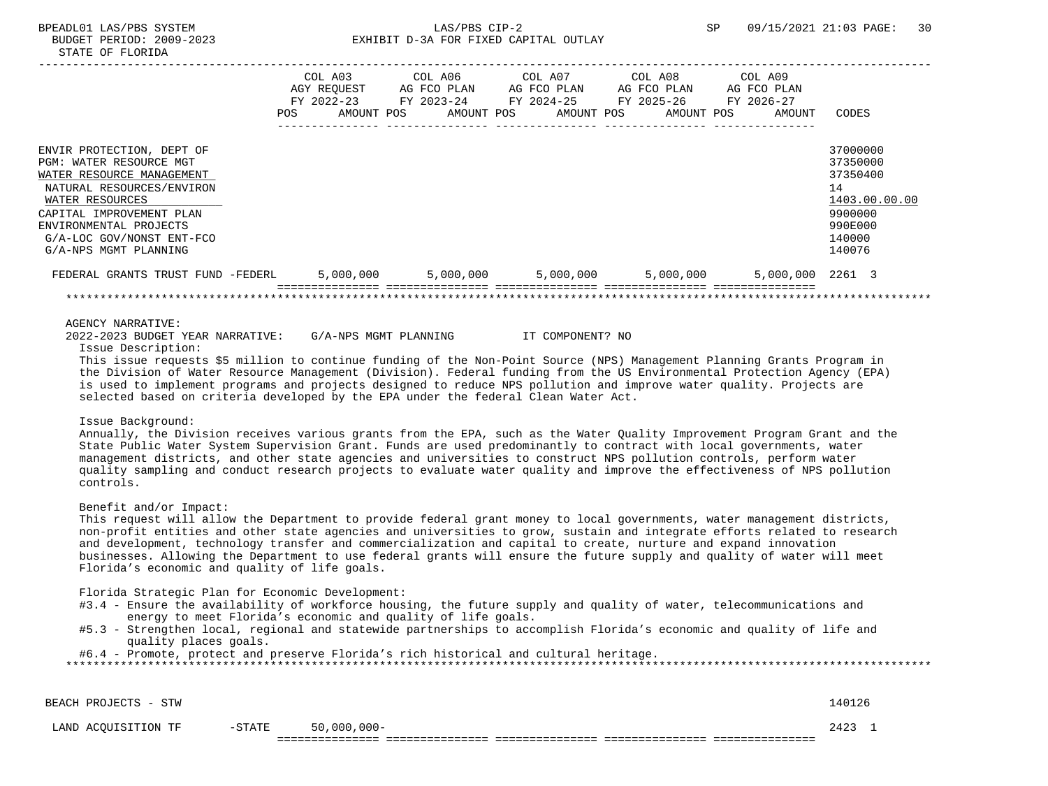|                                   |      |                          |             |  |             | COL A03 COL A06 COL A07 COL A08 COL A09         |                  |               |
|-----------------------------------|------|--------------------------|-------------|--|-------------|-------------------------------------------------|------------------|---------------|
|                                   |      | AGY REOUEST              | AG FCO PLAN |  | AG FCO PLAN | AG FCO PLAN                                     | AG FCO PLAN      |               |
|                                   | POS. | FY 2022-23<br>AMOUNT POS |             |  | AMOUNT POS  | AMOUNT POS                                      |                  | CODES         |
|                                   |      |                          | AMOUNT POS  |  |             |                                                 | AMOUNT           |               |
|                                   |      |                          |             |  |             |                                                 |                  |               |
| ENVIR PROTECTION, DEPT OF         |      |                          |             |  |             |                                                 |                  | 37000000      |
| <b>PGM: WATER RESOURCE MGT</b>    |      |                          |             |  |             |                                                 |                  | 37350000      |
| WATER RESOURCE MANAGEMENT         |      |                          |             |  |             |                                                 |                  | 37350400      |
| NATURAL RESOURCES/ENVIRON         |      |                          |             |  |             |                                                 |                  | 14            |
| WATER RESOURCES                   |      |                          |             |  |             |                                                 |                  | 1403.00.00.00 |
| CAPITAL IMPROVEMENT PLAN          |      |                          |             |  |             |                                                 |                  | 9900000       |
| ENVIRONMENTAL PROJECTS            |      |                          |             |  |             |                                                 |                  | 990E000       |
| G/A-LOC GOV/NONST ENT-FCO         |      |                          |             |  |             |                                                 |                  | 140000        |
| G/A-NPS MGMT PLANNING             |      |                          |             |  |             |                                                 |                  | 140076        |
| FEDERAL GRANTS TRUST FUND -FEDERL |      |                          |             |  |             | $5,000,000$ $5,000,000$ $5,000,000$ $5,000,000$ | 5,000,000 2261 3 |               |
|                                   |      |                          |             |  |             |                                                 |                  |               |
|                                   |      |                          |             |  |             |                                                 |                  |               |

 2022-2023 BUDGET YEAR NARRATIVE: G/A-NPS MGMT PLANNING IT COMPONENT? NO Issue Description:

 This issue requests \$5 million to continue funding of the Non-Point Source (NPS) Management Planning Grants Program in the Division of Water Resource Management (Division). Federal funding from the US Environmental Protection Agency (EPA) is used to implement programs and projects designed to reduce NPS pollution and improve water quality. Projects are selected based on criteria developed by the EPA under the federal Clean Water Act.

Issue Background:

 Annually, the Division receives various grants from the EPA, such as the Water Quality Improvement Program Grant and the State Public Water System Supervision Grant. Funds are used predominantly to contract with local governments, water management districts, and other state agencies and universities to construct NPS pollution controls, perform water quality sampling and conduct research projects to evaluate water quality and improve the effectiveness of NPS pollution controls.

Benefit and/or Impact:

 This request will allow the Department to provide federal grant money to local governments, water management districts, non-profit entities and other state agencies and universities to grow, sustain and integrate efforts related to research and development, technology transfer and commercialization and capital to create, nurture and expand innovation businesses. Allowing the Department to use federal grants will ensure the future supply and quality of water will meet Florida's economic and quality of life goals.

Florida Strategic Plan for Economic Development:

- #3.4 Ensure the availability of workforce housing, the future supply and quality of water, telecommunications and energy to meet Florida's economic and quality of life goals.
- #5.3 Strengthen local, regional and statewide partnerships to accomplish Florida's economic and quality of life and quality places goals.

#6.4 - Promote, protect and preserve Florida's rich historical and cultural heritage.

| BEACH PROJECTS - STW |           |               | 140126 |  |
|----------------------|-----------|---------------|--------|--|
| LAND ACQUISITION TF  | $-$ STATE | $50,000,000-$ | 2423   |  |
|                      |           |               |        |  |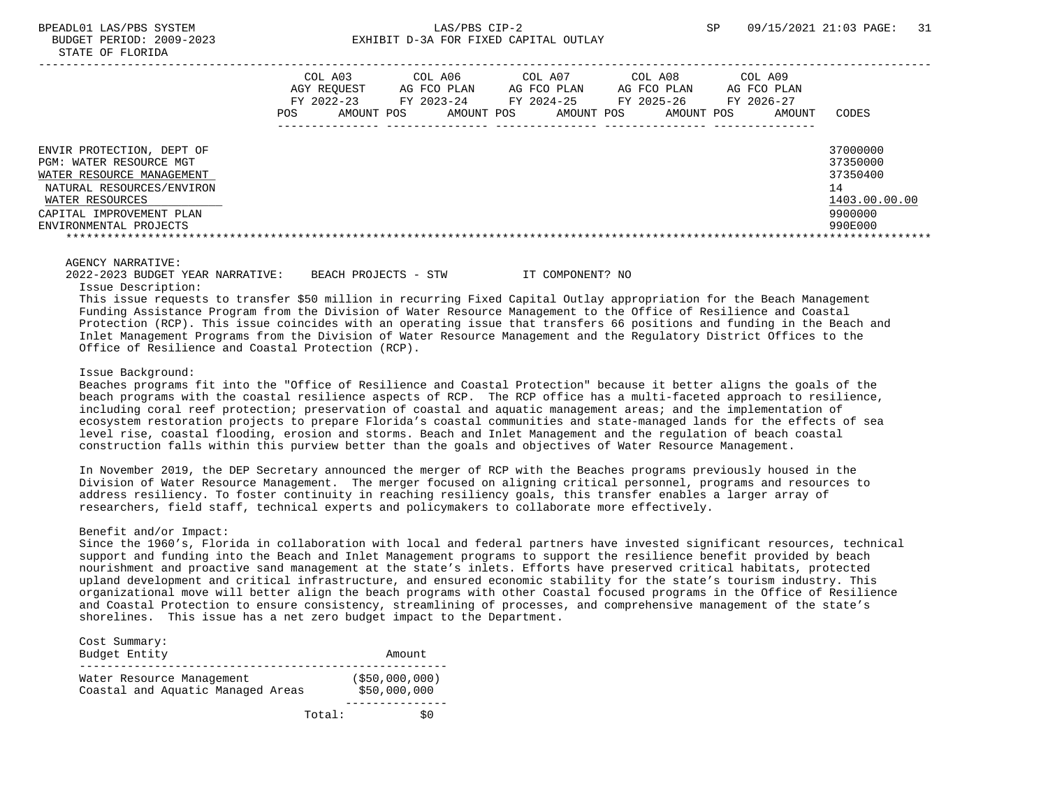|                                                                                                                                                                                         | COL A03<br>AGY REOUEST<br>FY 2022-23<br>POS. | AMOUNT POS | COL A06<br>AG FCO PLAN<br>FY 2023-24<br>AMOUNT POS | COL A07<br>AG FCO PLAN<br>FY 2024-25<br>AMOUNT POS | COL A08<br>AG FCO PLAN<br>FY 2025-26<br>AMOUNT POS | COL A09<br>AG FCO PLAN<br>FY 2026-27<br>AMOUNT | CODES                                                                         |
|-----------------------------------------------------------------------------------------------------------------------------------------------------------------------------------------|----------------------------------------------|------------|----------------------------------------------------|----------------------------------------------------|----------------------------------------------------|------------------------------------------------|-------------------------------------------------------------------------------|
| ENVIR PROTECTION, DEPT OF<br>PGM: WATER RESOURCE MGT<br>WATER RESOURCE MANAGEMENT<br>NATURAL RESOURCES/ENVIRON<br>WATER RESOURCES<br>CAPITAL IMPROVEMENT PLAN<br>ENVIRONMENTAL PROJECTS |                                              |            |                                                    |                                                    |                                                    |                                                | 37000000<br>37350000<br>37350400<br>14<br>1403.00.00.00<br>9900000<br>990E000 |

 2022-2023 BUDGET YEAR NARRATIVE: BEACH PROJECTS - STW IT COMPONENT? NO Issue Description:

 This issue requests to transfer \$50 million in recurring Fixed Capital Outlay appropriation for the Beach Management Funding Assistance Program from the Division of Water Resource Management to the Office of Resilience and Coastal Protection (RCP). This issue coincides with an operating issue that transfers 66 positions and funding in the Beach and Inlet Management Programs from the Division of Water Resource Management and the Regulatory District Offices to the Office of Resilience and Coastal Protection (RCP).

#### Issue Background:

 Beaches programs fit into the "Office of Resilience and Coastal Protection" because it better aligns the goals of the beach programs with the coastal resilience aspects of RCP. The RCP office has a multi-faceted approach to resilience, including coral reef protection; preservation of coastal and aquatic management areas; and the implementation of ecosystem restoration projects to prepare Florida's coastal communities and state-managed lands for the effects of sea level rise, coastal flooding, erosion and storms. Beach and Inlet Management and the regulation of beach coastal construction falls within this purview better than the goals and objectives of Water Resource Management.

 In November 2019, the DEP Secretary announced the merger of RCP with the Beaches programs previously housed in the Division of Water Resource Management. The merger focused on aligning critical personnel, programs and resources to address resiliency. To foster continuity in reaching resiliency goals, this transfer enables a larger array of researchers, field staff, technical experts and policymakers to collaborate more effectively.

## Benefit and/or Impact:

 Since the 1960's, Florida in collaboration with local and federal partners have invested significant resources, technical support and funding into the Beach and Inlet Management programs to support the resilience benefit provided by beach nourishment and proactive sand management at the state's inlets. Efforts have preserved critical habitats, protected upland development and critical infrastructure, and ensured economic stability for the state's tourism industry. This organizational move will better align the beach programs with other Coastal focused programs in the Office of Resilience and Coastal Protection to ensure consistency, streamlining of processes, and comprehensive management of the state's shorelines. This issue has a net zero budget impact to the Department.

| Cost Summary:<br>Budget Entity                                 | Amount                            |
|----------------------------------------------------------------|-----------------------------------|
| Water Resource Management<br>Coastal and Aquatic Managed Areas | $($ \$50,000,000)<br>\$50,000,000 |
| Total:                                                         |                                   |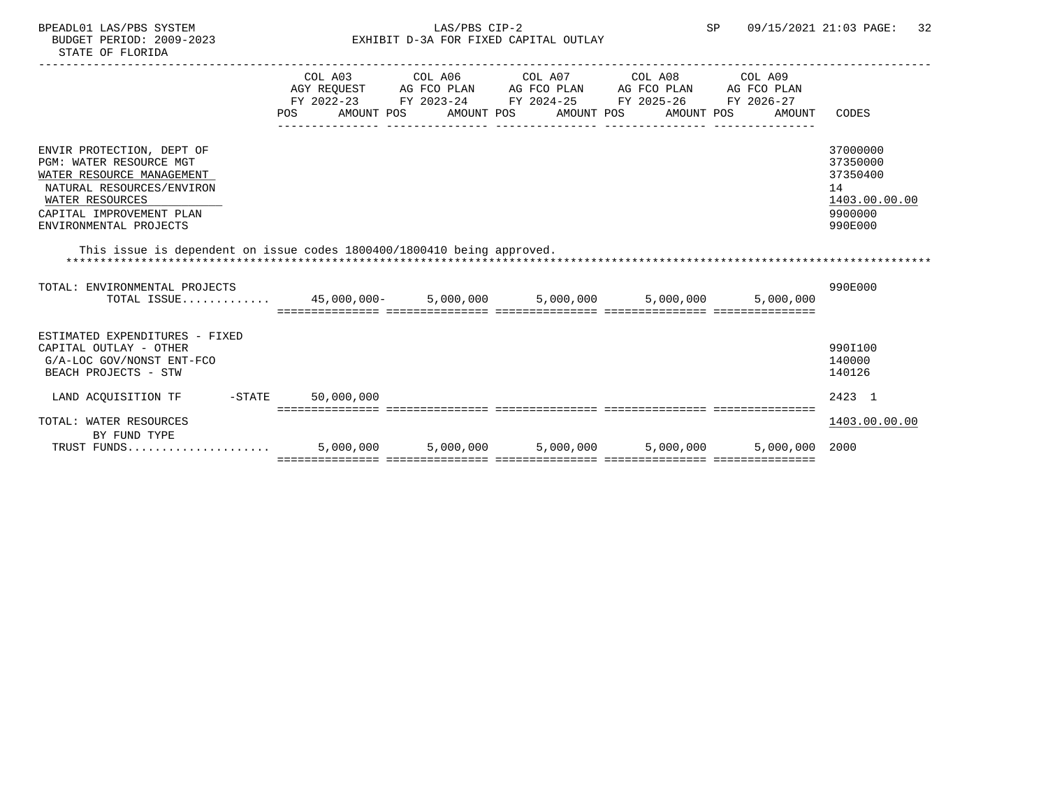| BPEADL01 LAS/PBS SYSTEM |                  |                          |
|-------------------------|------------------|--------------------------|
|                         |                  | BUDGET PERIOD: 2009-2023 |
|                         | STATE OF FLORIDA |                          |

# EXHIBIT D-3A FOR FIXED CAPITAL OUTLAY

|                                                                                                                                                                                         | POS       |           | COL A03 COL A06 COL A07 COL A08 COL A09<br>AGY REQUEST AG FCO PLAN AG FCO PLAN AG FCO PLAN AG FCO PLAN<br>FY 2022-23 FY 2023-24 FY 2024-25 FY 2025-26<br>AMOUNT POS AMOUNT POS AMOUNT POS AMOUNT POS |           | FY 2026-27<br>AMOUNT | CODES                                                                         |
|-----------------------------------------------------------------------------------------------------------------------------------------------------------------------------------------|-----------|-----------|------------------------------------------------------------------------------------------------------------------------------------------------------------------------------------------------------|-----------|----------------------|-------------------------------------------------------------------------------|
| ENVIR PROTECTION, DEPT OF<br>PGM: WATER RESOURCE MGT<br>WATER RESOURCE MANAGEMENT<br>NATURAL RESOURCES/ENVIRON<br>WATER RESOURCES<br>CAPITAL IMPROVEMENT PLAN<br>ENVIRONMENTAL PROJECTS |           |           |                                                                                                                                                                                                      |           |                      | 37000000<br>37350000<br>37350400<br>14<br>1403.00.00.00<br>9900000<br>990E000 |
| This issue is dependent on issue codes 1800400/1800410 being approved.<br>*****************                                                                                             |           |           |                                                                                                                                                                                                      |           |                      |                                                                               |
| TOTAL: ENVIRONMENTAL PROJECTS<br>TOTAL ISSUE 45,000,000- 5,000,000 5,000,000 5,000,000                                                                                                  |           |           |                                                                                                                                                                                                      |           | 5,000,000            | 990E000                                                                       |
| ESTIMATED EXPENDITURES - FIXED<br>CAPITAL OUTLAY - OTHER<br>G/A-LOC GOV/NONST ENT-FCO<br>BEACH PROJECTS - STW                                                                           |           |           |                                                                                                                                                                                                      |           |                      | 990I100<br>140000<br>140126                                                   |
| LAND ACOUISITION TF -STATE 50,000,000                                                                                                                                                   |           |           |                                                                                                                                                                                                      |           |                      | 2423 1                                                                        |
| TOTAL: WATER RESOURCES<br>BY FUND TYPE                                                                                                                                                  |           |           |                                                                                                                                                                                                      |           |                      | 1403.00.00.00                                                                 |
| TRUST FUNDS                                                                                                                                                                             | 5,000,000 | 5,000,000 | 5,000,000                                                                                                                                                                                            | 5,000,000 | 5,000,000 2000       |                                                                               |

=============== =============== =============== =============== ===============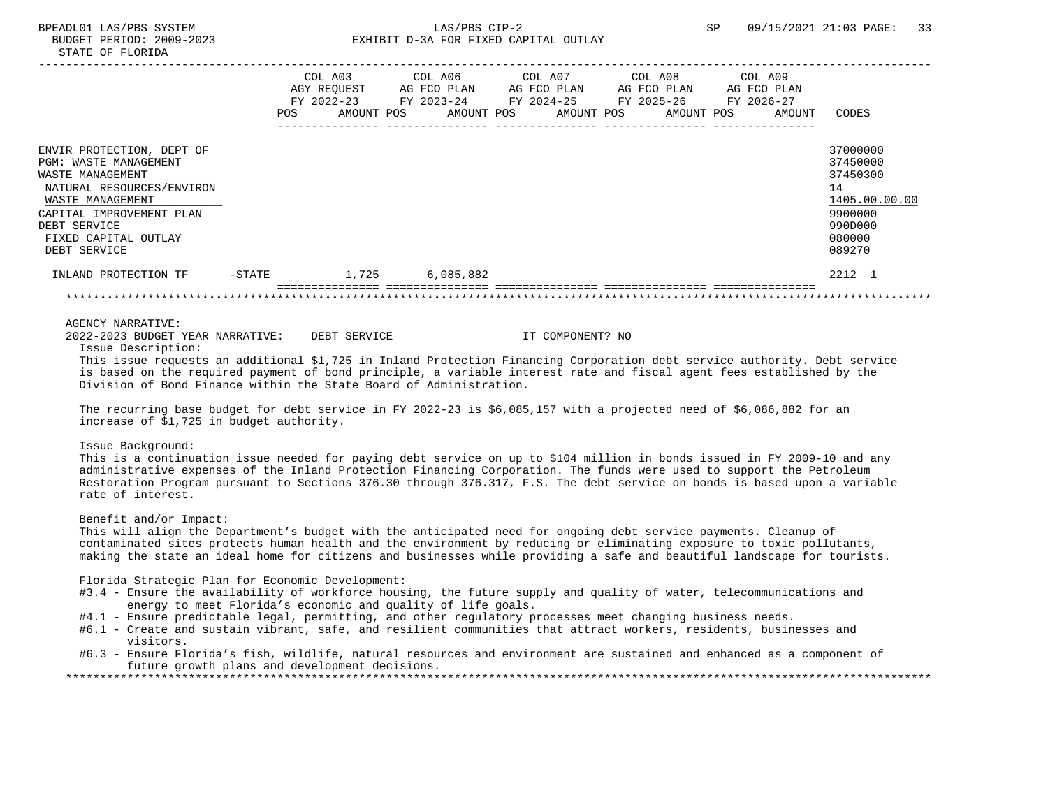|                                                  |        | COL A03           |            | COL A06                  | COL A07     |            | COL A08                  | COL A09              |                      |
|--------------------------------------------------|--------|-------------------|------------|--------------------------|-------------|------------|--------------------------|----------------------|----------------------|
|                                                  |        | AGY REQUEST       |            | AG FCO PLAN              | AG FCO PLAN |            | AG FCO PLAN              | AG FCO PLAN          |                      |
|                                                  |        | FY 2022-23<br>POS | AMOUNT POS | FY 2023-24<br>AMOUNT POS | FY 2024-25  | AMOUNT POS | FY 2025-26<br>AMOUNT POS | FY 2026-27<br>AMOUNT | CODES                |
| ENVIR PROTECTION, DEPT OF                        |        |                   |            |                          |             |            |                          |                      | 37000000             |
| <b>PGM: WASTE MANAGEMENT</b><br>WASTE MANAGEMENT |        |                   |            |                          |             |            |                          |                      | 37450000<br>37450300 |
| NATURAL RESOURCES/ENVIRON                        |        |                   |            |                          |             |            |                          |                      | 14                   |
| WASTE MANAGEMENT                                 |        |                   |            |                          |             |            |                          |                      | 1405.00.00.00        |
| CAPITAL IMPROVEMENT PLAN                         |        |                   |            |                          |             |            |                          |                      | 9900000              |
| DEBT SERVICE                                     |        |                   |            |                          |             |            |                          |                      | 990D000              |
| FIXED CAPITAL OUTLAY<br>DEBT SERVICE             |        |                   |            |                          |             |            |                          |                      | 080000<br>089270     |
| INLAND PROTECTION TF                             | -STATE |                   | 1,725      | 6,085,882                |             |            |                          |                      | 2212 1               |
|                                                  |        |                   |            |                          |             |            |                          |                      |                      |

Issue Description:

 This issue requests an additional \$1,725 in Inland Protection Financing Corporation debt service authority. Debt service is based on the required payment of bond principle, a variable interest rate and fiscal agent fees established by the Division of Bond Finance within the State Board of Administration.

 The recurring base budget for debt service in FY 2022-23 is \$6,085,157 with a projected need of \$6,086,882 for an increase of \$1,725 in budget authority.

## Issue Background:

 This is a continuation issue needed for paying debt service on up to \$104 million in bonds issued in FY 2009-10 and any administrative expenses of the Inland Protection Financing Corporation. The funds were used to support the Petroleum Restoration Program pursuant to Sections 376.30 through 376.317, F.S. The debt service on bonds is based upon a variable rate of interest.

## Benefit and/or Impact:

 This will align the Department's budget with the anticipated need for ongoing debt service payments. Cleanup of contaminated sites protects human health and the environment by reducing or eliminating exposure to toxic pollutants, making the state an ideal home for citizens and businesses while providing a safe and beautiful landscape for tourists.

Florida Strategic Plan for Economic Development:

- #3.4 Ensure the availability of workforce housing, the future supply and quality of water, telecommunications and energy to meet Florida's economic and quality of life goals.
- #4.1 Ensure predictable legal, permitting, and other regulatory processes meet changing business needs.
- #6.1 Create and sustain vibrant, safe, and resilient communities that attract workers, residents, businesses and visitors.
- #6.3 Ensure Florida's fish, wildlife, natural resources and environment are sustained and enhanced as a component of future growth plans and development decisions.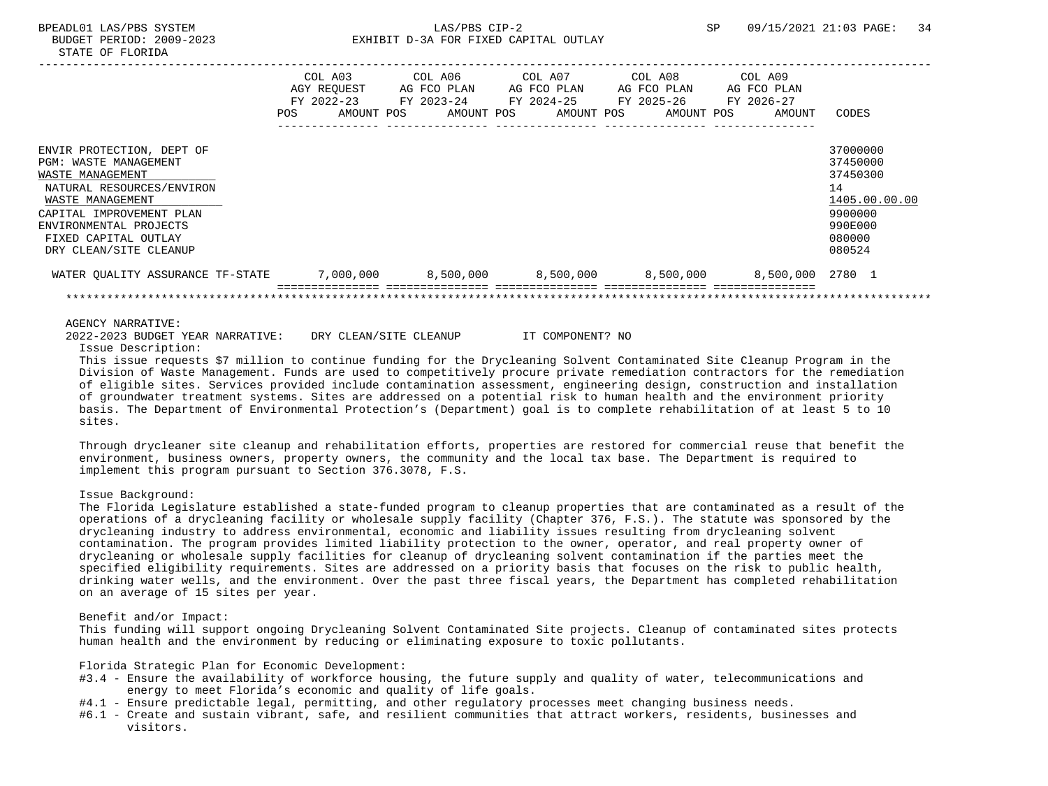|                                                                                                                                                                                                                                        | POS | COL A03<br>AGY REQUEST<br>FY 2022-23<br>AMOUNT POS | COL A06<br>AG FCO PLAN<br>FY 2023-24<br>AMOUNT POS | COL A07<br>AG FCO PLAN<br>FY 2024-25<br>AMOUNT POS | COL A08<br>AG FCO PLAN<br>FY 2025-26<br>AMOUNT POS | COL A09<br>AG FCO PLAN<br>FY 2026-27<br>AMOUNT | CODES                                                                                             |
|----------------------------------------------------------------------------------------------------------------------------------------------------------------------------------------------------------------------------------------|-----|----------------------------------------------------|----------------------------------------------------|----------------------------------------------------|----------------------------------------------------|------------------------------------------------|---------------------------------------------------------------------------------------------------|
| ENVIR PROTECTION, DEPT OF<br><b>PGM: WASTE MANAGEMENT</b><br>WASTE MANAGEMENT<br>NATURAL RESOURCES/ENVIRON<br>WASTE MANAGEMENT<br>CAPITAL IMPROVEMENT PLAN<br>ENVIRONMENTAL PROJECTS<br>FIXED CAPITAL OUTLAY<br>DRY CLEAN/SITE CLEANUP |     |                                                    |                                                    |                                                    |                                                    |                                                | 37000000<br>37450000<br>37450300<br>14<br>1405.00.00.00<br>9900000<br>990E000<br>080000<br>080524 |
| WATER QUALITY ASSURANCE TF-STATE                                                                                                                                                                                                       |     | 7,000,000                                          | $8,500,000$ $8,500,000$ $8,500,000$                |                                                    |                                                    | 8,500,000 2780 1                               |                                                                                                   |
| <b>AGENCY NARRATIVE:</b>                                                                                                                                                                                                               |     |                                                    |                                                    |                                                    |                                                    |                                                |                                                                                                   |

2022-2023 BUDGET YEAR NARRATIVE: DRY CLEAN/SITE CLEANUP IT COMPONENT? NO

Issue Description:

 This issue requests \$7 million to continue funding for the Drycleaning Solvent Contaminated Site Cleanup Program in the Division of Waste Management. Funds are used to competitively procure private remediation contractors for the remediation of eligible sites. Services provided include contamination assessment, engineering design, construction and installation of groundwater treatment systems. Sites are addressed on a potential risk to human health and the environment priority basis. The Department of Environmental Protection's (Department) goal is to complete rehabilitation of at least 5 to 10 sites.

 Through drycleaner site cleanup and rehabilitation efforts, properties are restored for commercial reuse that benefit the environment, business owners, property owners, the community and the local tax base. The Department is required to implement this program pursuant to Section 376.3078, F.S.

Issue Background:

 The Florida Legislature established a state-funded program to cleanup properties that are contaminated as a result of the operations of a drycleaning facility or wholesale supply facility (Chapter 376, F.S.). The statute was sponsored by the drycleaning industry to address environmental, economic and liability issues resulting from drycleaning solvent contamination. The program provides limited liability protection to the owner, operator, and real property owner of drycleaning or wholesale supply facilities for cleanup of drycleaning solvent contamination if the parties meet the specified eligibility requirements. Sites are addressed on a priority basis that focuses on the risk to public health, drinking water wells, and the environment. Over the past three fiscal years, the Department has completed rehabilitation on an average of 15 sites per year.

### Benefit and/or Impact:

 This funding will support ongoing Drycleaning Solvent Contaminated Site projects. Cleanup of contaminated sites protects human health and the environment by reducing or eliminating exposure to toxic pollutants.

Florida Strategic Plan for Economic Development:

- #3.4 Ensure the availability of workforce housing, the future supply and quality of water, telecommunications and energy to meet Florida's economic and quality of life goals.
- #4.1 Ensure predictable legal, permitting, and other regulatory processes meet changing business needs.
- #6.1 Create and sustain vibrant, safe, and resilient communities that attract workers, residents, businesses and visitors.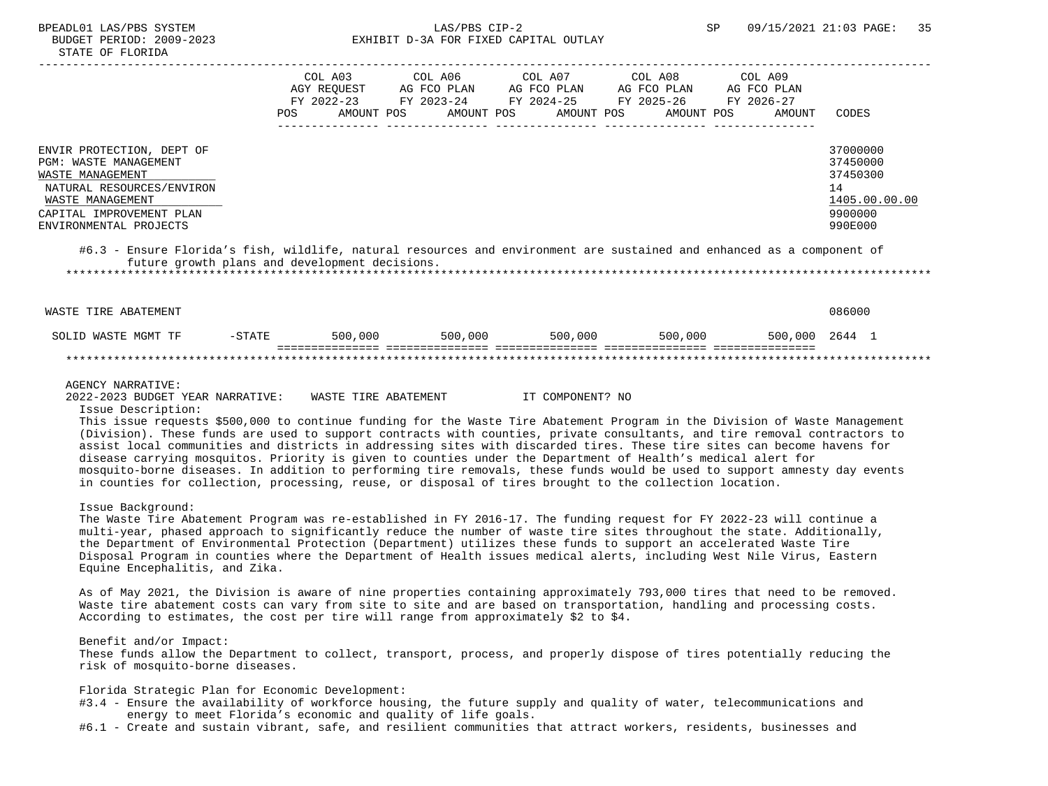# BPEADL01 LAS/PBS SYSTEM SALLAS/PBS CIP-2 SP 09/15/2021 21:03 PAGE: 35 BUDGET PERIOD: 2009-2023 EXHIBIT D-3A FOR FIXED CAPITAL OUTLAY

|                                                                                                                                                                               | POS | COL A03<br>AGY REOUEST<br>FY 2022-23<br>AMOUNT POS | COL A06<br>AG FCO PLAN<br>FY 2023-24<br>AMOUNT POS | COL A07<br>AG FCO PLAN<br>FY 2024-25<br>AMOUNT POS | COL A08<br>AG FCO PLAN<br>FY 2025-26<br>AMOUNT POS | COL A09<br>AG FCO PLAN<br>FY 2026-27<br>AMOUNT | CODES                                                                         |
|-------------------------------------------------------------------------------------------------------------------------------------------------------------------------------|-----|----------------------------------------------------|----------------------------------------------------|----------------------------------------------------|----------------------------------------------------|------------------------------------------------|-------------------------------------------------------------------------------|
| ENVIR PROTECTION, DEPT OF<br>PGM: WASTE MANAGEMENT<br>WASTE MANAGEMENT<br>NATURAL RESOURCES/ENVIRON<br>WASTE MANAGEMENT<br>CAPITAL IMPROVEMENT PLAN<br>ENVIRONMENTAL PROJECTS |     |                                                    |                                                    |                                                    |                                                    |                                                | 37000000<br>37450000<br>37450300<br>14<br>1405.00.00.00<br>9900000<br>990E000 |
| #6.3 - Ensure Florida's fish, wildlife, natural resources and environment are sustained and enhanced as a component of                                                        |     |                                                    |                                                    |                                                    |                                                    |                                                |                                                                               |

 future growth plans and development decisions. \*\*\*\*\*\*\*\*\*\*\*\*\*\*\*\*\*\*\*\*\*\*\*\*\*\*\*\*\*\*\*\*\*\*\*\*\*\*\*\*\*\*\*\*\*\*\*\*\*\*\*\*\*\*\*\*\*\*\*\*\*\*\*\*\*\*\*\*\*\*\*\*\*\*\*\*\*\*\*\*\*\*\*\*\*\*\*\*\*\*\*\*\*\*\*\*\*\*\*\*\*\*\*\*\*\*\*\*\*\*\*\*\*\*\*\*\*\*\*\*\*\*\*\*\*\*\*

 WASTE TIRE ABATEMENT 086000 SOLID WASTE MGMT TF -STATE 500,000 500,000 500,000 500,000 500,000 2644 1 =============== =============== =============== =============== =============== \*\*\*\*\*\*\*\*\*\*\*\*\*\*\*\*\*\*\*\*\*\*\*\*\*\*\*\*\*\*\*\*\*\*\*\*\*\*\*\*\*\*\*\*\*\*\*\*\*\*\*\*\*\*\*\*\*\*\*\*\*\*\*\*\*\*\*\*\*\*\*\*\*\*\*\*\*\*\*\*\*\*\*\*\*\*\*\*\*\*\*\*\*\*\*\*\*\*\*\*\*\*\*\*\*\*\*\*\*\*\*\*\*\*\*\*\*\*\*\*\*\*\*\*\*\*\*

#### AGENCY NARRATIVE:

2022-2023 BUDGET YEAR NARRATIVE: WASTE TIRE ABATEMENT IT COMPONENT? NO

Issue Description:

 This issue requests \$500,000 to continue funding for the Waste Tire Abatement Program in the Division of Waste Management (Division). These funds are used to support contracts with counties, private consultants, and tire removal contractors to assist local communities and districts in addressing sites with discarded tires. These tire sites can become havens for disease carrying mosquitos. Priority is given to counties under the Department of Health's medical alert for mosquito-borne diseases. In addition to performing tire removals, these funds would be used to support amnesty day events in counties for collection, processing, reuse, or disposal of tires brought to the collection location.

Issue Background:

 The Waste Tire Abatement Program was re-established in FY 2016-17. The funding request for FY 2022-23 will continue a multi-year, phased approach to significantly reduce the number of waste tire sites throughout the state. Additionally, the Department of Environmental Protection (Department) utilizes these funds to support an accelerated Waste Tire Disposal Program in counties where the Department of Health issues medical alerts, including West Nile Virus, Eastern Equine Encephalitis, and Zika.

 As of May 2021, the Division is aware of nine properties containing approximately 793,000 tires that need to be removed. Waste tire abatement costs can vary from site to site and are based on transportation, handling and processing costs. According to estimates, the cost per tire will range from approximately \$2 to \$4.

Benefit and/or Impact:

 These funds allow the Department to collect, transport, process, and properly dispose of tires potentially reducing the risk of mosquito-borne diseases.

Florida Strategic Plan for Economic Development:

- #3.4 Ensure the availability of workforce housing, the future supply and quality of water, telecommunications and energy to meet Florida's economic and quality of life goals.
- #6.1 Create and sustain vibrant, safe, and resilient communities that attract workers, residents, businesses and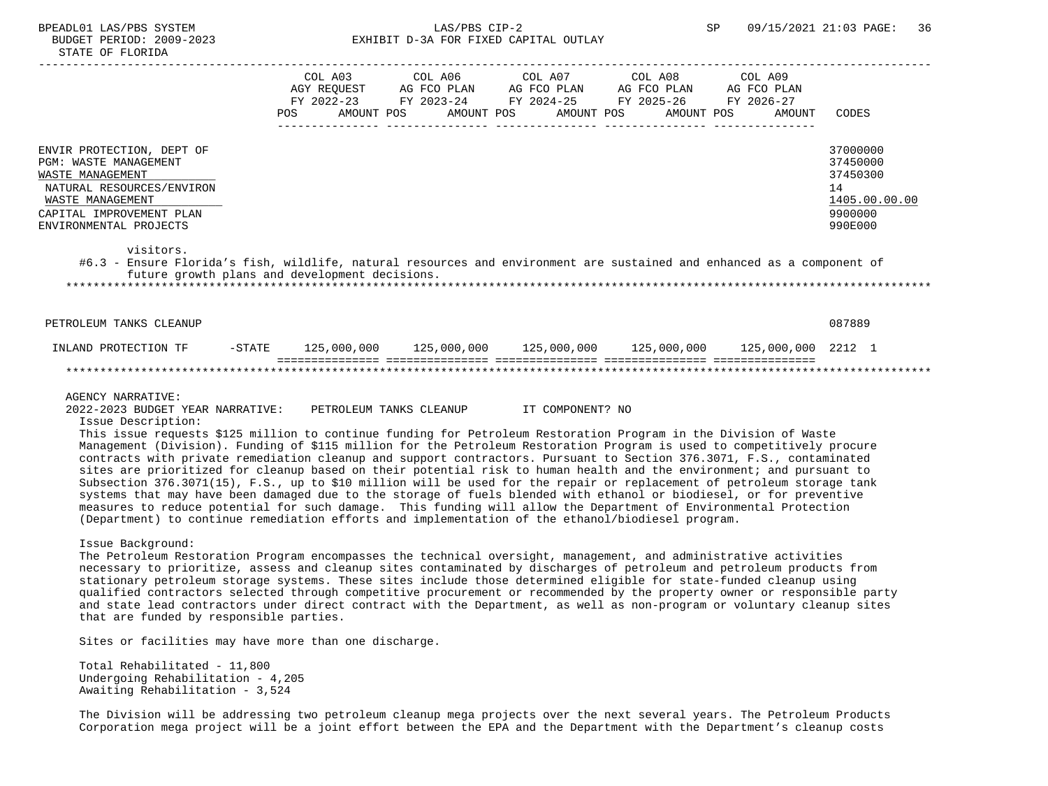|                                                                                                                                                                               | FY 2022-23<br>POS | COL A03<br>AGY REQUEST<br>AMOUNT POS | COL A06<br>AG FCO PLAN<br>FY 2023-24<br>AMOUNT POS | COL A07<br>AG FCO PLAN<br>FY 2024-25<br>AMOUNT POS | COL A08<br>AG FCO PLAN<br>FY 2025-26<br>AMOUNT POS | COL A09<br>AG FCO PLAN<br>FY 2026-27<br>AMOUNT | CODES                                                                         |
|-------------------------------------------------------------------------------------------------------------------------------------------------------------------------------|-------------------|--------------------------------------|----------------------------------------------------|----------------------------------------------------|----------------------------------------------------|------------------------------------------------|-------------------------------------------------------------------------------|
| ENVIR PROTECTION, DEPT OF<br>PGM: WASTE MANAGEMENT<br>WASTE MANAGEMENT<br>NATURAL RESOURCES/ENVIRON<br>WASTE MANAGEMENT<br>CAPITAL IMPROVEMENT PLAN<br>ENVIRONMENTAL PROJECTS |                   |                                      |                                                    |                                                    |                                                    |                                                | 37000000<br>37450000<br>37450300<br>14<br>1405.00.00.00<br>9900000<br>990E000 |
| visitors.                                                                                                                                                                     |                   |                                      |                                                    |                                                    |                                                    |                                                |                                                                               |

 #6.3 - Ensure Florida's fish, wildlife, natural resources and environment are sustained and enhanced as a component of future growth plans and development decisions. \*\*\*\*\*\*\*\*\*\*\*\*\*\*\*\*\*\*\*\*\*\*\*\*\*\*\*\*\*\*\*\*\*\*\*\*\*\*\*\*\*\*\*\*\*\*\*\*\*\*\*\*\*\*\*\*\*\*\*\*\*\*\*\*\*\*\*\*\*\*\*\*\*\*\*\*\*\*\*\*\*\*\*\*\*\*\*\*\*\*\*\*\*\*\*\*\*\*\*\*\*\*\*\*\*\*\*\*\*\*\*\*\*\*\*\*\*\*\*\*\*\*\*\*\*\*\*

| PETROLEUM TANKS CLEANUP |          |             |             |             |             |                    | 087889 |  |
|-------------------------|----------|-------------|-------------|-------------|-------------|--------------------|--------|--|
| INLAND PROTECTION TF    | $-STATE$ | 125,000,000 | 125,000,000 | 125,000,000 | 125,000,000 | 125,000,000 2212 1 |        |  |
|                         |          |             |             |             |             |                    |        |  |

## AGENCY NARRATIVE:

 2022-2023 BUDGET YEAR NARRATIVE: PETROLEUM TANKS CLEANUP IT COMPONENT? NO Issue Description:

 This issue requests \$125 million to continue funding for Petroleum Restoration Program in the Division of Waste Management (Division). Funding of \$115 million for the Petroleum Restoration Program is used to competitively procure contracts with private remediation cleanup and support contractors. Pursuant to Section 376.3071, F.S., contaminated sites are prioritized for cleanup based on their potential risk to human health and the environment; and pursuant to Subsection 376.3071(15), F.S., up to \$10 million will be used for the repair or replacement of petroleum storage tank systems that may have been damaged due to the storage of fuels blended with ethanol or biodiesel, or for preventive measures to reduce potential for such damage. This funding will allow the Department of Environmental Protection (Department) to continue remediation efforts and implementation of the ethanol/biodiesel program.

#### Issue Background:

 The Petroleum Restoration Program encompasses the technical oversight, management, and administrative activities necessary to prioritize, assess and cleanup sites contaminated by discharges of petroleum and petroleum products from stationary petroleum storage systems. These sites include those determined eligible for state-funded cleanup using qualified contractors selected through competitive procurement or recommended by the property owner or responsible party and state lead contractors under direct contract with the Department, as well as non-program or voluntary cleanup sites that are funded by responsible parties.

Sites or facilities may have more than one discharge.

 Total Rehabilitated - 11,800 Undergoing Rehabilitation - 4,205 Awaiting Rehabilitation - 3,524

 The Division will be addressing two petroleum cleanup mega projects over the next several years. The Petroleum Products Corporation mega project will be a joint effort between the EPA and the Department with the Department's cleanup costs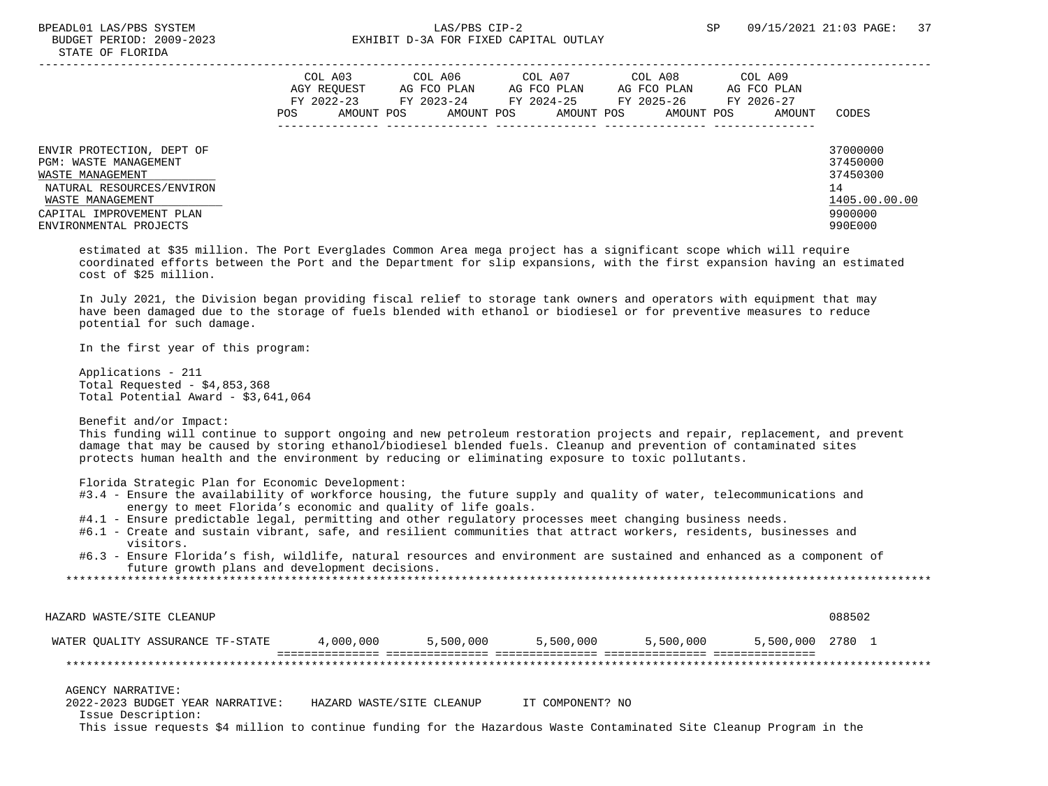|                                                                                                                                                                               | COL A03<br>AGY REOUEST<br>FY 2022-23<br>POS. | AMOUNT POS | COL A06<br>AG FCO PLAN<br>FY 2023-24<br>AMOUNT POS | COL A07<br>AG FCO PLAN<br>FY 2024-25<br>AMOUNT POS | COL A08<br>AG FCO PLAN<br>FY 2025-26<br>AMOUNT POS | COL A09<br>AG FCO PLAN<br>FY 2026-27<br>AMOUNT | CODES                                                                         |
|-------------------------------------------------------------------------------------------------------------------------------------------------------------------------------|----------------------------------------------|------------|----------------------------------------------------|----------------------------------------------------|----------------------------------------------------|------------------------------------------------|-------------------------------------------------------------------------------|
| ENVIR PROTECTION, DEPT OF<br>PGM: WASTE MANAGEMENT<br>WASTE MANAGEMENT<br>NATURAL RESOURCES/ENVIRON<br>WASTE MANAGEMENT<br>CAPITAL IMPROVEMENT PLAN<br>ENVIRONMENTAL PROJECTS |                                              |            |                                                    |                                                    |                                                    |                                                | 37000000<br>37450000<br>37450300<br>14<br>1405.00.00.00<br>9900000<br>990E000 |

 estimated at \$35 million. The Port Everglades Common Area mega project has a significant scope which will require coordinated efforts between the Port and the Department for slip expansions, with the first expansion having an estimated cost of \$25 million.

 In July 2021, the Division began providing fiscal relief to storage tank owners and operators with equipment that may have been damaged due to the storage of fuels blended with ethanol or biodiesel or for preventive measures to reduce potential for such damage.

In the first year of this program:

 Applications - 211 Total Requested - \$4,853,368 Total Potential Award - \$3,641,064

Benefit and/or Impact:

 This funding will continue to support ongoing and new petroleum restoration projects and repair, replacement, and prevent damage that may be caused by storing ethanol/biodiesel blended fuels. Cleanup and prevention of contaminated sites protects human health and the environment by reducing or eliminating exposure to toxic pollutants.

Florida Strategic Plan for Economic Development:

- #3.4 Ensure the availability of workforce housing, the future supply and quality of water, telecommunications and energy to meet Florida's economic and quality of life goals.
- #4.1 Ensure predictable legal, permitting and other regulatory processes meet changing business needs.
- #6.1 Create and sustain vibrant, safe, and resilient communities that attract workers, residents, businesses and visitors.
- #6.3 Ensure Florida's fish, wildlife, natural resources and environment are sustained and enhanced as a component of future growth plans and development decisions.

 HAZARD WASTE/SITE CLEANUP 088502 WATER QUALITY ASSURANCE TF-STATE 4,000,000 5,500,000 5,500,000 5,500,000 5,500,000 2780 1 =============== =============== =============== =============== =============== \*\*\*\*\*\*\*\*\*\*\*\*\*\*\*\*\*\*\*\*\*\*\*\*\*\*\*\*\*\*\*\*\*\*\*\*\*\*\*\*\*\*\*\*\*\*\*\*\*\*\*\*\*\*\*\*\*\*\*\*\*\*\*\*\*\*\*\*\*\*\*\*\*\*\*\*\*\*\*\*\*\*\*\*\*\*\*\*\*\*\*\*\*\*\*\*\*\*\*\*\*\*\*\*\*\*\*\*\*\*\*\*\*\*\*\*\*\*\*\*\*\*\*\*\*\*\* AGENCY NARRATIVE: 2022-2023 BUDGET YEAR NARRATIVE: HAZARD WASTE/SITE CLEANUP IT COMPONENT? NO Issue Description:

This issue requests \$4 million to continue funding for the Hazardous Waste Contaminated Site Cleanup Program in the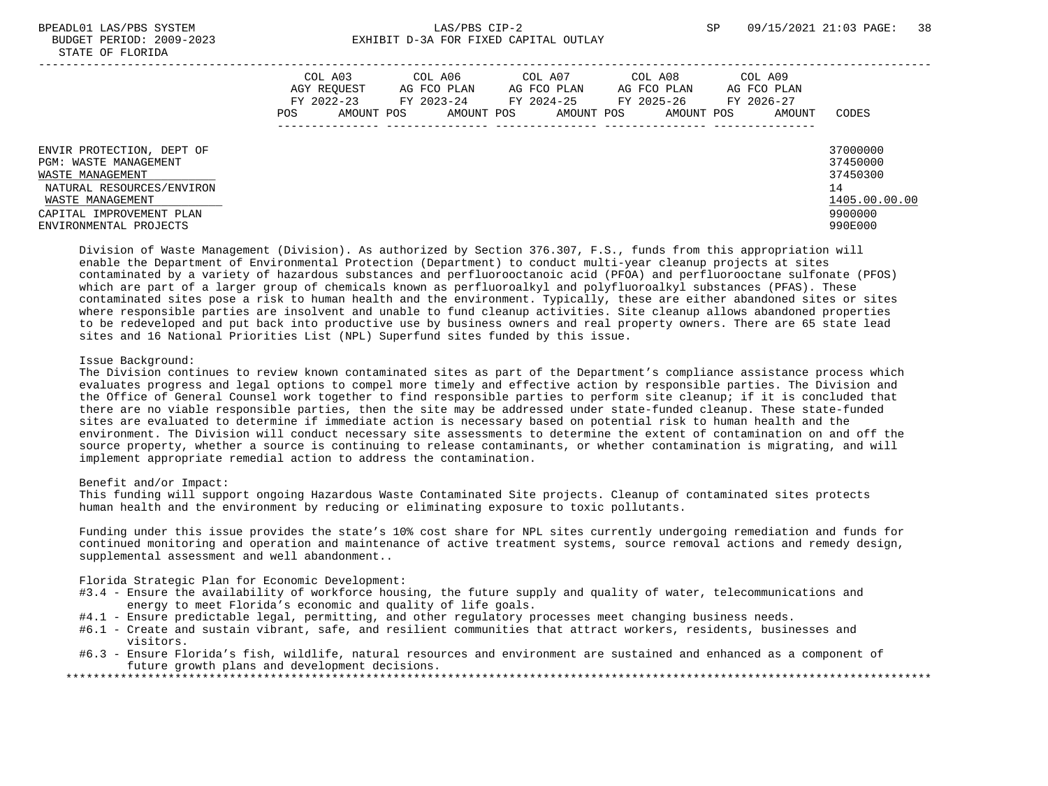# BPEADL01 LAS/PBS SYSTEM SALLAS/PBS CIP-2 SP 09/15/2021 21:03 PAGE: 38 BUDGET PERIOD: 2009-2023 EXHIBIT D-3A FOR FIXED CAPITAL OUTLAY

|                                                                                                                                                                               | COL A03<br>AGY REOUEST<br>FY 2022-23<br>POS | COL A06<br>AG FCO PLAN<br>FY 2023-24<br>AMOUNT POS<br>AMOUNT POS | COL A07<br>AG FCO PLAN<br>FY 2024-25<br>AMOUNT POS | COL A08<br>AG FCO PLAN<br>FY 2025-26<br>AMOUNT POS | COL A09<br>AG FCO PLAN<br>FY 2026-27<br>AMOUNT | CODES                                                                         |
|-------------------------------------------------------------------------------------------------------------------------------------------------------------------------------|---------------------------------------------|------------------------------------------------------------------|----------------------------------------------------|----------------------------------------------------|------------------------------------------------|-------------------------------------------------------------------------------|
| ENVIR PROTECTION, DEPT OF<br>PGM: WASTE MANAGEMENT<br>WASTE MANAGEMENT<br>NATURAL RESOURCES/ENVIRON<br>WASTE MANAGEMENT<br>CAPITAL IMPROVEMENT PLAN<br>ENVIRONMENTAL PROJECTS |                                             |                                                                  |                                                    |                                                    |                                                | 37000000<br>37450000<br>37450300<br>14<br>1405.00.00.00<br>9900000<br>990E000 |

 Division of Waste Management (Division). As authorized by Section 376.307, F.S., funds from this appropriation will enable the Department of Environmental Protection (Department) to conduct multi-year cleanup projects at sites contaminated by a variety of hazardous substances and perfluorooctanoic acid (PFOA) and perfluorooctane sulfonate (PFOS) which are part of a larger group of chemicals known as perfluoroalkyl and polyfluoroalkyl substances (PFAS). These contaminated sites pose a risk to human health and the environment. Typically, these are either abandoned sites or sites where responsible parties are insolvent and unable to fund cleanup activities. Site cleanup allows abandoned properties to be redeveloped and put back into productive use by business owners and real property owners. There are 65 state lead sites and 16 National Priorities List (NPL) Superfund sites funded by this issue.

## Issue Background:

 The Division continues to review known contaminated sites as part of the Department's compliance assistance process which evaluates progress and legal options to compel more timely and effective action by responsible parties. The Division and the Office of General Counsel work together to find responsible parties to perform site cleanup; if it is concluded that there are no viable responsible parties, then the site may be addressed under state-funded cleanup. These state-funded sites are evaluated to determine if immediate action is necessary based on potential risk to human health and the environment. The Division will conduct necessary site assessments to determine the extent of contamination on and off the source property, whether a source is continuing to release contaminants, or whether contamination is migrating, and will implement appropriate remedial action to address the contamination.

#### Benefit and/or Impact:

 This funding will support ongoing Hazardous Waste Contaminated Site projects. Cleanup of contaminated sites protects human health and the environment by reducing or eliminating exposure to toxic pollutants.

 Funding under this issue provides the state's 10% cost share for NPL sites currently undergoing remediation and funds for continued monitoring and operation and maintenance of active treatment systems, source removal actions and remedy design, supplemental assessment and well abandonment..

Florida Strategic Plan for Economic Development:

- #3.4 Ensure the availability of workforce housing, the future supply and quality of water, telecommunications and energy to meet Florida's economic and quality of life goals.
- #4.1 Ensure predictable legal, permitting, and other regulatory processes meet changing business needs.
- #6.1 Create and sustain vibrant, safe, and resilient communities that attract workers, residents, businesses and visitors.
- #6.3 Ensure Florida's fish, wildlife, natural resources and environment are sustained and enhanced as a component of future growth plans and development decisions.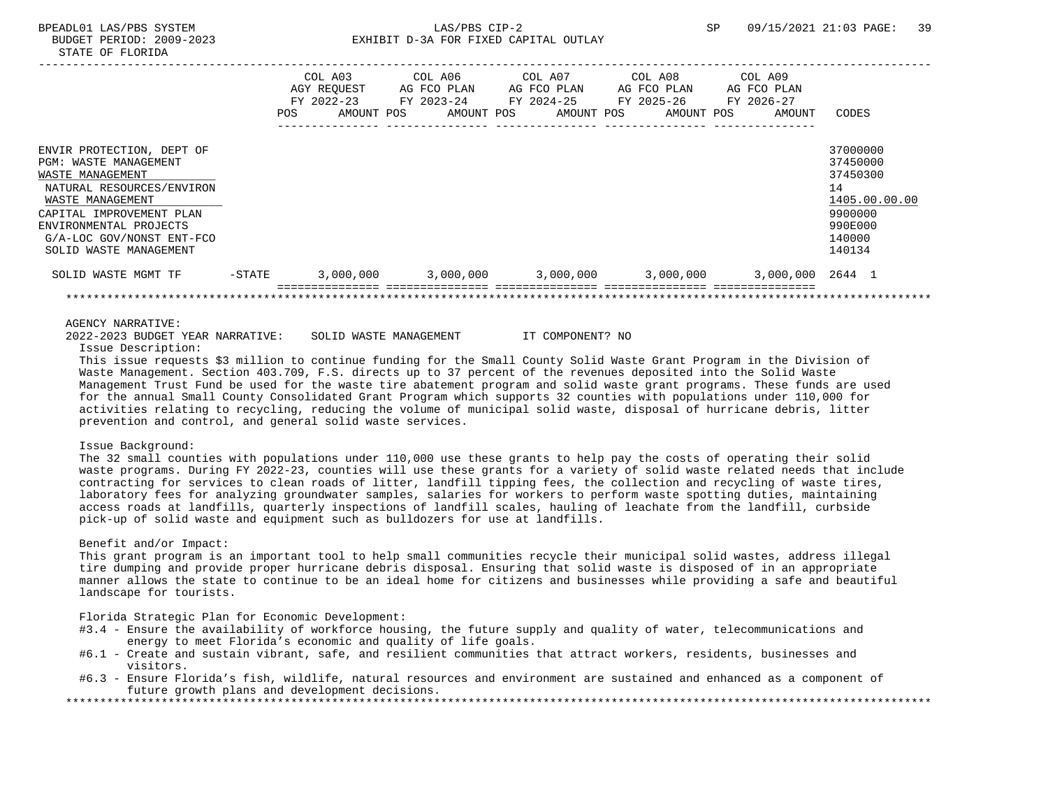|                                                                                                                                                                                                                                      | POS.   | COL A03<br>AGY REOUEST<br>FY 2022-23<br>AMOUNT POS | COL A06<br>AG FCO PLAN<br>FY 2023-24<br>AMOUNT POS | COL A07<br>AG FCO PLAN<br>FY 2024-25<br>AMOUNT POS | COL A08<br>AG FCO PLAN<br>FY 2025-26<br>AMOUNT POS | COL A09<br>AG FCO PLAN<br>FY 2026-27<br>AMOUNT | CODES                                                                                             |
|--------------------------------------------------------------------------------------------------------------------------------------------------------------------------------------------------------------------------------------|--------|----------------------------------------------------|----------------------------------------------------|----------------------------------------------------|----------------------------------------------------|------------------------------------------------|---------------------------------------------------------------------------------------------------|
| ENVIR PROTECTION, DEPT OF<br>PGM: WASTE MANAGEMENT<br>WASTE MANAGEMENT<br>NATURAL RESOURCES/ENVIRON<br>WASTE MANAGEMENT<br>CAPITAL IMPROVEMENT PLAN<br>ENVIRONMENTAL PROJECTS<br>G/A-LOC GOV/NONST ENT-FCO<br>SOLID WASTE MANAGEMENT |        |                                                    |                                                    |                                                    |                                                    |                                                | 37000000<br>37450000<br>37450300<br>14<br>1405.00.00.00<br>9900000<br>990E000<br>140000<br>140134 |
| SOLID WASTE MGMT TF                                                                                                                                                                                                                  | -STATE | 3,000,000                                          | 3,000,000                                          |                                                    | 3,000,000 3,000,000                                | 3,000,000 2644 1                               |                                                                                                   |
|                                                                                                                                                                                                                                      |        |                                                    |                                                    |                                                    |                                                    |                                                |                                                                                                   |

2022-2023 BUDGET YEAR NARRATIVE: SOLID WASTE MANAGEMENT IT COMPONENT? NO

Issue Description:

 This issue requests \$3 million to continue funding for the Small County Solid Waste Grant Program in the Division of Waste Management. Section 403.709, F.S. directs up to 37 percent of the revenues deposited into the Solid Waste Management Trust Fund be used for the waste tire abatement program and solid waste grant programs. These funds are used for the annual Small County Consolidated Grant Program which supports 32 counties with populations under 110,000 for activities relating to recycling, reducing the volume of municipal solid waste, disposal of hurricane debris, litter prevention and control, and general solid waste services.

## Issue Background:

 The 32 small counties with populations under 110,000 use these grants to help pay the costs of operating their solid waste programs. During FY 2022-23, counties will use these grants for a variety of solid waste related needs that include contracting for services to clean roads of litter, landfill tipping fees, the collection and recycling of waste tires, laboratory fees for analyzing groundwater samples, salaries for workers to perform waste spotting duties, maintaining access roads at landfills, quarterly inspections of landfill scales, hauling of leachate from the landfill, curbside pick-up of solid waste and equipment such as bulldozers for use at landfills.

#### Benefit and/or Impact:

 This grant program is an important tool to help small communities recycle their municipal solid wastes, address illegal tire dumping and provide proper hurricane debris disposal. Ensuring that solid waste is disposed of in an appropriate manner allows the state to continue to be an ideal home for citizens and businesses while providing a safe and beautiful landscape for tourists.

Florida Strategic Plan for Economic Development:

- #3.4 Ensure the availability of workforce housing, the future supply and quality of water, telecommunications and energy to meet Florida's economic and quality of life goals.
- #6.1 Create and sustain vibrant, safe, and resilient communities that attract workers, residents, businesses and visitors.
- #6.3 Ensure Florida's fish, wildlife, natural resources and environment are sustained and enhanced as a component of future growth plans and development decisions.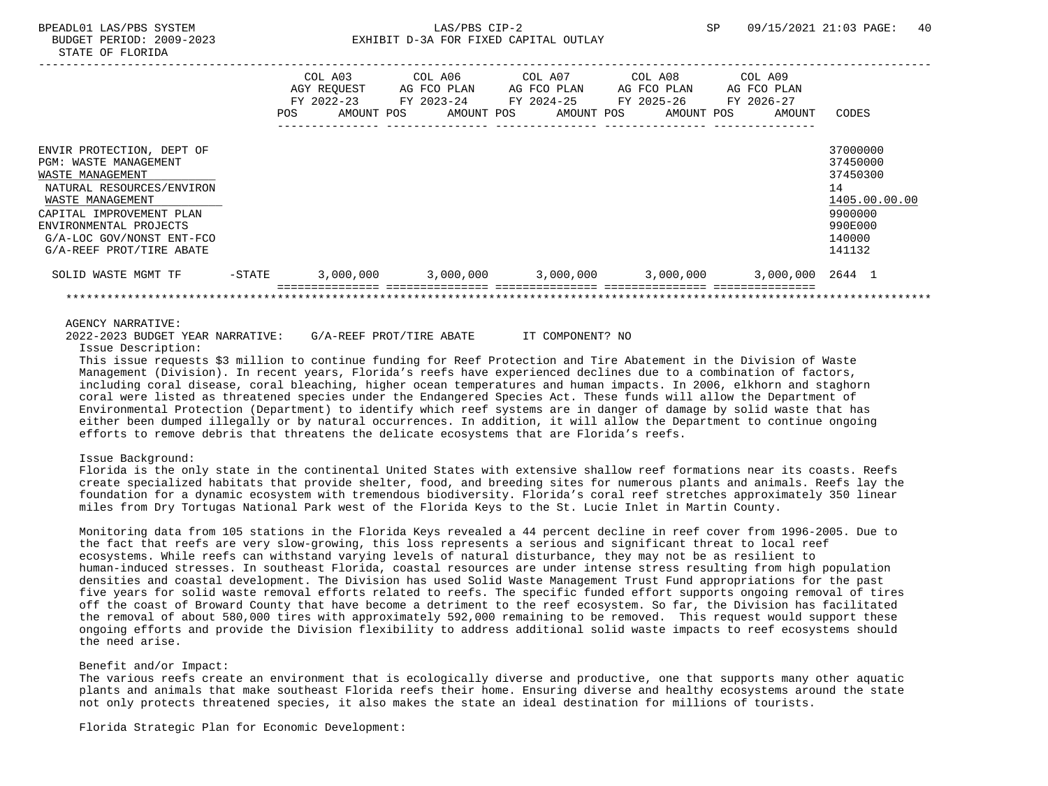|                                                                                                                                                                                                                                               | POS       | COL A03<br>AGY REOUEST<br>FY 2022-23<br>AMOUNT POS | COL A06<br>AG FCO PLAN<br>FY 2023-24<br>AMOUNT POS | COL A07<br>FY 2024-25 | AG FCO PLAN<br>AMOUNT POS | COL A08<br>AG FCO PLAN<br>FY 2025-26<br>AMOUNT POS | COL A09<br>AG FCO PLAN<br>FY 2026-27<br>AMOUNT | CODES                                                                                             |
|-----------------------------------------------------------------------------------------------------------------------------------------------------------------------------------------------------------------------------------------------|-----------|----------------------------------------------------|----------------------------------------------------|-----------------------|---------------------------|----------------------------------------------------|------------------------------------------------|---------------------------------------------------------------------------------------------------|
| ENVIR PROTECTION, DEPT OF<br><b>PGM: WASTE MANAGEMENT</b><br>WASTE MANAGEMENT<br>NATURAL RESOURCES/ENVIRON<br>WASTE MANAGEMENT<br>CAPITAL IMPROVEMENT PLAN<br>ENVIRONMENTAL PROJECTS<br>G/A-LOC GOV/NONST ENT-FCO<br>G/A-REEF PROT/TIRE ABATE |           |                                                    |                                                    |                       |                           |                                                    |                                                | 37000000<br>37450000<br>37450300<br>14<br>1405.00.00.00<br>9900000<br>990E000<br>140000<br>141132 |
| SOLID WASTE MGMT TF                                                                                                                                                                                                                           | $-$ STATE | 3,000,000                                          | 3,000,000                                          |                       | 3,000,000                 | 3,000,000                                          | 3,000,000 2644 1                               |                                                                                                   |
|                                                                                                                                                                                                                                               |           |                                                    |                                                    |                       |                           |                                                    |                                                |                                                                                                   |

2022-2023 BUDGET YEAR NARRATIVE: G/A-REEF PROT/TIRE ABATE IT COMPONENT? NO

Issue Description:

 This issue requests \$3 million to continue funding for Reef Protection and Tire Abatement in the Division of Waste Management (Division). In recent years, Florida's reefs have experienced declines due to a combination of factors, including coral disease, coral bleaching, higher ocean temperatures and human impacts. In 2006, elkhorn and staghorn coral were listed as threatened species under the Endangered Species Act. These funds will allow the Department of Environmental Protection (Department) to identify which reef systems are in danger of damage by solid waste that has either been dumped illegally or by natural occurrences. In addition, it will allow the Department to continue ongoing efforts to remove debris that threatens the delicate ecosystems that are Florida's reefs.

#### Issue Background:

 Florida is the only state in the continental United States with extensive shallow reef formations near its coasts. Reefs create specialized habitats that provide shelter, food, and breeding sites for numerous plants and animals. Reefs lay the foundation for a dynamic ecosystem with tremendous biodiversity. Florida's coral reef stretches approximately 350 linear miles from Dry Tortugas National Park west of the Florida Keys to the St. Lucie Inlet in Martin County.

 Monitoring data from 105 stations in the Florida Keys revealed a 44 percent decline in reef cover from 1996-2005. Due to the fact that reefs are very slow-growing, this loss represents a serious and significant threat to local reef ecosystems. While reefs can withstand varying levels of natural disturbance, they may not be as resilient to human-induced stresses. In southeast Florida, coastal resources are under intense stress resulting from high population densities and coastal development. The Division has used Solid Waste Management Trust Fund appropriations for the past five years for solid waste removal efforts related to reefs. The specific funded effort supports ongoing removal of tires off the coast of Broward County that have become a detriment to the reef ecosystem. So far, the Division has facilitated the removal of about 580,000 tires with approximately 592,000 remaining to be removed. This request would support these ongoing efforts and provide the Division flexibility to address additional solid waste impacts to reef ecosystems should the need arise.

## Benefit and/or Impact:

 The various reefs create an environment that is ecologically diverse and productive, one that supports many other aquatic plants and animals that make southeast Florida reefs their home. Ensuring diverse and healthy ecosystems around the state not only protects threatened species, it also makes the state an ideal destination for millions of tourists.

Florida Strategic Plan for Economic Development: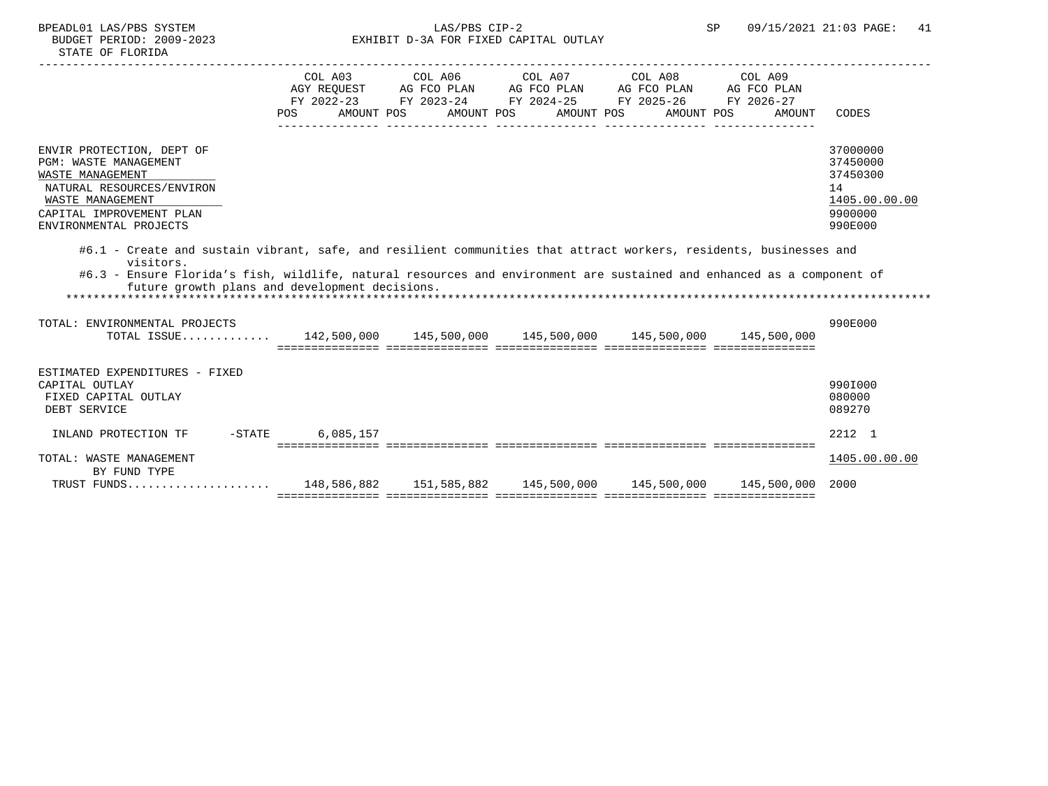| COL A03 COL A06 COL A07 COL A08 COL A09                                                                                                                                               |                 |
|---------------------------------------------------------------------------------------------------------------------------------------------------------------------------------------|-----------------|
| AGY REQUEST AG FCO PLAN AG FCO PLAN AG FCO PLAN AG FCO PLAN                                                                                                                           |                 |
| FY 2022-23 FY 2023-24 FY 2024-25 FY 2025-26 FY 2026-27                                                                                                                                |                 |
| AMOUNT POS AMOUNT POS AMOUNT POS AMOUNT POS<br>POS                                                                                                                                    | AMOUNT<br>CODES |
|                                                                                                                                                                                       |                 |
| ENVIR PROTECTION, DEPT OF                                                                                                                                                             | 37000000        |
| <b>PGM: WASTE MANAGEMENT</b>                                                                                                                                                          | 37450000        |
| WASTE MANAGEMENT                                                                                                                                                                      | 37450300        |
| NATURAL RESOURCES/ENVIRON                                                                                                                                                             | 14              |
| WASTE MANAGEMENT                                                                                                                                                                      | 1405.00.00.00   |
| CAPITAL IMPROVEMENT PLAN                                                                                                                                                              | 9900000         |
| ENVIRONMENTAL PROJECTS                                                                                                                                                                | 990E000         |
| visitors.<br>#6.3 - Ensure Florida's fish, wildlife, natural resources and environment are sustained and enhanced as a component of<br>future growth plans and development decisions. |                 |
| TOTAL: ENVIRONMENTAL PROJECTS<br>TOTAL ISSUE 142,500,000 145,500,000 145,500,000 145,500,000 145,500,000                                                                              | 990E000         |
|                                                                                                                                                                                       |                 |
|                                                                                                                                                                                       |                 |
| ESTIMATED EXPENDITURES - FIXED<br>CAPITAL OUTLAY                                                                                                                                      | 990I000         |
| FIXED CAPITAL OUTLAY                                                                                                                                                                  | 080000          |
| DEBT SERVICE                                                                                                                                                                          | 089270          |
|                                                                                                                                                                                       |                 |
| 6,085,157<br>INLAND PROTECTION TF -STATE                                                                                                                                              | 2212 1          |
| TOTAL: WASTE MANAGEMENT                                                                                                                                                               | 1405.00.00.00   |
| BY FUND TYPE                                                                                                                                                                          |                 |
| TRUST FUNDS 148,586,882 151,585,882 145,500,000 145,500,000 145,500,000 2000                                                                                                          |                 |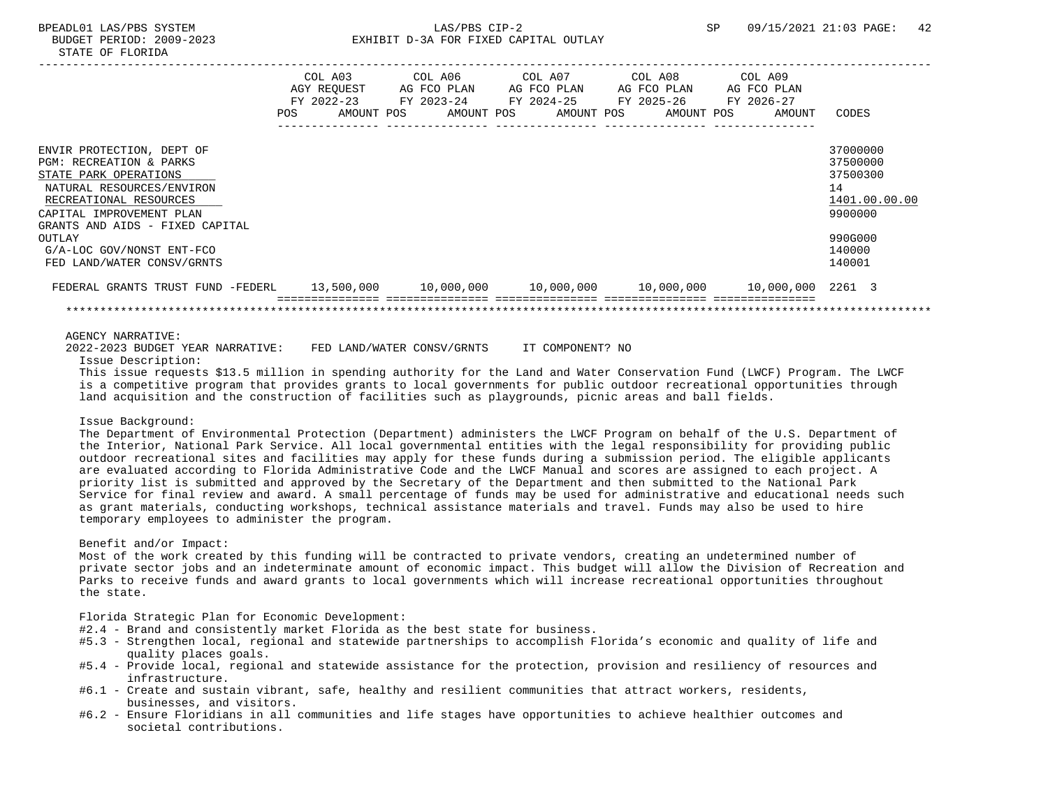|                                                                                                                                                                                                                                                                                     | POS | COL A03<br>AGY REOUEST<br>FY 2022-23<br>AMOUNT POS | AG FCO PLAN<br>FY 2023-24<br>AMOUNT POS |  | AG FCO PLAN<br>AMOUNT POS | AG FCO PLAN<br>FY 2024-25 FY 2025-26<br>AMOUNT POS | COL A09<br>AG FCO PLAN<br>FY 2026-27<br>AMOUNT                        | CODES                                                                                             |
|-------------------------------------------------------------------------------------------------------------------------------------------------------------------------------------------------------------------------------------------------------------------------------------|-----|----------------------------------------------------|-----------------------------------------|--|---------------------------|----------------------------------------------------|-----------------------------------------------------------------------|---------------------------------------------------------------------------------------------------|
| ENVIR PROTECTION, DEPT OF<br><b>PGM: RECREATION &amp; PARKS</b><br>STATE PARK OPERATIONS<br>NATURAL RESOURCES/ENVIRON<br>RECREATIONAL RESOURCES<br>CAPITAL IMPROVEMENT PLAN<br>GRANTS AND AIDS - FIXED CAPITAL<br>OUTLAY<br>G/A-LOC GOV/NONST ENT-FCO<br>FED LAND/WATER CONSV/GRNTS |     |                                                    |                                         |  |                           |                                                    |                                                                       | 37000000<br>37500000<br>37500300<br>14<br>1401.00.00.00<br>9900000<br>990G000<br>140000<br>140001 |
| FEDERAL GRANTS TRUST FUND -FEDERL                                                                                                                                                                                                                                                   |     | 13,500,000                                         |                                         |  |                           |                                                    | $10,000,000$ $10,000,000$ $10,000,000$ $10,000$ $10,000,000$ $2261$ 3 |                                                                                                   |

2022-2023 BUDGET YEAR NARRATIVE: FED LAND/WATER CONSV/GRNTS IT COMPONENT? NO

Issue Description:

 This issue requests \$13.5 million in spending authority for the Land and Water Conservation Fund (LWCF) Program. The LWCF is a competitive program that provides grants to local governments for public outdoor recreational opportunities through land acquisition and the construction of facilities such as playgrounds, picnic areas and ball fields.

#### Issue Background:

 The Department of Environmental Protection (Department) administers the LWCF Program on behalf of the U.S. Department of the Interior, National Park Service. All local governmental entities with the legal responsibility for providing public outdoor recreational sites and facilities may apply for these funds during a submission period. The eligible applicants are evaluated according to Florida Administrative Code and the LWCF Manual and scores are assigned to each project. A priority list is submitted and approved by the Secretary of the Department and then submitted to the National Park Service for final review and award. A small percentage of funds may be used for administrative and educational needs such as grant materials, conducting workshops, technical assistance materials and travel. Funds may also be used to hire temporary employees to administer the program.

#### Benefit and/or Impact:

 Most of the work created by this funding will be contracted to private vendors, creating an undetermined number of private sector jobs and an indeterminate amount of economic impact. This budget will allow the Division of Recreation and Parks to receive funds and award grants to local governments which will increase recreational opportunities throughout the state.

Florida Strategic Plan for Economic Development:

- #2.4 Brand and consistently market Florida as the best state for business.
- #5.3 Strengthen local, regional and statewide partnerships to accomplish Florida's economic and quality of life and quality places goals.
- #5.4 Provide local, regional and statewide assistance for the protection, provision and resiliency of resources and infrastructure.
- #6.1 Create and sustain vibrant, safe, healthy and resilient communities that attract workers, residents, businesses, and visitors.
- #6.2 Ensure Floridians in all communities and life stages have opportunities to achieve healthier outcomes and societal contributions.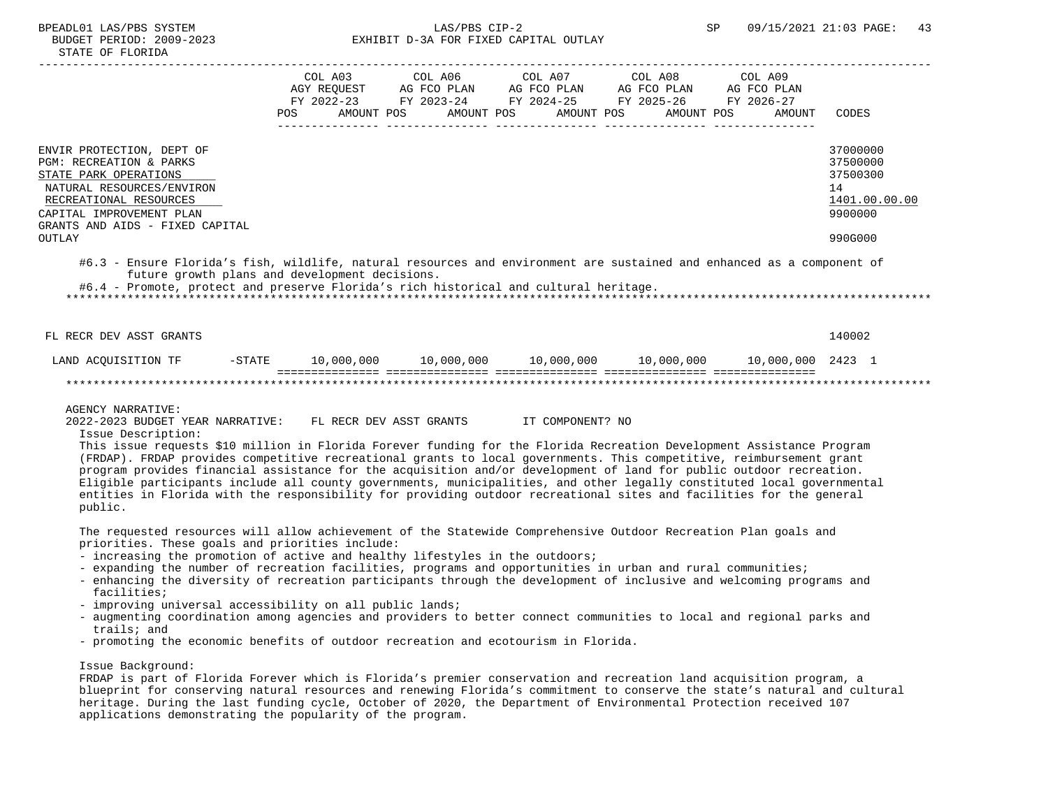|                                                                                                                                                                                                                                                                   | COL A03<br>FY 2022-23<br>POS | COL A06<br>AGY REQUEST AG FCO PLAN<br>FY 2023-24<br>AMOUNT POS | COL A07<br>AG FCO PLAN AG FCO PLAN<br>FY 2024-25 FY 2025-26<br>AMOUNT POS | COL A08<br>AMOUNT POS AMOUNT POS | COL A09<br>AG FCO PLAN<br>FY 2026-27<br>AMOUNT | CODES                                                              |
|-------------------------------------------------------------------------------------------------------------------------------------------------------------------------------------------------------------------------------------------------------------------|------------------------------|----------------------------------------------------------------|---------------------------------------------------------------------------|----------------------------------|------------------------------------------------|--------------------------------------------------------------------|
| ENVIR PROTECTION, DEPT OF<br>PGM: RECREATION & PARKS<br>STATE PARK OPERATIONS<br>NATURAL RESOURCES/ENVIRON<br>RECREATIONAL RESOURCES<br>CAPITAL IMPROVEMENT PLAN<br>GRANTS AND AIDS - FIXED CAPITAL                                                               |                              |                                                                |                                                                           |                                  |                                                | 37000000<br>37500000<br>37500300<br>14<br>1401.00.00.00<br>9900000 |
| OUTLAY                                                                                                                                                                                                                                                            |                              |                                                                |                                                                           |                                  |                                                | 990G000                                                            |
| #6.3 - Ensure Florida's fish, wildlife, natural resources and environment are sustained and enhanced as a component of<br>future growth plans and development decisions.<br>#6.4 - Promote, protect and preserve Florida's rich historical and cultural heritage. |                              |                                                                |                                                                           |                                  |                                                |                                                                    |
| FL RECR DEV ASST GRANTS                                                                                                                                                                                                                                           |                              |                                                                |                                                                           |                                  |                                                | 140002                                                             |
| LAND ACQUISITION TF<br>-STATE                                                                                                                                                                                                                                     |                              |                                                                |                                                                           |                                  |                                                |                                                                    |
|                                                                                                                                                                                                                                                                   |                              |                                                                |                                                                           |                                  |                                                |                                                                    |

 2022-2023 BUDGET YEAR NARRATIVE: FL RECR DEV ASST GRANTS IT COMPONENT? NO Issue Description:

 This issue requests \$10 million in Florida Forever funding for the Florida Recreation Development Assistance Program (FRDAP). FRDAP provides competitive recreational grants to local governments. This competitive, reimbursement grant program provides financial assistance for the acquisition and/or development of land for public outdoor recreation. Eligible participants include all county governments, municipalities, and other legally constituted local governmental entities in Florida with the responsibility for providing outdoor recreational sites and facilities for the general public.

 The requested resources will allow achievement of the Statewide Comprehensive Outdoor Recreation Plan goals and priorities. These goals and priorities include:

- increasing the promotion of active and healthy lifestyles in the outdoors;
- expanding the number of recreation facilities, programs and opportunities in urban and rural communities;
- enhancing the diversity of recreation participants through the development of inclusive and welcoming programs and facilities;
- improving universal accessibility on all public lands;
- augmenting coordination among agencies and providers to better connect communities to local and regional parks and trails; and
- promoting the economic benefits of outdoor recreation and ecotourism in Florida.

### Issue Background:

 FRDAP is part of Florida Forever which is Florida's premier conservation and recreation land acquisition program, a blueprint for conserving natural resources and renewing Florida's commitment to conserve the state's natural and cultural heritage. During the last funding cycle, October of 2020, the Department of Environmental Protection received 107 applications demonstrating the popularity of the program.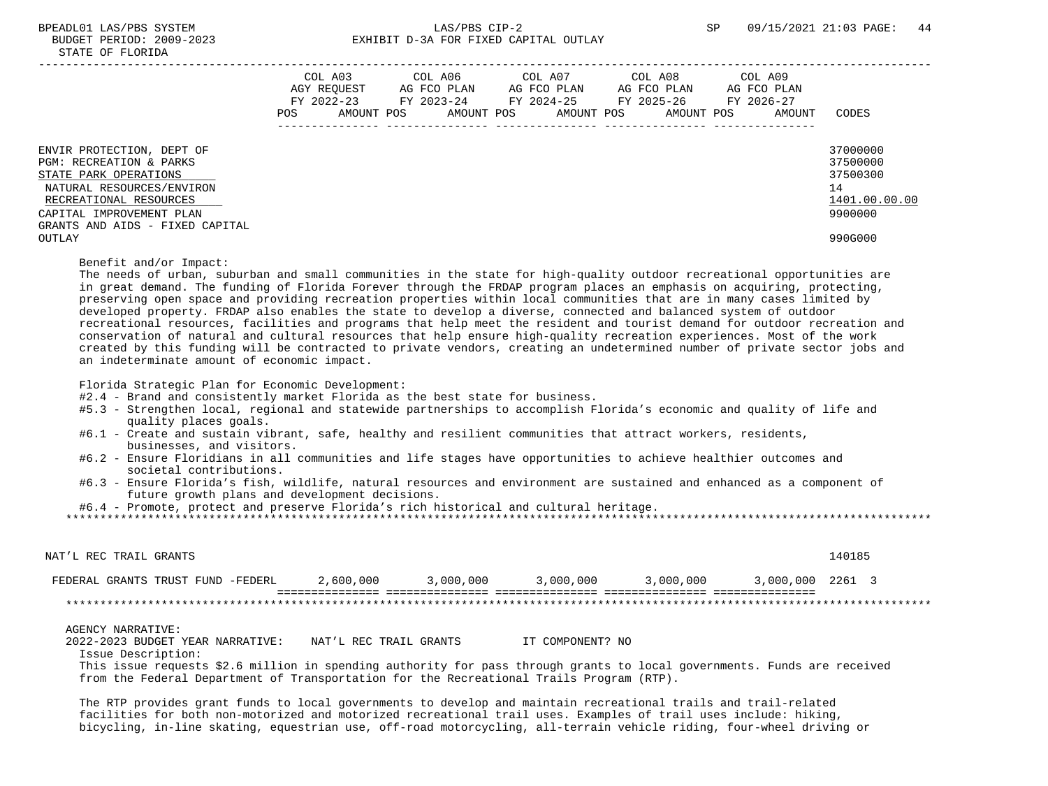|                                                                                                                                                                                                               | COL A03<br>AGY REOUEST<br>FY 2022-23<br>POS | AMOUNT POS | COL A06<br>AG FCO PLAN<br>FY 2023-24 | AMOUNT POS | COL A07<br>AG FCO PLAN<br>FY 2024-25 FY 2025-26<br>AMOUNT POS | COL A08<br>AG FCO PLAN<br>AMOUNT POS | COL A09<br>AG FCO PLAN<br>FY 2026-27<br>AMOUNT | CODES                                                                         |
|---------------------------------------------------------------------------------------------------------------------------------------------------------------------------------------------------------------|---------------------------------------------|------------|--------------------------------------|------------|---------------------------------------------------------------|--------------------------------------|------------------------------------------------|-------------------------------------------------------------------------------|
| ENVIR PROTECTION, DEPT OF<br>PGM: RECREATION & PARKS<br>STATE PARK OPERATIONS<br>NATURAL RESOURCES/ENVIRON<br>RECREATIONAL RESOURCES<br>CAPITAL IMPROVEMENT PLAN<br>GRANTS AND AIDS - FIXED CAPITAL<br>OUTLAY |                                             |            |                                      |            |                                                               |                                      |                                                | 37000000<br>37500000<br>37500300<br>14<br>1401.00.00.00<br>9900000<br>990G000 |

Benefit and/or Impact:

 The needs of urban, suburban and small communities in the state for high-quality outdoor recreational opportunities are in great demand. The funding of Florida Forever through the FRDAP program places an emphasis on acquiring, protecting, preserving open space and providing recreation properties within local communities that are in many cases limited by developed property. FRDAP also enables the state to develop a diverse, connected and balanced system of outdoor recreational resources, facilities and programs that help meet the resident and tourist demand for outdoor recreation and conservation of natural and cultural resources that help ensure high-quality recreation experiences. Most of the work created by this funding will be contracted to private vendors, creating an undetermined number of private sector jobs and an indeterminate amount of economic impact.

Florida Strategic Plan for Economic Development:

#2.4 - Brand and consistently market Florida as the best state for business.

- #5.3 Strengthen local, regional and statewide partnerships to accomplish Florida's economic and quality of life and quality places goals.
- #6.1 Create and sustain vibrant, safe, healthy and resilient communities that attract workers, residents, businesses, and visitors.
- #6.2 Ensure Floridians in all communities and life stages have opportunities to achieve healthier outcomes and societal contributions.
- #6.3 Ensure Florida's fish, wildlife, natural resources and environment are sustained and enhanced as a component of future growth plans and development decisions.

#6.4 - Promote, protect and preserve Florida's rich historical and cultural heritage.

\*\*\*\*\*\*\*\*\*\*\*\*\*\*\*\*\*\*\*\*\*\*\*\*\*\*\*\*\*\*\*\*\*\*\*\*\*\*\*\*\*\*\*\*\*\*\*\*\*\*\*\*\*\*\*\*\*\*\*\*\*\*\*\*\*\*\*\*\*\*\*\*\*\*\*\*\*\*\*\*\*\*\*\*\*\*\*\*\*\*\*\*\*\*\*\*\*\*\*\*\*\*\*\*\*\*\*\*\*\*\*\*\*\*\*\*\*\*\*\*\*\*\*\*\*\*\*

| NAT'L REC TRAIL GRANTS            |           |           |           |           |                  | 140185 |
|-----------------------------------|-----------|-----------|-----------|-----------|------------------|--------|
| FEDERAL GRANTS TRUST FUND -FEDERL | 2,600,000 | 3,000,000 | 3,000,000 | 3,000,000 | 3,000,000 2261 3 |        |
|                                   |           |           |           |           |                  |        |

#### AGENCY NARRATIVE:

 2022-2023 BUDGET YEAR NARRATIVE: NAT'L REC TRAIL GRANTS IT COMPONENT? NO Issue Description: This issue requests \$2.6 million in spending authority for pass through grants to local governments. Funds are received from the Federal Department of Transportation for the Recreational Trails Program (RTP).

 The RTP provides grant funds to local governments to develop and maintain recreational trails and trail-related facilities for both non-motorized and motorized recreational trail uses. Examples of trail uses include: hiking, bicycling, in-line skating, equestrian use, off-road motorcycling, all-terrain vehicle riding, four-wheel driving or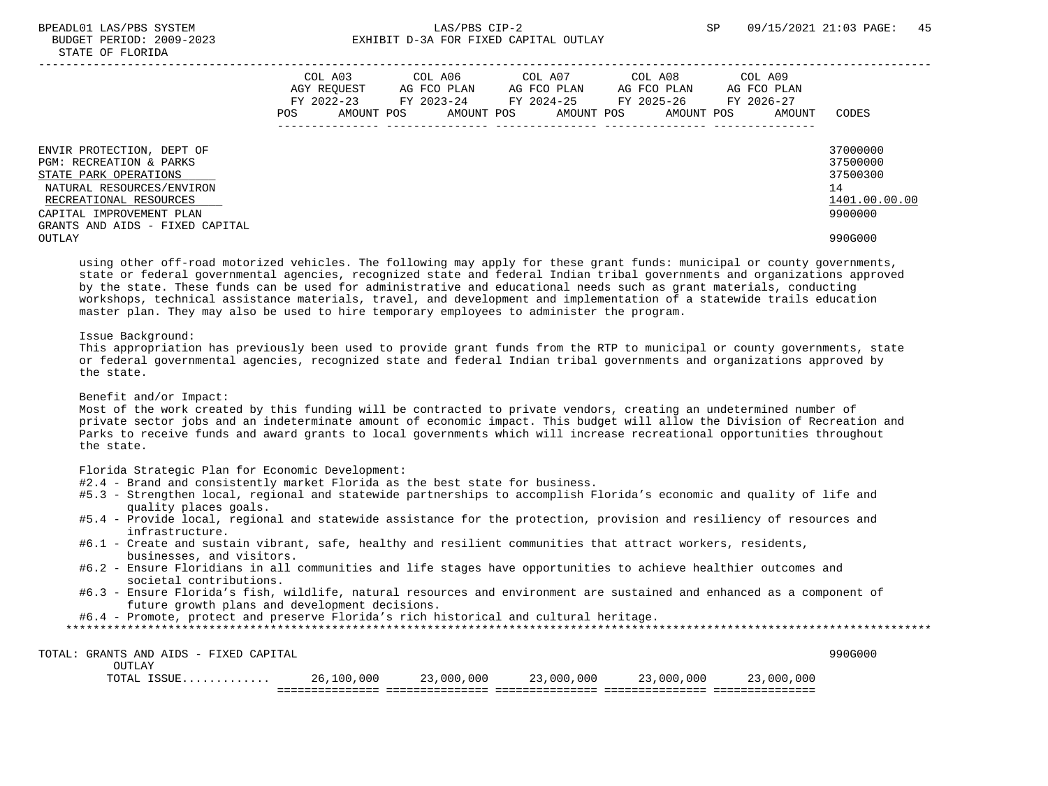# BPEADL01 LAS/PBS SYSTEM  $LAS/PBS$  CIP-2 SP 09/15/2021 21:03 PAGE: 45 BUDGET PERIOD: 2009-2023 EXHIBIT D-3A FOR FIXED CAPITAL OUTLAY

|                                                                                                                                                                                                     | POS | COL A03<br>AGY REOUEST<br>$FY$ 2022-23<br>AMOUNT POS | COL A06<br>AG FCO PLAN<br>FY 2023-24<br>AMOUNT POS | COL A07<br>AG FCO PLAN<br>FY 2024-25<br>AMOUNT POS | COL A08<br>AG FCO PLAN<br>FY 2025-26<br>AMOUNT POS | COL A09<br>AG FCO PLAN<br>FY 2026-27<br>AMOUNT | CODES                                                              |
|-----------------------------------------------------------------------------------------------------------------------------------------------------------------------------------------------------|-----|------------------------------------------------------|----------------------------------------------------|----------------------------------------------------|----------------------------------------------------|------------------------------------------------|--------------------------------------------------------------------|
| ENVIR PROTECTION, DEPT OF<br>PGM: RECREATION & PARKS<br>STATE PARK OPERATIONS<br>NATURAL RESOURCES/ENVIRON<br>RECREATIONAL RESOURCES<br>CAPITAL IMPROVEMENT PLAN<br>GRANTS AND AIDS - FIXED CAPITAL |     |                                                      |                                                    |                                                    |                                                    |                                                | 37000000<br>37500000<br>37500300<br>14<br>1401.00.00.00<br>9900000 |
| OUTLAY                                                                                                                                                                                              |     |                                                      |                                                    |                                                    |                                                    |                                                | 990G000                                                            |

 using other off-road motorized vehicles. The following may apply for these grant funds: municipal or county governments, state or federal governmental agencies, recognized state and federal Indian tribal governments and organizations approved by the state. These funds can be used for administrative and educational needs such as grant materials, conducting workshops, technical assistance materials, travel, and development and implementation of a statewide trails education master plan. They may also be used to hire temporary employees to administer the program.

## Issue Background:

 This appropriation has previously been used to provide grant funds from the RTP to municipal or county governments, state or federal governmental agencies, recognized state and federal Indian tribal governments and organizations approved by the state.

Benefit and/or Impact:

 Most of the work created by this funding will be contracted to private vendors, creating an undetermined number of private sector jobs and an indeterminate amount of economic impact. This budget will allow the Division of Recreation and Parks to receive funds and award grants to local governments which will increase recreational opportunities throughout the state.

Florida Strategic Plan for Economic Development:

- #2.4 Brand and consistently market Florida as the best state for business.
- #5.3 Strengthen local, regional and statewide partnerships to accomplish Florida's economic and quality of life and quality places goals.
- #5.4 Provide local, regional and statewide assistance for the protection, provision and resiliency of resources and infrastructure.
- #6.1 Create and sustain vibrant, safe, healthy and resilient communities that attract workers, residents, businesses, and visitors.
- #6.2 Ensure Floridians in all communities and life stages have opportunities to achieve healthier outcomes and societal contributions.
- #6.3 Ensure Florida's fish, wildlife, natural resources and environment are sustained and enhanced as a component of future growth plans and development decisions.

#6.4 - Promote, protect and preserve Florida's rich historical and cultural heritage.

| TOTAL<br>AND AIDS - FIXED CAPITAL<br>GRANTS |            |            |            |                |                     | 990G000 |
|---------------------------------------------|------------|------------|------------|----------------|---------------------|---------|
| OUTLAY                                      |            |            |            |                |                     |         |
| <b>TCCTID</b><br>TOTAL<br>.                 | 26,100,000 | 23,000,000 | 23,000,000 | ,000,000<br>つつ | ,000<br>,,000<br>23 |         |
|                                             |            |            |            |                |                     |         |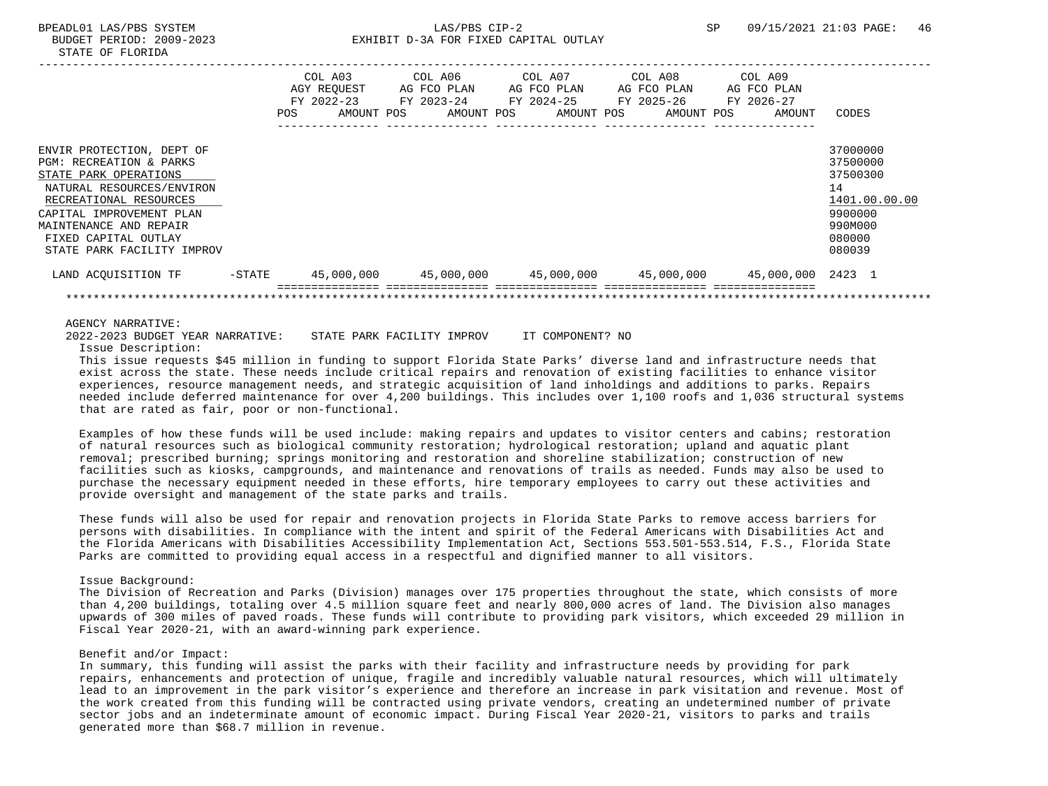|                                                      |           | COL A03<br>AGY REQUEST |            | COL A06<br>AG FCO PLAN   |  | COL A07<br>AG FCO PLAN   |  | COL A08<br>AG FCO PLAN   |  | COL A09<br>AG FCO PLAN |                      |
|------------------------------------------------------|-----------|------------------------|------------|--------------------------|--|--------------------------|--|--------------------------|--|------------------------|----------------------|
|                                                      |           | FY 2022-23<br>POS.     | AMOUNT POS | FY 2023-24<br>AMOUNT POS |  | FY 2024-25<br>AMOUNT POS |  | FY 2025-26<br>AMOUNT POS |  | FY 2026-27<br>AMOUNT   | CODES                |
| ENVIR PROTECTION, DEPT OF<br>PGM: RECREATION & PARKS |           |                        |            |                          |  |                          |  |                          |  |                        | 37000000<br>37500000 |
| STATE PARK OPERATIONS                                |           |                        |            |                          |  |                          |  |                          |  |                        | 37500300<br>14       |
| NATURAL RESOURCES/ENVIRON<br>RECREATIONAL RESOURCES  |           |                        |            |                          |  |                          |  |                          |  |                        | 1401.00.00.00        |
| CAPITAL IMPROVEMENT PLAN<br>MAINTENANCE AND REPAIR   |           |                        |            |                          |  |                          |  |                          |  |                        | 9900000<br>990M000   |
| FIXED CAPITAL OUTLAY<br>STATE PARK FACILITY IMPROV   |           |                        |            |                          |  |                          |  |                          |  |                        | 080000<br>080039     |
| LAND ACQUISITION TF                                  | $-$ STATE | 45,000,000             |            | 45,000,000               |  |                          |  |                          |  | 45,000,000 2423 1      |                      |
|                                                      |           |                        |            |                          |  |                          |  |                          |  |                        |                      |

 2022-2023 BUDGET YEAR NARRATIVE: STATE PARK FACILITY IMPROV IT COMPONENT? NO Issue Description:

 This issue requests \$45 million in funding to support Florida State Parks' diverse land and infrastructure needs that exist across the state. These needs include critical repairs and renovation of existing facilities to enhance visitor experiences, resource management needs, and strategic acquisition of land inholdings and additions to parks. Repairs needed include deferred maintenance for over 4,200 buildings. This includes over 1,100 roofs and 1,036 structural systems that are rated as fair, poor or non-functional.

 Examples of how these funds will be used include: making repairs and updates to visitor centers and cabins; restoration of natural resources such as biological community restoration; hydrological restoration; upland and aquatic plant removal; prescribed burning; springs monitoring and restoration and shoreline stabilization; construction of new facilities such as kiosks, campgrounds, and maintenance and renovations of trails as needed. Funds may also be used to purchase the necessary equipment needed in these efforts, hire temporary employees to carry out these activities and provide oversight and management of the state parks and trails.

 These funds will also be used for repair and renovation projects in Florida State Parks to remove access barriers for persons with disabilities. In compliance with the intent and spirit of the Federal Americans with Disabilities Act and the Florida Americans with Disabilities Accessibility Implementation Act, Sections 553.501-553.514, F.S., Florida State Parks are committed to providing equal access in a respectful and dignified manner to all visitors.

#### Issue Background:

 The Division of Recreation and Parks (Division) manages over 175 properties throughout the state, which consists of more than 4,200 buildings, totaling over 4.5 million square feet and nearly 800,000 acres of land. The Division also manages upwards of 300 miles of paved roads. These funds will contribute to providing park visitors, which exceeded 29 million in Fiscal Year 2020-21, with an award-winning park experience.

## Benefit and/or Impact:

 In summary, this funding will assist the parks with their facility and infrastructure needs by providing for park repairs, enhancements and protection of unique, fragile and incredibly valuable natural resources, which will ultimately lead to an improvement in the park visitor's experience and therefore an increase in park visitation and revenue. Most of the work created from this funding will be contracted using private vendors, creating an undetermined number of private sector jobs and an indeterminate amount of economic impact. During Fiscal Year 2020-21, visitors to parks and trails generated more than \$68.7 million in revenue.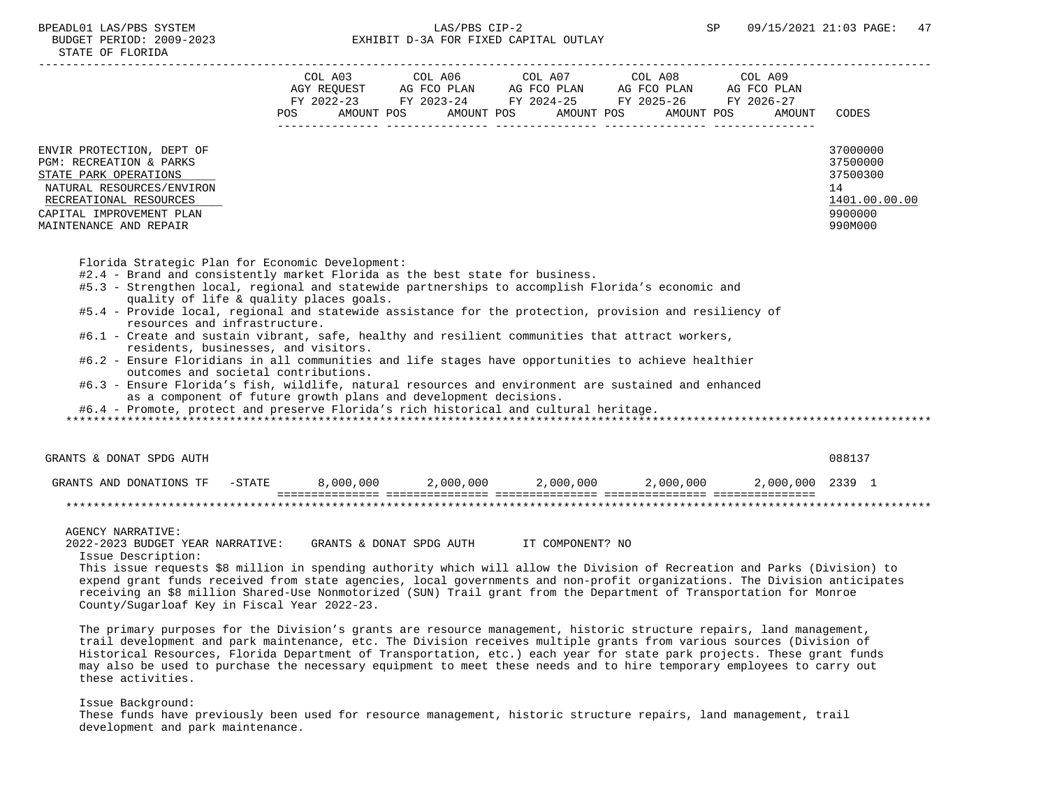| STATE OF FLORIDA                                                                                                                                                                                      |                                                                                                                                                                                                                                                                            |                                                                               |
|-------------------------------------------------------------------------------------------------------------------------------------------------------------------------------------------------------|----------------------------------------------------------------------------------------------------------------------------------------------------------------------------------------------------------------------------------------------------------------------------|-------------------------------------------------------------------------------|
|                                                                                                                                                                                                       | COL A03<br>COL A06<br>COL A07<br>COL A08<br>COL A09<br>AGY REOUEST<br>AG FCO PLAN<br>AG FCO PLAN<br>AG FCO PLAN<br>AG FCO PLAN<br>FY 2022-23<br>FY 2023-24<br>FY 2024-25 FY 2025-26<br>FY 2026-27<br>AMOUNT POS<br>POS<br>AMOUNT POS<br>AMOUNT POS<br>AMOUNT POS<br>AMOUNT | CODES                                                                         |
| ENVIR PROTECTION, DEPT OF<br><b>PGM: RECREATION &amp; PARKS</b><br>STATE PARK OPERATIONS<br>NATURAL RESOURCES/ENVIRON<br>RECREATIONAL RESOURCES<br>CAPITAL IMPROVEMENT PLAN<br>MAINTENANCE AND REPAIR |                                                                                                                                                                                                                                                                            | 37000000<br>37500000<br>37500300<br>14<br>1401.00.00.00<br>9900000<br>990M000 |

Florida Strategic Plan for Economic Development:

- #2.4 Brand and consistently market Florida as the best state for business.
- #5.3 Strengthen local, regional and statewide partnerships to accomplish Florida's economic and quality of life & quality places goals.
- #5.4 Provide local, regional and statewide assistance for the protection, provision and resiliency of resources and infrastructure.
- #6.1 Create and sustain vibrant, safe, healthy and resilient communities that attract workers, residents, businesses, and visitors.
- #6.2 Ensure Floridians in all communities and life stages have opportunities to achieve healthier outcomes and societal contributions.
- #6.3 Ensure Florida's fish, wildlife, natural resources and environment are sustained and enhanced as a component of future growth plans and development decisions.
- #6.4 Promote, protect and preserve Florida's rich historical and cultural heritage.

\*\*\*\*\*\*\*\*\*\*\*\*\*\*\*\*\*\*\*\*\*\*\*\*\*\*\*\*\*\*\*\*\*\*\*\*\*\*\*\*\*\*\*\*\*\*\*\*\*\*\*\*\*\*\*\*\*\*\*\*\*\*\*\*\*\*\*\*\*\*\*\*\*\*\*\*\*\*\*\*\*\*\*\*\*\*\*\*\*\*\*\*\*\*\*\*\*\*\*\*\*\*\*\*\*\*\*\*\*\*\*\*\*\*\*\*\*\*\*\*\*\*\*\*\*\*\*

 GRANTS & DONAT SPDG AUTH 088137 GRANTS AND DONATIONS TF -STATE 8,000,000 2,000,000 2,000,000 2,000,000 2,000,000 2339 1 =============== =============== =============== =============== =============== \*\*\*\*\*\*\*\*\*\*\*\*\*\*\*\*\*\*\*\*\*\*\*\*\*\*\*\*\*\*\*\*\*\*\*\*\*\*\*\*\*\*\*\*\*\*\*\*\*\*\*\*\*\*\*\*\*\*\*\*\*\*\*\*\*\*\*\*\*\*\*\*\*\*\*\*\*\*\*\*\*\*\*\*\*\*\*\*\*\*\*\*\*\*\*\*\*\*\*\*\*\*\*\*\*\*\*\*\*\*\*\*\*\*\*\*\*\*\*\*\*\*\*\*\*\*\*

AGENCY NARRATIVE:

 2022-2023 BUDGET YEAR NARRATIVE: GRANTS & DONAT SPDG AUTH IT COMPONENT? NO Issue Description:

 This issue requests \$8 million in spending authority which will allow the Division of Recreation and Parks (Division) to expend grant funds received from state agencies, local governments and non-profit organizations. The Division anticipates receiving an \$8 million Shared-Use Nonmotorized (SUN) Trail grant from the Department of Transportation for Monroe County/Sugarloaf Key in Fiscal Year 2022-23.

 The primary purposes for the Division's grants are resource management, historic structure repairs, land management, trail development and park maintenance, etc. The Division receives multiple grants from various sources (Division of Historical Resources, Florida Department of Transportation, etc.) each year for state park projects. These grant funds may also be used to purchase the necessary equipment to meet these needs and to hire temporary employees to carry out these activities.

#### Issue Background:

 These funds have previously been used for resource management, historic structure repairs, land management, trail development and park maintenance.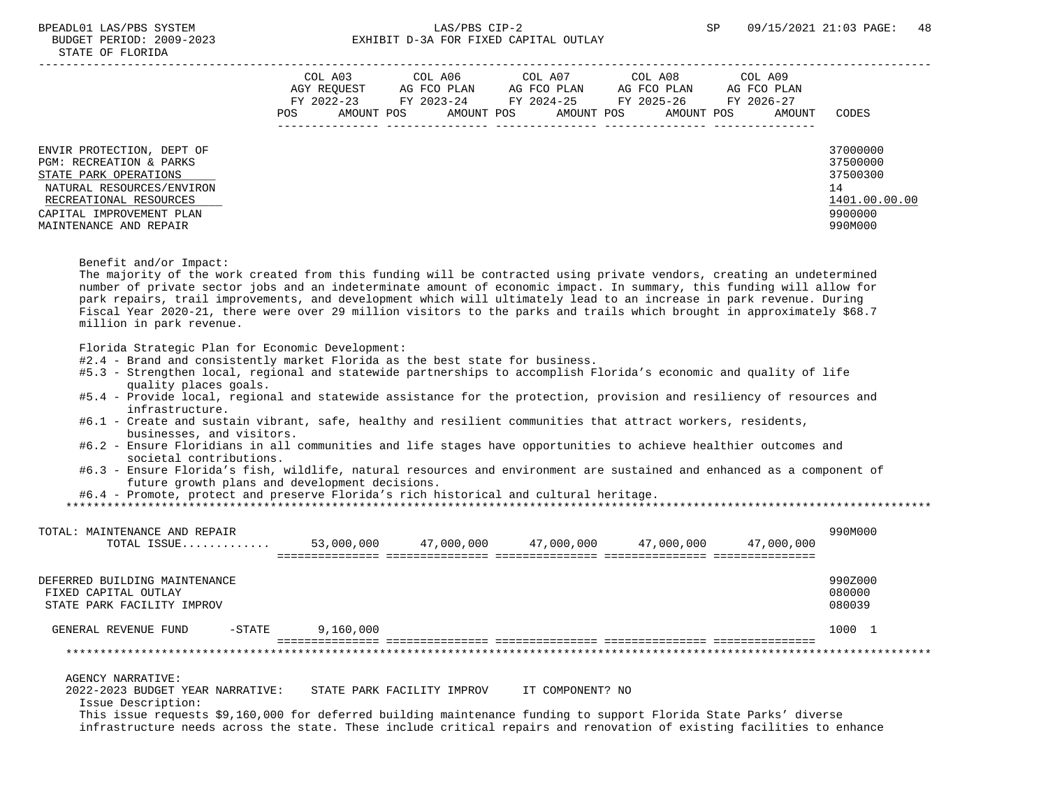|                           | POS | COL A03<br>AGY REOUEST<br>FY 2022-23<br>AMOUNT POS | COL A06<br>AG FCO PLAN<br>FY 2023-24<br>AMOUNT POS | COL A07<br>AG FCO PLAN<br>FY 2024-25<br>AMOUNT POS | COL A08<br>AG FCO PLAN<br>FY 2025-26<br>AMOUNT POS | COL A09<br>AG FCO PLAN<br>FY 2026-27<br>AMOUNT | CODES         |
|---------------------------|-----|----------------------------------------------------|----------------------------------------------------|----------------------------------------------------|----------------------------------------------------|------------------------------------------------|---------------|
| ENVIR PROTECTION, DEPT OF |     |                                                    |                                                    |                                                    |                                                    |                                                | 37000000      |
| PGM: RECREATION & PARKS   |     |                                                    |                                                    |                                                    |                                                    |                                                | 37500000      |
| STATE PARK OPERATIONS     |     |                                                    |                                                    |                                                    |                                                    |                                                | 37500300      |
| NATURAL RESOURCES/ENVIRON |     |                                                    |                                                    |                                                    |                                                    |                                                | 14            |
| RECREATIONAL RESOURCES    |     |                                                    |                                                    |                                                    |                                                    |                                                | 1401.00.00.00 |
| CAPITAL IMPROVEMENT PLAN  |     |                                                    |                                                    |                                                    |                                                    |                                                | 9900000       |
| MAINTENANCE AND REPAIR    |     |                                                    |                                                    |                                                    |                                                    |                                                | 990M000       |
|                           |     |                                                    |                                                    |                                                    |                                                    |                                                |               |

Benefit and/or Impact:

 The majority of the work created from this funding will be contracted using private vendors, creating an undetermined number of private sector jobs and an indeterminate amount of economic impact. In summary, this funding will allow for park repairs, trail improvements, and development which will ultimately lead to an increase in park revenue. During Fiscal Year 2020-21, there were over 29 million visitors to the parks and trails which brought in approximately \$68.7 million in park revenue.

Florida Strategic Plan for Economic Development:

- #2.4 Brand and consistently market Florida as the best state for business.
- #5.3 Strengthen local, regional and statewide partnerships to accomplish Florida's economic and quality of life quality places goals.
- #5.4 Provide local, regional and statewide assistance for the protection, provision and resiliency of resources and infrastructure.
- #6.1 Create and sustain vibrant, safe, healthy and resilient communities that attract workers, residents, businesses, and visitors.
- #6.2 Ensure Floridians in all communities and life stages have opportunities to achieve healthier outcomes and societal contributions.
- #6.3 Ensure Florida's fish, wildlife, natural resources and environment are sustained and enhanced as a component of future growth plans and development decisions.
- #6.4 Promote, protect and preserve Florida's rich historical and cultural heritage.

| TOTAL: MAINTENANCE AND REPAIR<br>TOTAL ISSUE                                                                      |           | 53,000,000                 | 47,000,000 | 47,000,000       | 47,000,000 | 47,000,000 | 990M000                     |
|-------------------------------------------------------------------------------------------------------------------|-----------|----------------------------|------------|------------------|------------|------------|-----------------------------|
| DEFERRED BUILDING MAINTENANCE<br>FIXED CAPITAL OUTLAY<br>STATE PARK FACILITY IMPROV                               |           |                            |            |                  |            |            | 990Z000<br>080000<br>080039 |
| GENERAL REVENUE FUND                                                                                              | $-$ STATE | 9,160,000                  |            |                  |            |            | 1000 1                      |
|                                                                                                                   |           |                            |            |                  |            |            |                             |
| AGENCY NARRATIVE:<br>2022-2023 BUDGET YEAR NARRATIVE:<br>Issue Description:                                       |           | STATE PARK FACILITY IMPROV |            | IT COMPONENT? NO |            |            |                             |
| This issue requests \$9,160,000 for deferred building maintenance funding to support Florida State Parks' diverse |           |                            |            |                  |            |            |                             |

infrastructure needs across the state. These include critical repairs and renovation of existing facilities to enhance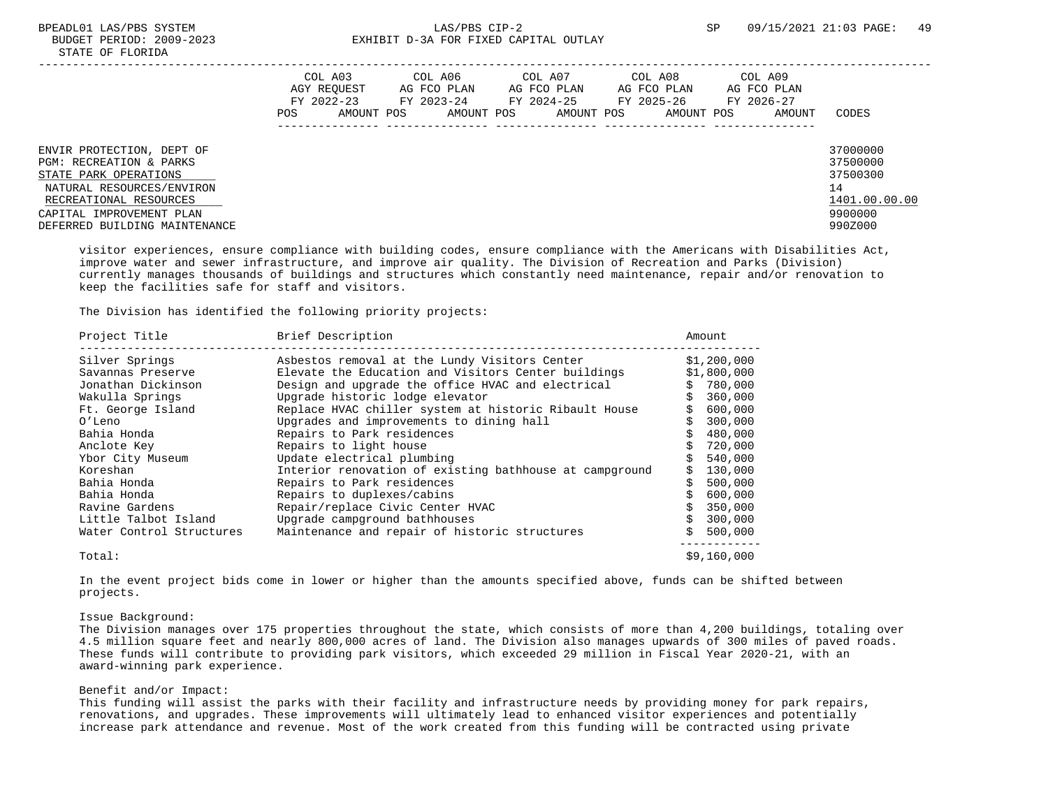|                                                                                                                                                                                                   | POS | COL A03<br>AGY REOUEST<br>FY 2022-23<br>AMOUNT POS | COL A06<br>AG FCO PLAN<br>FY 2023-24<br>AMOUNT POS | COL A07<br>AG FCO PLAN<br>FY 2024-25<br>AMOUNT POS | COL A08<br>AG FCO PLAN<br>FY 2025-26<br>AMOUNT POS | COL A09<br>AG FCO PLAN<br>FY 2026-27<br>AMOUNT | CODES                                                                         |
|---------------------------------------------------------------------------------------------------------------------------------------------------------------------------------------------------|-----|----------------------------------------------------|----------------------------------------------------|----------------------------------------------------|----------------------------------------------------|------------------------------------------------|-------------------------------------------------------------------------------|
| ENVIR PROTECTION, DEPT OF<br>PGM: RECREATION & PARKS<br>STATE PARK OPERATIONS<br>NATURAL RESOURCES/ENVIRON<br>RECREATIONAL RESOURCES<br>CAPITAL IMPROVEMENT PLAN<br>DEFERRED BUILDING MAINTENANCE |     |                                                    |                                                    |                                                    |                                                    |                                                | 37000000<br>37500000<br>37500300<br>14<br>1401.00.00.00<br>9900000<br>990Z000 |

 visitor experiences, ensure compliance with building codes, ensure compliance with the Americans with Disabilities Act, improve water and sewer infrastructure, and improve air quality. The Division of Recreation and Parks (Division) currently manages thousands of buildings and structures which constantly need maintenance, repair and/or renovation to keep the facilities safe for staff and visitors.

The Division has identified the following priority projects:

| Project Title            | Brief Description                                       | Amount      |
|--------------------------|---------------------------------------------------------|-------------|
| Silver Springs           | Asbestos removal at the Lundy Visitors Center           | \$1,200,000 |
| Savannas Preserve        | Elevate the Education and Visitors Center buildings     | \$1,800,000 |
| Jonathan Dickinson       | Design and upgrade the office HVAC and electrical       | 780,000     |
| Wakulla Springs          | Upgrade historic lodge elevator                         | 360,000     |
| Ft. George Island        | Replace HVAC chiller system at historic Ribault House   | 600,000     |
| O'Leno                   | Upgrades and improvements to dining hall                | 300,000     |
| Bahia Honda              | Repairs to Park residences                              | 480,000     |
| Anclote Key              | Repairs to light house                                  | 720,000     |
| Ybor City Museum         | Update electrical plumbing                              | 540,000     |
| Koreshan                 | Interior renovation of existing bathhouse at campground | 130,000     |
| Bahia Honda              | Repairs to Park residences                              | 500,000     |
| Bahia Honda              | Repairs to duplexes/cabins                              | 600,000     |
| Ravine Gardens           | Repair/replace Civic Center HVAC                        | 350,000     |
| Little Talbot Island     | Upgrade campground bathhouses                           | 300,000     |
| Water Control Structures | Maintenance and repair of historic structures           | 500,000     |
| Total:                   |                                                         | \$9,160,000 |

 In the event project bids come in lower or higher than the amounts specified above, funds can be shifted between projects.

### Issue Background:

 The Division manages over 175 properties throughout the state, which consists of more than 4,200 buildings, totaling over 4.5 million square feet and nearly 800,000 acres of land. The Division also manages upwards of 300 miles of paved roads. These funds will contribute to providing park visitors, which exceeded 29 million in Fiscal Year 2020-21, with an award-winning park experience.

## Benefit and/or Impact:

 This funding will assist the parks with their facility and infrastructure needs by providing money for park repairs, renovations, and upgrades. These improvements will ultimately lead to enhanced visitor experiences and potentially increase park attendance and revenue. Most of the work created from this funding will be contracted using private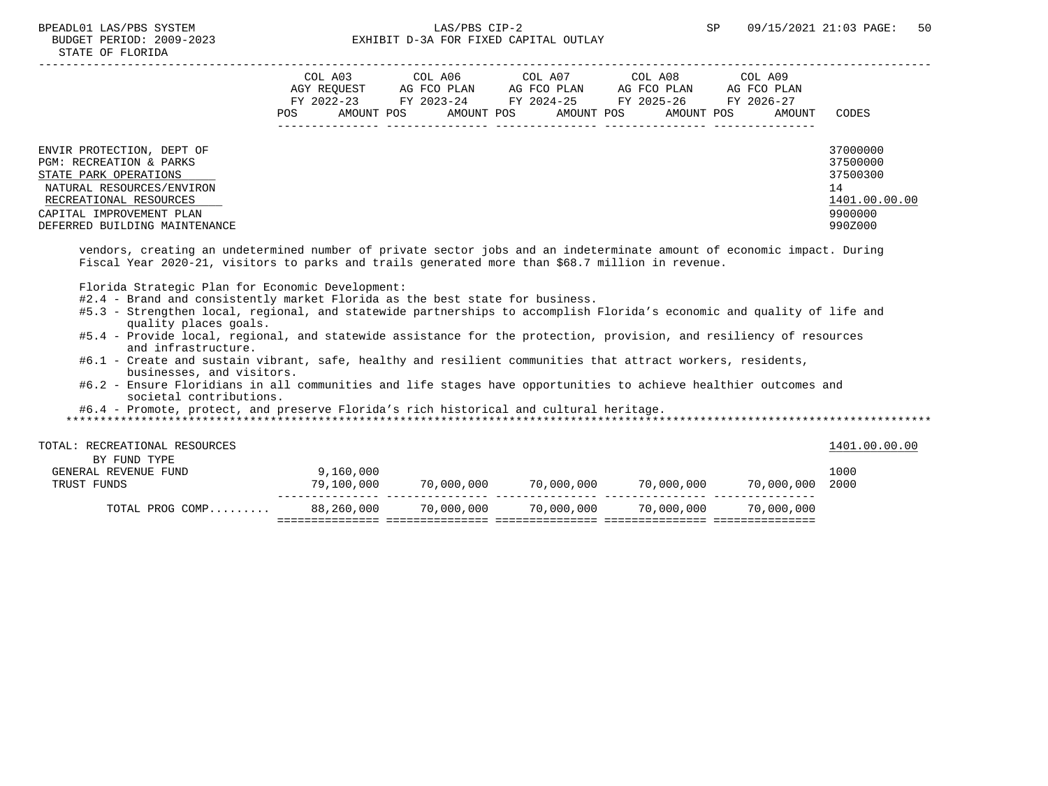|                                                                                                                                                                                                   | COL A03<br>AGY REOUEST<br>FY 2022-23<br>POS. | COL A06<br>AG FCO PLAN<br>FY 2023-24<br>AMOUNT POS<br>AMOUNT POS | COL A07<br>AG FCO PLAN<br>FY 2024-25<br>AMOUNT POS | COL A08<br>AG FCO PLAN<br>FY 2025-26<br>AMOUNT POS | COL A09<br>AG FCO PLAN<br>FY 2026-27<br>AMOUNT | CODES                                                                         |
|---------------------------------------------------------------------------------------------------------------------------------------------------------------------------------------------------|----------------------------------------------|------------------------------------------------------------------|----------------------------------------------------|----------------------------------------------------|------------------------------------------------|-------------------------------------------------------------------------------|
| ENVIR PROTECTION, DEPT OF<br>PGM: RECREATION & PARKS<br>STATE PARK OPERATIONS<br>NATURAL RESOURCES/ENVIRON<br>RECREATIONAL RESOURCES<br>CAPITAL IMPROVEMENT PLAN<br>DEFERRED BUILDING MAINTENANCE |                                              |                                                                  |                                                    |                                                    |                                                | 37000000<br>37500000<br>37500300<br>14<br>1401.00.00.00<br>9900000<br>990Z000 |

 vendors, creating an undetermined number of private sector jobs and an indeterminate amount of economic impact. During Fiscal Year 2020-21, visitors to parks and trails generated more than \$68.7 million in revenue.

Florida Strategic Plan for Economic Development:

- #2.4 Brand and consistently market Florida as the best state for business.
- #5.3 Strengthen local, regional, and statewide partnerships to accomplish Florida's economic and quality of life and quality places goals.
- #5.4 Provide local, regional, and statewide assistance for the protection, provision, and resiliency of resources and infrastructure.
- #6.1 Create and sustain vibrant, safe, healthy and resilient communities that attract workers, residents, businesses, and visitors.
- #6.2 Ensure Floridians in all communities and life stages have opportunities to achieve healthier outcomes and societal contributions.

#6.4 - Promote, protect, and preserve Florida's rich historical and cultural heritage.

| TOTAL: RECREATIONAL RESOURCES |            |            |            |            |                 | 1401.00.00.00 |
|-------------------------------|------------|------------|------------|------------|-----------------|---------------|
| BY FUND TYPE                  |            |            |            |            |                 |               |
| GENERAL REVENUE FUND          | 9,160,000  |            |            |            |                 | 1000          |
| TRUST FUNDS                   | 79,100,000 | 70,000,000 | 70,000,000 | 70,000,000 | 70,000,000 2000 |               |
|                               |            |            |            |            |                 |               |
| TOTAL PROG COMP               | 88,260,000 | 70,000,000 | 70,000,000 | 70,000,000 | 70,000,000      |               |
|                               |            |            |            |            |                 |               |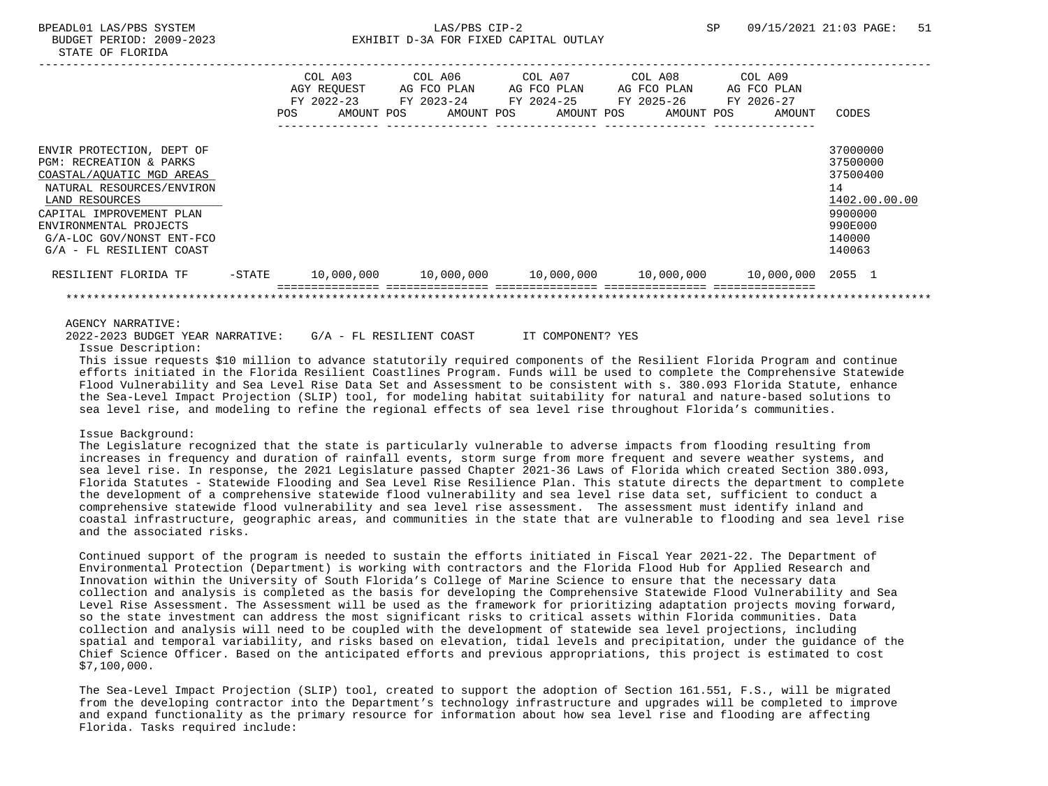| bobobli ibniod avos avas |  |  |  |
|--------------------------|--|--|--|
| STATE OF FLORIDA         |  |  |  |
|                          |  |  |  |

|                                                                                                                                                                                                                                                 |           | POS | COL A03<br>AGY REQUEST<br>FY 2022-23<br>AMOUNT POS | COL A06<br>AG FCO PLAN<br>FY 2023-24<br>AMOUNT POS | COL A07<br>AG FCO PLAN<br>FY 2024-25 | AMOUNT POS | COL A08<br>AG FCO PLAN<br>FY 2025-26<br>AMOUNT POS                          | COL A09<br>AG FCO PLAN<br>FY 2026-27<br>AMOUNT | CODES                                                                                             |
|-------------------------------------------------------------------------------------------------------------------------------------------------------------------------------------------------------------------------------------------------|-----------|-----|----------------------------------------------------|----------------------------------------------------|--------------------------------------|------------|-----------------------------------------------------------------------------|------------------------------------------------|---------------------------------------------------------------------------------------------------|
| ENVIR PROTECTION, DEPT OF<br>PGM: RECREATION & PARKS<br>COASTAL/AQUATIC MGD AREAS<br>NATURAL RESOURCES/ENVIRON<br>LAND RESOURCES<br>CAPITAL IMPROVEMENT PLAN<br>ENVIRONMENTAL PROJECTS<br>G/A-LOC GOV/NONST ENT-FCO<br>G/A - FL RESILIENT COAST |           |     |                                                    |                                                    |                                      |            |                                                                             |                                                | 37000000<br>37500000<br>37500400<br>14<br>1402.00.00.00<br>9900000<br>990E000<br>140000<br>140063 |
| RESILIENT FLORIDA TF                                                                                                                                                                                                                            | $-$ STATE |     | 10,000,000                                         |                                                    |                                      |            | $10,000,000$ $10,000,000$ $10,000,000$ $10,000,000$ $10,000,000$ $2055$ $1$ |                                                |                                                                                                   |
|                                                                                                                                                                                                                                                 |           |     |                                                    |                                                    |                                      |            |                                                                             |                                                |                                                                                                   |
| AGENCY NARRATIVE:                                                                                                                                                                                                                               |           |     |                                                    |                                                    |                                      |            |                                                                             |                                                |                                                                                                   |

 2022-2023 BUDGET YEAR NARRATIVE: G/A - FL RESILIENT COAST IT COMPONENT? YES Issue Description:

 This issue requests \$10 million to advance statutorily required components of the Resilient Florida Program and continue efforts initiated in the Florida Resilient Coastlines Program. Funds will be used to complete the Comprehensive Statewide Flood Vulnerability and Sea Level Rise Data Set and Assessment to be consistent with s. 380.093 Florida Statute, enhance the Sea-Level Impact Projection (SLIP) tool, for modeling habitat suitability for natural and nature-based solutions to sea level rise, and modeling to refine the regional effects of sea level rise throughout Florida's communities.

### Issue Background:

 The Legislature recognized that the state is particularly vulnerable to adverse impacts from flooding resulting from increases in frequency and duration of rainfall events, storm surge from more frequent and severe weather systems, and sea level rise. In response, the 2021 Legislature passed Chapter 2021-36 Laws of Florida which created Section 380.093, Florida Statutes - Statewide Flooding and Sea Level Rise Resilience Plan. This statute directs the department to complete the development of a comprehensive statewide flood vulnerability and sea level rise data set, sufficient to conduct a comprehensive statewide flood vulnerability and sea level rise assessment. The assessment must identify inland and coastal infrastructure, geographic areas, and communities in the state that are vulnerable to flooding and sea level rise and the associated risks.

 Continued support of the program is needed to sustain the efforts initiated in Fiscal Year 2021-22. The Department of Environmental Protection (Department) is working with contractors and the Florida Flood Hub for Applied Research and Innovation within the University of South Florida's College of Marine Science to ensure that the necessary data collection and analysis is completed as the basis for developing the Comprehensive Statewide Flood Vulnerability and Sea Level Rise Assessment. The Assessment will be used as the framework for prioritizing adaptation projects moving forward, so the state investment can address the most significant risks to critical assets within Florida communities. Data collection and analysis will need to be coupled with the development of statewide sea level projections, including spatial and temporal variability, and risks based on elevation, tidal levels and precipitation, under the guidance of the Chief Science Officer. Based on the anticipated efforts and previous appropriations, this project is estimated to cost \$7,100,000.

 The Sea-Level Impact Projection (SLIP) tool, created to support the adoption of Section 161.551, F.S., will be migrated from the developing contractor into the Department's technology infrastructure and upgrades will be completed to improve and expand functionality as the primary resource for information about how sea level rise and flooding are affecting Florida. Tasks required include: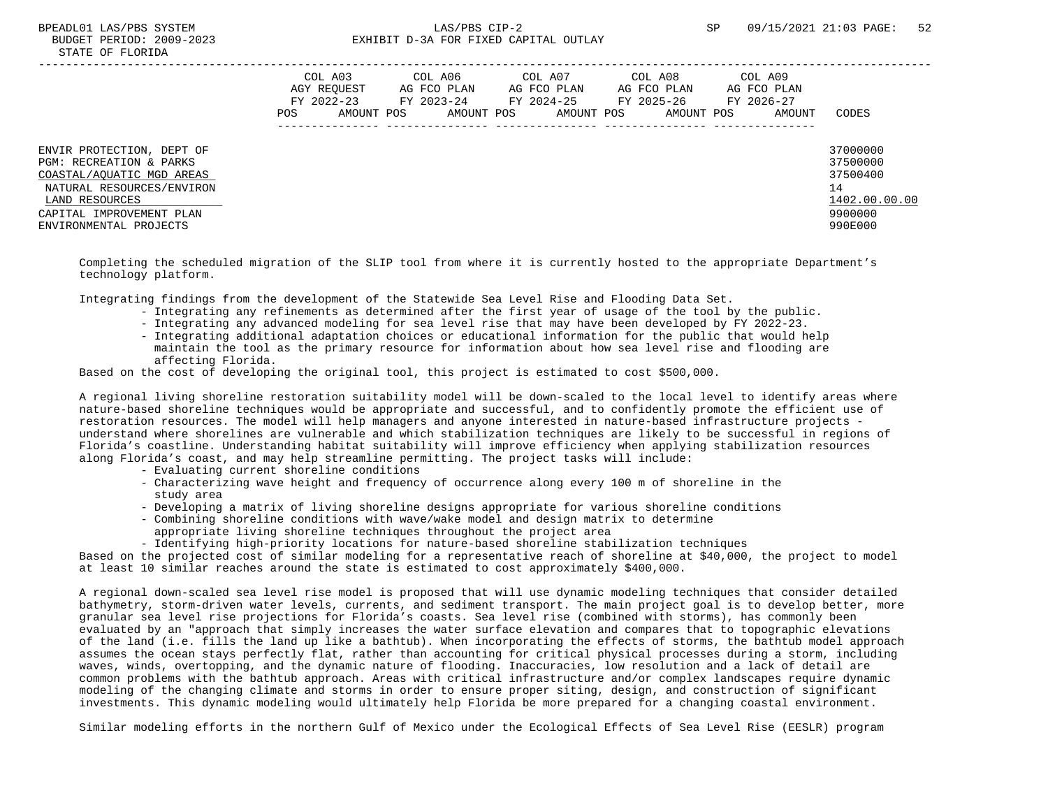|                                                                                                                                                                                        | POS | COL A03<br>AGY REOUEST<br>FY 2022-23<br>AMOUNT POS | COL A06<br>AG FCO PLAN<br>FY 2023-24<br>AMOUNT POS | COL A07<br>AG FCO PLAN<br>FY 2024-25<br>AMOUNT POS | COL A08<br>AG FCO PLAN<br>FY 2025-26<br>AMOUNT POS | COL A09<br>AG FCO PLAN<br>FY 2026-27<br>AMOUNT | CODES                                                                         |
|----------------------------------------------------------------------------------------------------------------------------------------------------------------------------------------|-----|----------------------------------------------------|----------------------------------------------------|----------------------------------------------------|----------------------------------------------------|------------------------------------------------|-------------------------------------------------------------------------------|
| ENVIR PROTECTION, DEPT OF<br>PGM: RECREATION & PARKS<br>COASTAL/AOUATIC MGD AREAS<br>NATURAL RESOURCES/ENVIRON<br>LAND RESOURCES<br>CAPITAL IMPROVEMENT PLAN<br>ENVIRONMENTAL PROJECTS |     |                                                    |                                                    |                                                    |                                                    |                                                | 37000000<br>37500000<br>37500400<br>14<br>1402.00.00.00<br>9900000<br>990E000 |

 Completing the scheduled migration of the SLIP tool from where it is currently hosted to the appropriate Department's technology platform.

Integrating findings from the development of the Statewide Sea Level Rise and Flooding Data Set.

- Integrating any refinements as determined after the first year of usage of the tool by the public.
- Integrating any advanced modeling for sea level rise that may have been developed by FY 2022-23.
- Integrating additional adaptation choices or educational information for the public that would help maintain the tool as the primary resource for information about how sea level rise and flooding are affecting Florida.

Based on the cost of developing the original tool, this project is estimated to cost \$500,000.

 A regional living shoreline restoration suitability model will be down-scaled to the local level to identify areas where nature-based shoreline techniques would be appropriate and successful, and to confidently promote the efficient use of restoration resources. The model will help managers and anyone interested in nature-based infrastructure projects understand where shorelines are vulnerable and which stabilization techniques are likely to be successful in regions of Florida's coastline. Understanding habitat suitability will improve efficiency when applying stabilization resources along Florida's coast, and may help streamline permitting. The project tasks will include:

- Evaluating current shoreline conditions
- Characterizing wave height and frequency of occurrence along every 100 m of shoreline in the study area
- Developing a matrix of living shoreline designs appropriate for various shoreline conditions
- Combining shoreline conditions with wave/wake model and design matrix to determine
- appropriate living shoreline techniques throughout the project area
- Identifying high-priority locations for nature-based shoreline stabilization techniques

 Based on the projected cost of similar modeling for a representative reach of shoreline at \$40,000, the project to model at least 10 similar reaches around the state is estimated to cost approximately \$400,000.

 A regional down-scaled sea level rise model is proposed that will use dynamic modeling techniques that consider detailed bathymetry, storm-driven water levels, currents, and sediment transport. The main project goal is to develop better, more granular sea level rise projections for Florida's coasts. Sea level rise (combined with storms), has commonly been evaluated by an "approach that simply increases the water surface elevation and compares that to topographic elevations of the land (i.e. fills the land up like a bathtub). When incorporating the effects of storms, the bathtub model approach assumes the ocean stays perfectly flat, rather than accounting for critical physical processes during a storm, including waves, winds, overtopping, and the dynamic nature of flooding. Inaccuracies, low resolution and a lack of detail are common problems with the bathtub approach. Areas with critical infrastructure and/or complex landscapes require dynamic modeling of the changing climate and storms in order to ensure proper siting, design, and construction of significant investments. This dynamic modeling would ultimately help Florida be more prepared for a changing coastal environment.

Similar modeling efforts in the northern Gulf of Mexico under the Ecological Effects of Sea Level Rise (EESLR) program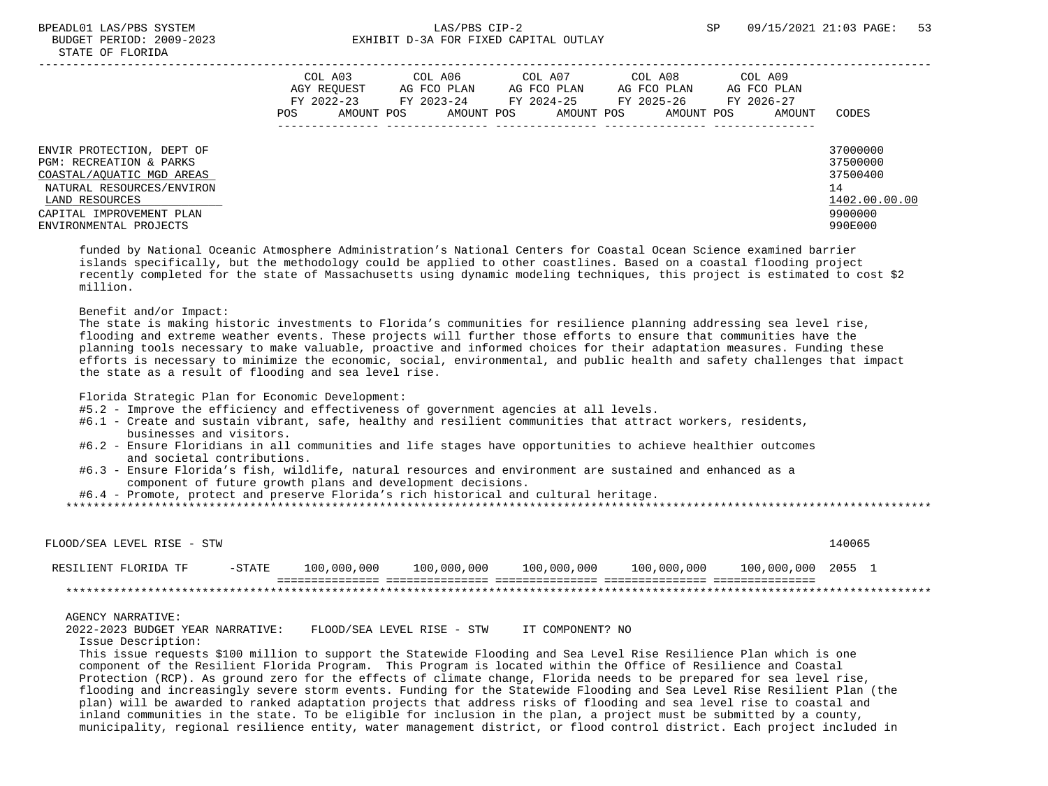|                                                                                                                                                                                        | POS | COL A03<br>AGY REOUEST<br>FY 2022-23<br>AMOUNT POS | COL A06<br>AG FCO PLAN<br>AMOUNT POS | COL A07<br>AG FCO PLAN<br>AMOUNT POS | COL A08<br>AG FCO PLAN<br>FY 2023-24 FY 2024-25 FY 2025-26<br>AMOUNT POS | COL A09<br>AG FCO PLAN<br>FY 2026-27<br>AMOUNT | CODES                                                                         |
|----------------------------------------------------------------------------------------------------------------------------------------------------------------------------------------|-----|----------------------------------------------------|--------------------------------------|--------------------------------------|--------------------------------------------------------------------------|------------------------------------------------|-------------------------------------------------------------------------------|
| ENVIR PROTECTION, DEPT OF<br>PGM: RECREATION & PARKS<br>COASTAL/AOUATIC MGD AREAS<br>NATURAL RESOURCES/ENVIRON<br>LAND RESOURCES<br>CAPITAL IMPROVEMENT PLAN<br>ENVIRONMENTAL PROJECTS |     |                                                    |                                      |                                      |                                                                          |                                                | 37000000<br>37500000<br>37500400<br>14<br>1402.00.00.00<br>9900000<br>990E000 |

 funded by National Oceanic Atmosphere Administration's National Centers for Coastal Ocean Science examined barrier islands specifically, but the methodology could be applied to other coastlines. Based on a coastal flooding project recently completed for the state of Massachusetts using dynamic modeling techniques, this project is estimated to cost \$2 million.

#### Benefit and/or Impact:

 The state is making historic investments to Florida's communities for resilience planning addressing sea level rise, flooding and extreme weather events. These projects will further those efforts to ensure that communities have the planning tools necessary to make valuable, proactive and informed choices for their adaptation measures. Funding these efforts is necessary to minimize the economic, social, environmental, and public health and safety challenges that impact the state as a result of flooding and sea level rise.

Florida Strategic Plan for Economic Development:

- #5.2 Improve the efficiency and effectiveness of government agencies at all levels.
- #6.1 Create and sustain vibrant, safe, healthy and resilient communities that attract workers, residents, businesses and visitors.
- #6.2 Ensure Floridians in all communities and life stages have opportunities to achieve healthier outcomes and societal contributions.
- #6.3 Ensure Florida's fish, wildlife, natural resources and environment are sustained and enhanced as a component of future growth plans and development decisions.
- #6.4 Promote, protect and preserve Florida's rich historical and cultural heritage.

\*\*\*\*\*\*\*\*\*\*\*\*\*\*\*\*\*\*\*\*\*\*\*\*\*\*\*\*\*\*\*\*\*\*\*\*\*\*\*\*\*\*\*\*\*\*\*\*\*\*\*\*\*\*\*\*\*\*\*\*\*\*\*\*\*\*\*\*\*\*\*\*\*\*\*\*\*\*\*\*\*\*\*\*\*\*\*\*\*\*\*\*\*\*\*\*\*\*\*\*\*\*\*\*\*\*\*\*\*\*\*\*\*\*\*\*\*\*\*\*\*\*\*\*\*\*\*

| FLOOD/SEA LEVEL RISE - STW |           |             |             |             |             |                    | 140065 |  |
|----------------------------|-----------|-------------|-------------|-------------|-------------|--------------------|--------|--|
| RESILIENT FLORIDA TF       | $-$ STATE | 100,000,000 | 100,000,000 | 100,000,000 | 100,000,000 | 100,000,000 2055 1 |        |  |
|                            |           |             |             |             |             |                    |        |  |

#### AGENCY NARRATIVE:

2022-2023 BUDGET YEAR NARRATIVE: FLOOD/SEA LEVEL RISE - STW IT COMPONENT? NO

Issue Description:

 This issue requests \$100 million to support the Statewide Flooding and Sea Level Rise Resilience Plan which is one component of the Resilient Florida Program. This Program is located within the Office of Resilience and Coastal Protection (RCP). As ground zero for the effects of climate change, Florida needs to be prepared for sea level rise, flooding and increasingly severe storm events. Funding for the Statewide Flooding and Sea Level Rise Resilient Plan (the plan) will be awarded to ranked adaptation projects that address risks of flooding and sea level rise to coastal and inland communities in the state. To be eligible for inclusion in the plan, a project must be submitted by a county, municipality, regional resilience entity, water management district, or flood control district. Each project included in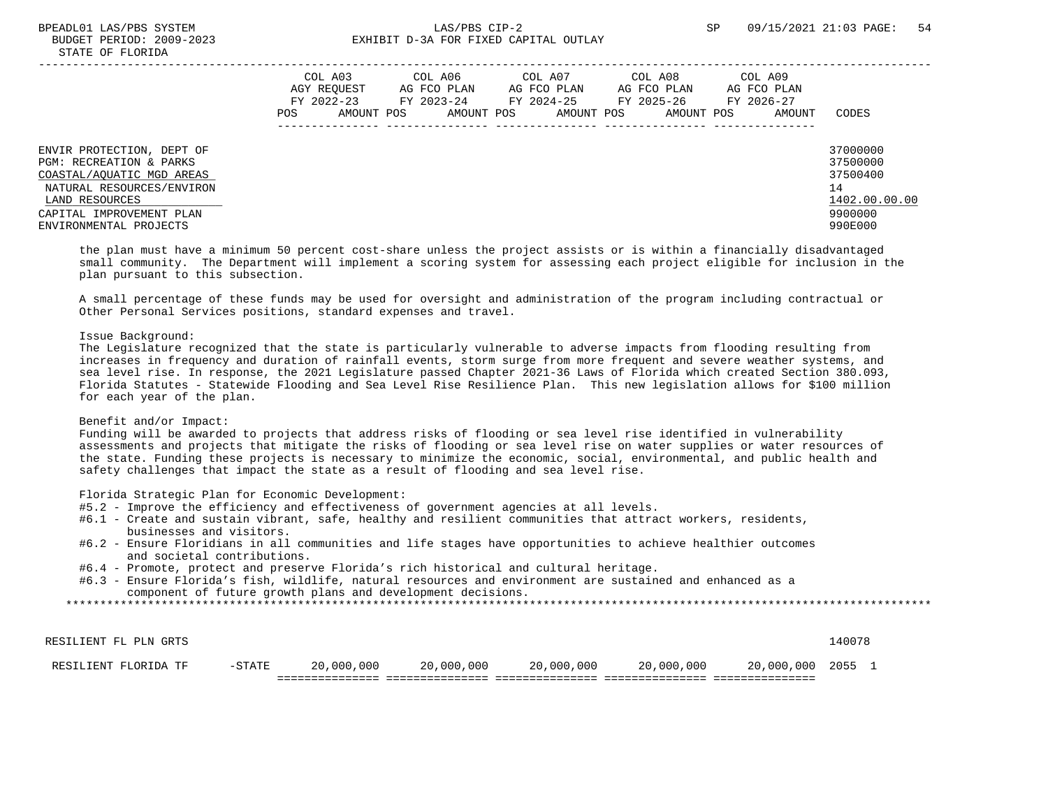|                                                                                                                                                                                        | COL A03<br>AGY REOUEST<br>FY 2022-23<br>AMOUNT POS<br>POS | COL A06<br>AG FCO PLAN<br>FY 2023-24<br>AMOUNT POS | COL A07<br>AG FCO PLAN<br>FY 2024-25<br>AMOUNT POS | COL A08<br>AG FCO PLAN<br>FY 2025-26<br>AMOUNT POS | COL A09<br>AG FCO PLAN<br>FY 2026-27<br>AMOUNT | CODES                                                                         |
|----------------------------------------------------------------------------------------------------------------------------------------------------------------------------------------|-----------------------------------------------------------|----------------------------------------------------|----------------------------------------------------|----------------------------------------------------|------------------------------------------------|-------------------------------------------------------------------------------|
| ENVIR PROTECTION, DEPT OF<br>PGM: RECREATION & PARKS<br>COASTAL/AOUATIC MGD AREAS<br>NATURAL RESOURCES/ENVIRON<br>LAND RESOURCES<br>CAPITAL IMPROVEMENT PLAN<br>ENVIRONMENTAL PROJECTS |                                                           |                                                    |                                                    |                                                    |                                                | 37000000<br>37500000<br>37500400<br>14<br>1402.00.00.00<br>9900000<br>990E000 |

 the plan must have a minimum 50 percent cost-share unless the project assists or is within a financially disadvantaged small community. The Department will implement a scoring system for assessing each project eligible for inclusion in the plan pursuant to this subsection.

 A small percentage of these funds may be used for oversight and administration of the program including contractual or Other Personal Services positions, standard expenses and travel.

#### Issue Background:

 The Legislature recognized that the state is particularly vulnerable to adverse impacts from flooding resulting from increases in frequency and duration of rainfall events, storm surge from more frequent and severe weather systems, and sea level rise. In response, the 2021 Legislature passed Chapter 2021-36 Laws of Florida which created Section 380.093, Florida Statutes - Statewide Flooding and Sea Level Rise Resilience Plan. This new legislation allows for \$100 million for each year of the plan.

#### Benefit and/or Impact:

 Funding will be awarded to projects that address risks of flooding or sea level rise identified in vulnerability assessments and projects that mitigate the risks of flooding or sea level rise on water supplies or water resources of the state. Funding these projects is necessary to minimize the economic, social, environmental, and public health and safety challenges that impact the state as a result of flooding and sea level rise.

Florida Strategic Plan for Economic Development:

- #5.2 Improve the efficiency and effectiveness of government agencies at all levels.
- #6.1 Create and sustain vibrant, safe, healthy and resilient communities that attract workers, residents, businesses and visitors.
- #6.2 Ensure Floridians in all communities and life stages have opportunities to achieve healthier outcomes and societal contributions.
- #6.4 Promote, protect and preserve Florida's rich historical and cultural heritage.
- #6.3 Ensure Florida's fish, wildlife, natural resources and environment are sustained and enhanced as a component of future growth plans and development decisions.

| RESILIENT FLORIDA TF  | $-STATE$ | 20,000,000 | 20,000,000 | 20,000,000 | 20,000,000 | 20,000,000 2055 |        |  |
|-----------------------|----------|------------|------------|------------|------------|-----------------|--------|--|
| RESILIENT FL PLN GRTS |          |            |            |            |            |                 | 140078 |  |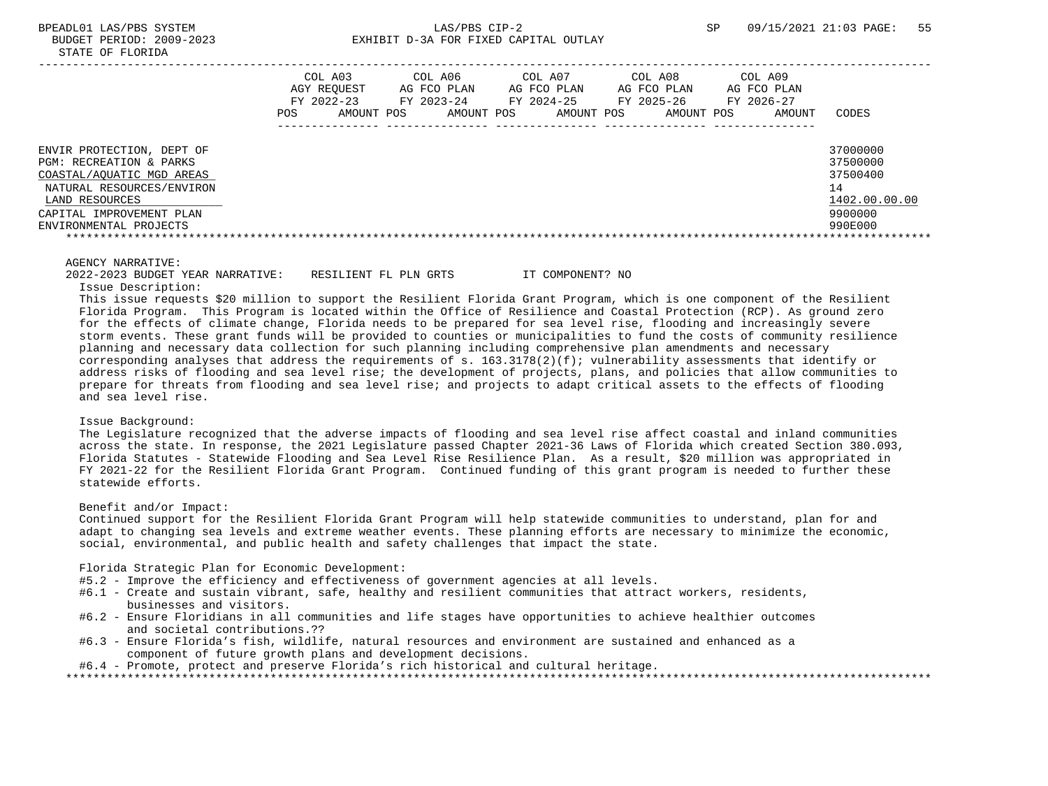|                                                                                                                                                                                        | COL A03<br>AGY REOUEST<br>FY 2022-23<br>POS.<br>AMOUNT POS | COL A06<br>AG FCO PLAN<br>FY 2023-24<br>AMOUNT POS | COL A07<br>AG FCO PLAN<br>FY 2024-25<br>AMOUNT POS | COL A08<br>AG FCO PLAN<br>FY 2025-26<br>AMOUNT POS | COL A09<br>AG FCO PLAN<br>FY 2026-27<br>AMOUNT | CODES                                                                         |
|----------------------------------------------------------------------------------------------------------------------------------------------------------------------------------------|------------------------------------------------------------|----------------------------------------------------|----------------------------------------------------|----------------------------------------------------|------------------------------------------------|-------------------------------------------------------------------------------|
| ENVIR PROTECTION, DEPT OF<br>PGM: RECREATION & PARKS<br>COASTAL/AOUATIC MGD AREAS<br>NATURAL RESOURCES/ENVIRON<br>LAND RESOURCES<br>CAPITAL IMPROVEMENT PLAN<br>ENVIRONMENTAL PROJECTS |                                                            |                                                    |                                                    |                                                    |                                                | 37000000<br>37500000<br>37500400<br>14<br>1402.00.00.00<br>9900000<br>990E000 |

 2022-2023 BUDGET YEAR NARRATIVE: RESILIENT FL PLN GRTS IT COMPONENT? NO Issue Description: This issue requests \$20 million to support the Resilient Florida Grant Program, which is one component of the Resilient

 Florida Program. This Program is located within the Office of Resilience and Coastal Protection (RCP). As ground zero for the effects of climate change, Florida needs to be prepared for sea level rise, flooding and increasingly severe storm events. These grant funds will be provided to counties or municipalities to fund the costs of community resilience planning and necessary data collection for such planning including comprehensive plan amendments and necessary corresponding analyses that address the requirements of s.  $163.3178(2)(f)$ ; vulnerability assessments that identify or address risks of flooding and sea level rise; the development of projects, plans, and policies that allow communities to prepare for threats from flooding and sea level rise; and projects to adapt critical assets to the effects of flooding and sea level rise.

#### Issue Background:

 The Legislature recognized that the adverse impacts of flooding and sea level rise affect coastal and inland communities across the state. In response, the 2021 Legislature passed Chapter 2021-36 Laws of Florida which created Section 380.093, Florida Statutes - Statewide Flooding and Sea Level Rise Resilience Plan. As a result, \$20 million was appropriated in FY 2021-22 for the Resilient Florida Grant Program. Continued funding of this grant program is needed to further these statewide efforts.

## Benefit and/or Impact:

 Continued support for the Resilient Florida Grant Program will help statewide communities to understand, plan for and adapt to changing sea levels and extreme weather events. These planning efforts are necessary to minimize the economic, social, environmental, and public health and safety challenges that impact the state.

#### Florida Strategic Plan for Economic Development:

- #5.2 Improve the efficiency and effectiveness of government agencies at all levels.
- #6.1 Create and sustain vibrant, safe, healthy and resilient communities that attract workers, residents, businesses and visitors.
- #6.2 Ensure Floridians in all communities and life stages have opportunities to achieve healthier outcomes and societal contributions.??
- #6.3 Ensure Florida's fish, wildlife, natural resources and environment are sustained and enhanced as a component of future growth plans and development decisions.

```
 #6.4 - Promote, protect and preserve Florida's rich historical and cultural heritage.
```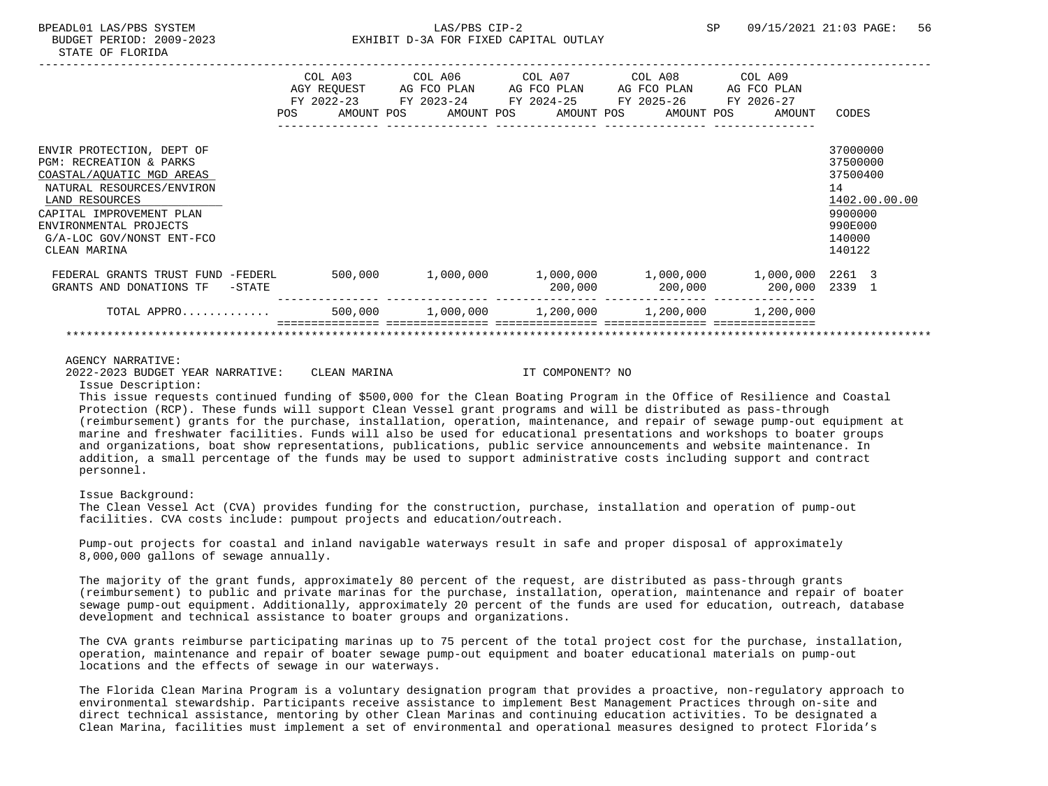|                                                                                                                                                                                        | POS | COL A03<br>AGY REQUEST<br>AMOUNT POS | COL A06 COL A07<br>AG FCO PLAN<br>FY 2022-23 FY 2023-24 FY 2024-25<br>AMOUNT POS | AG FCO PLAN | AMOUNT POS | COL A08<br>AG FCO PLAN<br>FY 2025-26<br>AMOUNT POS | COL A09<br>AG FCO PLAN<br>FY 2026-27<br>AMOUNT          | CODES                                                                         |
|----------------------------------------------------------------------------------------------------------------------------------------------------------------------------------------|-----|--------------------------------------|----------------------------------------------------------------------------------|-------------|------------|----------------------------------------------------|---------------------------------------------------------|-------------------------------------------------------------------------------|
| ENVIR PROTECTION, DEPT OF<br>PGM: RECREATION & PARKS<br>COASTAL/AQUATIC MGD AREAS<br>NATURAL RESOURCES/ENVIRON<br>LAND RESOURCES<br>CAPITAL IMPROVEMENT PLAN<br>ENVIRONMENTAL PROJECTS |     |                                      |                                                                                  |             |            |                                                    |                                                         | 37000000<br>37500000<br>37500400<br>14<br>1402.00.00.00<br>9900000<br>990E000 |
| G/A-LOC GOV/NONST ENT-FCO<br>CLEAN MARINA                                                                                                                                              |     |                                      |                                                                                  |             |            |                                                    |                                                         | 140000<br>140122                                                              |
| FEDERAL GRANTS TRUST FUND -FEDERL<br>GRANTS AND DONATIONS TF<br>$-$ STATE                                                                                                              |     | 500,000                              | 1,000,000                                                                        |             | 200,000    | 200,000                                            | $1,000,000$ $1,000,000$ $1,000,000$ $2261$ 3<br>200,000 | 2339 1                                                                        |
| TOTAL APPRO                                                                                                                                                                            |     | 500,000                              | 1,000,000                                                                        |             | 1,200,000  | 1,200,000                                          | 1,200,000                                               |                                                                               |

2022-2023 BUDGET YEAR NARRATIVE: CLEAN MARINA IT COMPONENT? NO

Issue Description:

 This issue requests continued funding of \$500,000 for the Clean Boating Program in the Office of Resilience and Coastal Protection (RCP). These funds will support Clean Vessel grant programs and will be distributed as pass-through (reimbursement) grants for the purchase, installation, operation, maintenance, and repair of sewage pump-out equipment at marine and freshwater facilities. Funds will also be used for educational presentations and workshops to boater groups and organizations, boat show representations, publications, public service announcements and website maintenance. In addition, a small percentage of the funds may be used to support administrative costs including support and contract personnel.

## Issue Background:

 The Clean Vessel Act (CVA) provides funding for the construction, purchase, installation and operation of pump-out facilities. CVA costs include: pumpout projects and education/outreach.

 Pump-out projects for coastal and inland navigable waterways result in safe and proper disposal of approximately 8,000,000 gallons of sewage annually.

 The majority of the grant funds, approximately 80 percent of the request, are distributed as pass-through grants (reimbursement) to public and private marinas for the purchase, installation, operation, maintenance and repair of boater sewage pump-out equipment. Additionally, approximately 20 percent of the funds are used for education, outreach, database development and technical assistance to boater groups and organizations.

 The CVA grants reimburse participating marinas up to 75 percent of the total project cost for the purchase, installation, operation, maintenance and repair of boater sewage pump-out equipment and boater educational materials on pump-out locations and the effects of sewage in our waterways.

 The Florida Clean Marina Program is a voluntary designation program that provides a proactive, non-regulatory approach to environmental stewardship. Participants receive assistance to implement Best Management Practices through on-site and direct technical assistance, mentoring by other Clean Marinas and continuing education activities. To be designated a Clean Marina, facilities must implement a set of environmental and operational measures designed to protect Florida's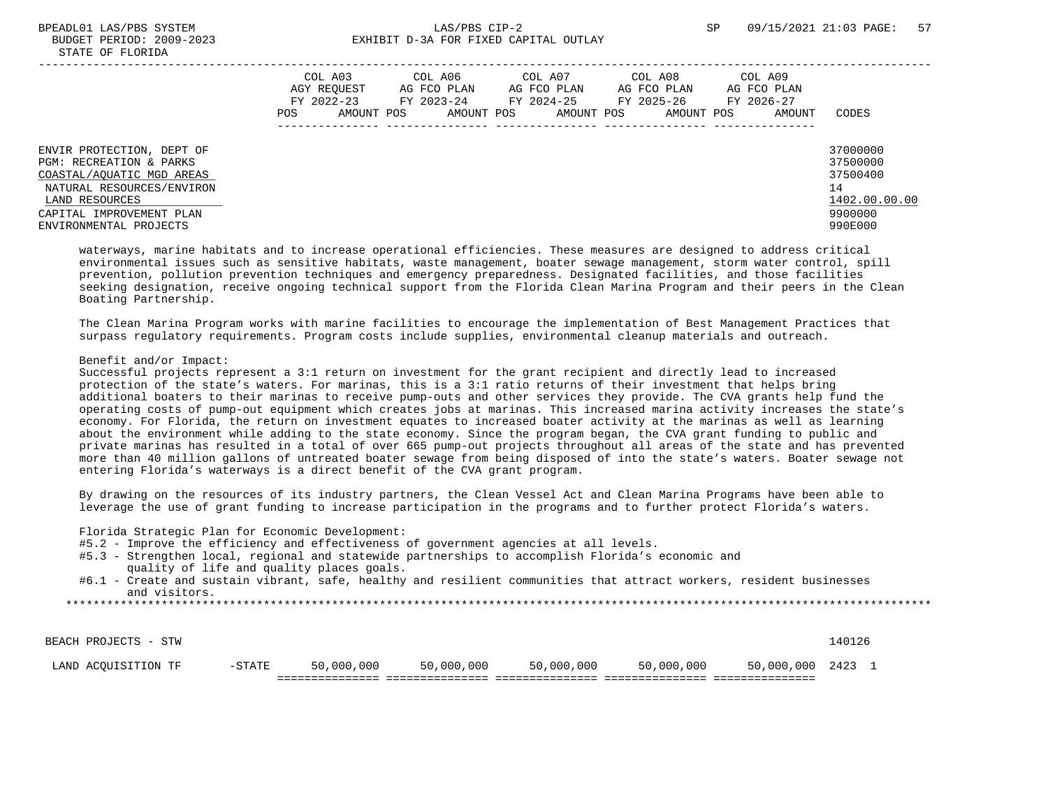|                                                                                                                                                                                        | COL A03<br>AGY REOUEST<br>FY 2022-23<br>AMOUNT POS<br>POS | COL A06<br>AG FCO PLAN<br>FY 2023-24<br>AMOUNT POS | COL A07<br>AG FCO PLAN<br>FY 2024-25<br>AMOUNT POS | COL A08<br>AG FCO PLAN<br>FY 2025-26<br>AMOUNT POS | COL A09<br>AG FCO PLAN<br>FY 2026-27<br>AMOUNT | CODES                                                                         |
|----------------------------------------------------------------------------------------------------------------------------------------------------------------------------------------|-----------------------------------------------------------|----------------------------------------------------|----------------------------------------------------|----------------------------------------------------|------------------------------------------------|-------------------------------------------------------------------------------|
| ENVIR PROTECTION, DEPT OF<br>PGM: RECREATION & PARKS<br>COASTAL/AOUATIC MGD AREAS<br>NATURAL RESOURCES/ENVIRON<br>LAND RESOURCES<br>CAPITAL IMPROVEMENT PLAN<br>ENVIRONMENTAL PROJECTS |                                                           |                                                    |                                                    |                                                    |                                                | 37000000<br>37500000<br>37500400<br>14<br>1402.00.00.00<br>9900000<br>990E000 |

 waterways, marine habitats and to increase operational efficiencies. These measures are designed to address critical environmental issues such as sensitive habitats, waste management, boater sewage management, storm water control, spill prevention, pollution prevention techniques and emergency preparedness. Designated facilities, and those facilities seeking designation, receive ongoing technical support from the Florida Clean Marina Program and their peers in the Clean Boating Partnership.

 The Clean Marina Program works with marine facilities to encourage the implementation of Best Management Practices that surpass regulatory requirements. Program costs include supplies, environmental cleanup materials and outreach.

## Benefit and/or Impact:

 Successful projects represent a 3:1 return on investment for the grant recipient and directly lead to increased protection of the state's waters. For marinas, this is a 3:1 ratio returns of their investment that helps bring additional boaters to their marinas to receive pump-outs and other services they provide. The CVA grants help fund the operating costs of pump-out equipment which creates jobs at marinas. This increased marina activity increases the state's economy. For Florida, the return on investment equates to increased boater activity at the marinas as well as learning about the environment while adding to the state economy. Since the program began, the CVA grant funding to public and private marinas has resulted in a total of over 665 pump-out projects throughout all areas of the state and has prevented more than 40 million gallons of untreated boater sewage from being disposed of into the state's waters. Boater sewage not entering Florida's waterways is a direct benefit of the CVA grant program.

 By drawing on the resources of its industry partners, the Clean Vessel Act and Clean Marina Programs have been able to leverage the use of grant funding to increase participation in the programs and to further protect Florida's waters.

Florida Strategic Plan for Economic Development:

- #5.2 Improve the efficiency and effectiveness of government agencies at all levels.
- #5.3 Strengthen local, regional and statewide partnerships to accomplish Florida's economic and quality of life and quality places goals.
- #6.1 Create and sustain vibrant, safe, healthy and resilient communities that attract workers, resident businesses and visitors.

| LAND ACOUISITION TF  | $-$ STATE | 50,000,000 | 50,000,000 | 50,000,000 | 50,000,000 | 50,000,000 | 2423   |  |
|----------------------|-----------|------------|------------|------------|------------|------------|--------|--|
|                      |           |            |            |            |            |            |        |  |
| BEACH PROJECTS - STW |           |            |            |            |            |            | ⊥40126 |  |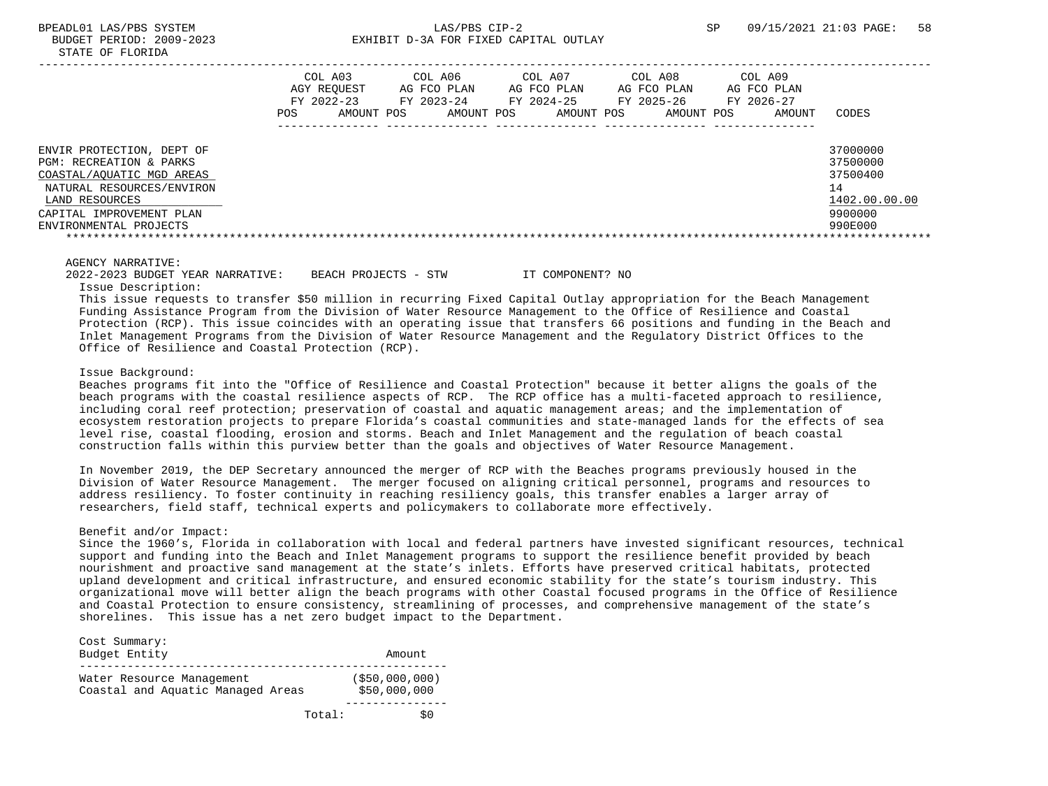|                                                                                                                                                                                        | COL A03<br>AGY REOUEST<br>FY 2022-23<br>POS.<br>AMOUNT POS | COL A06<br>AG FCO PLAN<br>FY 2023-24<br>AMOUNT POS | COL A07<br>AG FCO PLAN<br>FY 2024-25<br>AMOUNT POS | COL A08<br>AG FCO PLAN<br>FY 2025-26<br>AMOUNT POS | COL A09<br>AG FCO PLAN<br>FY 2026-27<br>AMOUNT | CODES                                                                         |
|----------------------------------------------------------------------------------------------------------------------------------------------------------------------------------------|------------------------------------------------------------|----------------------------------------------------|----------------------------------------------------|----------------------------------------------------|------------------------------------------------|-------------------------------------------------------------------------------|
| ENVIR PROTECTION, DEPT OF<br>PGM: RECREATION & PARKS<br>COASTAL/AOUATIC MGD AREAS<br>NATURAL RESOURCES/ENVIRON<br>LAND RESOURCES<br>CAPITAL IMPROVEMENT PLAN<br>ENVIRONMENTAL PROJECTS |                                                            |                                                    |                                                    |                                                    |                                                | 37000000<br>37500000<br>37500400<br>14<br>1402.00.00.00<br>9900000<br>990E000 |

 2022-2023 BUDGET YEAR NARRATIVE: BEACH PROJECTS - STW IT COMPONENT? NO Issue Description:

 This issue requests to transfer \$50 million in recurring Fixed Capital Outlay appropriation for the Beach Management Funding Assistance Program from the Division of Water Resource Management to the Office of Resilience and Coastal Protection (RCP). This issue coincides with an operating issue that transfers 66 positions and funding in the Beach and Inlet Management Programs from the Division of Water Resource Management and the Regulatory District Offices to the Office of Resilience and Coastal Protection (RCP).

#### Issue Background:

 Beaches programs fit into the "Office of Resilience and Coastal Protection" because it better aligns the goals of the beach programs with the coastal resilience aspects of RCP. The RCP office has a multi-faceted approach to resilience, including coral reef protection; preservation of coastal and aquatic management areas; and the implementation of ecosystem restoration projects to prepare Florida's coastal communities and state-managed lands for the effects of sea level rise, coastal flooding, erosion and storms. Beach and Inlet Management and the regulation of beach coastal construction falls within this purview better than the goals and objectives of Water Resource Management.

 In November 2019, the DEP Secretary announced the merger of RCP with the Beaches programs previously housed in the Division of Water Resource Management. The merger focused on aligning critical personnel, programs and resources to address resiliency. To foster continuity in reaching resiliency goals, this transfer enables a larger array of researchers, field staff, technical experts and policymakers to collaborate more effectively.

## Benefit and/or Impact:

 Since the 1960's, Florida in collaboration with local and federal partners have invested significant resources, technical support and funding into the Beach and Inlet Management programs to support the resilience benefit provided by beach nourishment and proactive sand management at the state's inlets. Efforts have preserved critical habitats, protected upland development and critical infrastructure, and ensured economic stability for the state's tourism industry. This organizational move will better align the beach programs with other Coastal focused programs in the Office of Resilience and Coastal Protection to ensure consistency, streamlining of processes, and comprehensive management of the state's shorelines. This issue has a net zero budget impact to the Department.

| Cost Summary:<br>Budget Entity                                 | Amount                            |
|----------------------------------------------------------------|-----------------------------------|
| Water Resource Management<br>Coastal and Aquatic Managed Areas | $($ \$50,000,000)<br>\$50,000,000 |
| Total:                                                         |                                   |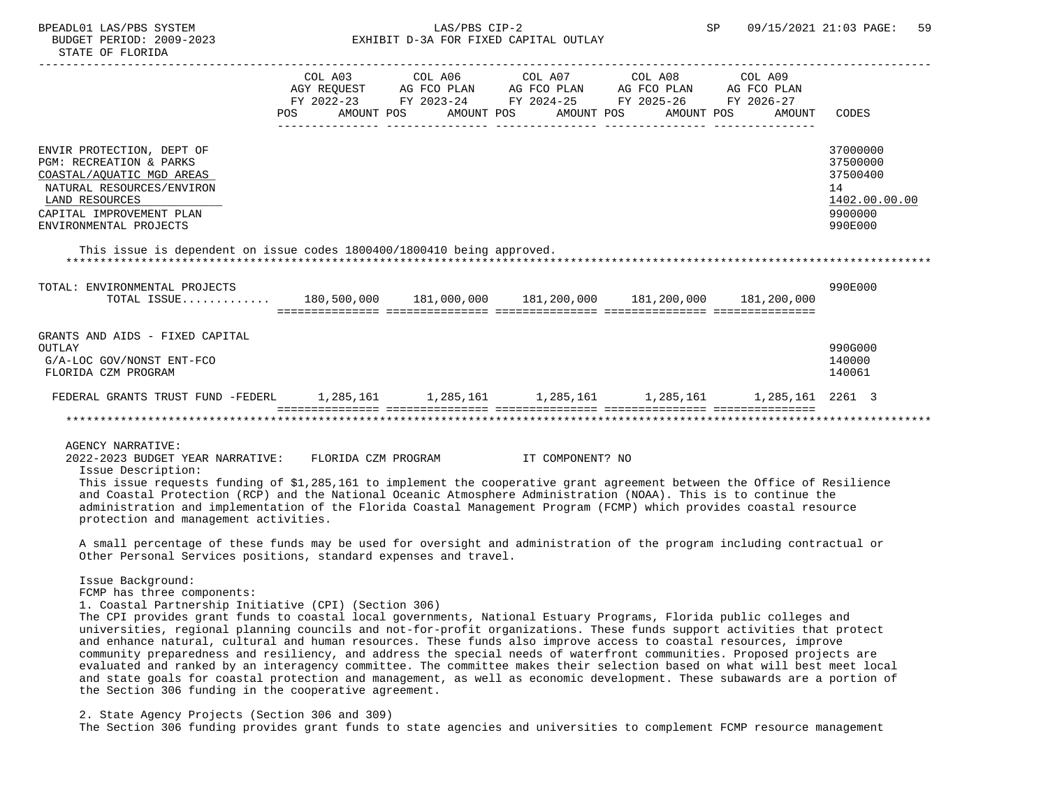BPEADL01 LAS/PBS SYSTEM  $LAS/PBS$  CIP-2 SP 09/15/2021 21:03 PAGE: 59 BUDGET PERIOD: 2009-2023 EXHIBIT D-3A FOR FIXED CAPITAL OUTLAY STATE OF FLORIDA ----------------------------------------------------------------------------------------------------------------------------------- COL A03 COL A06 COL A07 COL A08 COL A09 AGY REQUEST AG FCO PLAN AG FCO PLAN AG FCO PLAN AG FCO PLAN FY 2022-23 FY 2023-24 FY 2024-25 FY 2025-26 FY 2026-27 POS AMOUNT POS AMOUNT POS AMOUNT POS AMOUNT POS AMOUNT CODES --------------- --------------- --------------- --------------- --------------- ENVIR PROTECTION, DEPT OF 37000000 ENVIRTUAL SOLUTION OF STATISTICS OF STATISTICS OF STATISTICS OF STATISTICS OF STATISTICS OF STATISTICS OF STATISTICS OF STATISTICS OF STATISTICS OF STATISTICS OF STATISTICS OF STATISTICS PGM: RECREATION & PARKS 37500000 (2002) 37500000 (2003) 37500000 (37500000 (37500000 (37500000 (37500000 ) 37500<br>20 STAL/AOUATIC MGD AREAS COASTAL/AQUATIC MGD AREAS NATURAL RESOURCES/ENVIRON 14<br>LAND RESOURCES 1402.00.00.00  $\begin{array}{l} \text{\underline{LAND}} \text{ RESOUTCES} \end{array} \hspace{2cm} \begin{array}{c} \text{\underline{1402.00}} \\ \text{\underline{1402.00}} \end{array} \end{array}$ CAPITAL IMPROVEMENT PLAN ENVIRONMENTAL PROJECTS 990E000 This issue is dependent on issue codes 1800400/1800410 being approved. \*\*\*\*\*\*\*\*\*\*\*\*\*\*\*\*\*\*\*\*\*\*\*\*\*\*\*\*\*\*\*\*\*\*\*\*\*\*\*\*\*\*\*\*\*\*\*\*\*\*\*\*\*\*\*\*\*\*\*\*\*\*\*\*\*\*\*\*\*\*\*\*\*\*\*\*\*\*\*\*\*\*\*\*\*\*\*\*\*\*\*\*\*\*\*\*\*\*\*\*\*\*\*\*\*\*\*\*\*\*\*\*\*\*\*\*\*\*\*\*\*\*\*\*\*\*\* TOTAL: ENVIRONMENTAL PROJECTS 990E000 TOTAL ISSUE............. 180,500,000 181,000,000 181,200,000 181,200,000 181,200,000 =============== =============== =============== =============== =============== GRANTS AND AIDS - FIXED CAPITAL OUTLAY 990G000 G/A-LOC GOV/NONST ENT-FCO 140000 FLORIDA CZM PROGRAM 140061 FEDERAL GRANTS TRUST FUND -FEDERL 1,285,161 1,285,161 1,285,161 1,285,161 1,285,161 2261 3 =============== =============== =============== =============== =============== \*\*\*\*\*\*\*\*\*\*\*\*\*\*\*\*\*\*\*\*\*\*\*\*\*\*\*\*\*\*\*\*\*\*\*\*\*\*\*\*\*\*\*\*\*\*\*\*\*\*\*\*\*\*\*\*\*\*\*\*\*\*\*\*\*\*\*\*\*\*\*\*\*\*\*\*\*\*\*\*\*\*\*\*\*\*\*\*\*\*\*\*\*\*\*\*\*\*\*\*\*\*\*\*\*\*\*\*\*\*\*\*\*\*\*\*\*\*\*\*\*\*\*\*\*\*\*

AGENCY NARRATIVE:

 2022-2023 BUDGET YEAR NARRATIVE: FLORIDA CZM PROGRAM IT COMPONENT? NO Issue Description:

 This issue requests funding of \$1,285,161 to implement the cooperative grant agreement between the Office of Resilience and Coastal Protection (RCP) and the National Oceanic Atmosphere Administration (NOAA). This is to continue the administration and implementation of the Florida Coastal Management Program (FCMP) which provides coastal resource protection and management activities.

 A small percentage of these funds may be used for oversight and administration of the program including contractual or Other Personal Services positions, standard expenses and travel.

Issue Background:

FCMP has three components:

1. Coastal Partnership Initiative (CPI) (Section 306)

 The CPI provides grant funds to coastal local governments, National Estuary Programs, Florida public colleges and universities, regional planning councils and not-for-profit organizations. These funds support activities that protect and enhance natural, cultural and human resources. These funds also improve access to coastal resources, improve community preparedness and resiliency, and address the special needs of waterfront communities. Proposed projects are evaluated and ranked by an interagency committee. The committee makes their selection based on what will best meet local and state goals for coastal protection and management, as well as economic development. These subawards are a portion of the Section 306 funding in the cooperative agreement.

2. State Agency Projects (Section 306 and 309)

The Section 306 funding provides grant funds to state agencies and universities to complement FCMP resource management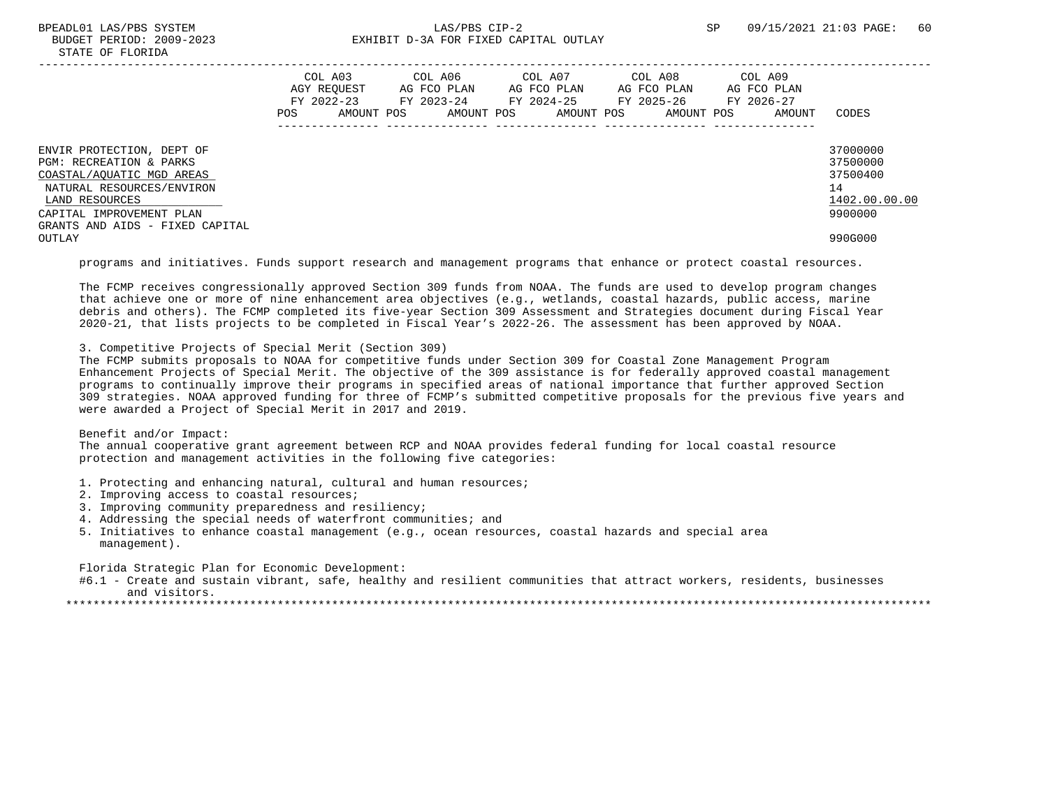# BPEADL01 LAS/PBS SYSTEM 60 CONTROL CONTROLLER CONTROLLER CONTROLLER SP 09/15/2021 21:03 PAGE: 60 BUDGET PERIOD: 2009-2023 EXHIBIT D-3A FOR FIXED CAPITAL OUTLAY

|                                                                                                                                                                                                 | POS | COL A03<br>AGY REOUEST<br>FY 2022-23<br>AMOUNT POS | COL A06<br>AG FCO PLAN<br>FY 2023-24<br>AMOUNT POS | COL A07<br>AG FCO PLAN<br>FY 2024-25 FY 2025-26<br>AMOUNT POS | COL A08<br>AG FCO PLAN<br>AMOUNT POS | COL A09<br>AG FCO PLAN<br>FY 2026-27<br>AMOUNT | CODES                                                              |
|-------------------------------------------------------------------------------------------------------------------------------------------------------------------------------------------------|-----|----------------------------------------------------|----------------------------------------------------|---------------------------------------------------------------|--------------------------------------|------------------------------------------------|--------------------------------------------------------------------|
| ENVIR PROTECTION, DEPT OF<br>PGM: RECREATION & PARKS<br>COASTAL/AOUATIC MGD AREAS<br>NATURAL RESOURCES/ENVIRON<br>LAND RESOURCES<br>CAPITAL IMPROVEMENT PLAN<br>GRANTS AND AIDS - FIXED CAPITAL |     |                                                    |                                                    |                                                               |                                      |                                                | 37000000<br>37500000<br>37500400<br>14<br>1402.00.00.00<br>9900000 |
| OUTLAY                                                                                                                                                                                          |     |                                                    |                                                    |                                                               |                                      |                                                | 990G000                                                            |

programs and initiatives. Funds support research and management programs that enhance or protect coastal resources.

 The FCMP receives congressionally approved Section 309 funds from NOAA. The funds are used to develop program changes that achieve one or more of nine enhancement area objectives (e.g., wetlands, coastal hazards, public access, marine debris and others). The FCMP completed its five-year Section 309 Assessment and Strategies document during Fiscal Year 2020-21, that lists projects to be completed in Fiscal Year's 2022-26. The assessment has been approved by NOAA.

3. Competitive Projects of Special Merit (Section 309)

 The FCMP submits proposals to NOAA for competitive funds under Section 309 for Coastal Zone Management Program Enhancement Projects of Special Merit. The objective of the 309 assistance is for federally approved coastal management programs to continually improve their programs in specified areas of national importance that further approved Section 309 strategies. NOAA approved funding for three of FCMP's submitted competitive proposals for the previous five years and were awarded a Project of Special Merit in 2017 and 2019.

 Benefit and/or Impact: The annual cooperative grant agreement between RCP and NOAA provides federal funding for local coastal resource protection and management activities in the following five categories:

- 1. Protecting and enhancing natural, cultural and human resources;
- 2. Improving access to coastal resources;
- 3. Improving community preparedness and resiliency;
- 4. Addressing the special needs of waterfront communities; and
- 5. Initiatives to enhance coastal management (e.g., ocean resources, coastal hazards and special area management).

Florida Strategic Plan for Economic Development:

 #6.1 - Create and sustain vibrant, safe, healthy and resilient communities that attract workers, residents, businesses and visitors.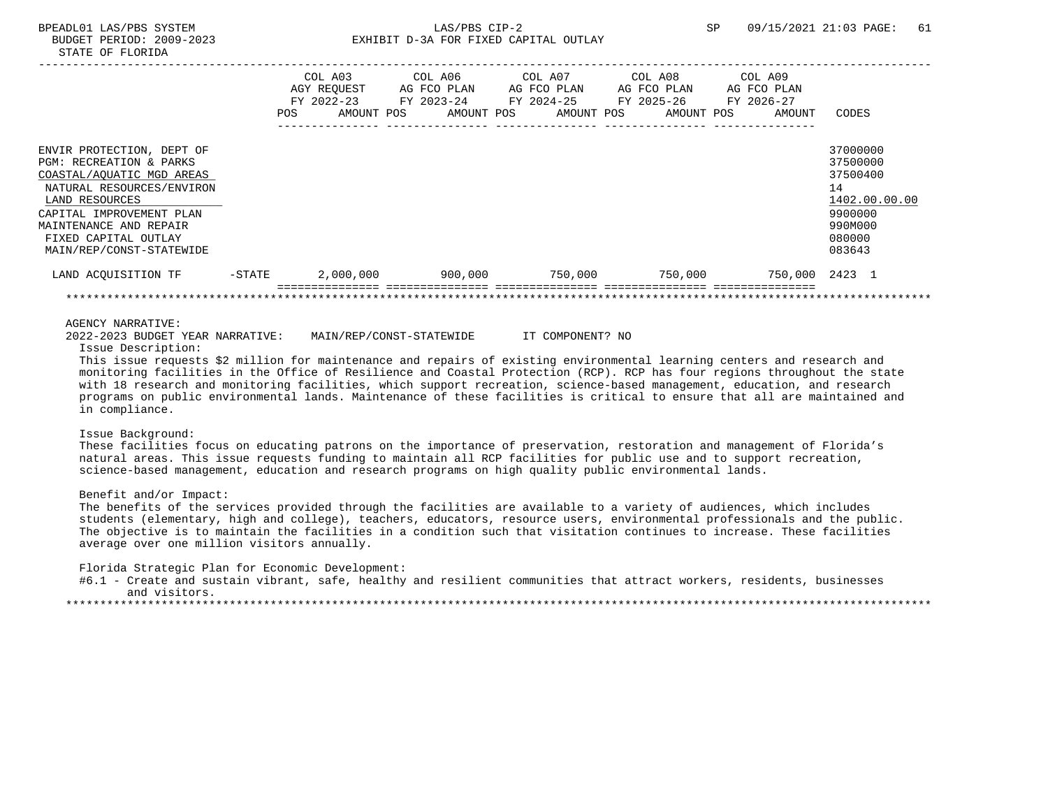|                                                                                                                                                                                                                                            |        | COL A03<br>AGY REQUEST<br>FY 2022-23<br>AMOUNT POS<br>POS | COL A06<br>AG FCO PLAN<br>FY 2023-24<br>AMOUNT POS | COL A07<br>AG FCO PLAN<br>FY 2024-25<br>AMOUNT POS | COL A08<br>AG FCO PLAN<br>FY 2025-26<br>AMOUNT POS | COL A09<br>AG FCO PLAN<br>FY 2026-27<br>AMOUNT | CODES                                                                                             |
|--------------------------------------------------------------------------------------------------------------------------------------------------------------------------------------------------------------------------------------------|--------|-----------------------------------------------------------|----------------------------------------------------|----------------------------------------------------|----------------------------------------------------|------------------------------------------------|---------------------------------------------------------------------------------------------------|
| ENVIR PROTECTION, DEPT OF<br>PGM: RECREATION & PARKS<br>COASTAL/AQUATIC MGD AREAS<br>NATURAL RESOURCES/ENVIRON<br>LAND RESOURCES<br>CAPITAL IMPROVEMENT PLAN<br>MAINTENANCE AND REPAIR<br>FIXED CAPITAL OUTLAY<br>MAIN/REP/CONST-STATEWIDE |        |                                                           |                                                    |                                                    |                                                    |                                                | 37000000<br>37500000<br>37500400<br>14<br>1402.00.00.00<br>9900000<br>990M000<br>080000<br>083643 |
| LAND ACOUISITION TF                                                                                                                                                                                                                        | -STATE | 2,000,000                                                 | 900,000                                            | 750,000                                            | 750,000                                            | 750,000 2423 1                                 |                                                                                                   |
|                                                                                                                                                                                                                                            |        |                                                           |                                                    |                                                    |                                                    |                                                |                                                                                                   |

2022-2023 BUDGET YEAR NARRATIVE: MAIN/REP/CONST-STATEWIDE IT COMPONENT? NO

Issue Description:

 This issue requests \$2 million for maintenance and repairs of existing environmental learning centers and research and monitoring facilities in the Office of Resilience and Coastal Protection (RCP). RCP has four regions throughout the state with 18 research and monitoring facilities, which support recreation, science-based management, education, and research programs on public environmental lands. Maintenance of these facilities is critical to ensure that all are maintained and in compliance.

## Issue Background:

 These facilities focus on educating patrons on the importance of preservation, restoration and management of Florida's natural areas. This issue requests funding to maintain all RCP facilities for public use and to support recreation, science-based management, education and research programs on high quality public environmental lands.

## Benefit and/or Impact:

 The benefits of the services provided through the facilities are available to a variety of audiences, which includes students (elementary, high and college), teachers, educators, resource users, environmental professionals and the public. The objective is to maintain the facilities in a condition such that visitation continues to increase. These facilities average over one million visitors annually.

Florida Strategic Plan for Economic Development:

 #6.1 - Create and sustain vibrant, safe, healthy and resilient communities that attract workers, residents, businesses and visitors.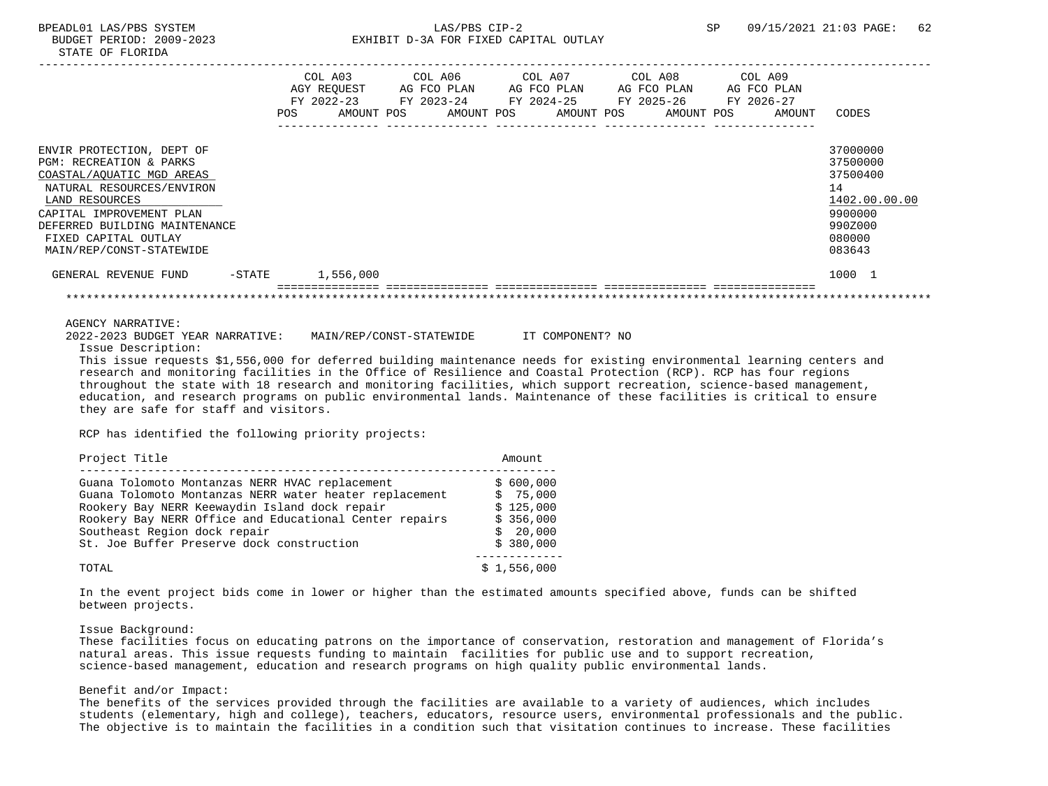STATE OF FLORIDA -----------------------------------------------------------------------------------------------------------------------------------

|                                                                                                                                                                                                                                                              |           | FY 2022-23<br>POS. | COL A03<br>AGY REOUEST<br>AMOUNT POS | COL A06<br>AG FCO PLAN<br>FY 2023-24<br>AMOUNT POS | COL A07<br>FY 2024-25 | AG FCO PLAN<br>AMOUNT POS | COL A08<br>AG FCO PLAN<br>FY 2025-26<br>AMOUNT POS | COL A09<br>AG FCO PLAN<br>FY 2026-27<br>AMOUNT | CODES                                                                                             |
|--------------------------------------------------------------------------------------------------------------------------------------------------------------------------------------------------------------------------------------------------------------|-----------|--------------------|--------------------------------------|----------------------------------------------------|-----------------------|---------------------------|----------------------------------------------------|------------------------------------------------|---------------------------------------------------------------------------------------------------|
| ENVIR PROTECTION, DEPT OF<br><b>PGM: RECREATION &amp; PARKS</b><br>COASTAL/AQUATIC MGD AREAS<br>NATURAL RESOURCES/ENVIRON<br>LAND RESOURCES<br>CAPITAL IMPROVEMENT PLAN<br>DEFERRED BUILDING MAINTENANCE<br>FIXED CAPITAL OUTLAY<br>MAIN/REP/CONST-STATEWIDE |           |                    |                                      |                                                    |                       |                           |                                                    |                                                | 37000000<br>37500000<br>37500400<br>14<br>1402.00.00.00<br>9900000<br>990Z000<br>080000<br>083643 |
| GENERAL REVENUE FUND                                                                                                                                                                                                                                         | $-$ STATE |                    | 1,556,000                            |                                                    |                       |                           |                                                    |                                                | 1000 1                                                                                            |

#### AGENCY NARRATIVE:

2022-2023 BUDGET YEAR NARRATIVE: MAIN/REP/CONST-STATEWIDE IT COMPONENT? NO

Issue Description:

 This issue requests \$1,556,000 for deferred building maintenance needs for existing environmental learning centers and research and monitoring facilities in the Office of Resilience and Coastal Protection (RCP). RCP has four regions throughout the state with 18 research and monitoring facilities, which support recreation, science-based management, education, and research programs on public environmental lands. Maintenance of these facilities is critical to ensure they are safe for staff and visitors.

RCP has identified the following priority projects:

| Project Title                                                                                                                                                                                                                                                                                    | Amount                                                                   |
|--------------------------------------------------------------------------------------------------------------------------------------------------------------------------------------------------------------------------------------------------------------------------------------------------|--------------------------------------------------------------------------|
| Guana Tolomoto Montanzas NERR HVAC replacement<br>Guana Tolomoto Montanzas NERR water heater replacement<br>Rookery Bay NERR Keewaydin Island dock repair<br>Rookery Bay NERR Office and Educational Center repairs<br>Southeast Region dock repair<br>St. Joe Buffer Preserve dock construction | \$600,000<br>\$75,000<br>\$125,000<br>\$356,000<br>\$20.000<br>\$380,000 |
| TOTAL                                                                                                                                                                                                                                                                                            | \$1,556,000                                                              |

 In the event project bids come in lower or higher than the estimated amounts specified above, funds can be shifted between projects.

### Issue Background:

 These facilities focus on educating patrons on the importance of conservation, restoration and management of Florida's natural areas. This issue requests funding to maintain facilities for public use and to support recreation, science-based management, education and research programs on high quality public environmental lands.

### Benefit and/or Impact:

 The benefits of the services provided through the facilities are available to a variety of audiences, which includes students (elementary, high and college), teachers, educators, resource users, environmental professionals and the public. The objective is to maintain the facilities in a condition such that visitation continues to increase. These facilities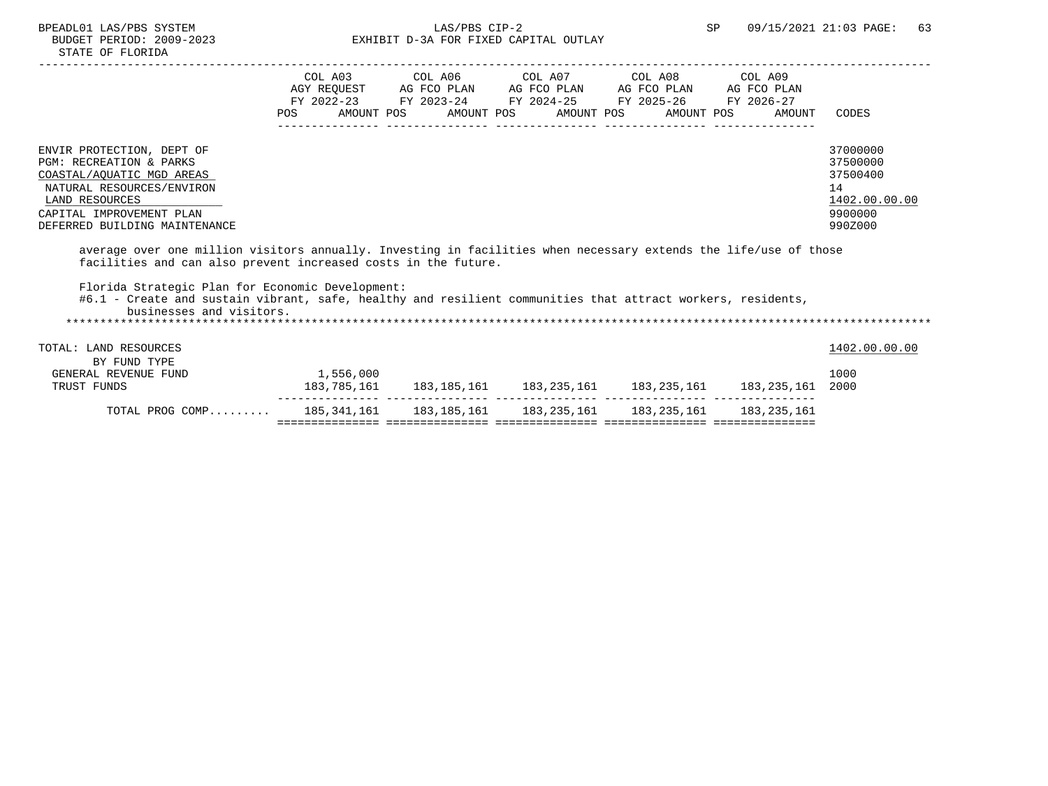| STATE OF FLORIDA                                                                                                                                                                                         |            |                       |                                                  |                                       |                                                                              |                                                |                                                                               |
|----------------------------------------------------------------------------------------------------------------------------------------------------------------------------------------------------------|------------|-----------------------|--------------------------------------------------|---------------------------------------|------------------------------------------------------------------------------|------------------------------------------------|-------------------------------------------------------------------------------|
|                                                                                                                                                                                                          | <b>POS</b> | COL A03<br>AMOUNT POS | COL A06<br>AGY REOUEST AG FCO PLAN<br>AMOUNT POS | AG FCO PLAN AG FCO PLAN<br>AMOUNT POS | COL A07 COL A08<br>FY 2022-23 FY 2023-24 FY 2024-25 FY 2025-26<br>AMOUNT POS | COL A09<br>AG FCO PLAN<br>FY 2026-27<br>AMOUNT | CODES                                                                         |
| ENVIR PROTECTION, DEPT OF<br><b>PGM: RECREATION &amp; PARKS</b><br>COASTAL/AQUATIC MGD AREAS<br>NATURAL RESOURCES/ENVIRON<br>LAND RESOURCES<br>CAPITAL IMPROVEMENT PLAN<br>DEFERRED BUILDING MAINTENANCE |            |                       |                                                  |                                       |                                                                              |                                                | 37000000<br>37500000<br>37500400<br>14<br>1402.00.00.00<br>9900000<br>990Z000 |
| average over one million visitors annually. Investing in facilities when necessary extends the life/use of those<br>facilities and can also prevent increased costs in the future.                       |            |                       |                                                  |                                       |                                                                              |                                                |                                                                               |
| Florida Strategic Plan for Economic Development:<br>#6.1 - Create and sustain vibrant, safe, healthy and resilient communities that attract workers, residents,<br>businesses and visitors.              |            |                       |                                                  |                                       |                                                                              |                                                |                                                                               |

TOTAL: LAND RESOURCES 1402.00.00 PHOTOSET 1402.00.00 PHOTOSET 1402.00.00 PHOTOSET 15 BY FUND TYPE GENERAL REVENUE FUND 1,556,000 1000 TRUST FUNDS 183,785,161 183,185,161 183,235,161 183,235,161 183,235,161 2000 --------------- --------------- --------------- --------------- --------------- TOTAL PROG COMP......... 185,341,161 183,185,161 183,235,161 183,235,161 183,235,161 =============== =============== =============== =============== ===============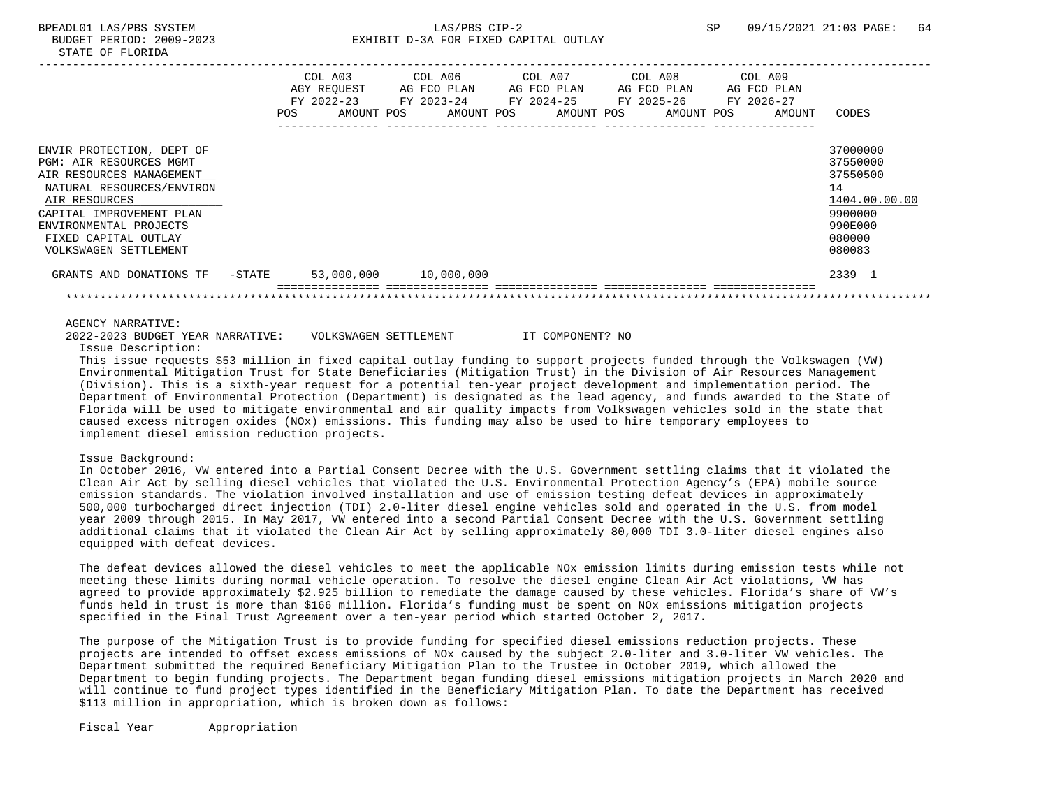|                                                                                                                                                                                                                                       |        | COL A03<br>AGY REOUEST<br>$FY$ 2022-23<br>POS | AMOUNT POS | COL A06<br>AG FCO PLAN<br>FY 2023-24<br>AMOUNT POS | COL A07<br>AG FCO PLAN<br>FY 2024-25<br>AMOUNT POS | COL A08<br>AG FCO PLAN<br>FY 2025-26<br>AMOUNT POS | COL A09<br>AG FCO PLAN<br>FY 2026-27<br>AMOUNT | CODES                                                                                             |
|---------------------------------------------------------------------------------------------------------------------------------------------------------------------------------------------------------------------------------------|--------|-----------------------------------------------|------------|----------------------------------------------------|----------------------------------------------------|----------------------------------------------------|------------------------------------------------|---------------------------------------------------------------------------------------------------|
| ENVIR PROTECTION, DEPT OF<br>PGM: AIR RESOURCES MGMT<br>AIR RESOURCES MANAGEMENT<br>NATURAL RESOURCES/ENVIRON<br>AIR RESOURCES<br>CAPITAL IMPROVEMENT PLAN<br>ENVIRONMENTAL PROJECTS<br>FIXED CAPITAL OUTLAY<br>VOLKSWAGEN SETTLEMENT |        |                                               |            |                                                    |                                                    |                                                    |                                                | 37000000<br>37550000<br>37550500<br>14<br>1404.00.00.00<br>9900000<br>990E000<br>080000<br>080083 |
| GRANTS AND DONATIONS TF                                                                                                                                                                                                               | -STATE | 53,000,000                                    |            | 10,000,000                                         |                                                    |                                                    |                                                | 2339 1                                                                                            |
|                                                                                                                                                                                                                                       |        |                                               |            |                                                    |                                                    |                                                    |                                                |                                                                                                   |

2022-2023 BUDGET YEAR NARRATIVE: VOLKSWAGEN SETTLEMENT IT COMPONENT? NO

Issue Description:

 This issue requests \$53 million in fixed capital outlay funding to support projects funded through the Volkswagen (VW) Environmental Mitigation Trust for State Beneficiaries (Mitigation Trust) in the Division of Air Resources Management (Division). This is a sixth-year request for a potential ten-year project development and implementation period. The Department of Environmental Protection (Department) is designated as the lead agency, and funds awarded to the State of Florida will be used to mitigate environmental and air quality impacts from Volkswagen vehicles sold in the state that caused excess nitrogen oxides (NOx) emissions. This funding may also be used to hire temporary employees to implement diesel emission reduction projects.

### Issue Background:

 In October 2016, VW entered into a Partial Consent Decree with the U.S. Government settling claims that it violated the Clean Air Act by selling diesel vehicles that violated the U.S. Environmental Protection Agency's (EPA) mobile source emission standards. The violation involved installation and use of emission testing defeat devices in approximately 500,000 turbocharged direct injection (TDI) 2.0-liter diesel engine vehicles sold and operated in the U.S. from model year 2009 through 2015. In May 2017, VW entered into a second Partial Consent Decree with the U.S. Government settling additional claims that it violated the Clean Air Act by selling approximately 80,000 TDI 3.0-liter diesel engines also equipped with defeat devices.

 The defeat devices allowed the diesel vehicles to meet the applicable NOx emission limits during emission tests while not meeting these limits during normal vehicle operation. To resolve the diesel engine Clean Air Act violations, VW has agreed to provide approximately \$2.925 billion to remediate the damage caused by these vehicles. Florida's share of VW's funds held in trust is more than \$166 million. Florida's funding must be spent on NOx emissions mitigation projects specified in the Final Trust Agreement over a ten-year period which started October 2, 2017.

 The purpose of the Mitigation Trust is to provide funding for specified diesel emissions reduction projects. These projects are intended to offset excess emissions of NOx caused by the subject 2.0-liter and 3.0-liter VW vehicles. The Department submitted the required Beneficiary Mitigation Plan to the Trustee in October 2019, which allowed the Department to begin funding projects. The Department began funding diesel emissions mitigation projects in March 2020 and will continue to fund project types identified in the Beneficiary Mitigation Plan. To date the Department has received \$113 million in appropriation, which is broken down as follows:

Fiscal Year Appropriation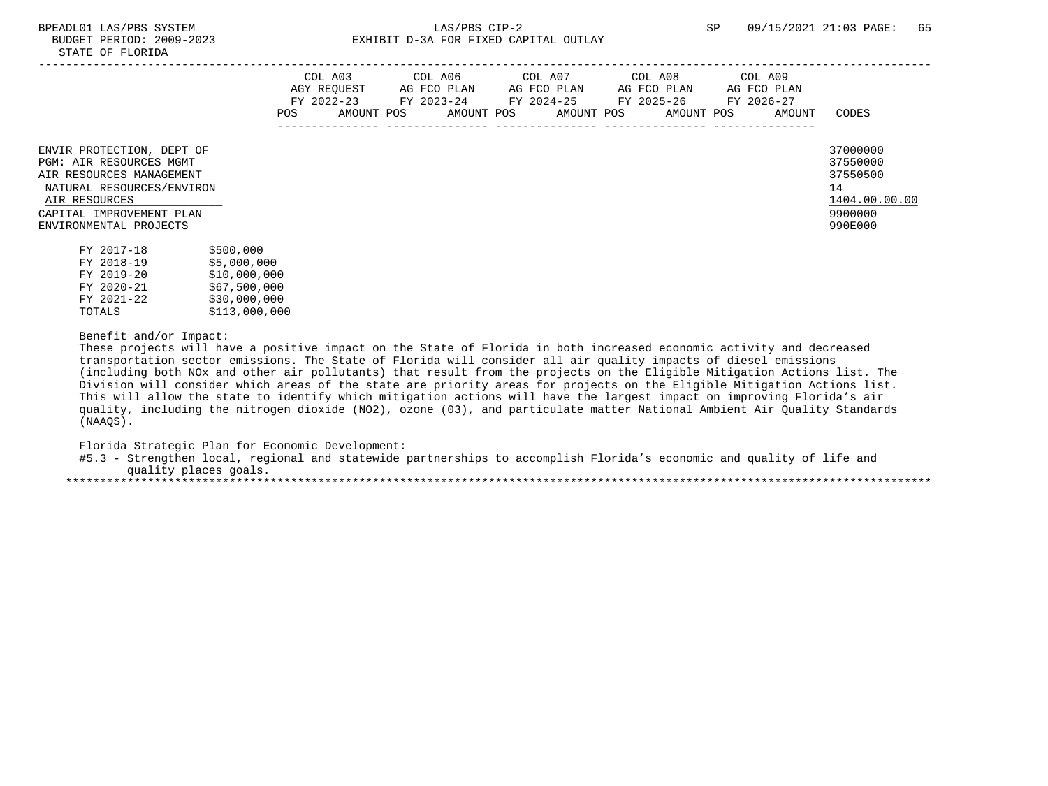|                                                                                                                                                                                      | COL A03<br>AGY REOUEST<br>FY 2022-23<br>AMOUNT POS<br>POS | COL A06<br>AG FCO PLAN<br>FY 2023-24<br>AMOUNT POS | COL A07<br>AG FCO PLAN<br>FY 2024-25<br>AMOUNT POS | COL A08<br>AG FCO PLAN<br>FY 2025-26<br>AMOUNT POS | COL A09<br>AG FCO PLAN<br>FY 2026-27<br>AMOUNT | CODES                                                                         |
|--------------------------------------------------------------------------------------------------------------------------------------------------------------------------------------|-----------------------------------------------------------|----------------------------------------------------|----------------------------------------------------|----------------------------------------------------|------------------------------------------------|-------------------------------------------------------------------------------|
| ENVIR PROTECTION, DEPT OF<br>PGM: AIR RESOURCES MGMT<br>AIR RESOURCES MANAGEMENT<br>NATURAL RESOURCES/ENVIRON<br>AIR RESOURCES<br>CAPITAL IMPROVEMENT PLAN<br>ENVIRONMENTAL PROJECTS |                                                           |                                                    |                                                    |                                                    |                                                | 37000000<br>37550000<br>37550500<br>14<br>1404.00.00.00<br>9900000<br>990E000 |

| \$5,000,000<br>FY 2018-19  |  |
|----------------------------|--|
| \$10,000,000<br>FY 2019-20 |  |
| \$67,500,000<br>FY 2020-21 |  |
| \$30,000,000<br>FY 2021-22 |  |
| \$113,000,000<br>TOTALS    |  |

## Benefit and/or Impact:

 These projects will have a positive impact on the State of Florida in both increased economic activity and decreased transportation sector emissions. The State of Florida will consider all air quality impacts of diesel emissions (including both NOx and other air pollutants) that result from the projects on the Eligible Mitigation Actions list. The Division will consider which areas of the state are priority areas for projects on the Eligible Mitigation Actions list. This will allow the state to identify which mitigation actions will have the largest impact on improving Florida's air quality, including the nitrogen dioxide (NO2), ozone (03), and particulate matter National Ambient Air Quality Standards (NAAQS).

Florida Strategic Plan for Economic Development:

 #5.3 - Strengthen local, regional and statewide partnerships to accomplish Florida's economic and quality of life and quality places goals. \*\*\*\*\*\*\*\*\*\*\*\*\*\*\*\*\*\*\*\*\*\*\*\*\*\*\*\*\*\*\*\*\*\*\*\*\*\*\*\*\*\*\*\*\*\*\*\*\*\*\*\*\*\*\*\*\*\*\*\*\*\*\*\*\*\*\*\*\*\*\*\*\*\*\*\*\*\*\*\*\*\*\*\*\*\*\*\*\*\*\*\*\*\*\*\*\*\*\*\*\*\*\*\*\*\*\*\*\*\*\*\*\*\*\*\*\*\*\*\*\*\*\*\*\*\*\*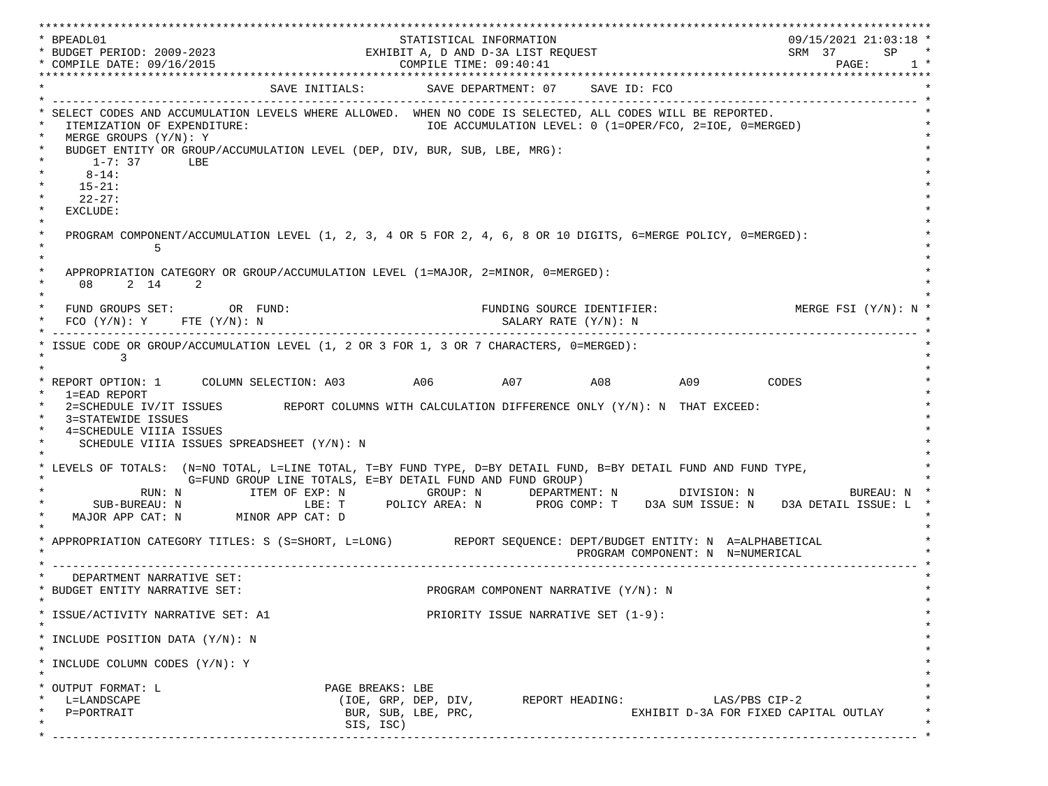\*\*\*\*\*\*\*\*\*\*\*\*\*\*\*\*\*\*\*\*\*\*\*\*\*\*\*\*\*\*\*\*\*\*\*\*\*\*\*\*\*\*\*\*\*\*\*\*\*\*\*\*\*\*\*\*\*\*\*\*\*\*\*\*\*\*\*\*\*\*\*\*\*\*\*\*\*\*\*\*\*\*\*\*\*\*\*\*\*\*\*\*\*\*\*\*\*\*\*\*\*\*\*\*\*\*\*\*\*\*\*\*\*\*\*\*\*\*\*\*\*\*\*\*\*\*\*\*\*\*\* \* BPEADL01 STATISTICAL INFORMATION 09/15/2021 21:03:18 \* \* BUDGET PERIOD: 2009-2023 EXHIBIT A, D AND D-3A LIST REQUEST SRM 37 SP \* \* COMPILE DATE: 09/16/2015 COMPILE TIME: 09:40:41 PAGE: 1 \* \*\*\*\*\*\*\*\*\*\*\*\*\*\*\*\*\*\*\*\*\*\*\*\*\*\*\*\*\*\*\*\*\*\*\*\*\*\*\*\*\*\*\*\*\*\*\*\*\*\*\*\*\*\*\*\*\*\*\*\*\*\*\*\*\*\*\*\*\*\*\*\*\*\*\*\*\*\*\*\*\*\*\*\*\*\*\*\*\*\*\*\*\*\*\*\*\*\*\*\*\*\*\*\*\*\*\*\*\*\*\*\*\*\*\*\*\*\*\*\*\*\*\*\*\*\*\*\*\*\*\* SAVE INITIALS: SAVE DEPARTMENT: 07 SAVE ID: FCO \* ------------------------------------------------------------------------------------------------------------------------------- \* SELECT CODES AND ACCUMULATION LEVELS WHERE ALLOWED. WHEN NO CODE IS SELECTED, ALL CODES WILL BE REPORTED. ITEMIZATION OF EXPENDITURE:  $\overline{10E}$  accumulation level: 0 (1=OPER/FCO, 2=IOE, 0=MERGED) MERGE GROUPS (Y/N): Y BUDGET ENTITY OR GROUP/ACCUMULATION LEVEL (DEP, DIV, BUR, SUB, LBE, MRG):  $*$  1-7: 37 LBE  $*$  $*$  8-14:  $*$  $*$  15-21:  $*$  $*$  22-27: \* \* EXCLUDE: \*  $\star$   $\star$  \* PROGRAM COMPONENT/ACCUMULATION LEVEL (1, 2, 3, 4 OR 5 FOR 2, 4, 6, 8 OR 10 DIGITS, 6=MERGE POLICY, 0=MERGED): \*  $\star$  5  $\star$  $\star$   $\star$ APPROPRIATION CATEGORY OR GROUP/ACCUMULATION LEVEL (1=MAJOR, 2=MINOR, 0=MERGED):  $\star$  08 2 14 2  $\star$  $\star$   $\star$ FUND GROUPS SET: OR FUND: THE SOURCE IDENTIFIER: MERGE FSI (Y/N): N  $FCO (Y/N): Y$  FTE  $(Y/N): N$  SALARY RATE  $(Y/N): N$  \* ------------------------------------------------------------------------------------------------------------------------------- \* ISSUE CODE OR GROUP/ACCUMULATION LEVEL (1, 2 OR 3 FOR 1, 3 OR 7 CHARACTERS, 0=MERGED):  $\star$  3  $\star$  $\star$   $\star$ \* REPORT OPTION: 1 COLUMN SELECTION: A03 A06 A07 A08 A09 CODES \* 1=EAD REPORT \* 2=SCHEDULE IV/IT ISSUES REPORT COLUMNS WITH CALCULATION DIFFERENCE ONLY (Y/N): N THAT EXCEED: 3=STATEWIDE ISSUES 4=SCHEDULE VIIIA ISSUES SCHEDULE VIIIA ISSUES SPREADSHEET (Y/N): N \* \* \* LEVELS OF TOTALS: (N=NO TOTAL, L=LINE TOTAL, T=BY FUND TYPE, D=BY DETAIL FUND, B=BY DETAIL FUND AND FUND TYPE, \* G=FUND GROUP LINE TOTALS, E=BY DETAIL FUND AND FUND GROUP) \* RUN: N ITEM OF EXP: N GROUP: N DEPARTMENT: N DIVISION: N BUREAU: N \* \* SUB-BUREAU: N LBE: T POLICY AREA: N PROG COMP: T D3A SUM ISSUE: N D3A DETAIL ISSUE: L \* MAJOR APP CAT: N MINOR APP CAT: D \* \* APPROPRIATION CATEGORY TITLES: S (S=SHORT, L=LONG) REPORT SEQUENCE: DEPT/BUDGET ENTITY: N A=ALPHABETICAL PROGRAM COMPONENT: N N=NUMERICAL \* ------------------------------------------------------------------------------------------------------------------------------- \* DEPARTMENT NARRATIVE SET:<br>BUDGET ENTITY NARRATIVE SET: PROGRAM COMPONENT NARRATIVE (Y/N): N \* \* \* ISSUE/ACTIVITY NARRATIVE SET: A1 PRIORITY ISSUE NARRATIVE SET (1-9): \*  $\star$   $\star$  \* INCLUDE POSITION DATA (Y/N): N \* \* \* INCLUDE COLUMN CODES  $(Y/N): Y$  \* \* \* OUTPUT FORMAT: L \* \* \* \* \* PAGE BREAKS: LBE \* L=LANDSCAPE (IOE, GRP, DEP, DIV, REPORT HEADING: LAS/PBS CIP-2 \* \* P=PORTRAIT BUR, SUB, LBE, PRC, EXHIBIT D-3A FOR FIXED CAPITAL OUTLAY \* \* SIS, ISC) \* \* ------------------------------------------------------------------------------------------------------------------------------- \*